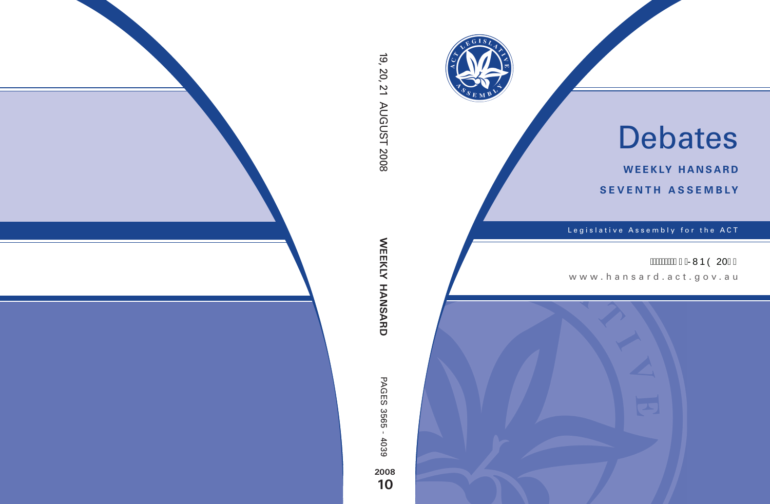

# Debates

**weekly hansard seventh asseMBly**

Legislative Assembly for the ACT

## ÁÁÁÁÁÁH €ÁRMÞÒ 20F€

www .hansard.act.gov.au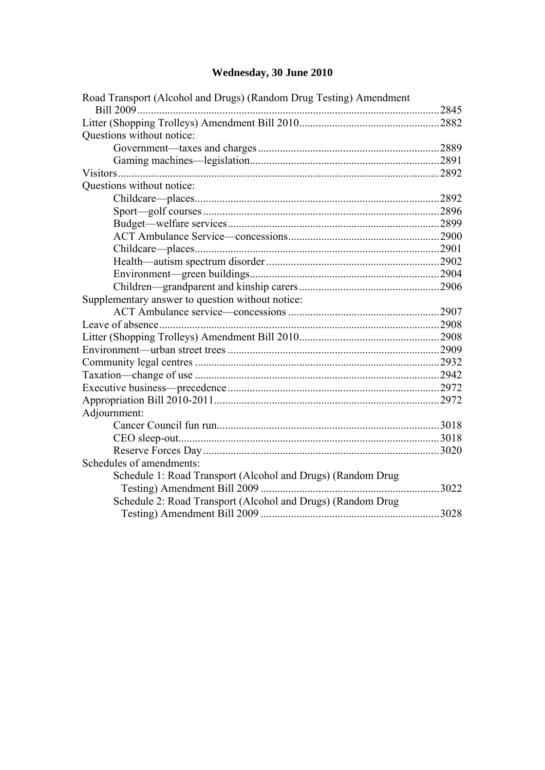## **[Wednesday, 30 June 2010](#page-2-0)**

| Road Transport (Alcohol and Drugs) (Random Drug Testing) Amendment |       |  |
|--------------------------------------------------------------------|-------|--|
|                                                                    | .2845 |  |
|                                                                    | .2882 |  |
| Questions without notice:                                          |       |  |
|                                                                    |       |  |
|                                                                    |       |  |
|                                                                    | .2892 |  |
| Questions without notice:                                          |       |  |
|                                                                    |       |  |
|                                                                    |       |  |
|                                                                    |       |  |
|                                                                    |       |  |
|                                                                    |       |  |
|                                                                    |       |  |
|                                                                    |       |  |
|                                                                    |       |  |
| Supplementary answer to question without notice:                   |       |  |
|                                                                    |       |  |
|                                                                    |       |  |
|                                                                    |       |  |
|                                                                    |       |  |
|                                                                    |       |  |
|                                                                    |       |  |
|                                                                    |       |  |
|                                                                    | .2972 |  |
| Adjournment:                                                       |       |  |
|                                                                    |       |  |
|                                                                    |       |  |
|                                                                    | .3020 |  |
| Schedules of amendments:                                           |       |  |
| Schedule 1: Road Transport (Alcohol and Drugs) (Random Drug        |       |  |
|                                                                    | .3022 |  |
| Schedule 2: Road Transport (Alcohol and Drugs) (Random Drug        |       |  |
|                                                                    | .3028 |  |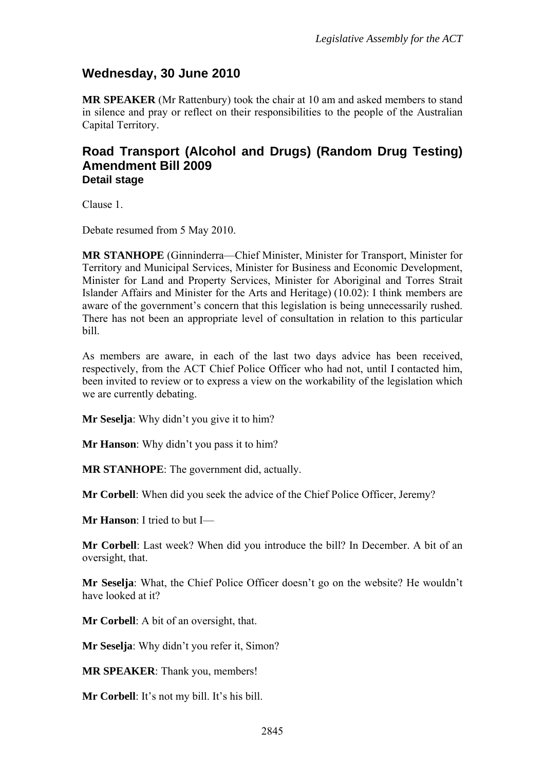### <span id="page-2-0"></span>**Wednesday, 30 June 2010**

**MR SPEAKER** (Mr Rattenbury) took the chair at 10 am and asked members to stand in silence and pray or reflect on their responsibilities to the people of the Australian Capital Territory.

#### <span id="page-2-1"></span>**Road Transport (Alcohol and Drugs) (Random Drug Testing) Amendment Bill 2009 Detail stage**

Clause 1.

Debate resumed from 5 May 2010.

**MR STANHOPE** (Ginninderra—Chief Minister, Minister for Transport, Minister for Territory and Municipal Services, Minister for Business and Economic Development, Minister for Land and Property Services, Minister for Aboriginal and Torres Strait Islander Affairs and Minister for the Arts and Heritage) (10.02): I think members are aware of the government's concern that this legislation is being unnecessarily rushed. There has not been an appropriate level of consultation in relation to this particular bill.

As members are aware, in each of the last two days advice has been received, respectively, from the ACT Chief Police Officer who had not, until I contacted him, been invited to review or to express a view on the workability of the legislation which we are currently debating.

**Mr Seselja**: Why didn't you give it to him?

**Mr Hanson**: Why didn't you pass it to him?

**MR STANHOPE**: The government did, actually.

**Mr Corbell**: When did you seek the advice of the Chief Police Officer, Jeremy?

**Mr Hanson**: I tried to but I—

**Mr Corbell**: Last week? When did you introduce the bill? In December. A bit of an oversight, that.

**Mr Seselja**: What, the Chief Police Officer doesn't go on the website? He wouldn't have looked at it?

**Mr Corbell**: A bit of an oversight, that.

**Mr Seselja**: Why didn't you refer it, Simon?

**MR SPEAKER**: Thank you, members!

**Mr Corbell**: It's not my bill. It's his bill.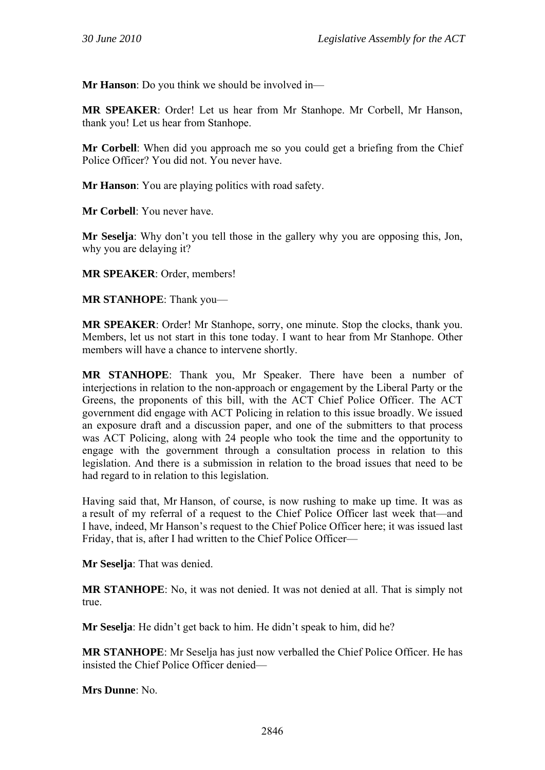**Mr Hanson**: Do you think we should be involved in—

**MR SPEAKER**: Order! Let us hear from Mr Stanhope. Mr Corbell, Mr Hanson, thank you! Let us hear from Stanhope.

**Mr Corbell**: When did you approach me so you could get a briefing from the Chief Police Officer? You did not. You never have.

**Mr Hanson**: You are playing politics with road safety.

**Mr Corbell**: You never have.

**Mr Seselja**: Why don't you tell those in the gallery why you are opposing this, Jon, why you are delaying it?

**MR SPEAKER**: Order, members!

**MR STANHOPE**: Thank you—

**MR SPEAKER**: Order! Mr Stanhope, sorry, one minute. Stop the clocks, thank you. Members, let us not start in this tone today. I want to hear from Mr Stanhope. Other members will have a chance to intervene shortly.

**MR STANHOPE**: Thank you, Mr Speaker. There have been a number of interjections in relation to the non-approach or engagement by the Liberal Party or the Greens, the proponents of this bill, with the ACT Chief Police Officer. The ACT government did engage with ACT Policing in relation to this issue broadly. We issued an exposure draft and a discussion paper, and one of the submitters to that process was ACT Policing, along with 24 people who took the time and the opportunity to engage with the government through a consultation process in relation to this legislation. And there is a submission in relation to the broad issues that need to be had regard to in relation to this legislation.

Having said that, Mr Hanson, of course, is now rushing to make up time. It was as a result of my referral of a request to the Chief Police Officer last week that—and I have, indeed, Mr Hanson's request to the Chief Police Officer here; it was issued last Friday, that is, after I had written to the Chief Police Officer—

**Mr Seselja**: That was denied.

**MR STANHOPE**: No, it was not denied. It was not denied at all. That is simply not true.

**Mr Seselja**: He didn't get back to him. He didn't speak to him, did he?

**MR STANHOPE**: Mr Seselja has just now verballed the Chief Police Officer. He has insisted the Chief Police Officer denied—

**Mrs Dunne**: No.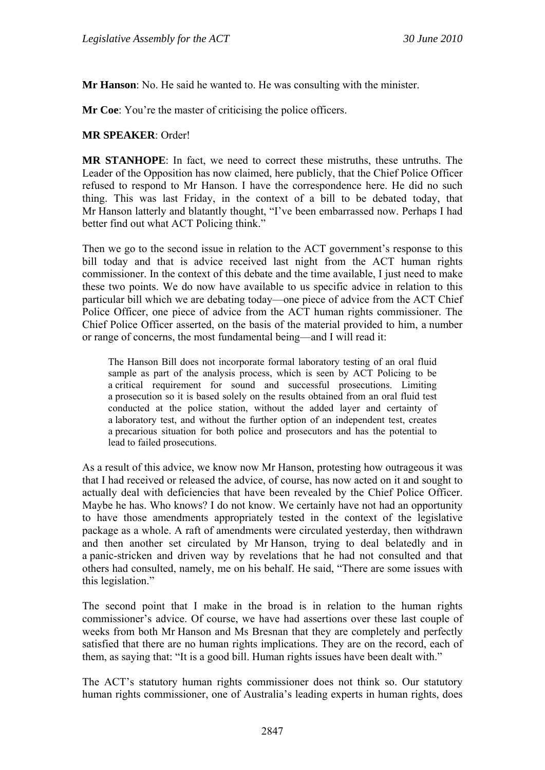**Mr Hanson**: No. He said he wanted to. He was consulting with the minister.

**Mr Coe**: You're the master of criticising the police officers.

#### **MR SPEAKER**: Order!

**MR STANHOPE**: In fact, we need to correct these mistruths, these untruths. The Leader of the Opposition has now claimed, here publicly, that the Chief Police Officer refused to respond to Mr Hanson. I have the correspondence here. He did no such thing. This was last Friday, in the context of a bill to be debated today, that Mr Hanson latterly and blatantly thought, "I've been embarrassed now. Perhaps I had better find out what ACT Policing think."

Then we go to the second issue in relation to the ACT government's response to this bill today and that is advice received last night from the ACT human rights commissioner. In the context of this debate and the time available, I just need to make these two points. We do now have available to us specific advice in relation to this particular bill which we are debating today—one piece of advice from the ACT Chief Police Officer, one piece of advice from the ACT human rights commissioner. The Chief Police Officer asserted, on the basis of the material provided to him, a number or range of concerns, the most fundamental being—and I will read it:

The Hanson Bill does not incorporate formal laboratory testing of an oral fluid sample as part of the analysis process, which is seen by ACT Policing to be a critical requirement for sound and successful prosecutions. Limiting a prosecution so it is based solely on the results obtained from an oral fluid test conducted at the police station, without the added layer and certainty of a laboratory test, and without the further option of an independent test, creates a precarious situation for both police and prosecutors and has the potential to lead to failed prosecutions.

As a result of this advice, we know now Mr Hanson, protesting how outrageous it was that I had received or released the advice, of course, has now acted on it and sought to actually deal with deficiencies that have been revealed by the Chief Police Officer. Maybe he has. Who knows? I do not know. We certainly have not had an opportunity to have those amendments appropriately tested in the context of the legislative package as a whole. A raft of amendments were circulated yesterday, then withdrawn and then another set circulated by Mr Hanson, trying to deal belatedly and in a panic-stricken and driven way by revelations that he had not consulted and that others had consulted, namely, me on his behalf. He said, "There are some issues with this legislation."

The second point that I make in the broad is in relation to the human rights commissioner's advice. Of course, we have had assertions over these last couple of weeks from both Mr Hanson and Ms Bresnan that they are completely and perfectly satisfied that there are no human rights implications. They are on the record, each of them, as saying that: "It is a good bill. Human rights issues have been dealt with."

The ACT's statutory human rights commissioner does not think so. Our statutory human rights commissioner, one of Australia's leading experts in human rights, does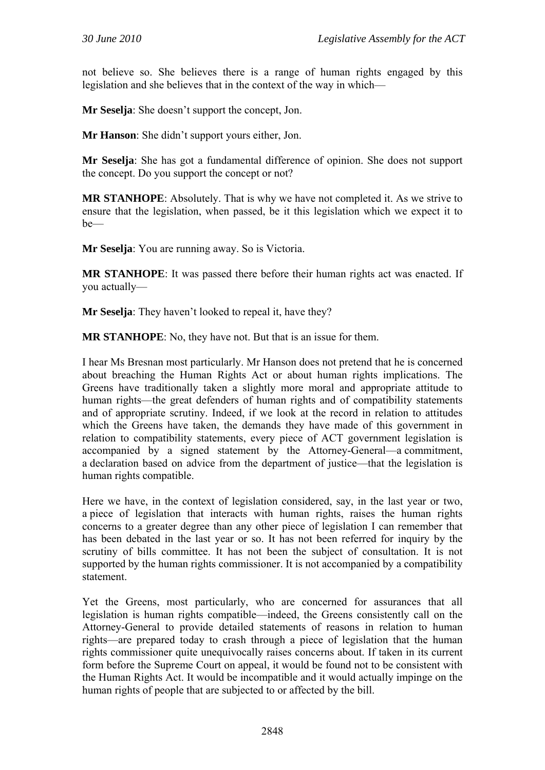not believe so. She believes there is a range of human rights engaged by this legislation and she believes that in the context of the way in which—

**Mr Seselja**: She doesn't support the concept, Jon.

**Mr Hanson**: She didn't support yours either, Jon.

**Mr Seselja**: She has got a fundamental difference of opinion. She does not support the concept. Do you support the concept or not?

**MR STANHOPE**: Absolutely. That is why we have not completed it. As we strive to ensure that the legislation, when passed, be it this legislation which we expect it to be—

**Mr Seselja**: You are running away. So is Victoria.

**MR STANHOPE**: It was passed there before their human rights act was enacted. If you actually—

**Mr Seselja**: They haven't looked to repeal it, have they?

**MR STANHOPE**: No, they have not. But that is an issue for them.

I hear Ms Bresnan most particularly. Mr Hanson does not pretend that he is concerned about breaching the Human Rights Act or about human rights implications. The Greens have traditionally taken a slightly more moral and appropriate attitude to human rights—the great defenders of human rights and of compatibility statements and of appropriate scrutiny. Indeed, if we look at the record in relation to attitudes which the Greens have taken, the demands they have made of this government in relation to compatibility statements, every piece of ACT government legislation is accompanied by a signed statement by the Attorney-General—a commitment, a declaration based on advice from the department of justice—that the legislation is human rights compatible.

Here we have, in the context of legislation considered, say, in the last year or two, a piece of legislation that interacts with human rights, raises the human rights concerns to a greater degree than any other piece of legislation I can remember that has been debated in the last year or so. It has not been referred for inquiry by the scrutiny of bills committee. It has not been the subject of consultation. It is not supported by the human rights commissioner. It is not accompanied by a compatibility statement.

Yet the Greens, most particularly, who are concerned for assurances that all legislation is human rights compatible—indeed, the Greens consistently call on the Attorney-General to provide detailed statements of reasons in relation to human rights—are prepared today to crash through a piece of legislation that the human rights commissioner quite unequivocally raises concerns about. If taken in its current form before the Supreme Court on appeal, it would be found not to be consistent with the Human Rights Act. It would be incompatible and it would actually impinge on the human rights of people that are subjected to or affected by the bill.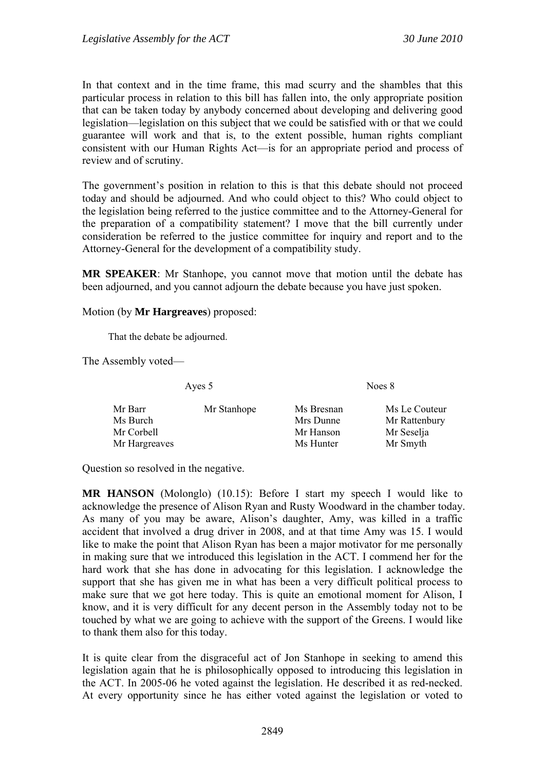In that context and in the time frame, this mad scurry and the shambles that this particular process in relation to this bill has fallen into, the only appropriate position that can be taken today by anybody concerned about developing and delivering good legislation—legislation on this subject that we could be satisfied with or that we could guarantee will work and that is, to the extent possible, human rights compliant consistent with our Human Rights Act—is for an appropriate period and process of review and of scrutiny.

The government's position in relation to this is that this debate should not proceed today and should be adjourned. And who could object to this? Who could object to the legislation being referred to the justice committee and to the Attorney-General for the preparation of a compatibility statement? I move that the bill currently under consideration be referred to the justice committee for inquiry and report and to the Attorney-General for the development of a compatibility study.

**MR SPEAKER**: Mr Stanhope, you cannot move that motion until the debate has been adjourned, and you cannot adjourn the debate because you have just spoken.

Motion (by **Mr Hargreaves**) proposed:

That the debate be adjourned.

The Assembly voted—

Ayes 5 Noes 8

| Mr Barr       | Mr Stanhope | Ms Bresnan | Ms Le Couteur |
|---------------|-------------|------------|---------------|
| Ms Burch      |             | Mrs Dunne  | Mr Rattenbury |
| Mr Corbell    |             | Mr Hanson  | Mr Seselja    |
| Mr Hargreaves |             | Ms Hunter  | Mr Smyth      |

Question so resolved in the negative.

**MR HANSON** (Molonglo) (10.15): Before I start my speech I would like to acknowledge the presence of Alison Ryan and Rusty Woodward in the chamber today. As many of you may be aware, Alison's daughter, Amy, was killed in a traffic accident that involved a drug driver in 2008, and at that time Amy was 15. I would like to make the point that Alison Ryan has been a major motivator for me personally in making sure that we introduced this legislation in the ACT. I commend her for the hard work that she has done in advocating for this legislation. I acknowledge the support that she has given me in what has been a very difficult political process to make sure that we got here today. This is quite an emotional moment for Alison, I know, and it is very difficult for any decent person in the Assembly today not to be touched by what we are going to achieve with the support of the Greens. I would like to thank them also for this today.

It is quite clear from the disgraceful act of Jon Stanhope in seeking to amend this legislation again that he is philosophically opposed to introducing this legislation in the ACT. In 2005-06 he voted against the legislation. He described it as red-necked. At every opportunity since he has either voted against the legislation or voted to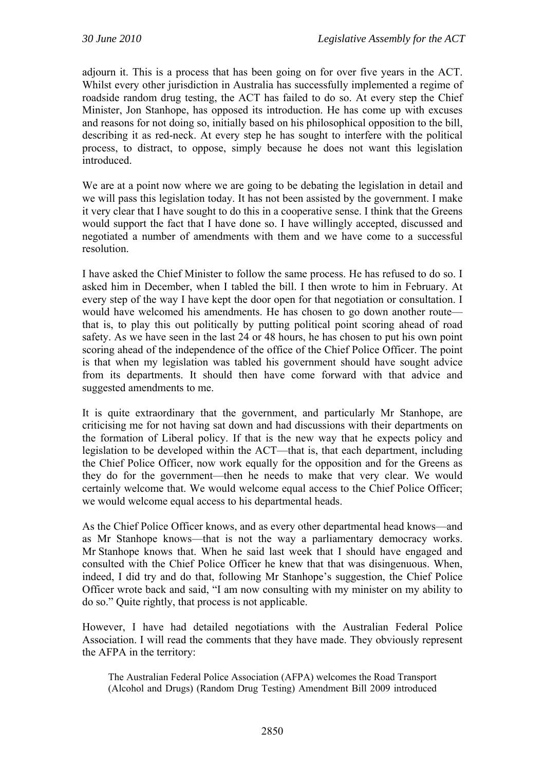adjourn it. This is a process that has been going on for over five years in the ACT. Whilst every other jurisdiction in Australia has successfully implemented a regime of roadside random drug testing, the ACT has failed to do so. At every step the Chief Minister, Jon Stanhope, has opposed its introduction. He has come up with excuses and reasons for not doing so, initially based on his philosophical opposition to the bill, describing it as red-neck. At every step he has sought to interfere with the political process, to distract, to oppose, simply because he does not want this legislation introduced.

We are at a point now where we are going to be debating the legislation in detail and we will pass this legislation today. It has not been assisted by the government. I make it very clear that I have sought to do this in a cooperative sense. I think that the Greens would support the fact that I have done so. I have willingly accepted, discussed and negotiated a number of amendments with them and we have come to a successful resolution.

I have asked the Chief Minister to follow the same process. He has refused to do so. I asked him in December, when I tabled the bill. I then wrote to him in February. At every step of the way I have kept the door open for that negotiation or consultation. I would have welcomed his amendments. He has chosen to go down another route that is, to play this out politically by putting political point scoring ahead of road safety. As we have seen in the last 24 or 48 hours, he has chosen to put his own point scoring ahead of the independence of the office of the Chief Police Officer. The point is that when my legislation was tabled his government should have sought advice from its departments. It should then have come forward with that advice and suggested amendments to me.

It is quite extraordinary that the government, and particularly Mr Stanhope, are criticising me for not having sat down and had discussions with their departments on the formation of Liberal policy. If that is the new way that he expects policy and legislation to be developed within the ACT—that is, that each department, including the Chief Police Officer, now work equally for the opposition and for the Greens as they do for the government—then he needs to make that very clear. We would certainly welcome that. We would welcome equal access to the Chief Police Officer; we would welcome equal access to his departmental heads.

As the Chief Police Officer knows, and as every other departmental head knows—and as Mr Stanhope knows—that is not the way a parliamentary democracy works. Mr Stanhope knows that. When he said last week that I should have engaged and consulted with the Chief Police Officer he knew that that was disingenuous. When, indeed, I did try and do that, following Mr Stanhope's suggestion, the Chief Police Officer wrote back and said, "I am now consulting with my minister on my ability to do so." Quite rightly, that process is not applicable.

However, I have had detailed negotiations with the Australian Federal Police Association. I will read the comments that they have made. They obviously represent the AFPA in the territory:

The Australian Federal Police Association (AFPA) welcomes the Road Transport (Alcohol and Drugs) (Random Drug Testing) Amendment Bill 2009 introduced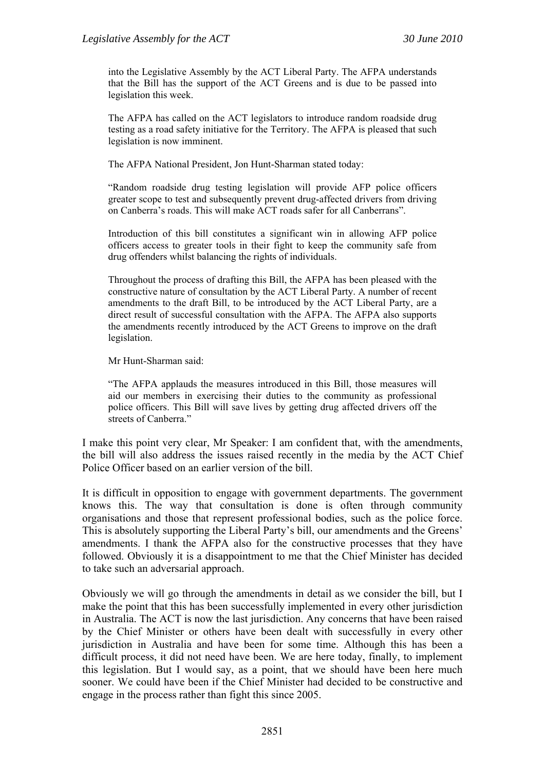into the Legislative Assembly by the ACT Liberal Party. The AFPA understands that the Bill has the support of the ACT Greens and is due to be passed into legislation this week.

The AFPA has called on the ACT legislators to introduce random roadside drug testing as a road safety initiative for the Territory. The AFPA is pleased that such legislation is now imminent.

The AFPA National President, Jon Hunt-Sharman stated today:

"Random roadside drug testing legislation will provide AFP police officers greater scope to test and subsequently prevent drug-affected drivers from driving on Canberra's roads. This will make ACT roads safer for all Canberrans".

Introduction of this bill constitutes a significant win in allowing AFP police officers access to greater tools in their fight to keep the community safe from drug offenders whilst balancing the rights of individuals.

Throughout the process of drafting this Bill, the AFPA has been pleased with the constructive nature of consultation by the ACT Liberal Party. A number of recent amendments to the draft Bill, to be introduced by the ACT Liberal Party, are a direct result of successful consultation with the AFPA. The AFPA also supports the amendments recently introduced by the ACT Greens to improve on the draft legislation.

Mr Hunt-Sharman said:

"The AFPA applauds the measures introduced in this Bill, those measures will aid our members in exercising their duties to the community as professional police officers. This Bill will save lives by getting drug affected drivers off the streets of Canberra."

I make this point very clear, Mr Speaker: I am confident that, with the amendments, the bill will also address the issues raised recently in the media by the ACT Chief Police Officer based on an earlier version of the bill.

It is difficult in opposition to engage with government departments. The government knows this. The way that consultation is done is often through community organisations and those that represent professional bodies, such as the police force. This is absolutely supporting the Liberal Party's bill, our amendments and the Greens' amendments. I thank the AFPA also for the constructive processes that they have followed. Obviously it is a disappointment to me that the Chief Minister has decided to take such an adversarial approach.

Obviously we will go through the amendments in detail as we consider the bill, but I make the point that this has been successfully implemented in every other jurisdiction in Australia. The ACT is now the last jurisdiction. Any concerns that have been raised by the Chief Minister or others have been dealt with successfully in every other jurisdiction in Australia and have been for some time. Although this has been a difficult process, it did not need have been. We are here today, finally, to implement this legislation. But I would say, as a point, that we should have been here much sooner. We could have been if the Chief Minister had decided to be constructive and engage in the process rather than fight this since 2005.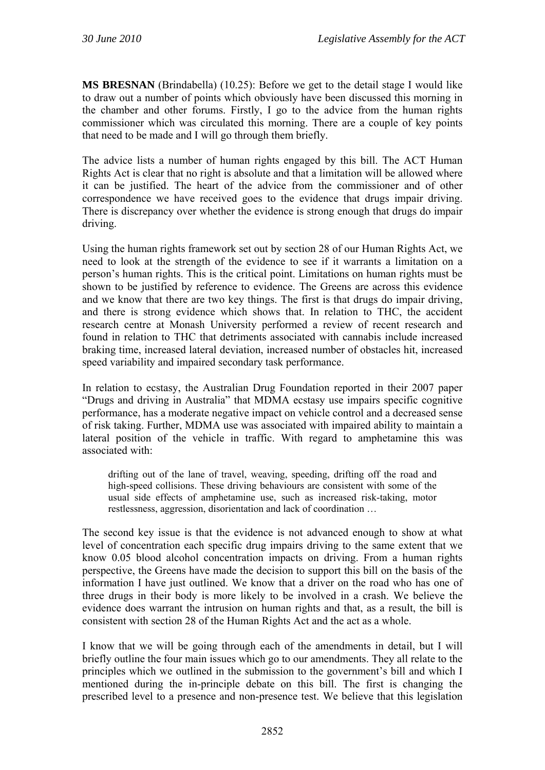**MS BRESNAN** (Brindabella) (10.25): Before we get to the detail stage I would like to draw out a number of points which obviously have been discussed this morning in the chamber and other forums. Firstly, I go to the advice from the human rights commissioner which was circulated this morning. There are a couple of key points that need to be made and I will go through them briefly.

The advice lists a number of human rights engaged by this bill. The ACT Human Rights Act is clear that no right is absolute and that a limitation will be allowed where it can be justified. The heart of the advice from the commissioner and of other correspondence we have received goes to the evidence that drugs impair driving. There is discrepancy over whether the evidence is strong enough that drugs do impair driving.

Using the human rights framework set out by section 28 of our Human Rights Act, we need to look at the strength of the evidence to see if it warrants a limitation on a person's human rights. This is the critical point. Limitations on human rights must be shown to be justified by reference to evidence. The Greens are across this evidence and we know that there are two key things. The first is that drugs do impair driving, and there is strong evidence which shows that. In relation to THC, the accident research centre at Monash University performed a review of recent research and found in relation to THC that detriments associated with cannabis include increased braking time, increased lateral deviation, increased number of obstacles hit, increased speed variability and impaired secondary task performance.

In relation to ecstasy, the Australian Drug Foundation reported in their 2007 paper "Drugs and driving in Australia" that MDMA ecstasy use impairs specific cognitive performance, has a moderate negative impact on vehicle control and a decreased sense of risk taking. Further, MDMA use was associated with impaired ability to maintain a lateral position of the vehicle in traffic. With regard to amphetamine this was associated with:

drifting out of the lane of travel, weaving, speeding, drifting off the road and high-speed collisions. These driving behaviours are consistent with some of the usual side effects of amphetamine use, such as increased risk-taking, motor restlessness, aggression, disorientation and lack of coordination …

The second key issue is that the evidence is not advanced enough to show at what level of concentration each specific drug impairs driving to the same extent that we know 0.05 blood alcohol concentration impacts on driving. From a human rights perspective, the Greens have made the decision to support this bill on the basis of the information I have just outlined. We know that a driver on the road who has one of three drugs in their body is more likely to be involved in a crash. We believe the evidence does warrant the intrusion on human rights and that, as a result, the bill is consistent with section 28 of the Human Rights Act and the act as a whole.

I know that we will be going through each of the amendments in detail, but I will briefly outline the four main issues which go to our amendments. They all relate to the principles which we outlined in the submission to the government's bill and which I mentioned during the in-principle debate on this bill. The first is changing the prescribed level to a presence and non-presence test. We believe that this legislation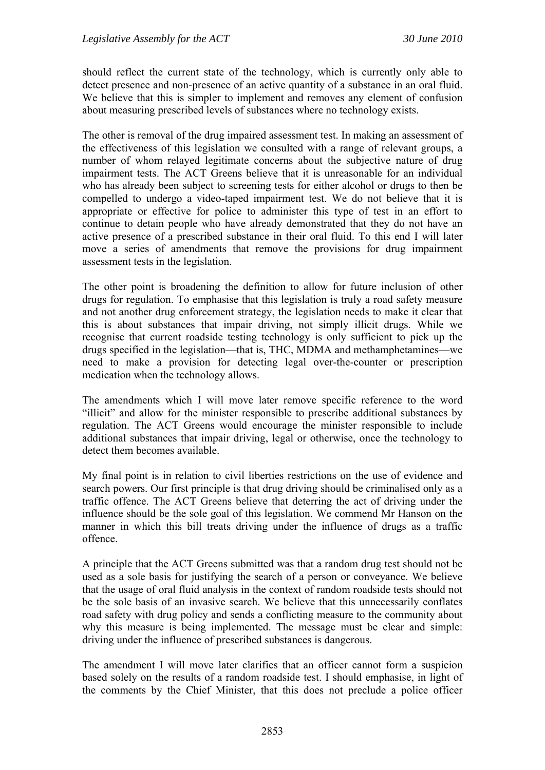should reflect the current state of the technology, which is currently only able to detect presence and non-presence of an active quantity of a substance in an oral fluid. We believe that this is simpler to implement and removes any element of confusion about measuring prescribed levels of substances where no technology exists.

The other is removal of the drug impaired assessment test. In making an assessment of the effectiveness of this legislation we consulted with a range of relevant groups, a number of whom relayed legitimate concerns about the subjective nature of drug impairment tests. The ACT Greens believe that it is unreasonable for an individual who has already been subject to screening tests for either alcohol or drugs to then be compelled to undergo a video-taped impairment test. We do not believe that it is appropriate or effective for police to administer this type of test in an effort to continue to detain people who have already demonstrated that they do not have an active presence of a prescribed substance in their oral fluid. To this end I will later move a series of amendments that remove the provisions for drug impairment assessment tests in the legislation.

The other point is broadening the definition to allow for future inclusion of other drugs for regulation. To emphasise that this legislation is truly a road safety measure and not another drug enforcement strategy, the legislation needs to make it clear that this is about substances that impair driving, not simply illicit drugs. While we recognise that current roadside testing technology is only sufficient to pick up the drugs specified in the legislation—that is, THC, MDMA and methamphetamines—we need to make a provision for detecting legal over-the-counter or prescription medication when the technology allows.

The amendments which I will move later remove specific reference to the word "illicit" and allow for the minister responsible to prescribe additional substances by regulation. The ACT Greens would encourage the minister responsible to include additional substances that impair driving, legal or otherwise, once the technology to detect them becomes available.

My final point is in relation to civil liberties restrictions on the use of evidence and search powers. Our first principle is that drug driving should be criminalised only as a traffic offence. The ACT Greens believe that deterring the act of driving under the influence should be the sole goal of this legislation. We commend Mr Hanson on the manner in which this bill treats driving under the influence of drugs as a traffic offence.

A principle that the ACT Greens submitted was that a random drug test should not be used as a sole basis for justifying the search of a person or conveyance. We believe that the usage of oral fluid analysis in the context of random roadside tests should not be the sole basis of an invasive search. We believe that this unnecessarily conflates road safety with drug policy and sends a conflicting measure to the community about why this measure is being implemented. The message must be clear and simple: driving under the influence of prescribed substances is dangerous.

The amendment I will move later clarifies that an officer cannot form a suspicion based solely on the results of a random roadside test. I should emphasise, in light of the comments by the Chief Minister, that this does not preclude a police officer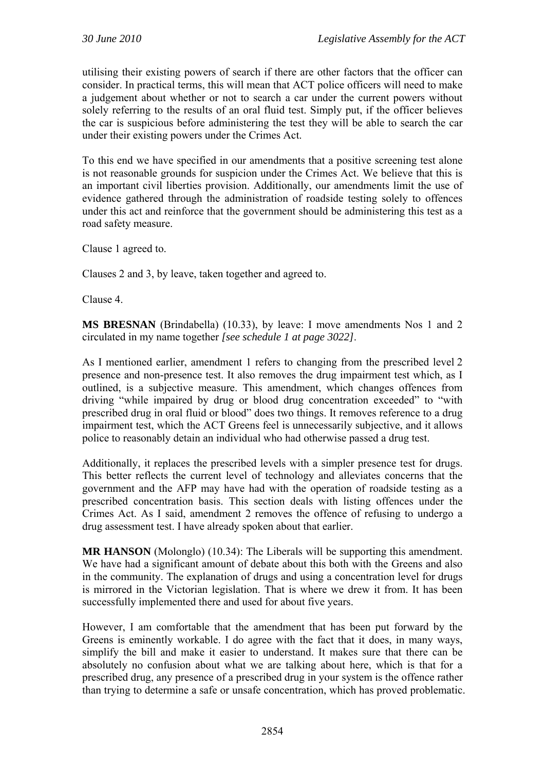utilising their existing powers of search if there are other factors that the officer can consider. In practical terms, this will mean that ACT police officers will need to make a judgement about whether or not to search a car under the current powers without solely referring to the results of an oral fluid test. Simply put, if the officer believes the car is suspicious before administering the test they will be able to search the car under their existing powers under the Crimes Act.

To this end we have specified in our amendments that a positive screening test alone is not reasonable grounds for suspicion under the Crimes Act. We believe that this is an important civil liberties provision. Additionally, our amendments limit the use of evidence gathered through the administration of roadside testing solely to offences under this act and reinforce that the government should be administering this test as a road safety measure.

Clause 1 agreed to.

Clauses 2 and 3, by leave, taken together and agreed to.

Clause 4.

**MS BRESNAN** (Brindabella) (10.33), by leave: I move amendments Nos 1 and 2 circulated in my name together *[see schedule 1 at page 3022]*.

As I mentioned earlier, amendment 1 refers to changing from the prescribed level 2 presence and non-presence test. It also removes the drug impairment test which, as I outlined, is a subjective measure. This amendment, which changes offences from driving "while impaired by drug or blood drug concentration exceeded" to "with prescribed drug in oral fluid or blood" does two things. It removes reference to a drug impairment test, which the ACT Greens feel is unnecessarily subjective, and it allows police to reasonably detain an individual who had otherwise passed a drug test.

Additionally, it replaces the prescribed levels with a simpler presence test for drugs. This better reflects the current level of technology and alleviates concerns that the government and the AFP may have had with the operation of roadside testing as a prescribed concentration basis. This section deals with listing offences under the Crimes Act. As I said, amendment 2 removes the offence of refusing to undergo a drug assessment test. I have already spoken about that earlier.

**MR HANSON** (Molonglo) (10.34): The Liberals will be supporting this amendment. We have had a significant amount of debate about this both with the Greens and also in the community. The explanation of drugs and using a concentration level for drugs is mirrored in the Victorian legislation. That is where we drew it from. It has been successfully implemented there and used for about five years.

However, I am comfortable that the amendment that has been put forward by the Greens is eminently workable. I do agree with the fact that it does, in many ways, simplify the bill and make it easier to understand. It makes sure that there can be absolutely no confusion about what we are talking about here, which is that for a prescribed drug, any presence of a prescribed drug in your system is the offence rather than trying to determine a safe or unsafe concentration, which has proved problematic.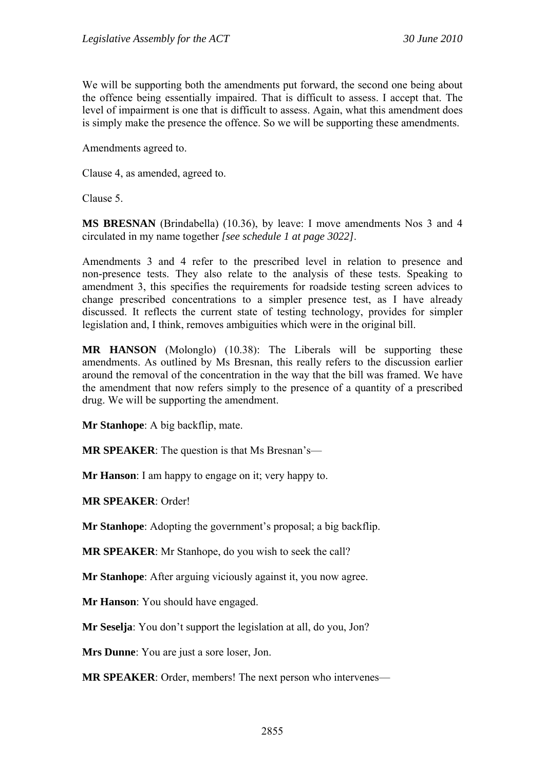We will be supporting both the amendments put forward, the second one being about the offence being essentially impaired. That is difficult to assess. I accept that. The level of impairment is one that is difficult to assess. Again, what this amendment does is simply make the presence the offence. So we will be supporting these amendments.

Amendments agreed to.

Clause 4, as amended, agreed to.

Clause 5.

**MS BRESNAN** (Brindabella) (10.36), by leave: I move amendments Nos 3 and 4 circulated in my name together *[see schedule 1 at page 3022]*.

Amendments 3 and 4 refer to the prescribed level in relation to presence and non-presence tests. They also relate to the analysis of these tests. Speaking to amendment 3, this specifies the requirements for roadside testing screen advices to change prescribed concentrations to a simpler presence test, as I have already discussed. It reflects the current state of testing technology, provides for simpler legislation and, I think, removes ambiguities which were in the original bill.

**MR HANSON** (Molonglo) (10.38): The Liberals will be supporting these amendments. As outlined by Ms Bresnan, this really refers to the discussion earlier around the removal of the concentration in the way that the bill was framed. We have the amendment that now refers simply to the presence of a quantity of a prescribed drug. We will be supporting the amendment.

**Mr Stanhope**: A big backflip, mate.

**MR SPEAKER**: The question is that Ms Bresnan's—

**Mr Hanson**: I am happy to engage on it; very happy to.

**MR SPEAKER**: Order!

**Mr Stanhope**: Adopting the government's proposal; a big backflip.

**MR SPEAKER**: Mr Stanhope, do you wish to seek the call?

**Mr Stanhope**: After arguing viciously against it, you now agree.

**Mr Hanson**: You should have engaged.

**Mr Seselja**: You don't support the legislation at all, do you, Jon?

**Mrs Dunne**: You are just a sore loser, Jon.

**MR SPEAKER:** Order, members! The next person who intervenes—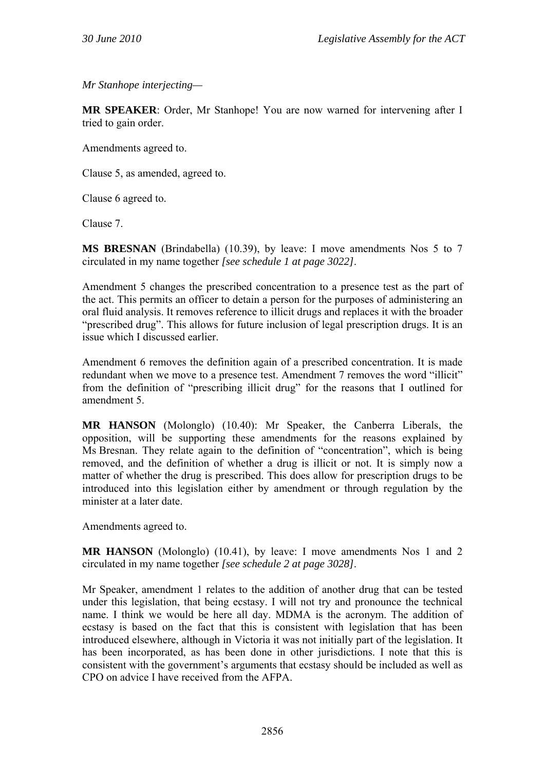*Mr Stanhope interjecting—* 

**MR SPEAKER**: Order, Mr Stanhope! You are now warned for intervening after I tried to gain order.

Amendments agreed to.

Clause 5, as amended, agreed to.

Clause 6 agreed to.

Clause 7.

**MS BRESNAN** (Brindabella) (10.39), by leave: I move amendments Nos 5 to 7 circulated in my name together *[see schedule 1 at page 3022]*.

Amendment 5 changes the prescribed concentration to a presence test as the part of the act. This permits an officer to detain a person for the purposes of administering an oral fluid analysis. It removes reference to illicit drugs and replaces it with the broader "prescribed drug". This allows for future inclusion of legal prescription drugs. It is an issue which I discussed earlier.

Amendment 6 removes the definition again of a prescribed concentration. It is made redundant when we move to a presence test. Amendment 7 removes the word "illicit" from the definition of "prescribing illicit drug" for the reasons that I outlined for amendment 5.

**MR HANSON** (Molonglo) (10.40): Mr Speaker, the Canberra Liberals, the opposition, will be supporting these amendments for the reasons explained by Ms Bresnan. They relate again to the definition of "concentration", which is being removed, and the definition of whether a drug is illicit or not. It is simply now a matter of whether the drug is prescribed. This does allow for prescription drugs to be introduced into this legislation either by amendment or through regulation by the minister at a later date.

Amendments agreed to.

**MR HANSON** (Molonglo) (10.41), by leave: I move amendments Nos 1 and 2 circulated in my name together *[see schedule 2 at page 3028]*.

Mr Speaker, amendment 1 relates to the addition of another drug that can be tested under this legislation, that being ecstasy. I will not try and pronounce the technical name. I think we would be here all day. MDMA is the acronym. The addition of ecstasy is based on the fact that this is consistent with legislation that has been introduced elsewhere, although in Victoria it was not initially part of the legislation. It has been incorporated, as has been done in other jurisdictions. I note that this is consistent with the government's arguments that ecstasy should be included as well as CPO on advice I have received from the AFPA.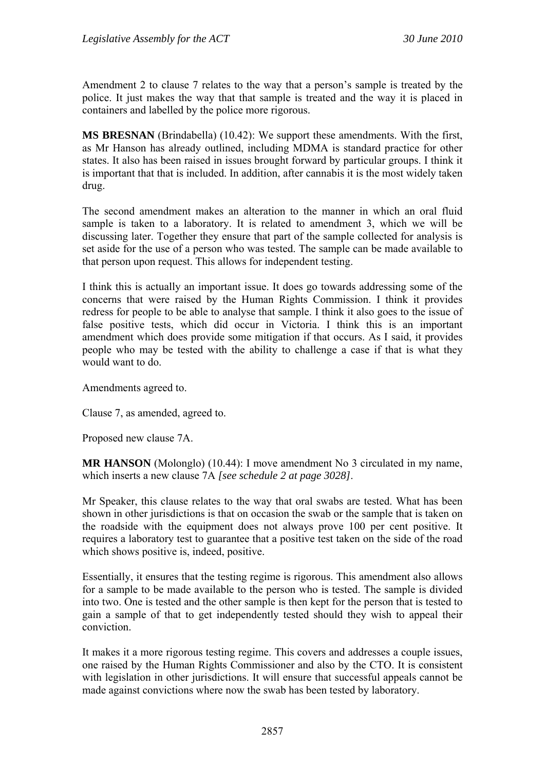Amendment 2 to clause 7 relates to the way that a person's sample is treated by the police. It just makes the way that that sample is treated and the way it is placed in containers and labelled by the police more rigorous.

**MS BRESNAN** (Brindabella) (10.42): We support these amendments. With the first, as Mr Hanson has already outlined, including MDMA is standard practice for other states. It also has been raised in issues brought forward by particular groups. I think it is important that that is included. In addition, after cannabis it is the most widely taken drug.

The second amendment makes an alteration to the manner in which an oral fluid sample is taken to a laboratory. It is related to amendment 3, which we will be discussing later. Together they ensure that part of the sample collected for analysis is set aside for the use of a person who was tested. The sample can be made available to that person upon request. This allows for independent testing.

I think this is actually an important issue. It does go towards addressing some of the concerns that were raised by the Human Rights Commission. I think it provides redress for people to be able to analyse that sample. I think it also goes to the issue of false positive tests, which did occur in Victoria. I think this is an important amendment which does provide some mitigation if that occurs. As I said, it provides people who may be tested with the ability to challenge a case if that is what they would want to do.

Amendments agreed to.

Clause 7, as amended, agreed to.

Proposed new clause 7A.

**MR HANSON** (Molonglo) (10.44): I move amendment No 3 circulated in my name, which inserts a new clause 7A *[see schedule 2 at page 3028]*.

Mr Speaker, this clause relates to the way that oral swabs are tested. What has been shown in other jurisdictions is that on occasion the swab or the sample that is taken on the roadside with the equipment does not always prove 100 per cent positive. It requires a laboratory test to guarantee that a positive test taken on the side of the road which shows positive is, indeed, positive.

Essentially, it ensures that the testing regime is rigorous. This amendment also allows for a sample to be made available to the person who is tested. The sample is divided into two. One is tested and the other sample is then kept for the person that is tested to gain a sample of that to get independently tested should they wish to appeal their conviction.

It makes it a more rigorous testing regime. This covers and addresses a couple issues, one raised by the Human Rights Commissioner and also by the CTO. It is consistent with legislation in other jurisdictions. It will ensure that successful appeals cannot be made against convictions where now the swab has been tested by laboratory.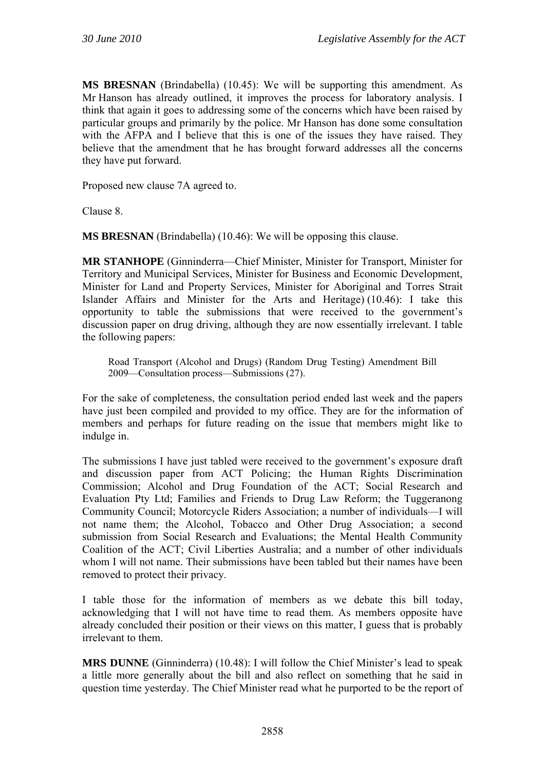**MS BRESNAN** (Brindabella) (10.45): We will be supporting this amendment. As Mr Hanson has already outlined, it improves the process for laboratory analysis. I think that again it goes to addressing some of the concerns which have been raised by particular groups and primarily by the police. Mr Hanson has done some consultation with the AFPA and I believe that this is one of the issues they have raised. They believe that the amendment that he has brought forward addresses all the concerns they have put forward.

Proposed new clause 7A agreed to.

Clause 8.

**MS BRESNAN** (Brindabella) (10.46): We will be opposing this clause.

**MR STANHOPE** (Ginninderra—Chief Minister, Minister for Transport, Minister for Territory and Municipal Services, Minister for Business and Economic Development, Minister for Land and Property Services, Minister for Aboriginal and Torres Strait Islander Affairs and Minister for the Arts and Heritage) (10.46): I take this opportunity to table the submissions that were received to the government's discussion paper on drug driving, although they are now essentially irrelevant. I table the following papers:

Road Transport (Alcohol and Drugs) (Random Drug Testing) Amendment Bill 2009—Consultation process—Submissions (27).

For the sake of completeness, the consultation period ended last week and the papers have just been compiled and provided to my office. They are for the information of members and perhaps for future reading on the issue that members might like to indulge in.

The submissions I have just tabled were received to the government's exposure draft and discussion paper from ACT Policing; the Human Rights Discrimination Commission; Alcohol and Drug Foundation of the ACT; Social Research and Evaluation Pty Ltd; Families and Friends to Drug Law Reform; the Tuggeranong Community Council; Motorcycle Riders Association; a number of individuals—I will not name them; the Alcohol, Tobacco and Other Drug Association; a second submission from Social Research and Evaluations; the Mental Health Community Coalition of the ACT; Civil Liberties Australia; and a number of other individuals whom I will not name. Their submissions have been tabled but their names have been removed to protect their privacy.

I table those for the information of members as we debate this bill today, acknowledging that I will not have time to read them. As members opposite have already concluded their position or their views on this matter, I guess that is probably irrelevant to them.

**MRS DUNNE** (Ginninderra) (10.48): I will follow the Chief Minister's lead to speak a little more generally about the bill and also reflect on something that he said in question time yesterday. The Chief Minister read what he purported to be the report of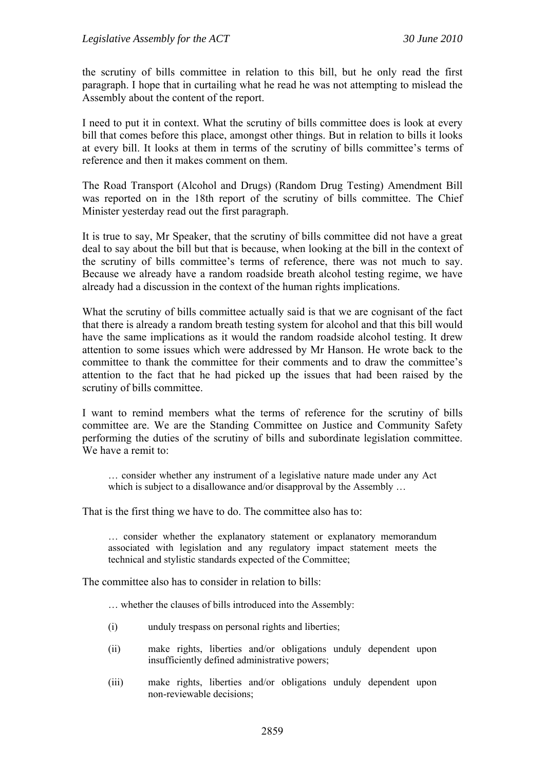the scrutiny of bills committee in relation to this bill, but he only read the first paragraph. I hope that in curtailing what he read he was not attempting to mislead the Assembly about the content of the report.

I need to put it in context. What the scrutiny of bills committee does is look at every bill that comes before this place, amongst other things. But in relation to bills it looks at every bill. It looks at them in terms of the scrutiny of bills committee's terms of reference and then it makes comment on them.

The Road Transport (Alcohol and Drugs) (Random Drug Testing) Amendment Bill was reported on in the 18th report of the scrutiny of bills committee. The Chief Minister yesterday read out the first paragraph.

It is true to say, Mr Speaker, that the scrutiny of bills committee did not have a great deal to say about the bill but that is because, when looking at the bill in the context of the scrutiny of bills committee's terms of reference, there was not much to say. Because we already have a random roadside breath alcohol testing regime, we have already had a discussion in the context of the human rights implications.

What the scrutiny of bills committee actually said is that we are cognisant of the fact that there is already a random breath testing system for alcohol and that this bill would have the same implications as it would the random roadside alcohol testing. It drew attention to some issues which were addressed by Mr Hanson. He wrote back to the committee to thank the committee for their comments and to draw the committee's attention to the fact that he had picked up the issues that had been raised by the scrutiny of bills committee.

I want to remind members what the terms of reference for the scrutiny of bills committee are. We are the Standing Committee on Justice and Community Safety performing the duties of the scrutiny of bills and subordinate legislation committee. We have a remit to:

… consider whether any instrument of a legislative nature made under any Act which is subject to a disallowance and/or disapproval by the Assembly ...

That is the first thing we have to do. The committee also has to:

… consider whether the explanatory statement or explanatory memorandum associated with legislation and any regulatory impact statement meets the technical and stylistic standards expected of the Committee;

The committee also has to consider in relation to bills:

… whether the clauses of bills introduced into the Assembly:

- (i) unduly trespass on personal rights and liberties;
- (ii) make rights, liberties and/or obligations unduly dependent upon insufficiently defined administrative powers;
- (iii) make rights, liberties and/or obligations unduly dependent upon non-reviewable decisions;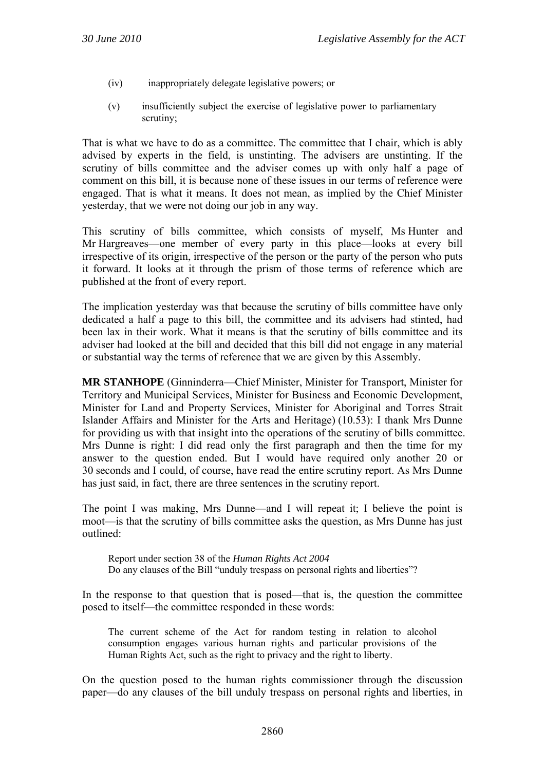- (iv) inappropriately delegate legislative powers; or
- (v) insufficiently subject the exercise of legislative power to parliamentary scrutiny;

That is what we have to do as a committee. The committee that I chair, which is ably advised by experts in the field, is unstinting. The advisers are unstinting. If the scrutiny of bills committee and the adviser comes up with only half a page of comment on this bill, it is because none of these issues in our terms of reference were engaged. That is what it means. It does not mean, as implied by the Chief Minister yesterday, that we were not doing our job in any way.

This scrutiny of bills committee, which consists of myself, Ms Hunter and Mr Hargreaves—one member of every party in this place—looks at every bill irrespective of its origin, irrespective of the person or the party of the person who puts it forward. It looks at it through the prism of those terms of reference which are published at the front of every report.

The implication yesterday was that because the scrutiny of bills committee have only dedicated a half a page to this bill, the committee and its advisers had stinted, had been lax in their work. What it means is that the scrutiny of bills committee and its adviser had looked at the bill and decided that this bill did not engage in any material or substantial way the terms of reference that we are given by this Assembly.

**MR STANHOPE** (Ginninderra—Chief Minister, Minister for Transport, Minister for Territory and Municipal Services, Minister for Business and Economic Development, Minister for Land and Property Services, Minister for Aboriginal and Torres Strait Islander Affairs and Minister for the Arts and Heritage) (10.53): I thank Mrs Dunne for providing us with that insight into the operations of the scrutiny of bills committee. Mrs Dunne is right: I did read only the first paragraph and then the time for my answer to the question ended. But I would have required only another 20 or 30 seconds and I could, of course, have read the entire scrutiny report. As Mrs Dunne has just said, in fact, there are three sentences in the scrutiny report.

The point I was making, Mrs Dunne—and I will repeat it; I believe the point is moot—is that the scrutiny of bills committee asks the question, as Mrs Dunne has just outlined:

Report under section 38 of the *Human Rights Act 2004*  Do any clauses of the Bill "unduly trespass on personal rights and liberties"?

In the response to that question that is posed—that is, the question the committee posed to itself—the committee responded in these words:

The current scheme of the Act for random testing in relation to alcohol consumption engages various human rights and particular provisions of the Human Rights Act, such as the right to privacy and the right to liberty.

On the question posed to the human rights commissioner through the discussion paper—do any clauses of the bill unduly trespass on personal rights and liberties, in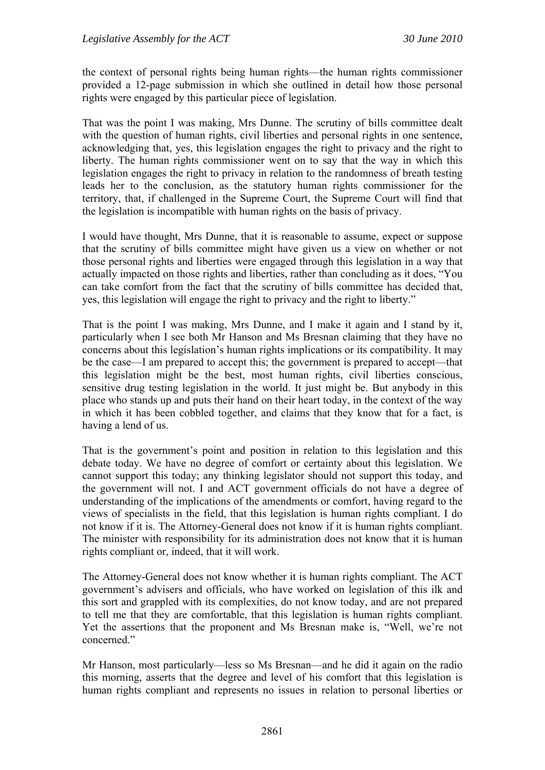the context of personal rights being human rights—the human rights commissioner provided a 12-page submission in which she outlined in detail how those personal rights were engaged by this particular piece of legislation.

That was the point I was making, Mrs Dunne. The scrutiny of bills committee dealt with the question of human rights, civil liberties and personal rights in one sentence, acknowledging that, yes, this legislation engages the right to privacy and the right to liberty. The human rights commissioner went on to say that the way in which this legislation engages the right to privacy in relation to the randomness of breath testing leads her to the conclusion, as the statutory human rights commissioner for the territory, that, if challenged in the Supreme Court, the Supreme Court will find that the legislation is incompatible with human rights on the basis of privacy.

I would have thought, Mrs Dunne, that it is reasonable to assume, expect or suppose that the scrutiny of bills committee might have given us a view on whether or not those personal rights and liberties were engaged through this legislation in a way that actually impacted on those rights and liberties, rather than concluding as it does, "You can take comfort from the fact that the scrutiny of bills committee has decided that, yes, this legislation will engage the right to privacy and the right to liberty."

That is the point I was making, Mrs Dunne, and I make it again and I stand by it, particularly when I see both Mr Hanson and Ms Bresnan claiming that they have no concerns about this legislation's human rights implications or its compatibility. It may be the case—I am prepared to accept this; the government is prepared to accept—that this legislation might be the best, most human rights, civil liberties conscious, sensitive drug testing legislation in the world. It just might be. But anybody in this place who stands up and puts their hand on their heart today, in the context of the way in which it has been cobbled together, and claims that they know that for a fact, is having a lend of us.

That is the government's point and position in relation to this legislation and this debate today. We have no degree of comfort or certainty about this legislation. We cannot support this today; any thinking legislator should not support this today, and the government will not. I and ACT government officials do not have a degree of understanding of the implications of the amendments or comfort, having regard to the views of specialists in the field, that this legislation is human rights compliant. I do not know if it is. The Attorney-General does not know if it is human rights compliant. The minister with responsibility for its administration does not know that it is human rights compliant or, indeed, that it will work.

The Attorney-General does not know whether it is human rights compliant. The ACT government's advisers and officials, who have worked on legislation of this ilk and this sort and grappled with its complexities, do not know today, and are not prepared to tell me that they are comfortable, that this legislation is human rights compliant. Yet the assertions that the proponent and Ms Bresnan make is, "Well, we're not concerned."

Mr Hanson, most particularly—less so Ms Bresnan—and he did it again on the radio this morning, asserts that the degree and level of his comfort that this legislation is human rights compliant and represents no issues in relation to personal liberties or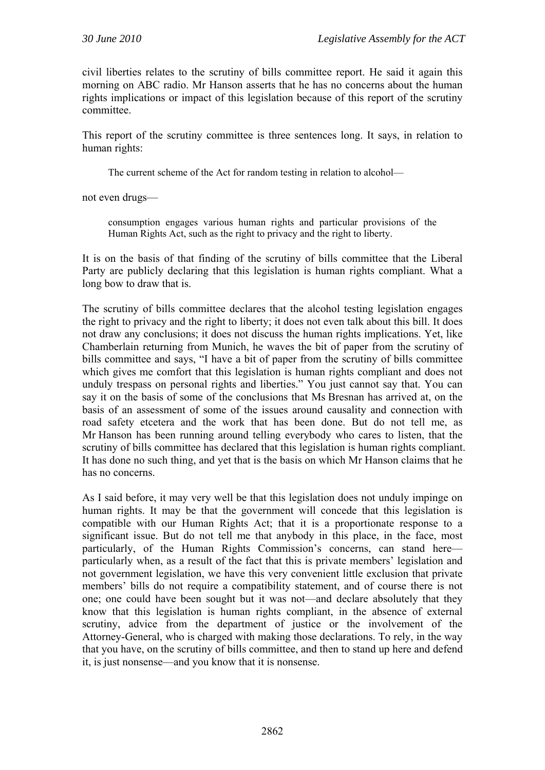civil liberties relates to the scrutiny of bills committee report. He said it again this morning on ABC radio. Mr Hanson asserts that he has no concerns about the human rights implications or impact of this legislation because of this report of the scrutiny committee.

This report of the scrutiny committee is three sentences long. It says, in relation to human rights:

The current scheme of the Act for random testing in relation to alcohol—

not even drugs—

consumption engages various human rights and particular provisions of the Human Rights Act, such as the right to privacy and the right to liberty.

It is on the basis of that finding of the scrutiny of bills committee that the Liberal Party are publicly declaring that this legislation is human rights compliant. What a long bow to draw that is.

The scrutiny of bills committee declares that the alcohol testing legislation engages the right to privacy and the right to liberty; it does not even talk about this bill. It does not draw any conclusions; it does not discuss the human rights implications. Yet, like Chamberlain returning from Munich, he waves the bit of paper from the scrutiny of bills committee and says, "I have a bit of paper from the scrutiny of bills committee which gives me comfort that this legislation is human rights compliant and does not unduly trespass on personal rights and liberties." You just cannot say that. You can say it on the basis of some of the conclusions that Ms Bresnan has arrived at, on the basis of an assessment of some of the issues around causality and connection with road safety etcetera and the work that has been done. But do not tell me, as Mr Hanson has been running around telling everybody who cares to listen, that the scrutiny of bills committee has declared that this legislation is human rights compliant. It has done no such thing, and yet that is the basis on which Mr Hanson claims that he has no concerns.

As I said before, it may very well be that this legislation does not unduly impinge on human rights. It may be that the government will concede that this legislation is compatible with our Human Rights Act; that it is a proportionate response to a significant issue. But do not tell me that anybody in this place, in the face, most particularly, of the Human Rights Commission's concerns, can stand here particularly when, as a result of the fact that this is private members' legislation and not government legislation, we have this very convenient little exclusion that private members' bills do not require a compatibility statement, and of course there is not one; one could have been sought but it was not—and declare absolutely that they know that this legislation is human rights compliant, in the absence of external scrutiny, advice from the department of justice or the involvement of the Attorney-General, who is charged with making those declarations. To rely, in the way that you have, on the scrutiny of bills committee, and then to stand up here and defend it, is just nonsense—and you know that it is nonsense.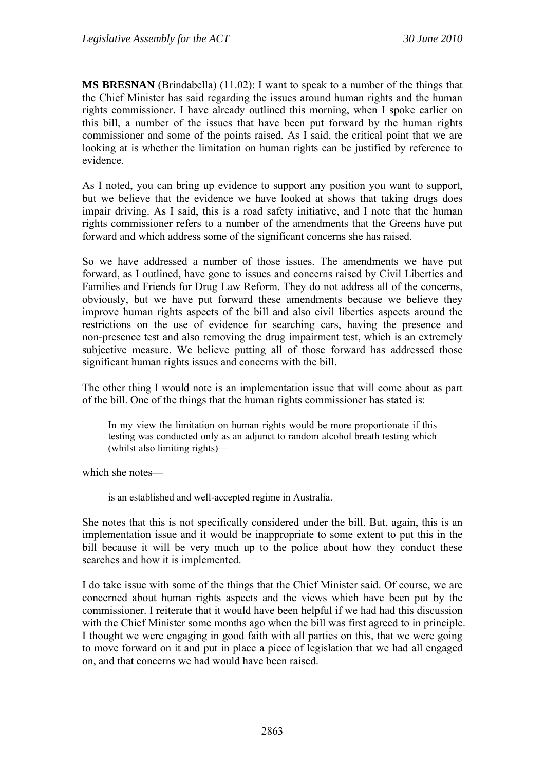**MS BRESNAN** (Brindabella) (11.02): I want to speak to a number of the things that the Chief Minister has said regarding the issues around human rights and the human rights commissioner. I have already outlined this morning, when I spoke earlier on this bill, a number of the issues that have been put forward by the human rights commissioner and some of the points raised. As I said, the critical point that we are looking at is whether the limitation on human rights can be justified by reference to evidence.

As I noted, you can bring up evidence to support any position you want to support, but we believe that the evidence we have looked at shows that taking drugs does impair driving. As I said, this is a road safety initiative, and I note that the human rights commissioner refers to a number of the amendments that the Greens have put forward and which address some of the significant concerns she has raised.

So we have addressed a number of those issues. The amendments we have put forward, as I outlined, have gone to issues and concerns raised by Civil Liberties and Families and Friends for Drug Law Reform. They do not address all of the concerns, obviously, but we have put forward these amendments because we believe they improve human rights aspects of the bill and also civil liberties aspects around the restrictions on the use of evidence for searching cars, having the presence and non-presence test and also removing the drug impairment test, which is an extremely subjective measure. We believe putting all of those forward has addressed those significant human rights issues and concerns with the bill.

The other thing I would note is an implementation issue that will come about as part of the bill. One of the things that the human rights commissioner has stated is:

In my view the limitation on human rights would be more proportionate if this testing was conducted only as an adjunct to random alcohol breath testing which (whilst also limiting rights)—

which she notes—

is an established and well-accepted regime in Australia.

She notes that this is not specifically considered under the bill. But, again, this is an implementation issue and it would be inappropriate to some extent to put this in the bill because it will be very much up to the police about how they conduct these searches and how it is implemented.

I do take issue with some of the things that the Chief Minister said. Of course, we are concerned about human rights aspects and the views which have been put by the commissioner. I reiterate that it would have been helpful if we had had this discussion with the Chief Minister some months ago when the bill was first agreed to in principle. I thought we were engaging in good faith with all parties on this, that we were going to move forward on it and put in place a piece of legislation that we had all engaged on, and that concerns we had would have been raised.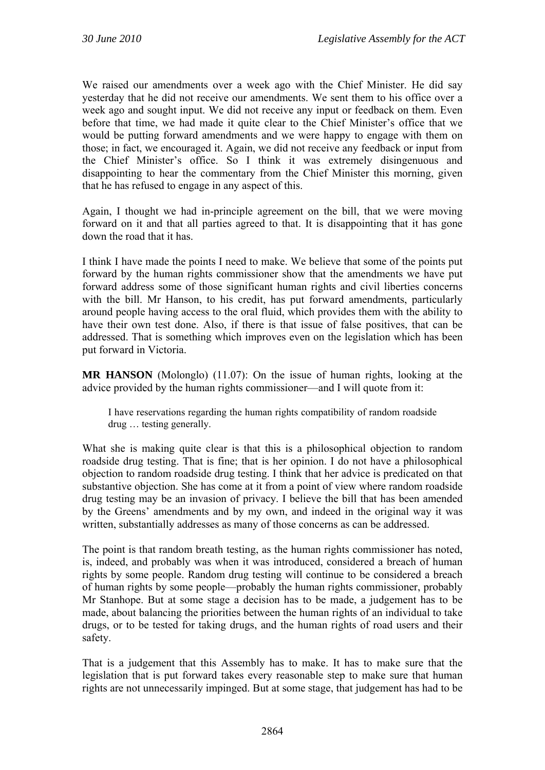We raised our amendments over a week ago with the Chief Minister. He did say yesterday that he did not receive our amendments. We sent them to his office over a week ago and sought input. We did not receive any input or feedback on them. Even before that time, we had made it quite clear to the Chief Minister's office that we would be putting forward amendments and we were happy to engage with them on those; in fact, we encouraged it. Again, we did not receive any feedback or input from the Chief Minister's office. So I think it was extremely disingenuous and disappointing to hear the commentary from the Chief Minister this morning, given that he has refused to engage in any aspect of this.

Again, I thought we had in-principle agreement on the bill, that we were moving forward on it and that all parties agreed to that. It is disappointing that it has gone down the road that it has.

I think I have made the points I need to make. We believe that some of the points put forward by the human rights commissioner show that the amendments we have put forward address some of those significant human rights and civil liberties concerns with the bill. Mr Hanson, to his credit, has put forward amendments, particularly around people having access to the oral fluid, which provides them with the ability to have their own test done. Also, if there is that issue of false positives, that can be addressed. That is something which improves even on the legislation which has been put forward in Victoria.

**MR HANSON** (Molonglo) (11.07): On the issue of human rights, looking at the advice provided by the human rights commissioner—and I will quote from it:

I have reservations regarding the human rights compatibility of random roadside drug … testing generally.

What she is making quite clear is that this is a philosophical objection to random roadside drug testing. That is fine; that is her opinion. I do not have a philosophical objection to random roadside drug testing. I think that her advice is predicated on that substantive objection. She has come at it from a point of view where random roadside drug testing may be an invasion of privacy. I believe the bill that has been amended by the Greens' amendments and by my own, and indeed in the original way it was written, substantially addresses as many of those concerns as can be addressed.

The point is that random breath testing, as the human rights commissioner has noted, is, indeed, and probably was when it was introduced, considered a breach of human rights by some people. Random drug testing will continue to be considered a breach of human rights by some people—probably the human rights commissioner, probably Mr Stanhope. But at some stage a decision has to be made, a judgement has to be made, about balancing the priorities between the human rights of an individual to take drugs, or to be tested for taking drugs, and the human rights of road users and their safety.

That is a judgement that this Assembly has to make. It has to make sure that the legislation that is put forward takes every reasonable step to make sure that human rights are not unnecessarily impinged. But at some stage, that judgement has had to be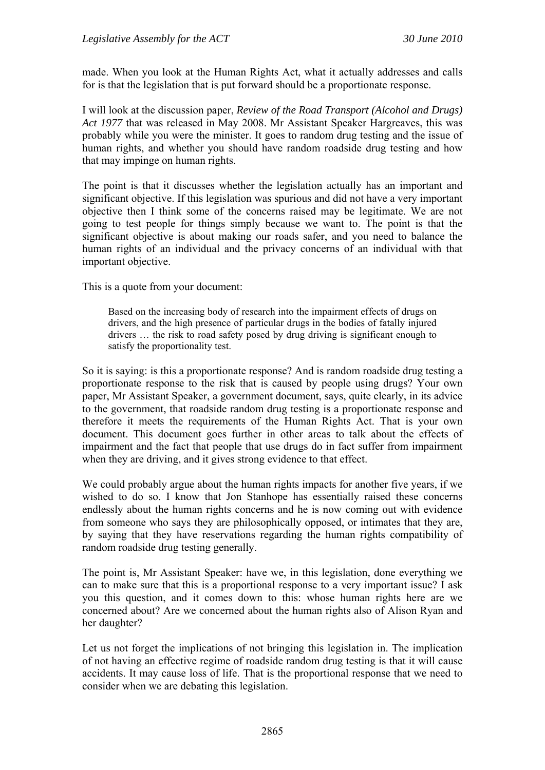made. When you look at the Human Rights Act, what it actually addresses and calls for is that the legislation that is put forward should be a proportionate response.

I will look at the discussion paper, *Review of the Road Transport (Alcohol and Drugs) Act 1977* that was released in May 2008. Mr Assistant Speaker Hargreaves, this was probably while you were the minister. It goes to random drug testing and the issue of human rights, and whether you should have random roadside drug testing and how that may impinge on human rights.

The point is that it discusses whether the legislation actually has an important and significant objective. If this legislation was spurious and did not have a very important objective then I think some of the concerns raised may be legitimate. We are not going to test people for things simply because we want to. The point is that the significant objective is about making our roads safer, and you need to balance the human rights of an individual and the privacy concerns of an individual with that important objective.

This is a quote from your document:

Based on the increasing body of research into the impairment effects of drugs on drivers, and the high presence of particular drugs in the bodies of fatally injured drivers … the risk to road safety posed by drug driving is significant enough to satisfy the proportionality test.

So it is saying: is this a proportionate response? And is random roadside drug testing a proportionate response to the risk that is caused by people using drugs? Your own paper, Mr Assistant Speaker, a government document, says, quite clearly, in its advice to the government, that roadside random drug testing is a proportionate response and therefore it meets the requirements of the Human Rights Act. That is your own document. This document goes further in other areas to talk about the effects of impairment and the fact that people that use drugs do in fact suffer from impairment when they are driving, and it gives strong evidence to that effect.

We could probably argue about the human rights impacts for another five years, if we wished to do so. I know that Jon Stanhope has essentially raised these concerns endlessly about the human rights concerns and he is now coming out with evidence from someone who says they are philosophically opposed, or intimates that they are, by saying that they have reservations regarding the human rights compatibility of random roadside drug testing generally.

The point is, Mr Assistant Speaker: have we, in this legislation, done everything we can to make sure that this is a proportional response to a very important issue? I ask you this question, and it comes down to this: whose human rights here are we concerned about? Are we concerned about the human rights also of Alison Ryan and her daughter?

Let us not forget the implications of not bringing this legislation in. The implication of not having an effective regime of roadside random drug testing is that it will cause accidents. It may cause loss of life. That is the proportional response that we need to consider when we are debating this legislation.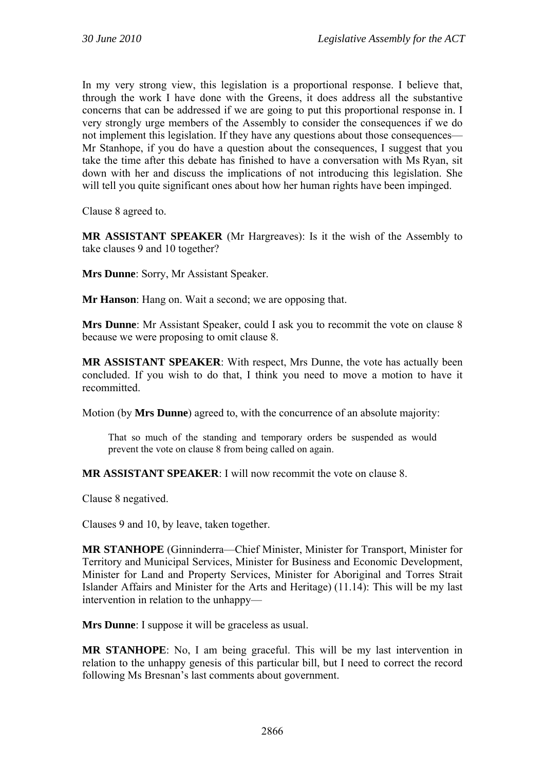In my very strong view, this legislation is a proportional response. I believe that, through the work I have done with the Greens, it does address all the substantive concerns that can be addressed if we are going to put this proportional response in. I very strongly urge members of the Assembly to consider the consequences if we do not implement this legislation. If they have any questions about those consequences— Mr Stanhope, if you do have a question about the consequences, I suggest that you take the time after this debate has finished to have a conversation with Ms Ryan, sit down with her and discuss the implications of not introducing this legislation. She will tell you quite significant ones about how her human rights have been impinged.

Clause 8 agreed to.

**MR ASSISTANT SPEAKER** (Mr Hargreaves): Is it the wish of the Assembly to take clauses 9 and 10 together?

**Mrs Dunne**: Sorry, Mr Assistant Speaker.

**Mr Hanson**: Hang on. Wait a second; we are opposing that.

**Mrs Dunne**: Mr Assistant Speaker, could I ask you to recommit the vote on clause 8 because we were proposing to omit clause 8.

**MR ASSISTANT SPEAKER**: With respect, Mrs Dunne, the vote has actually been concluded. If you wish to do that, I think you need to move a motion to have it recommitted.

Motion (by **Mrs Dunne**) agreed to, with the concurrence of an absolute majority:

That so much of the standing and temporary orders be suspended as would prevent the vote on clause 8 from being called on again.

**MR ASSISTANT SPEAKER**: I will now recommit the vote on clause 8.

Clause 8 negatived.

Clauses 9 and 10, by leave, taken together.

**MR STANHOPE** (Ginninderra—Chief Minister, Minister for Transport, Minister for Territory and Municipal Services, Minister for Business and Economic Development, Minister for Land and Property Services, Minister for Aboriginal and Torres Strait Islander Affairs and Minister for the Arts and Heritage) (11.14): This will be my last intervention in relation to the unhappy—

**Mrs Dunne**: I suppose it will be graceless as usual.

**MR STANHOPE**: No, I am being graceful. This will be my last intervention in relation to the unhappy genesis of this particular bill, but I need to correct the record following Ms Bresnan's last comments about government.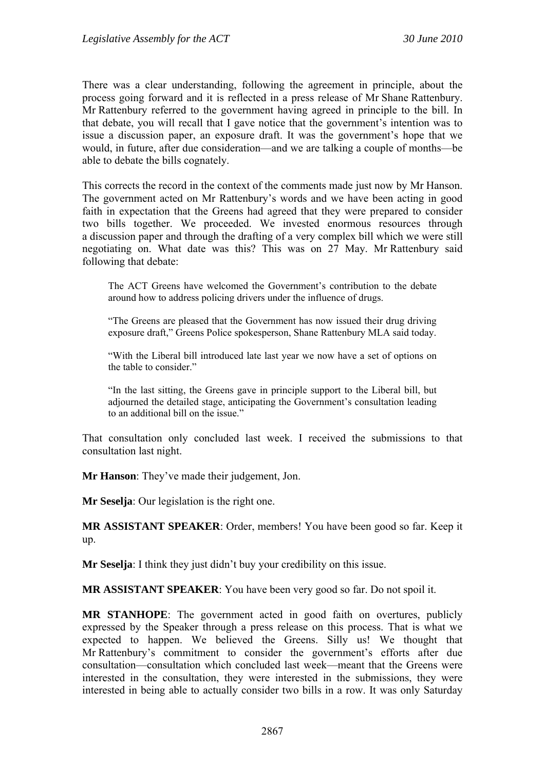There was a clear understanding, following the agreement in principle, about the process going forward and it is reflected in a press release of Mr Shane Rattenbury. Mr Rattenbury referred to the government having agreed in principle to the bill. In that debate, you will recall that I gave notice that the government's intention was to issue a discussion paper, an exposure draft. It was the government's hope that we would, in future, after due consideration—and we are talking a couple of months—be able to debate the bills cognately.

This corrects the record in the context of the comments made just now by Mr Hanson. The government acted on Mr Rattenbury's words and we have been acting in good faith in expectation that the Greens had agreed that they were prepared to consider two bills together. We proceeded. We invested enormous resources through a discussion paper and through the drafting of a very complex bill which we were still negotiating on. What date was this? This was on 27 May. Mr Rattenbury said following that debate:

The ACT Greens have welcomed the Government's contribution to the debate around how to address policing drivers under the influence of drugs.

"The Greens are pleased that the Government has now issued their drug driving exposure draft," Greens Police spokesperson, Shane Rattenbury MLA said today.

"With the Liberal bill introduced late last year we now have a set of options on the table to consider."

"In the last sitting, the Greens gave in principle support to the Liberal bill, but adjourned the detailed stage, anticipating the Government's consultation leading to an additional bill on the issue."

That consultation only concluded last week. I received the submissions to that consultation last night.

**Mr Hanson**: They've made their judgement, Jon.

**Mr Seselja**: Our legislation is the right one.

**MR ASSISTANT SPEAKER**: Order, members! You have been good so far. Keep it up.

**Mr Seselja**: I think they just didn't buy your credibility on this issue.

**MR ASSISTANT SPEAKER**: You have been very good so far. Do not spoil it.

**MR STANHOPE**: The government acted in good faith on overtures, publicly expressed by the Speaker through a press release on this process. That is what we expected to happen. We believed the Greens. Silly us! We thought that Mr Rattenbury's commitment to consider the government's efforts after due consultation—consultation which concluded last week—meant that the Greens were interested in the consultation, they were interested in the submissions, they were interested in being able to actually consider two bills in a row. It was only Saturday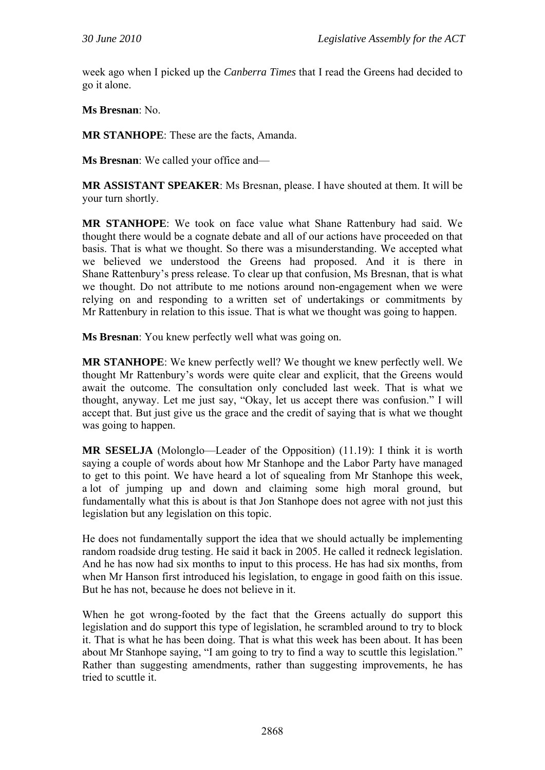week ago when I picked up the *Canberra Times* that I read the Greens had decided to go it alone.

**Ms Bresnan**: No.

**MR STANHOPE**: These are the facts, Amanda.

**Ms Bresnan**: We called your office and—

**MR ASSISTANT SPEAKER**: Ms Bresnan, please. I have shouted at them. It will be your turn shortly.

**MR STANHOPE**: We took on face value what Shane Rattenbury had said. We thought there would be a cognate debate and all of our actions have proceeded on that basis. That is what we thought. So there was a misunderstanding. We accepted what we believed we understood the Greens had proposed. And it is there in Shane Rattenbury's press release. To clear up that confusion, Ms Bresnan, that is what we thought. Do not attribute to me notions around non-engagement when we were relying on and responding to a written set of undertakings or commitments by Mr Rattenbury in relation to this issue. That is what we thought was going to happen.

**Ms Bresnan**: You knew perfectly well what was going on.

**MR STANHOPE**: We knew perfectly well? We thought we knew perfectly well. We thought Mr Rattenbury's words were quite clear and explicit, that the Greens would await the outcome. The consultation only concluded last week. That is what we thought, anyway. Let me just say, "Okay, let us accept there was confusion." I will accept that. But just give us the grace and the credit of saying that is what we thought was going to happen.

**MR SESELJA** (Molonglo—Leader of the Opposition) (11.19): I think it is worth saying a couple of words about how Mr Stanhope and the Labor Party have managed to get to this point. We have heard a lot of squealing from Mr Stanhope this week, a lot of jumping up and down and claiming some high moral ground, but fundamentally what this is about is that Jon Stanhope does not agree with not just this legislation but any legislation on this topic.

He does not fundamentally support the idea that we should actually be implementing random roadside drug testing. He said it back in 2005. He called it redneck legislation. And he has now had six months to input to this process. He has had six months, from when Mr Hanson first introduced his legislation, to engage in good faith on this issue. But he has not, because he does not believe in it.

When he got wrong-footed by the fact that the Greens actually do support this legislation and do support this type of legislation, he scrambled around to try to block it. That is what he has been doing. That is what this week has been about. It has been about Mr Stanhope saying, "I am going to try to find a way to scuttle this legislation." Rather than suggesting amendments, rather than suggesting improvements, he has tried to scuttle it.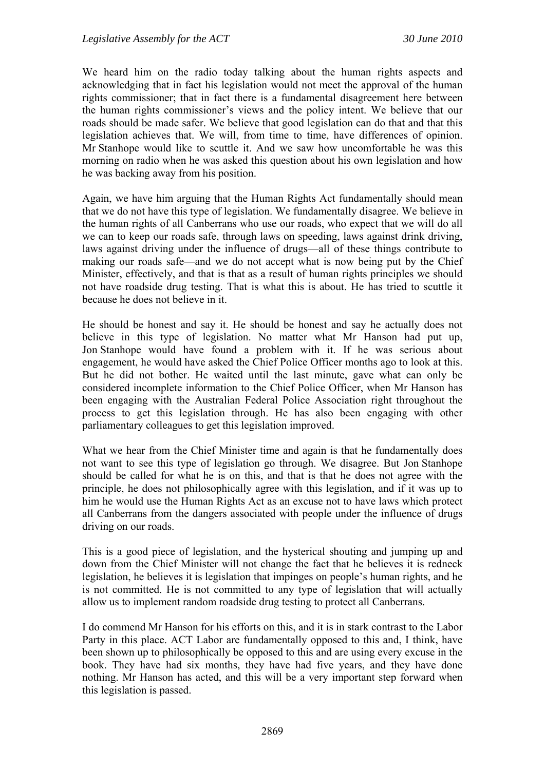We heard him on the radio today talking about the human rights aspects and acknowledging that in fact his legislation would not meet the approval of the human rights commissioner; that in fact there is a fundamental disagreement here between the human rights commissioner's views and the policy intent. We believe that our roads should be made safer. We believe that good legislation can do that and that this legislation achieves that. We will, from time to time, have differences of opinion. Mr Stanhope would like to scuttle it. And we saw how uncomfortable he was this morning on radio when he was asked this question about his own legislation and how he was backing away from his position.

Again, we have him arguing that the Human Rights Act fundamentally should mean that we do not have this type of legislation. We fundamentally disagree. We believe in the human rights of all Canberrans who use our roads, who expect that we will do all we can to keep our roads safe, through laws on speeding, laws against drink driving, laws against driving under the influence of drugs—all of these things contribute to making our roads safe—and we do not accept what is now being put by the Chief Minister, effectively, and that is that as a result of human rights principles we should not have roadside drug testing. That is what this is about. He has tried to scuttle it because he does not believe in it.

He should be honest and say it. He should be honest and say he actually does not believe in this type of legislation. No matter what Mr Hanson had put up, Jon Stanhope would have found a problem with it. If he was serious about engagement, he would have asked the Chief Police Officer months ago to look at this. But he did not bother. He waited until the last minute, gave what can only be considered incomplete information to the Chief Police Officer, when Mr Hanson has been engaging with the Australian Federal Police Association right throughout the process to get this legislation through. He has also been engaging with other parliamentary colleagues to get this legislation improved.

What we hear from the Chief Minister time and again is that he fundamentally does not want to see this type of legislation go through. We disagree. But Jon Stanhope should be called for what he is on this, and that is that he does not agree with the principle, he does not philosophically agree with this legislation, and if it was up to him he would use the Human Rights Act as an excuse not to have laws which protect all Canberrans from the dangers associated with people under the influence of drugs driving on our roads.

This is a good piece of legislation, and the hysterical shouting and jumping up and down from the Chief Minister will not change the fact that he believes it is redneck legislation, he believes it is legislation that impinges on people's human rights, and he is not committed. He is not committed to any type of legislation that will actually allow us to implement random roadside drug testing to protect all Canberrans.

I do commend Mr Hanson for his efforts on this, and it is in stark contrast to the Labor Party in this place. ACT Labor are fundamentally opposed to this and, I think, have been shown up to philosophically be opposed to this and are using every excuse in the book. They have had six months, they have had five years, and they have done nothing. Mr Hanson has acted, and this will be a very important step forward when this legislation is passed.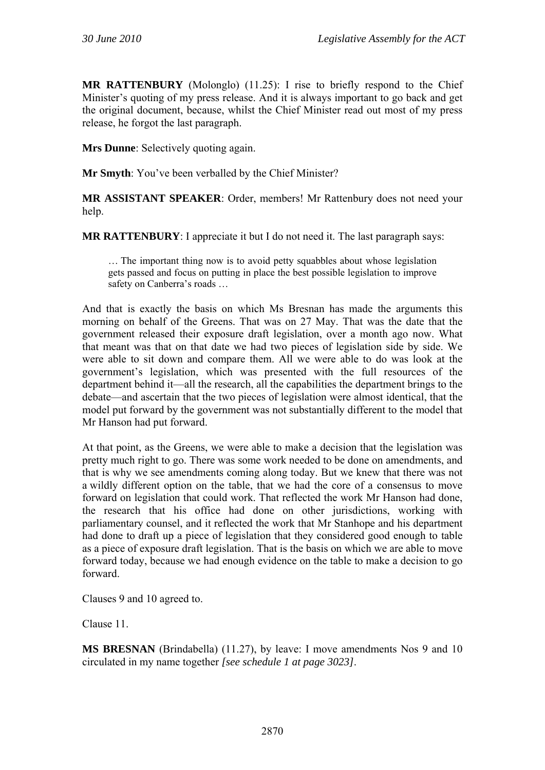**MR RATTENBURY** (Molonglo) (11.25): I rise to briefly respond to the Chief Minister's quoting of my press release. And it is always important to go back and get the original document, because, whilst the Chief Minister read out most of my press release, he forgot the last paragraph.

**Mrs Dunne**: Selectively quoting again.

**Mr Smyth**: You've been verballed by the Chief Minister?

**MR ASSISTANT SPEAKER**: Order, members! Mr Rattenbury does not need your help.

**MR RATTENBURY**: I appreciate it but I do not need it. The last paragraph says:

… The important thing now is to avoid petty squabbles about whose legislation gets passed and focus on putting in place the best possible legislation to improve safety on Canberra's roads …

And that is exactly the basis on which Ms Bresnan has made the arguments this morning on behalf of the Greens. That was on 27 May. That was the date that the government released their exposure draft legislation, over a month ago now. What that meant was that on that date we had two pieces of legislation side by side. We were able to sit down and compare them. All we were able to do was look at the government's legislation, which was presented with the full resources of the department behind it—all the research, all the capabilities the department brings to the debate—and ascertain that the two pieces of legislation were almost identical, that the model put forward by the government was not substantially different to the model that Mr Hanson had put forward.

At that point, as the Greens, we were able to make a decision that the legislation was pretty much right to go. There was some work needed to be done on amendments, and that is why we see amendments coming along today. But we knew that there was not a wildly different option on the table, that we had the core of a consensus to move forward on legislation that could work. That reflected the work Mr Hanson had done, the research that his office had done on other jurisdictions, working with parliamentary counsel, and it reflected the work that Mr Stanhope and his department had done to draft up a piece of legislation that they considered good enough to table as a piece of exposure draft legislation. That is the basis on which we are able to move forward today, because we had enough evidence on the table to make a decision to go forward.

Clauses 9 and 10 agreed to.

Clause 11.

**MS BRESNAN** (Brindabella) (11.27), by leave: I move amendments Nos 9 and 10 circulated in my name together *[see schedule 1 at page 3023]*.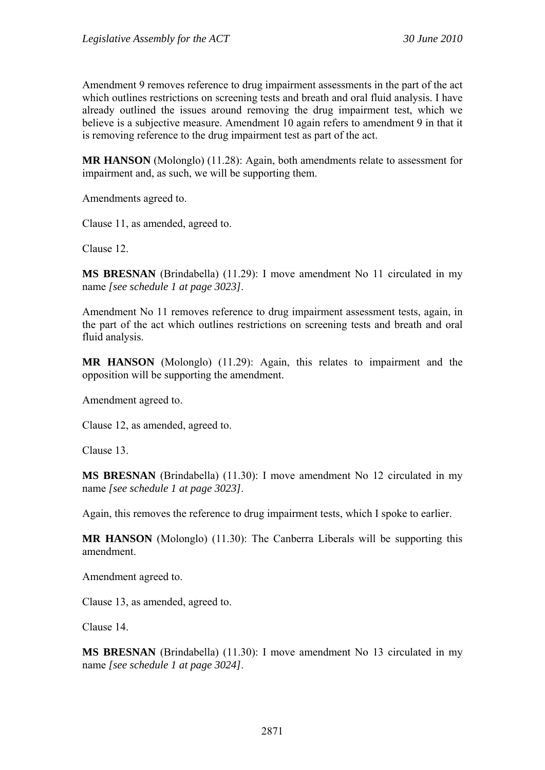Amendment 9 removes reference to drug impairment assessments in the part of the act which outlines restrictions on screening tests and breath and oral fluid analysis. I have already outlined the issues around removing the drug impairment test, which we believe is a subjective measure. Amendment 10 again refers to amendment 9 in that it is removing reference to the drug impairment test as part of the act.

**MR HANSON** (Molonglo) (11.28): Again, both amendments relate to assessment for impairment and, as such, we will be supporting them.

Amendments agreed to.

Clause 11, as amended, agreed to.

Clause 12.

**MS BRESNAN** (Brindabella) (11.29): I move amendment No 11 circulated in my name *[see schedule 1 at page 3023]*.

Amendment No 11 removes reference to drug impairment assessment tests, again, in the part of the act which outlines restrictions on screening tests and breath and oral fluid analysis.

**MR HANSON** (Molonglo) (11.29): Again, this relates to impairment and the opposition will be supporting the amendment.

Amendment agreed to.

Clause 12, as amended, agreed to.

Clause 13.

**MS BRESNAN** (Brindabella) (11.30): I move amendment No 12 circulated in my name *[see schedule 1 at page 3023]*.

Again, this removes the reference to drug impairment tests, which I spoke to earlier.

**MR HANSON** (Molonglo) (11.30): The Canberra Liberals will be supporting this amendment.

Amendment agreed to.

Clause 13, as amended, agreed to.

Clause 14.

**MS BRESNAN** (Brindabella) (11.30): I move amendment No 13 circulated in my name *[see schedule 1 at page 3024]*.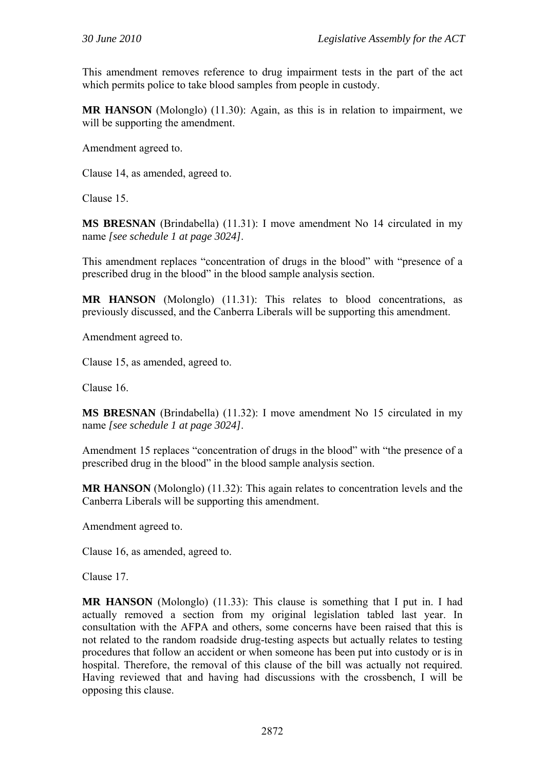This amendment removes reference to drug impairment tests in the part of the act which permits police to take blood samples from people in custody.

**MR HANSON** (Molonglo) (11.30): Again, as this is in relation to impairment, we will be supporting the amendment.

Amendment agreed to.

Clause 14, as amended, agreed to.

Clause 15.

**MS BRESNAN** (Brindabella) (11.31): I move amendment No 14 circulated in my name *[see schedule 1 at page 3024]*.

This amendment replaces "concentration of drugs in the blood" with "presence of a prescribed drug in the blood" in the blood sample analysis section.

**MR HANSON** (Molonglo) (11.31): This relates to blood concentrations, as previously discussed, and the Canberra Liberals will be supporting this amendment.

Amendment agreed to.

Clause 15, as amended, agreed to.

Clause 16.

**MS BRESNAN** (Brindabella) (11.32): I move amendment No 15 circulated in my name *[see schedule 1 at page 3024]*.

Amendment 15 replaces "concentration of drugs in the blood" with "the presence of a prescribed drug in the blood" in the blood sample analysis section.

**MR HANSON** (Molonglo) (11.32): This again relates to concentration levels and the Canberra Liberals will be supporting this amendment.

Amendment agreed to.

Clause 16, as amended, agreed to.

Clause 17.

**MR HANSON** (Molonglo) (11.33): This clause is something that I put in. I had actually removed a section from my original legislation tabled last year. In consultation with the AFPA and others, some concerns have been raised that this is not related to the random roadside drug-testing aspects but actually relates to testing procedures that follow an accident or when someone has been put into custody or is in hospital. Therefore, the removal of this clause of the bill was actually not required. Having reviewed that and having had discussions with the crossbench, I will be opposing this clause.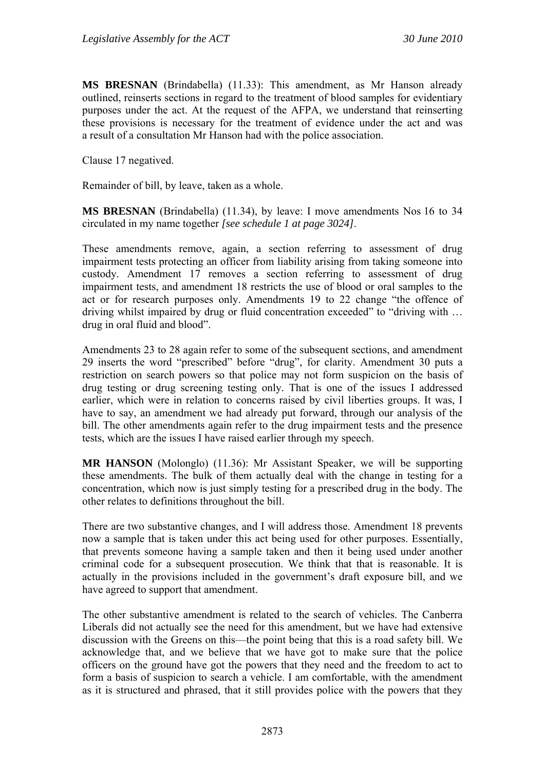**MS BRESNAN** (Brindabella) (11.33): This amendment, as Mr Hanson already outlined, reinserts sections in regard to the treatment of blood samples for evidentiary purposes under the act. At the request of the AFPA, we understand that reinserting these provisions is necessary for the treatment of evidence under the act and was a result of a consultation Mr Hanson had with the police association.

Clause 17 negatived.

Remainder of bill, by leave, taken as a whole.

**MS BRESNAN** (Brindabella) (11.34), by leave: I move amendments Nos 16 to 34 circulated in my name together *[see schedule 1 at page 3024]*.

These amendments remove, again, a section referring to assessment of drug impairment tests protecting an officer from liability arising from taking someone into custody. Amendment 17 removes a section referring to assessment of drug impairment tests, and amendment 18 restricts the use of blood or oral samples to the act or for research purposes only. Amendments 19 to 22 change "the offence of driving whilst impaired by drug or fluid concentration exceeded" to "driving with … drug in oral fluid and blood".

Amendments 23 to 28 again refer to some of the subsequent sections, and amendment 29 inserts the word "prescribed" before "drug", for clarity. Amendment 30 puts a restriction on search powers so that police may not form suspicion on the basis of drug testing or drug screening testing only. That is one of the issues I addressed earlier, which were in relation to concerns raised by civil liberties groups. It was, I have to say, an amendment we had already put forward, through our analysis of the bill. The other amendments again refer to the drug impairment tests and the presence tests, which are the issues I have raised earlier through my speech.

**MR HANSON** (Molonglo) (11.36): Mr Assistant Speaker, we will be supporting these amendments. The bulk of them actually deal with the change in testing for a concentration, which now is just simply testing for a prescribed drug in the body. The other relates to definitions throughout the bill.

There are two substantive changes, and I will address those. Amendment 18 prevents now a sample that is taken under this act being used for other purposes. Essentially, that prevents someone having a sample taken and then it being used under another criminal code for a subsequent prosecution. We think that that is reasonable. It is actually in the provisions included in the government's draft exposure bill, and we have agreed to support that amendment.

The other substantive amendment is related to the search of vehicles. The Canberra Liberals did not actually see the need for this amendment, but we have had extensive discussion with the Greens on this—the point being that this is a road safety bill. We acknowledge that, and we believe that we have got to make sure that the police officers on the ground have got the powers that they need and the freedom to act to form a basis of suspicion to search a vehicle. I am comfortable, with the amendment as it is structured and phrased, that it still provides police with the powers that they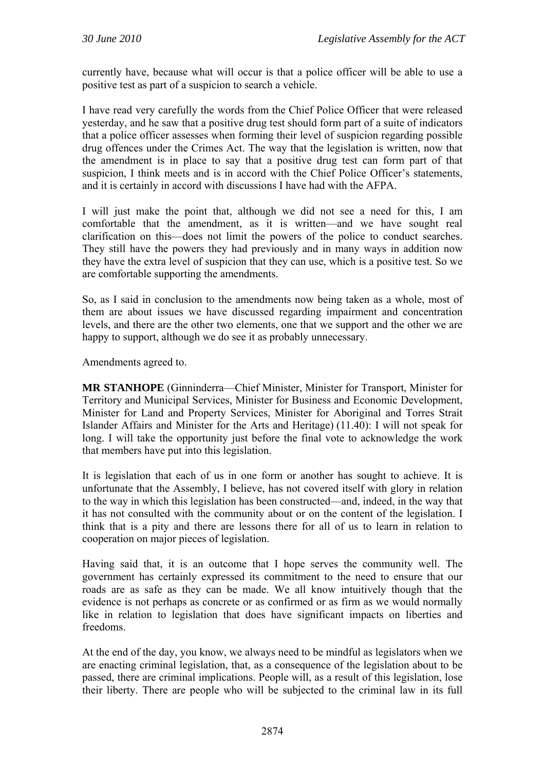currently have, because what will occur is that a police officer will be able to use a positive test as part of a suspicion to search a vehicle.

I have read very carefully the words from the Chief Police Officer that were released yesterday, and he saw that a positive drug test should form part of a suite of indicators that a police officer assesses when forming their level of suspicion regarding possible drug offences under the Crimes Act. The way that the legislation is written, now that the amendment is in place to say that a positive drug test can form part of that suspicion, I think meets and is in accord with the Chief Police Officer's statements, and it is certainly in accord with discussions I have had with the AFPA.

I will just make the point that, although we did not see a need for this, I am comfortable that the amendment, as it is written—and we have sought real clarification on this—does not limit the powers of the police to conduct searches. They still have the powers they had previously and in many ways in addition now they have the extra level of suspicion that they can use, which is a positive test. So we are comfortable supporting the amendments.

So, as I said in conclusion to the amendments now being taken as a whole, most of them are about issues we have discussed regarding impairment and concentration levels, and there are the other two elements, one that we support and the other we are happy to support, although we do see it as probably unnecessary.

Amendments agreed to.

**MR STANHOPE** (Ginninderra—Chief Minister, Minister for Transport, Minister for Territory and Municipal Services, Minister for Business and Economic Development, Minister for Land and Property Services, Minister for Aboriginal and Torres Strait Islander Affairs and Minister for the Arts and Heritage) (11.40): I will not speak for long. I will take the opportunity just before the final vote to acknowledge the work that members have put into this legislation.

It is legislation that each of us in one form or another has sought to achieve. It is unfortunate that the Assembly, I believe, has not covered itself with glory in relation to the way in which this legislation has been constructed—and, indeed, in the way that it has not consulted with the community about or on the content of the legislation. I think that is a pity and there are lessons there for all of us to learn in relation to cooperation on major pieces of legislation.

Having said that, it is an outcome that I hope serves the community well. The government has certainly expressed its commitment to the need to ensure that our roads are as safe as they can be made. We all know intuitively though that the evidence is not perhaps as concrete or as confirmed or as firm as we would normally like in relation to legislation that does have significant impacts on liberties and freedoms.

At the end of the day, you know, we always need to be mindful as legislators when we are enacting criminal legislation, that, as a consequence of the legislation about to be passed, there are criminal implications. People will, as a result of this legislation, lose their liberty. There are people who will be subjected to the criminal law in its full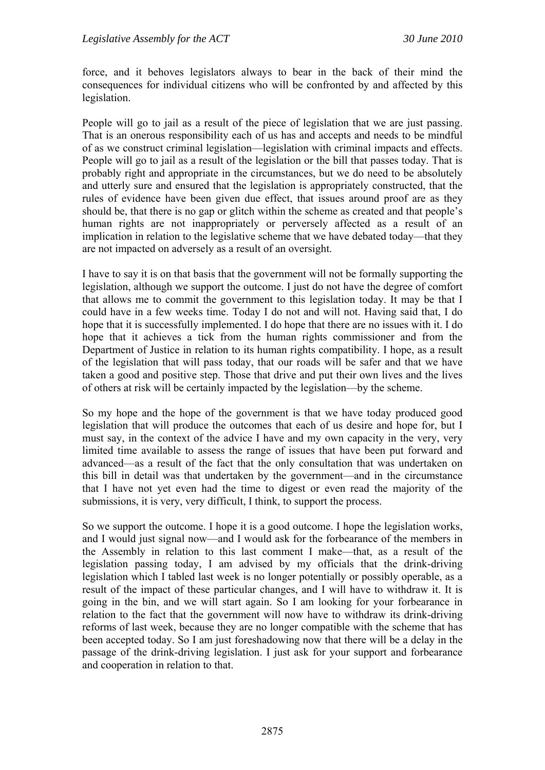force, and it behoves legislators always to bear in the back of their mind the consequences for individual citizens who will be confronted by and affected by this legislation.

People will go to jail as a result of the piece of legislation that we are just passing. That is an onerous responsibility each of us has and accepts and needs to be mindful of as we construct criminal legislation—legislation with criminal impacts and effects. People will go to jail as a result of the legislation or the bill that passes today. That is probably right and appropriate in the circumstances, but we do need to be absolutely and utterly sure and ensured that the legislation is appropriately constructed, that the rules of evidence have been given due effect, that issues around proof are as they should be, that there is no gap or glitch within the scheme as created and that people's human rights are not inappropriately or perversely affected as a result of an implication in relation to the legislative scheme that we have debated today—that they are not impacted on adversely as a result of an oversight.

I have to say it is on that basis that the government will not be formally supporting the legislation, although we support the outcome. I just do not have the degree of comfort that allows me to commit the government to this legislation today. It may be that I could have in a few weeks time. Today I do not and will not. Having said that, I do hope that it is successfully implemented. I do hope that there are no issues with it. I do hope that it achieves a tick from the human rights commissioner and from the Department of Justice in relation to its human rights compatibility. I hope, as a result of the legislation that will pass today, that our roads will be safer and that we have taken a good and positive step. Those that drive and put their own lives and the lives of others at risk will be certainly impacted by the legislation—by the scheme.

So my hope and the hope of the government is that we have today produced good legislation that will produce the outcomes that each of us desire and hope for, but I must say, in the context of the advice I have and my own capacity in the very, very limited time available to assess the range of issues that have been put forward and advanced—as a result of the fact that the only consultation that was undertaken on this bill in detail was that undertaken by the government—and in the circumstance that I have not yet even had the time to digest or even read the majority of the submissions, it is very, very difficult, I think, to support the process.

So we support the outcome. I hope it is a good outcome. I hope the legislation works, and I would just signal now—and I would ask for the forbearance of the members in the Assembly in relation to this last comment I make—that, as a result of the legislation passing today, I am advised by my officials that the drink-driving legislation which I tabled last week is no longer potentially or possibly operable, as a result of the impact of these particular changes, and I will have to withdraw it. It is going in the bin, and we will start again. So I am looking for your forbearance in relation to the fact that the government will now have to withdraw its drink-driving reforms of last week, because they are no longer compatible with the scheme that has been accepted today. So I am just foreshadowing now that there will be a delay in the passage of the drink-driving legislation. I just ask for your support and forbearance and cooperation in relation to that.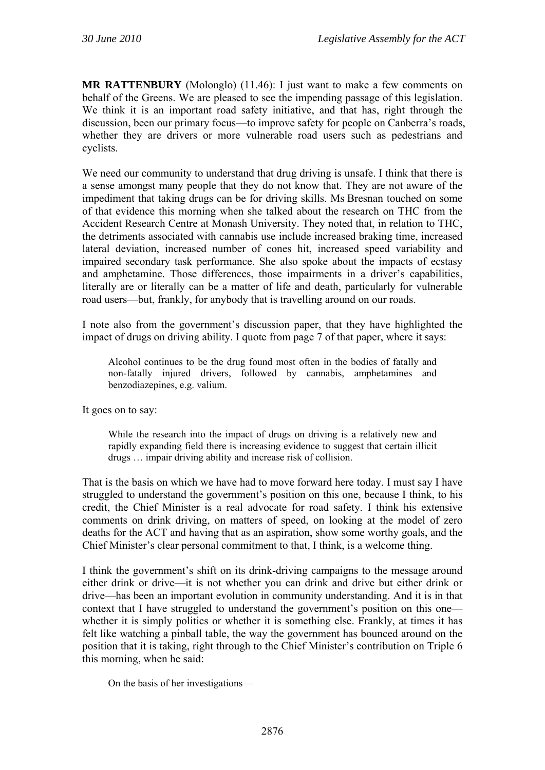**MR RATTENBURY** (Molonglo) (11.46): I just want to make a few comments on behalf of the Greens. We are pleased to see the impending passage of this legislation. We think it is an important road safety initiative, and that has, right through the discussion, been our primary focus—to improve safety for people on Canberra's roads, whether they are drivers or more vulnerable road users such as pedestrians and cyclists.

We need our community to understand that drug driving is unsafe. I think that there is a sense amongst many people that they do not know that. They are not aware of the impediment that taking drugs can be for driving skills. Ms Bresnan touched on some of that evidence this morning when she talked about the research on THC from the Accident Research Centre at Monash University. They noted that, in relation to THC, the detriments associated with cannabis use include increased braking time, increased lateral deviation, increased number of cones hit, increased speed variability and impaired secondary task performance. She also spoke about the impacts of ecstasy and amphetamine. Those differences, those impairments in a driver's capabilities, literally are or literally can be a matter of life and death, particularly for vulnerable road users—but, frankly, for anybody that is travelling around on our roads.

I note also from the government's discussion paper, that they have highlighted the impact of drugs on driving ability. I quote from page 7 of that paper, where it says:

Alcohol continues to be the drug found most often in the bodies of fatally and non-fatally injured drivers, followed by cannabis, amphetamines and benzodiazepines, e.g. valium.

It goes on to say:

While the research into the impact of drugs on driving is a relatively new and rapidly expanding field there is increasing evidence to suggest that certain illicit drugs … impair driving ability and increase risk of collision.

That is the basis on which we have had to move forward here today. I must say I have struggled to understand the government's position on this one, because I think, to his credit, the Chief Minister is a real advocate for road safety. I think his extensive comments on drink driving, on matters of speed, on looking at the model of zero deaths for the ACT and having that as an aspiration, show some worthy goals, and the Chief Minister's clear personal commitment to that, I think, is a welcome thing.

I think the government's shift on its drink-driving campaigns to the message around either drink or drive—it is not whether you can drink and drive but either drink or drive—has been an important evolution in community understanding. And it is in that context that I have struggled to understand the government's position on this one whether it is simply politics or whether it is something else. Frankly, at times it has felt like watching a pinball table, the way the government has bounced around on the position that it is taking, right through to the Chief Minister's contribution on Triple 6 this morning, when he said:

On the basis of her investigations—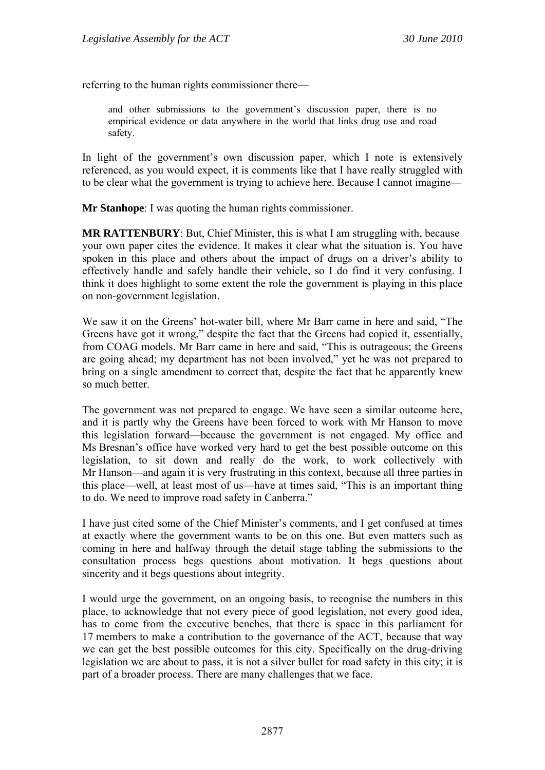referring to the human rights commissioner there—

and other submissions to the government's discussion paper, there is no empirical evidence or data anywhere in the world that links drug use and road safety.

In light of the government's own discussion paper, which I note is extensively referenced, as you would expect, it is comments like that I have really struggled with to be clear what the government is trying to achieve here. Because I cannot imagine—

**Mr Stanhope**: I was quoting the human rights commissioner.

**MR RATTENBURY**: But, Chief Minister, this is what I am struggling with, because your own paper cites the evidence. It makes it clear what the situation is. You have spoken in this place and others about the impact of drugs on a driver's ability to effectively handle and safely handle their vehicle, so I do find it very confusing. I think it does highlight to some extent the role the government is playing in this place on non-government legislation.

We saw it on the Greens' hot-water bill, where Mr Barr came in here and said, "The Greens have got it wrong," despite the fact that the Greens had copied it, essentially, from COAG models. Mr Barr came in here and said, "This is outrageous; the Greens are going ahead; my department has not been involved," yet he was not prepared to bring on a single amendment to correct that, despite the fact that he apparently knew so much better.

The government was not prepared to engage. We have seen a similar outcome here, and it is partly why the Greens have been forced to work with Mr Hanson to move this legislation forward—because the government is not engaged. My office and Ms Bresnan's office have worked very hard to get the best possible outcome on this legislation, to sit down and really do the work, to work collectively with Mr Hanson—and again it is very frustrating in this context, because all three parties in this place—well, at least most of us—have at times said, "This is an important thing to do. We need to improve road safety in Canberra."

I have just cited some of the Chief Minister's comments, and I get confused at times at exactly where the government wants to be on this one. But even matters such as coming in here and halfway through the detail stage tabling the submissions to the consultation process begs questions about motivation. It begs questions about sincerity and it begs questions about integrity.

I would urge the government, on an ongoing basis, to recognise the numbers in this place, to acknowledge that not every piece of good legislation, not every good idea, has to come from the executive benches, that there is space in this parliament for 17 members to make a contribution to the governance of the ACT, because that way we can get the best possible outcomes for this city. Specifically on the drug-driving legislation we are about to pass, it is not a silver bullet for road safety in this city; it is part of a broader process. There are many challenges that we face.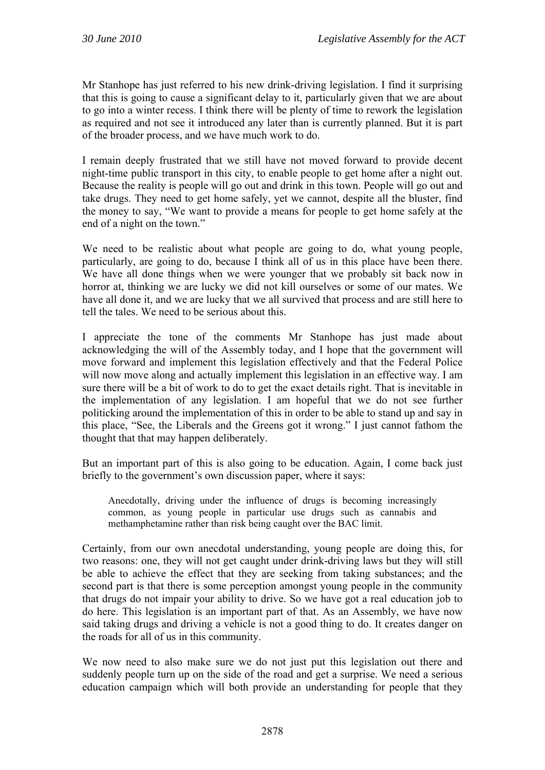Mr Stanhope has just referred to his new drink-driving legislation. I find it surprising that this is going to cause a significant delay to it, particularly given that we are about to go into a winter recess. I think there will be plenty of time to rework the legislation as required and not see it introduced any later than is currently planned. But it is part of the broader process, and we have much work to do.

I remain deeply frustrated that we still have not moved forward to provide decent night-time public transport in this city, to enable people to get home after a night out. Because the reality is people will go out and drink in this town. People will go out and take drugs. They need to get home safely, yet we cannot, despite all the bluster, find the money to say, "We want to provide a means for people to get home safely at the end of a night on the town."

We need to be realistic about what people are going to do, what young people, particularly, are going to do, because I think all of us in this place have been there. We have all done things when we were younger that we probably sit back now in horror at, thinking we are lucky we did not kill ourselves or some of our mates. We have all done it, and we are lucky that we all survived that process and are still here to tell the tales. We need to be serious about this.

I appreciate the tone of the comments Mr Stanhope has just made about acknowledging the will of the Assembly today, and I hope that the government will move forward and implement this legislation effectively and that the Federal Police will now move along and actually implement this legislation in an effective way. I am sure there will be a bit of work to do to get the exact details right. That is inevitable in the implementation of any legislation. I am hopeful that we do not see further politicking around the implementation of this in order to be able to stand up and say in this place, "See, the Liberals and the Greens got it wrong." I just cannot fathom the thought that that may happen deliberately.

But an important part of this is also going to be education. Again, I come back just briefly to the government's own discussion paper, where it says:

Anecdotally, driving under the influence of drugs is becoming increasingly common, as young people in particular use drugs such as cannabis and methamphetamine rather than risk being caught over the BAC limit.

Certainly, from our own anecdotal understanding, young people are doing this, for two reasons: one, they will not get caught under drink-driving laws but they will still be able to achieve the effect that they are seeking from taking substances; and the second part is that there is some perception amongst young people in the community that drugs do not impair your ability to drive. So we have got a real education job to do here. This legislation is an important part of that. As an Assembly, we have now said taking drugs and driving a vehicle is not a good thing to do. It creates danger on the roads for all of us in this community.

We now need to also make sure we do not just put this legislation out there and suddenly people turn up on the side of the road and get a surprise. We need a serious education campaign which will both provide an understanding for people that they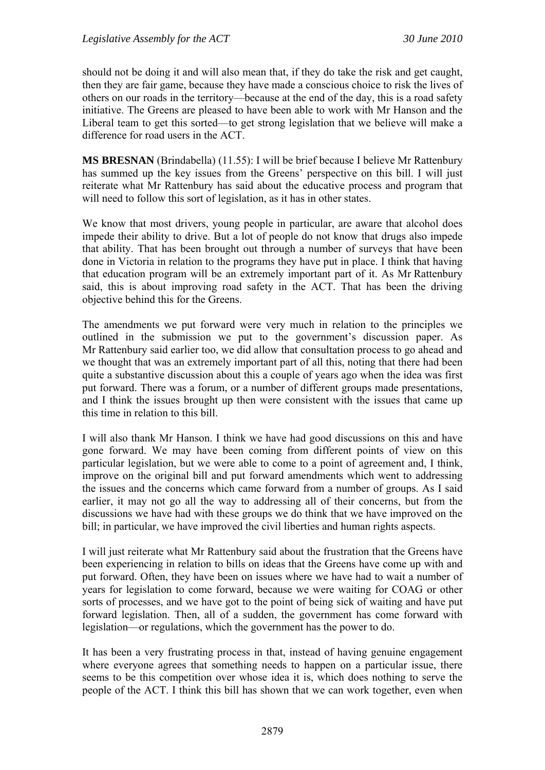should not be doing it and will also mean that, if they do take the risk and get caught, then they are fair game, because they have made a conscious choice to risk the lives of others on our roads in the territory—because at the end of the day, this is a road safety initiative. The Greens are pleased to have been able to work with Mr Hanson and the Liberal team to get this sorted—to get strong legislation that we believe will make a difference for road users in the ACT.

**MS BRESNAN** (Brindabella) (11.55): I will be brief because I believe Mr Rattenbury has summed up the key issues from the Greens' perspective on this bill. I will just reiterate what Mr Rattenbury has said about the educative process and program that will need to follow this sort of legislation, as it has in other states.

We know that most drivers, young people in particular, are aware that alcohol does impede their ability to drive. But a lot of people do not know that drugs also impede that ability. That has been brought out through a number of surveys that have been done in Victoria in relation to the programs they have put in place. I think that having that education program will be an extremely important part of it. As Mr Rattenbury said, this is about improving road safety in the ACT. That has been the driving objective behind this for the Greens.

The amendments we put forward were very much in relation to the principles we outlined in the submission we put to the government's discussion paper. As Mr Rattenbury said earlier too, we did allow that consultation process to go ahead and we thought that was an extremely important part of all this, noting that there had been quite a substantive discussion about this a couple of years ago when the idea was first put forward. There was a forum, or a number of different groups made presentations, and I think the issues brought up then were consistent with the issues that came up this time in relation to this bill.

I will also thank Mr Hanson. I think we have had good discussions on this and have gone forward. We may have been coming from different points of view on this particular legislation, but we were able to come to a point of agreement and, I think, improve on the original bill and put forward amendments which went to addressing the issues and the concerns which came forward from a number of groups. As I said earlier, it may not go all the way to addressing all of their concerns, but from the discussions we have had with these groups we do think that we have improved on the bill; in particular, we have improved the civil liberties and human rights aspects.

I will just reiterate what Mr Rattenbury said about the frustration that the Greens have been experiencing in relation to bills on ideas that the Greens have come up with and put forward. Often, they have been on issues where we have had to wait a number of years for legislation to come forward, because we were waiting for COAG or other sorts of processes, and we have got to the point of being sick of waiting and have put forward legislation. Then, all of a sudden, the government has come forward with legislation—or regulations, which the government has the power to do.

It has been a very frustrating process in that, instead of having genuine engagement where everyone agrees that something needs to happen on a particular issue, there seems to be this competition over whose idea it is, which does nothing to serve the people of the ACT. I think this bill has shown that we can work together, even when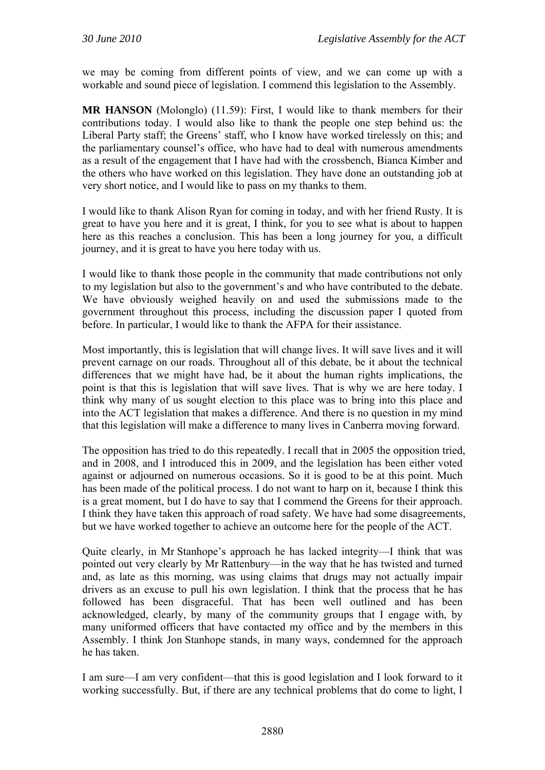we may be coming from different points of view, and we can come up with a workable and sound piece of legislation. I commend this legislation to the Assembly.

**MR HANSON** (Molonglo) (11.59): First, I would like to thank members for their contributions today. I would also like to thank the people one step behind us: the Liberal Party staff; the Greens' staff, who I know have worked tirelessly on this; and the parliamentary counsel's office, who have had to deal with numerous amendments as a result of the engagement that I have had with the crossbench, Bianca Kimber and the others who have worked on this legislation. They have done an outstanding job at very short notice, and I would like to pass on my thanks to them.

I would like to thank Alison Ryan for coming in today, and with her friend Rusty. It is great to have you here and it is great, I think, for you to see what is about to happen here as this reaches a conclusion. This has been a long journey for you, a difficult journey, and it is great to have you here today with us.

I would like to thank those people in the community that made contributions not only to my legislation but also to the government's and who have contributed to the debate. We have obviously weighed heavily on and used the submissions made to the government throughout this process, including the discussion paper I quoted from before. In particular, I would like to thank the AFPA for their assistance.

Most importantly, this is legislation that will change lives. It will save lives and it will prevent carnage on our roads. Throughout all of this debate, be it about the technical differences that we might have had, be it about the human rights implications, the point is that this is legislation that will save lives. That is why we are here today. I think why many of us sought election to this place was to bring into this place and into the ACT legislation that makes a difference. And there is no question in my mind that this legislation will make a difference to many lives in Canberra moving forward.

The opposition has tried to do this repeatedly. I recall that in 2005 the opposition tried, and in 2008, and I introduced this in 2009, and the legislation has been either voted against or adjourned on numerous occasions. So it is good to be at this point. Much has been made of the political process. I do not want to harp on it, because I think this is a great moment, but I do have to say that I commend the Greens for their approach. I think they have taken this approach of road safety. We have had some disagreements, but we have worked together to achieve an outcome here for the people of the ACT.

Quite clearly, in Mr Stanhope's approach he has lacked integrity—I think that was pointed out very clearly by Mr Rattenbury—in the way that he has twisted and turned and, as late as this morning, was using claims that drugs may not actually impair drivers as an excuse to pull his own legislation. I think that the process that he has followed has been disgraceful. That has been well outlined and has been acknowledged, clearly, by many of the community groups that I engage with, by many uniformed officers that have contacted my office and by the members in this Assembly. I think Jon Stanhope stands, in many ways, condemned for the approach he has taken.

I am sure—I am very confident—that this is good legislation and I look forward to it working successfully. But, if there are any technical problems that do come to light, I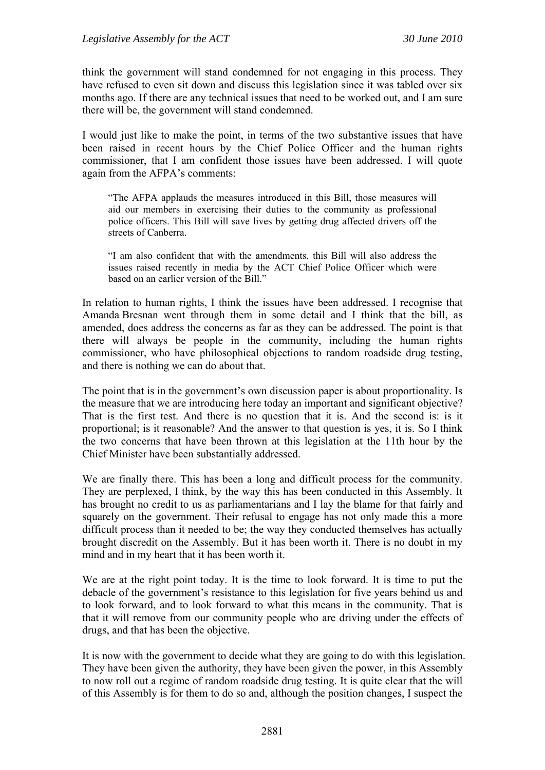think the government will stand condemned for not engaging in this process. They have refused to even sit down and discuss this legislation since it was tabled over six months ago. If there are any technical issues that need to be worked out, and I am sure there will be, the government will stand condemned.

I would just like to make the point, in terms of the two substantive issues that have been raised in recent hours by the Chief Police Officer and the human rights commissioner, that I am confident those issues have been addressed. I will quote again from the AFPA's comments:

"The AFPA applauds the measures introduced in this Bill, those measures will aid our members in exercising their duties to the community as professional police officers. This Bill will save lives by getting drug affected drivers off the streets of Canberra.

"I am also confident that with the amendments, this Bill will also address the issues raised recently in media by the ACT Chief Police Officer which were based on an earlier version of the Bill."

In relation to human rights, I think the issues have been addressed. I recognise that Amanda Bresnan went through them in some detail and I think that the bill, as amended, does address the concerns as far as they can be addressed. The point is that there will always be people in the community, including the human rights commissioner, who have philosophical objections to random roadside drug testing, and there is nothing we can do about that.

The point that is in the government's own discussion paper is about proportionality. Is the measure that we are introducing here today an important and significant objective? That is the first test. And there is no question that it is. And the second is: is it proportional; is it reasonable? And the answer to that question is yes, it is. So I think the two concerns that have been thrown at this legislation at the 11th hour by the Chief Minister have been substantially addressed.

We are finally there. This has been a long and difficult process for the community. They are perplexed, I think, by the way this has been conducted in this Assembly. It has brought no credit to us as parliamentarians and I lay the blame for that fairly and squarely on the government. Their refusal to engage has not only made this a more difficult process than it needed to be; the way they conducted themselves has actually brought discredit on the Assembly. But it has been worth it. There is no doubt in my mind and in my heart that it has been worth it.

We are at the right point today. It is the time to look forward. It is time to put the debacle of the government's resistance to this legislation for five years behind us and to look forward, and to look forward to what this means in the community. That is that it will remove from our community people who are driving under the effects of drugs, and that has been the objective.

It is now with the government to decide what they are going to do with this legislation. They have been given the authority, they have been given the power, in this Assembly to now roll out a regime of random roadside drug testing. It is quite clear that the will of this Assembly is for them to do so and, although the position changes, I suspect the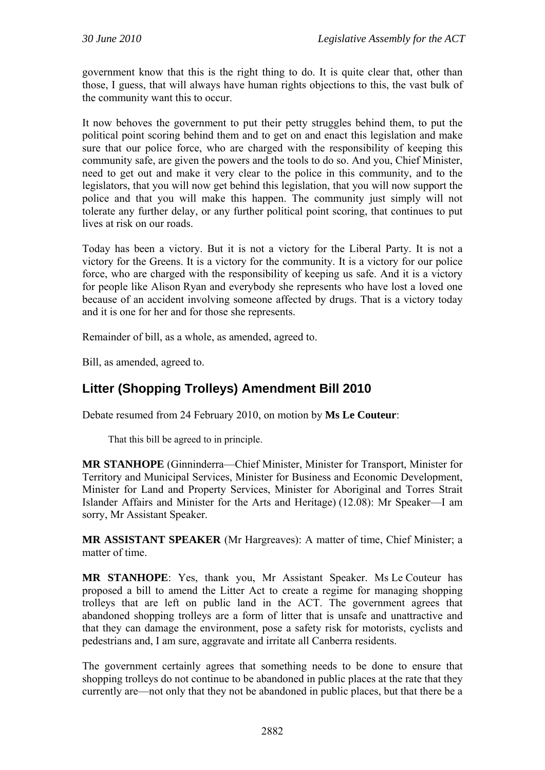government know that this is the right thing to do. It is quite clear that, other than those, I guess, that will always have human rights objections to this, the vast bulk of the community want this to occur.

It now behoves the government to put their petty struggles behind them, to put the political point scoring behind them and to get on and enact this legislation and make sure that our police force, who are charged with the responsibility of keeping this community safe, are given the powers and the tools to do so. And you, Chief Minister, need to get out and make it very clear to the police in this community, and to the legislators, that you will now get behind this legislation, that you will now support the police and that you will make this happen. The community just simply will not tolerate any further delay, or any further political point scoring, that continues to put lives at risk on our roads.

Today has been a victory. But it is not a victory for the Liberal Party. It is not a victory for the Greens. It is a victory for the community. It is a victory for our police force, who are charged with the responsibility of keeping us safe. And it is a victory for people like Alison Ryan and everybody she represents who have lost a loved one because of an accident involving someone affected by drugs. That is a victory today and it is one for her and for those she represents.

Remainder of bill, as a whole, as amended, agreed to.

Bill, as amended, agreed to.

# **Litter (Shopping Trolleys) Amendment Bill 2010**

Debate resumed from 24 February 2010, on motion by **Ms Le Couteur**:

That this bill be agreed to in principle.

**MR STANHOPE** (Ginninderra—Chief Minister, Minister for Transport, Minister for Territory and Municipal Services, Minister for Business and Economic Development, Minister for Land and Property Services, Minister for Aboriginal and Torres Strait Islander Affairs and Minister for the Arts and Heritage) (12.08): Mr Speaker—I am sorry, Mr Assistant Speaker.

**MR ASSISTANT SPEAKER** (Mr Hargreaves): A matter of time, Chief Minister; a matter of time.

**MR STANHOPE**: Yes, thank you, Mr Assistant Speaker. Ms Le Couteur has proposed a bill to amend the Litter Act to create a regime for managing shopping trolleys that are left on public land in the ACT. The government agrees that abandoned shopping trolleys are a form of litter that is unsafe and unattractive and that they can damage the environment, pose a safety risk for motorists, cyclists and pedestrians and, I am sure, aggravate and irritate all Canberra residents.

The government certainly agrees that something needs to be done to ensure that shopping trolleys do not continue to be abandoned in public places at the rate that they currently are—not only that they not be abandoned in public places, but that there be a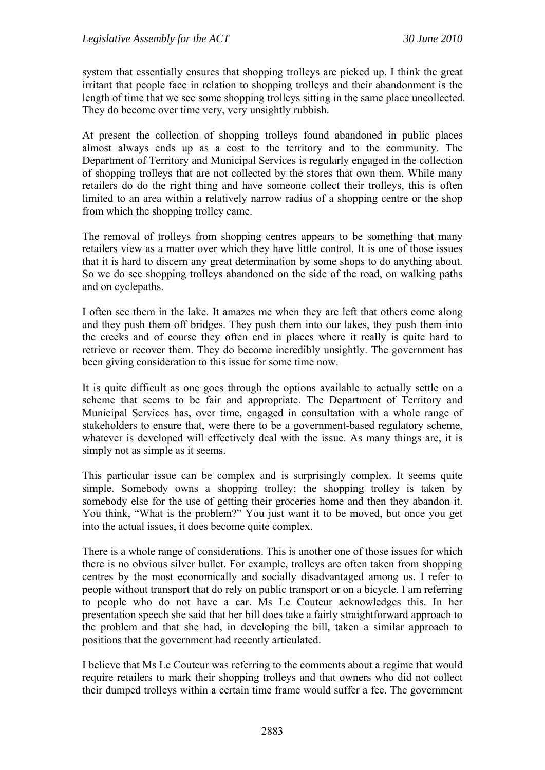system that essentially ensures that shopping trolleys are picked up. I think the great irritant that people face in relation to shopping trolleys and their abandonment is the length of time that we see some shopping trolleys sitting in the same place uncollected. They do become over time very, very unsightly rubbish.

At present the collection of shopping trolleys found abandoned in public places almost always ends up as a cost to the territory and to the community. The Department of Territory and Municipal Services is regularly engaged in the collection of shopping trolleys that are not collected by the stores that own them. While many retailers do do the right thing and have someone collect their trolleys, this is often limited to an area within a relatively narrow radius of a shopping centre or the shop from which the shopping trolley came.

The removal of trolleys from shopping centres appears to be something that many retailers view as a matter over which they have little control. It is one of those issues that it is hard to discern any great determination by some shops to do anything about. So we do see shopping trolleys abandoned on the side of the road, on walking paths and on cyclepaths.

I often see them in the lake. It amazes me when they are left that others come along and they push them off bridges. They push them into our lakes, they push them into the creeks and of course they often end in places where it really is quite hard to retrieve or recover them. They do become incredibly unsightly. The government has been giving consideration to this issue for some time now.

It is quite difficult as one goes through the options available to actually settle on a scheme that seems to be fair and appropriate. The Department of Territory and Municipal Services has, over time, engaged in consultation with a whole range of stakeholders to ensure that, were there to be a government-based regulatory scheme, whatever is developed will effectively deal with the issue. As many things are, it is simply not as simple as it seems.

This particular issue can be complex and is surprisingly complex. It seems quite simple. Somebody owns a shopping trolley; the shopping trolley is taken by somebody else for the use of getting their groceries home and then they abandon it. You think, "What is the problem?" You just want it to be moved, but once you get into the actual issues, it does become quite complex.

There is a whole range of considerations. This is another one of those issues for which there is no obvious silver bullet. For example, trolleys are often taken from shopping centres by the most economically and socially disadvantaged among us. I refer to people without transport that do rely on public transport or on a bicycle. I am referring to people who do not have a car. Ms Le Couteur acknowledges this. In her presentation speech she said that her bill does take a fairly straightforward approach to the problem and that she had, in developing the bill, taken a similar approach to positions that the government had recently articulated.

I believe that Ms Le Couteur was referring to the comments about a regime that would require retailers to mark their shopping trolleys and that owners who did not collect their dumped trolleys within a certain time frame would suffer a fee. The government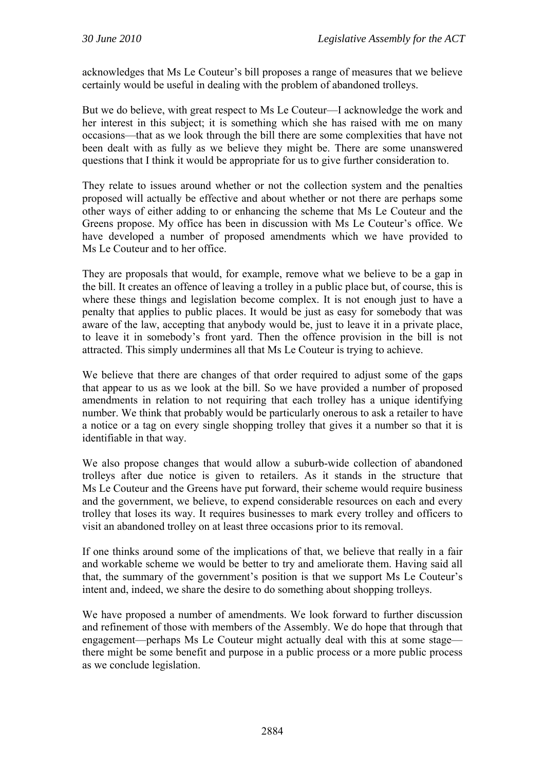acknowledges that Ms Le Couteur's bill proposes a range of measures that we believe certainly would be useful in dealing with the problem of abandoned trolleys.

But we do believe, with great respect to Ms Le Couteur—I acknowledge the work and her interest in this subject; it is something which she has raised with me on many occasions—that as we look through the bill there are some complexities that have not been dealt with as fully as we believe they might be. There are some unanswered questions that I think it would be appropriate for us to give further consideration to.

They relate to issues around whether or not the collection system and the penalties proposed will actually be effective and about whether or not there are perhaps some other ways of either adding to or enhancing the scheme that Ms Le Couteur and the Greens propose. My office has been in discussion with Ms Le Couteur's office. We have developed a number of proposed amendments which we have provided to Ms Le Couteur and to her office.

They are proposals that would, for example, remove what we believe to be a gap in the bill. It creates an offence of leaving a trolley in a public place but, of course, this is where these things and legislation become complex. It is not enough just to have a penalty that applies to public places. It would be just as easy for somebody that was aware of the law, accepting that anybody would be, just to leave it in a private place, to leave it in somebody's front yard. Then the offence provision in the bill is not attracted. This simply undermines all that Ms Le Couteur is trying to achieve.

We believe that there are changes of that order required to adjust some of the gaps that appear to us as we look at the bill. So we have provided a number of proposed amendments in relation to not requiring that each trolley has a unique identifying number. We think that probably would be particularly onerous to ask a retailer to have a notice or a tag on every single shopping trolley that gives it a number so that it is identifiable in that way.

We also propose changes that would allow a suburb-wide collection of abandoned trolleys after due notice is given to retailers. As it stands in the structure that Ms Le Couteur and the Greens have put forward, their scheme would require business and the government, we believe, to expend considerable resources on each and every trolley that loses its way. It requires businesses to mark every trolley and officers to visit an abandoned trolley on at least three occasions prior to its removal.

If one thinks around some of the implications of that, we believe that really in a fair and workable scheme we would be better to try and ameliorate them. Having said all that, the summary of the government's position is that we support Ms Le Couteur's intent and, indeed, we share the desire to do something about shopping trolleys.

We have proposed a number of amendments. We look forward to further discussion and refinement of those with members of the Assembly. We do hope that through that engagement—perhaps Ms Le Couteur might actually deal with this at some stage there might be some benefit and purpose in a public process or a more public process as we conclude legislation.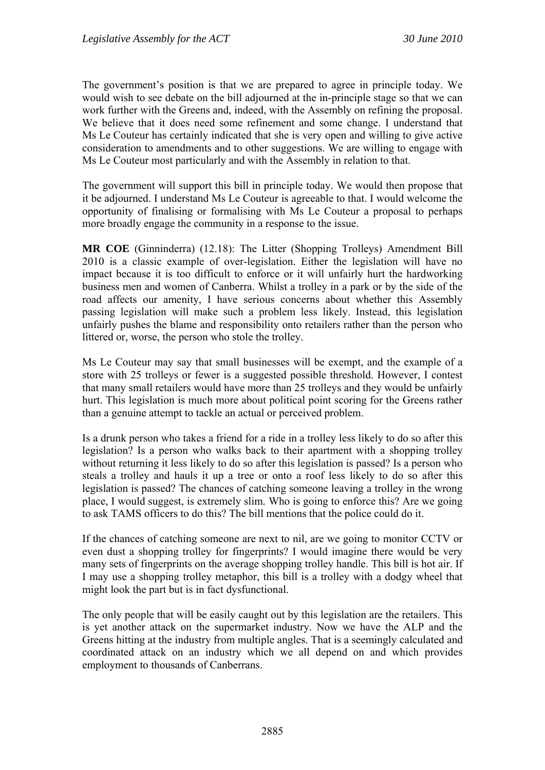The government's position is that we are prepared to agree in principle today. We would wish to see debate on the bill adjourned at the in-principle stage so that we can work further with the Greens and, indeed, with the Assembly on refining the proposal. We believe that it does need some refinement and some change. I understand that Ms Le Couteur has certainly indicated that she is very open and willing to give active consideration to amendments and to other suggestions. We are willing to engage with Ms Le Couteur most particularly and with the Assembly in relation to that.

The government will support this bill in principle today. We would then propose that it be adjourned. I understand Ms Le Couteur is agreeable to that. I would welcome the opportunity of finalising or formalising with Ms Le Couteur a proposal to perhaps more broadly engage the community in a response to the issue.

**MR COE** (Ginninderra) (12.18): The Litter (Shopping Trolleys) Amendment Bill 2010 is a classic example of over-legislation. Either the legislation will have no impact because it is too difficult to enforce or it will unfairly hurt the hardworking business men and women of Canberra. Whilst a trolley in a park or by the side of the road affects our amenity, I have serious concerns about whether this Assembly passing legislation will make such a problem less likely. Instead, this legislation unfairly pushes the blame and responsibility onto retailers rather than the person who littered or, worse, the person who stole the trolley.

Ms Le Couteur may say that small businesses will be exempt, and the example of a store with 25 trolleys or fewer is a suggested possible threshold. However, I contest that many small retailers would have more than 25 trolleys and they would be unfairly hurt. This legislation is much more about political point scoring for the Greens rather than a genuine attempt to tackle an actual or perceived problem.

Is a drunk person who takes a friend for a ride in a trolley less likely to do so after this legislation? Is a person who walks back to their apartment with a shopping trolley without returning it less likely to do so after this legislation is passed? Is a person who steals a trolley and hauls it up a tree or onto a roof less likely to do so after this legislation is passed? The chances of catching someone leaving a trolley in the wrong place, I would suggest, is extremely slim. Who is going to enforce this? Are we going to ask TAMS officers to do this? The bill mentions that the police could do it.

If the chances of catching someone are next to nil, are we going to monitor CCTV or even dust a shopping trolley for fingerprints? I would imagine there would be very many sets of fingerprints on the average shopping trolley handle. This bill is hot air. If I may use a shopping trolley metaphor, this bill is a trolley with a dodgy wheel that might look the part but is in fact dysfunctional.

The only people that will be easily caught out by this legislation are the retailers. This is yet another attack on the supermarket industry. Now we have the ALP and the Greens hitting at the industry from multiple angles. That is a seemingly calculated and coordinated attack on an industry which we all depend on and which provides employment to thousands of Canberrans.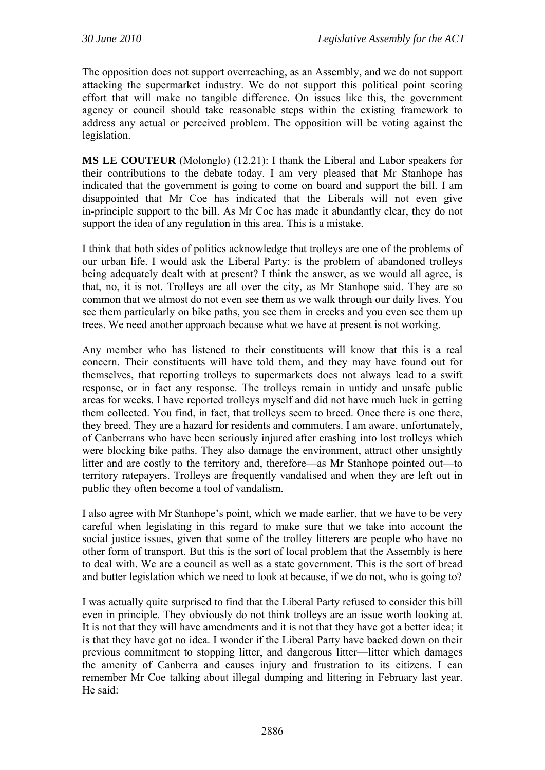The opposition does not support overreaching, as an Assembly, and we do not support attacking the supermarket industry. We do not support this political point scoring effort that will make no tangible difference. On issues like this, the government agency or council should take reasonable steps within the existing framework to address any actual or perceived problem. The opposition will be voting against the legislation.

**MS LE COUTEUR** (Molonglo) (12.21): I thank the Liberal and Labor speakers for their contributions to the debate today. I am very pleased that Mr Stanhope has indicated that the government is going to come on board and support the bill. I am disappointed that Mr Coe has indicated that the Liberals will not even give in-principle support to the bill. As Mr Coe has made it abundantly clear, they do not support the idea of any regulation in this area. This is a mistake.

I think that both sides of politics acknowledge that trolleys are one of the problems of our urban life. I would ask the Liberal Party: is the problem of abandoned trolleys being adequately dealt with at present? I think the answer, as we would all agree, is that, no, it is not. Trolleys are all over the city, as Mr Stanhope said. They are so common that we almost do not even see them as we walk through our daily lives. You see them particularly on bike paths, you see them in creeks and you even see them up trees. We need another approach because what we have at present is not working.

Any member who has listened to their constituents will know that this is a real concern. Their constituents will have told them, and they may have found out for themselves, that reporting trolleys to supermarkets does not always lead to a swift response, or in fact any response. The trolleys remain in untidy and unsafe public areas for weeks. I have reported trolleys myself and did not have much luck in getting them collected. You find, in fact, that trolleys seem to breed. Once there is one there, they breed. They are a hazard for residents and commuters. I am aware, unfortunately, of Canberrans who have been seriously injured after crashing into lost trolleys which were blocking bike paths. They also damage the environment, attract other unsightly litter and are costly to the territory and, therefore—as Mr Stanhope pointed out—to territory ratepayers. Trolleys are frequently vandalised and when they are left out in public they often become a tool of vandalism.

I also agree with Mr Stanhope's point, which we made earlier, that we have to be very careful when legislating in this regard to make sure that we take into account the social justice issues, given that some of the trolley litterers are people who have no other form of transport. But this is the sort of local problem that the Assembly is here to deal with. We are a council as well as a state government. This is the sort of bread and butter legislation which we need to look at because, if we do not, who is going to?

I was actually quite surprised to find that the Liberal Party refused to consider this bill even in principle. They obviously do not think trolleys are an issue worth looking at. It is not that they will have amendments and it is not that they have got a better idea; it is that they have got no idea. I wonder if the Liberal Party have backed down on their previous commitment to stopping litter, and dangerous litter—litter which damages the amenity of Canberra and causes injury and frustration to its citizens. I can remember Mr Coe talking about illegal dumping and littering in February last year. He said: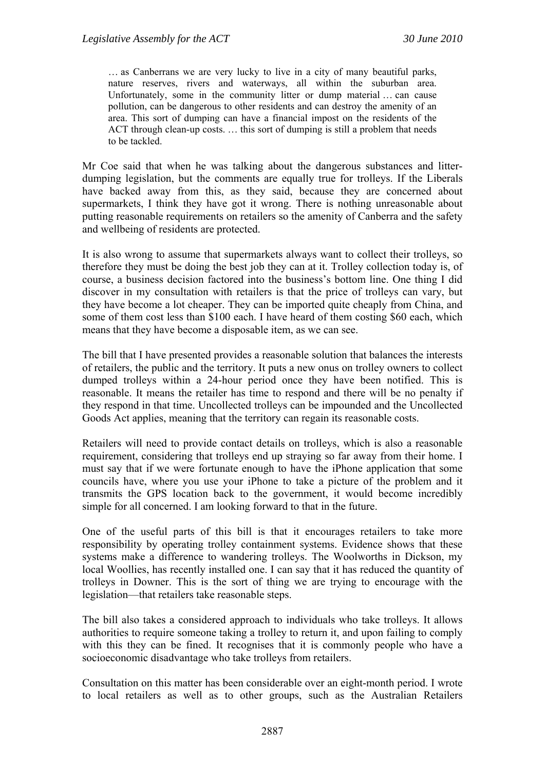… as Canberrans we are very lucky to live in a city of many beautiful parks, nature reserves, rivers and waterways, all within the suburban area. Unfortunately, some in the community litter or dump material … can cause pollution, can be dangerous to other residents and can destroy the amenity of an area. This sort of dumping can have a financial impost on the residents of the ACT through clean-up costs. … this sort of dumping is still a problem that needs to be tackled.

Mr Coe said that when he was talking about the dangerous substances and litterdumping legislation, but the comments are equally true for trolleys. If the Liberals have backed away from this, as they said, because they are concerned about supermarkets, I think they have got it wrong. There is nothing unreasonable about putting reasonable requirements on retailers so the amenity of Canberra and the safety and wellbeing of residents are protected.

It is also wrong to assume that supermarkets always want to collect their trolleys, so therefore they must be doing the best job they can at it. Trolley collection today is, of course, a business decision factored into the business's bottom line. One thing I did discover in my consultation with retailers is that the price of trolleys can vary, but they have become a lot cheaper. They can be imported quite cheaply from China, and some of them cost less than \$100 each. I have heard of them costing \$60 each, which means that they have become a disposable item, as we can see.

The bill that I have presented provides a reasonable solution that balances the interests of retailers, the public and the territory. It puts a new onus on trolley owners to collect dumped trolleys within a 24-hour period once they have been notified. This is reasonable. It means the retailer has time to respond and there will be no penalty if they respond in that time. Uncollected trolleys can be impounded and the Uncollected Goods Act applies, meaning that the territory can regain its reasonable costs.

Retailers will need to provide contact details on trolleys, which is also a reasonable requirement, considering that trolleys end up straying so far away from their home. I must say that if we were fortunate enough to have the iPhone application that some councils have, where you use your iPhone to take a picture of the problem and it transmits the GPS location back to the government, it would become incredibly simple for all concerned. I am looking forward to that in the future.

One of the useful parts of this bill is that it encourages retailers to take more responsibility by operating trolley containment systems. Evidence shows that these systems make a difference to wandering trolleys. The Woolworths in Dickson, my local Woollies, has recently installed one. I can say that it has reduced the quantity of trolleys in Downer. This is the sort of thing we are trying to encourage with the legislation—that retailers take reasonable steps.

The bill also takes a considered approach to individuals who take trolleys. It allows authorities to require someone taking a trolley to return it, and upon failing to comply with this they can be fined. It recognises that it is commonly people who have a socioeconomic disadvantage who take trolleys from retailers.

Consultation on this matter has been considerable over an eight-month period. I wrote to local retailers as well as to other groups, such as the Australian Retailers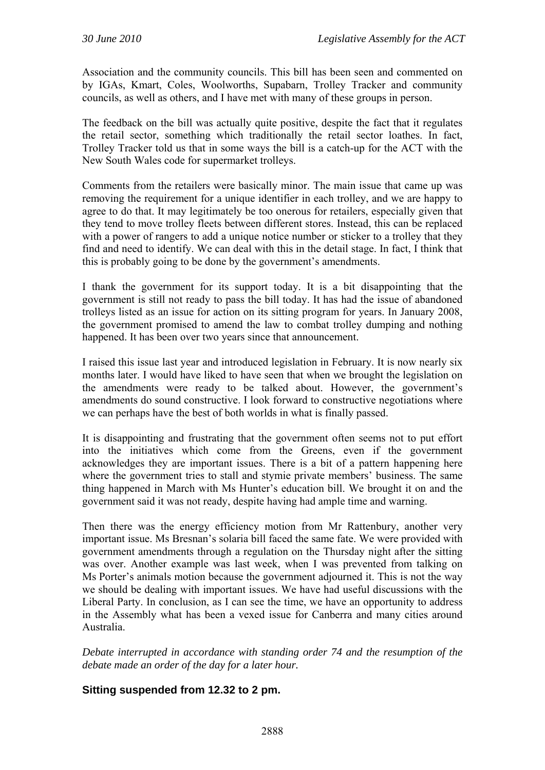Association and the community councils. This bill has been seen and commented on by IGAs, Kmart, Coles, Woolworths, Supabarn, Trolley Tracker and community councils, as well as others, and I have met with many of these groups in person.

The feedback on the bill was actually quite positive, despite the fact that it regulates the retail sector, something which traditionally the retail sector loathes. In fact, Trolley Tracker told us that in some ways the bill is a catch-up for the ACT with the New South Wales code for supermarket trolleys.

Comments from the retailers were basically minor. The main issue that came up was removing the requirement for a unique identifier in each trolley, and we are happy to agree to do that. It may legitimately be too onerous for retailers, especially given that they tend to move trolley fleets between different stores. Instead, this can be replaced with a power of rangers to add a unique notice number or sticker to a trolley that they find and need to identify. We can deal with this in the detail stage. In fact, I think that this is probably going to be done by the government's amendments.

I thank the government for its support today. It is a bit disappointing that the government is still not ready to pass the bill today. It has had the issue of abandoned trolleys listed as an issue for action on its sitting program for years. In January 2008, the government promised to amend the law to combat trolley dumping and nothing happened. It has been over two years since that announcement.

I raised this issue last year and introduced legislation in February. It is now nearly six months later. I would have liked to have seen that when we brought the legislation on the amendments were ready to be talked about. However, the government's amendments do sound constructive. I look forward to constructive negotiations where we can perhaps have the best of both worlds in what is finally passed.

It is disappointing and frustrating that the government often seems not to put effort into the initiatives which come from the Greens, even if the government acknowledges they are important issues. There is a bit of a pattern happening here where the government tries to stall and stymie private members' business. The same thing happened in March with Ms Hunter's education bill. We brought it on and the government said it was not ready, despite having had ample time and warning.

Then there was the energy efficiency motion from Mr Rattenbury, another very important issue. Ms Bresnan's solaria bill faced the same fate. We were provided with government amendments through a regulation on the Thursday night after the sitting was over. Another example was last week, when I was prevented from talking on Ms Porter's animals motion because the government adjourned it. This is not the way we should be dealing with important issues. We have had useful discussions with the Liberal Party. In conclusion, as I can see the time, we have an opportunity to address in the Assembly what has been a vexed issue for Canberra and many cities around Australia.

*Debate interrupted in accordance with standing order 74 and the resumption of the debate made an order of the day for a later hour.* 

#### **Sitting suspended from 12.32 to 2 pm.**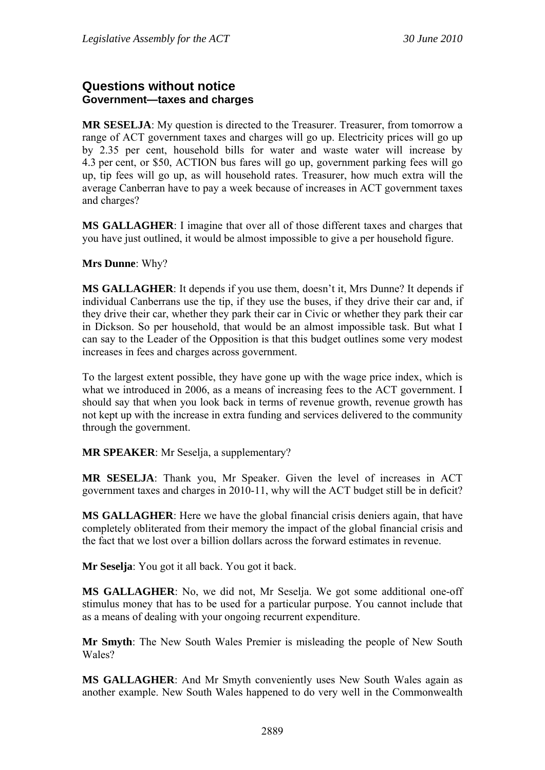# **Questions without notice Government—taxes and charges**

**MR SESELJA**: My question is directed to the Treasurer. Treasurer, from tomorrow a range of ACT government taxes and charges will go up. Electricity prices will go up by 2.35 per cent, household bills for water and waste water will increase by 4.3 per cent, or \$50, ACTION bus fares will go up, government parking fees will go up, tip fees will go up, as will household rates. Treasurer, how much extra will the average Canberran have to pay a week because of increases in ACT government taxes and charges?

**MS GALLAGHER**: I imagine that over all of those different taxes and charges that you have just outlined, it would be almost impossible to give a per household figure.

**Mrs Dunne**: Why?

**MS GALLAGHER**: It depends if you use them, doesn't it, Mrs Dunne? It depends if individual Canberrans use the tip, if they use the buses, if they drive their car and, if they drive their car, whether they park their car in Civic or whether they park their car in Dickson. So per household, that would be an almost impossible task. But what I can say to the Leader of the Opposition is that this budget outlines some very modest increases in fees and charges across government.

To the largest extent possible, they have gone up with the wage price index, which is what we introduced in 2006, as a means of increasing fees to the ACT government. I should say that when you look back in terms of revenue growth, revenue growth has not kept up with the increase in extra funding and services delivered to the community through the government.

**MR SPEAKER**: Mr Seselja, a supplementary?

**MR SESELJA**: Thank you, Mr Speaker. Given the level of increases in ACT government taxes and charges in 2010-11, why will the ACT budget still be in deficit?

**MS GALLAGHER**: Here we have the global financial crisis deniers again, that have completely obliterated from their memory the impact of the global financial crisis and the fact that we lost over a billion dollars across the forward estimates in revenue.

**Mr Seselja**: You got it all back. You got it back.

**MS GALLAGHER**: No, we did not, Mr Seselja. We got some additional one-off stimulus money that has to be used for a particular purpose. You cannot include that as a means of dealing with your ongoing recurrent expenditure.

**Mr Smyth**: The New South Wales Premier is misleading the people of New South Wales?

**MS GALLAGHER**: And Mr Smyth conveniently uses New South Wales again as another example. New South Wales happened to do very well in the Commonwealth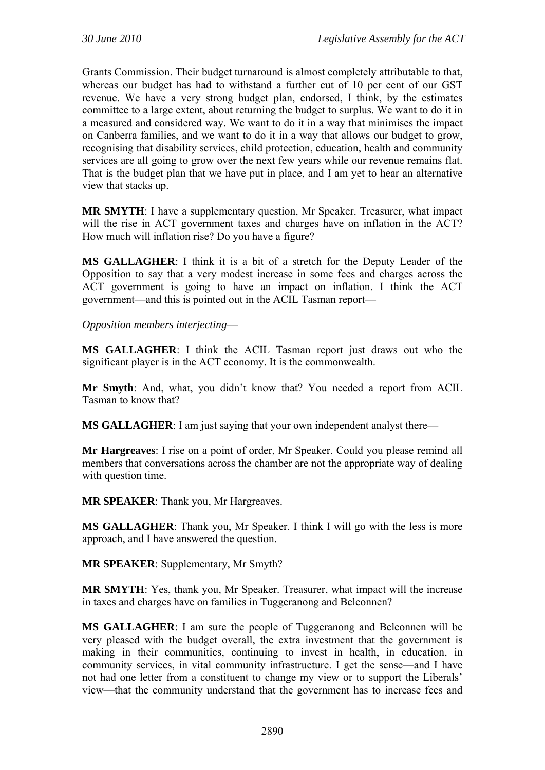Grants Commission. Their budget turnaround is almost completely attributable to that, whereas our budget has had to withstand a further cut of 10 per cent of our GST revenue. We have a very strong budget plan, endorsed, I think, by the estimates committee to a large extent, about returning the budget to surplus. We want to do it in a measured and considered way. We want to do it in a way that minimises the impact on Canberra families, and we want to do it in a way that allows our budget to grow, recognising that disability services, child protection, education, health and community services are all going to grow over the next few years while our revenue remains flat. That is the budget plan that we have put in place, and I am yet to hear an alternative view that stacks up.

**MR SMYTH**: I have a supplementary question, Mr Speaker. Treasurer, what impact will the rise in ACT government taxes and charges have on inflation in the ACT? How much will inflation rise? Do you have a figure?

**MS GALLAGHER**: I think it is a bit of a stretch for the Deputy Leader of the Opposition to say that a very modest increase in some fees and charges across the ACT government is going to have an impact on inflation. I think the ACT government—and this is pointed out in the ACIL Tasman report—

*Opposition members interjecting*—

**MS GALLAGHER**: I think the ACIL Tasman report just draws out who the significant player is in the ACT economy. It is the commonwealth.

**Mr Smyth**: And, what, you didn't know that? You needed a report from ACIL Tasman to know that?

**MS GALLAGHER**: I am just saying that your own independent analyst there—

**Mr Hargreaves**: I rise on a point of order, Mr Speaker. Could you please remind all members that conversations across the chamber are not the appropriate way of dealing with question time.

**MR SPEAKER**: Thank you, Mr Hargreaves.

**MS GALLAGHER**: Thank you, Mr Speaker. I think I will go with the less is more approach, and I have answered the question.

**MR SPEAKER**: Supplementary, Mr Smyth?

**MR SMYTH**: Yes, thank you, Mr Speaker. Treasurer, what impact will the increase in taxes and charges have on families in Tuggeranong and Belconnen?

**MS GALLAGHER**: I am sure the people of Tuggeranong and Belconnen will be very pleased with the budget overall, the extra investment that the government is making in their communities, continuing to invest in health, in education, in community services, in vital community infrastructure. I get the sense—and I have not had one letter from a constituent to change my view or to support the Liberals' view—that the community understand that the government has to increase fees and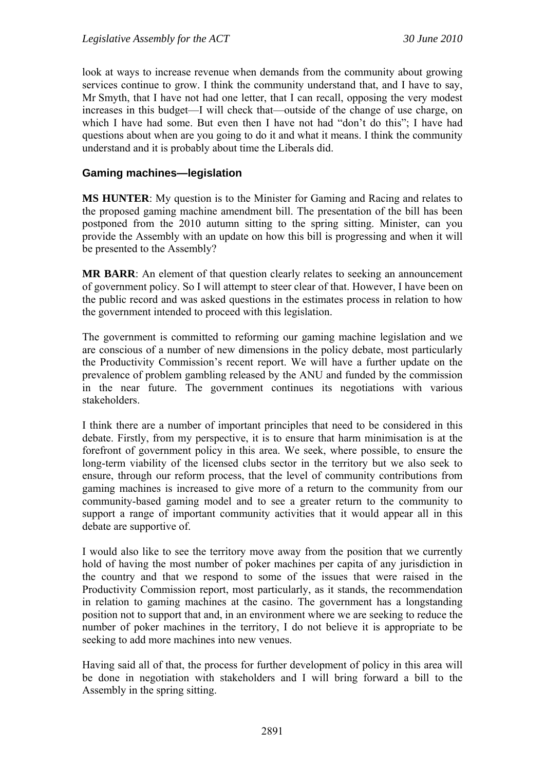look at ways to increase revenue when demands from the community about growing services continue to grow. I think the community understand that, and I have to say, Mr Smyth, that I have not had one letter, that I can recall, opposing the very modest increases in this budget—I will check that—outside of the change of use charge, on which I have had some. But even then I have not had "don't do this"; I have had questions about when are you going to do it and what it means. I think the community understand and it is probably about time the Liberals did.

#### **Gaming machines—legislation**

**MS HUNTER**: My question is to the Minister for Gaming and Racing and relates to the proposed gaming machine amendment bill. The presentation of the bill has been postponed from the 2010 autumn sitting to the spring sitting. Minister, can you provide the Assembly with an update on how this bill is progressing and when it will be presented to the Assembly?

**MR BARR**: An element of that question clearly relates to seeking an announcement of government policy. So I will attempt to steer clear of that. However, I have been on the public record and was asked questions in the estimates process in relation to how the government intended to proceed with this legislation.

The government is committed to reforming our gaming machine legislation and we are conscious of a number of new dimensions in the policy debate, most particularly the Productivity Commission's recent report. We will have a further update on the prevalence of problem gambling released by the ANU and funded by the commission in the near future. The government continues its negotiations with various stakeholders.

I think there are a number of important principles that need to be considered in this debate. Firstly, from my perspective, it is to ensure that harm minimisation is at the forefront of government policy in this area. We seek, where possible, to ensure the long-term viability of the licensed clubs sector in the territory but we also seek to ensure, through our reform process, that the level of community contributions from gaming machines is increased to give more of a return to the community from our community-based gaming model and to see a greater return to the community to support a range of important community activities that it would appear all in this debate are supportive of.

I would also like to see the territory move away from the position that we currently hold of having the most number of poker machines per capita of any jurisdiction in the country and that we respond to some of the issues that were raised in the Productivity Commission report, most particularly, as it stands, the recommendation in relation to gaming machines at the casino. The government has a longstanding position not to support that and, in an environment where we are seeking to reduce the number of poker machines in the territory, I do not believe it is appropriate to be seeking to add more machines into new venues.

Having said all of that, the process for further development of policy in this area will be done in negotiation with stakeholders and I will bring forward a bill to the Assembly in the spring sitting.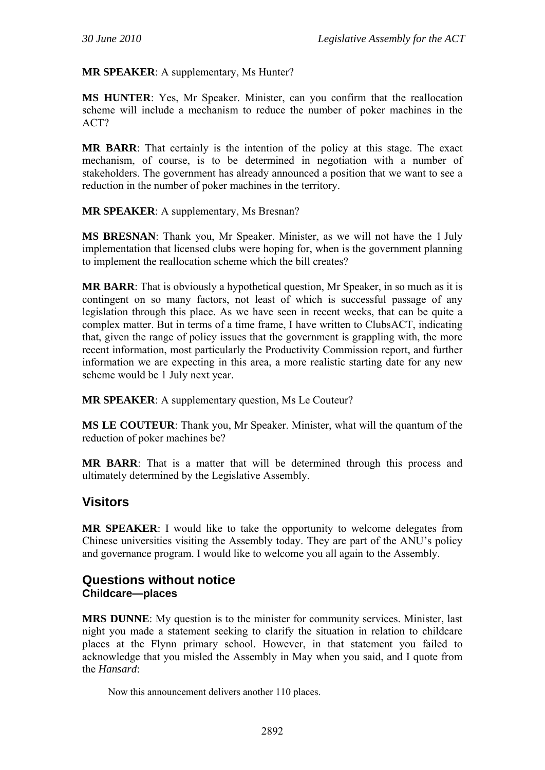**MR SPEAKER**: A supplementary, Ms Hunter?

**MS HUNTER**: Yes, Mr Speaker. Minister, can you confirm that the reallocation scheme will include a mechanism to reduce the number of poker machines in the ACT?

**MR BARR**: That certainly is the intention of the policy at this stage. The exact mechanism, of course, is to be determined in negotiation with a number of stakeholders. The government has already announced a position that we want to see a reduction in the number of poker machines in the territory.

#### **MR SPEAKER**: A supplementary, Ms Bresnan?

**MS BRESNAN**: Thank you, Mr Speaker. Minister, as we will not have the 1 July implementation that licensed clubs were hoping for, when is the government planning to implement the reallocation scheme which the bill creates?

**MR BARR**: That is obviously a hypothetical question, Mr Speaker, in so much as it is contingent on so many factors, not least of which is successful passage of any legislation through this place. As we have seen in recent weeks, that can be quite a complex matter. But in terms of a time frame, I have written to ClubsACT, indicating that, given the range of policy issues that the government is grappling with, the more recent information, most particularly the Productivity Commission report, and further information we are expecting in this area, a more realistic starting date for any new scheme would be 1 July next year.

**MR SPEAKER:** A supplementary question, Ms Le Couteur?

**MS LE COUTEUR**: Thank you, Mr Speaker. Minister, what will the quantum of the reduction of poker machines be?

**MR BARR**: That is a matter that will be determined through this process and ultimately determined by the Legislative Assembly.

# **Visitors**

**MR SPEAKER**: I would like to take the opportunity to welcome delegates from Chinese universities visiting the Assembly today. They are part of the ANU's policy and governance program. I would like to welcome you all again to the Assembly.

# **Questions without notice Childcare—places**

**MRS DUNNE**: My question is to the minister for community services. Minister, last night you made a statement seeking to clarify the situation in relation to childcare places at the Flynn primary school. However, in that statement you failed to acknowledge that you misled the Assembly in May when you said, and I quote from the *Hansard*:

Now this announcement delivers another 110 places.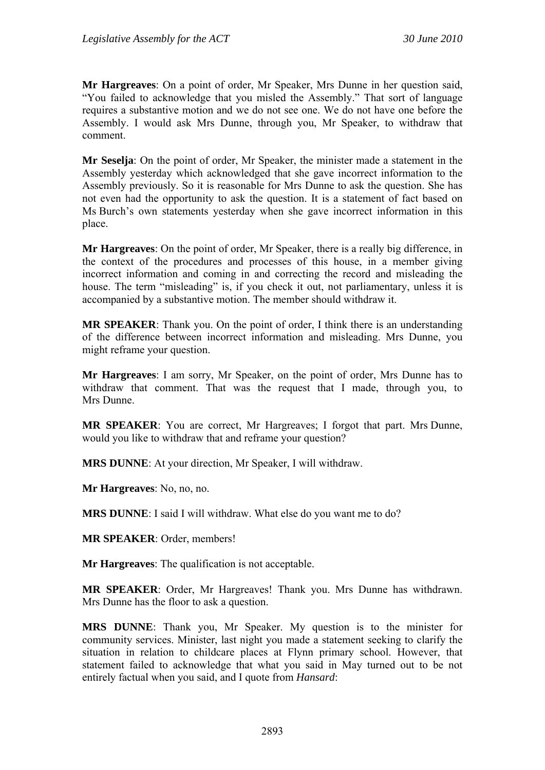**Mr Hargreaves**: On a point of order, Mr Speaker, Mrs Dunne in her question said, "You failed to acknowledge that you misled the Assembly." That sort of language requires a substantive motion and we do not see one. We do not have one before the Assembly. I would ask Mrs Dunne, through you, Mr Speaker, to withdraw that comment.

**Mr Seselja**: On the point of order, Mr Speaker, the minister made a statement in the Assembly yesterday which acknowledged that she gave incorrect information to the Assembly previously. So it is reasonable for Mrs Dunne to ask the question. She has not even had the opportunity to ask the question. It is a statement of fact based on Ms Burch's own statements yesterday when she gave incorrect information in this place.

**Mr Hargreaves**: On the point of order, Mr Speaker, there is a really big difference, in the context of the procedures and processes of this house, in a member giving incorrect information and coming in and correcting the record and misleading the house. The term "misleading" is, if you check it out, not parliamentary, unless it is accompanied by a substantive motion. The member should withdraw it.

**MR SPEAKER**: Thank you. On the point of order, I think there is an understanding of the difference between incorrect information and misleading. Mrs Dunne, you might reframe your question.

**Mr Hargreaves**: I am sorry, Mr Speaker, on the point of order, Mrs Dunne has to withdraw that comment. That was the request that I made, through you, to Mrs Dunne.

**MR SPEAKER**: You are correct, Mr Hargreaves; I forgot that part. Mrs Dunne, would you like to withdraw that and reframe your question?

**MRS DUNNE**: At your direction, Mr Speaker, I will withdraw.

**Mr Hargreaves**: No, no, no.

**MRS DUNNE**: I said I will withdraw. What else do you want me to do?

**MR SPEAKER**: Order, members!

**Mr Hargreaves**: The qualification is not acceptable.

**MR SPEAKER**: Order, Mr Hargreaves! Thank you. Mrs Dunne has withdrawn. Mrs Dunne has the floor to ask a question.

**MRS DUNNE**: Thank you, Mr Speaker. My question is to the minister for community services. Minister, last night you made a statement seeking to clarify the situation in relation to childcare places at Flynn primary school. However, that statement failed to acknowledge that what you said in May turned out to be not entirely factual when you said, and I quote from *Hansard*: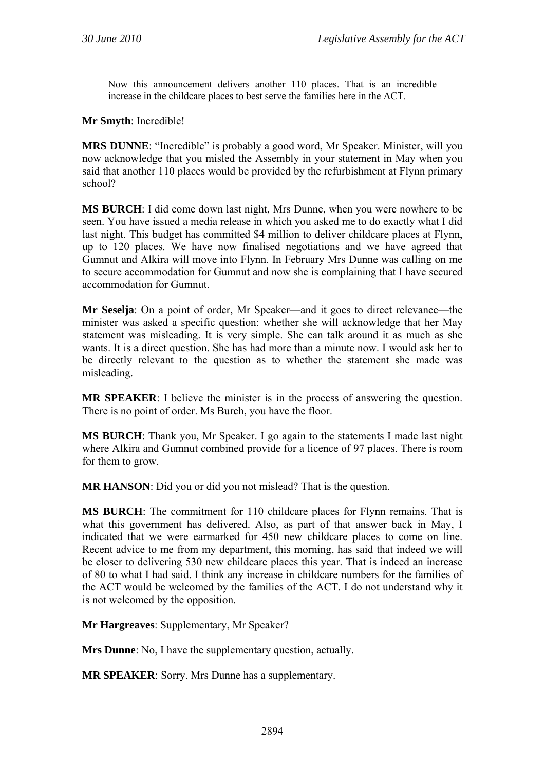Now this announcement delivers another 110 places. That is an incredible increase in the childcare places to best serve the families here in the ACT.

#### **Mr Smyth**: Incredible!

**MRS DUNNE**: "Incredible" is probably a good word, Mr Speaker. Minister, will you now acknowledge that you misled the Assembly in your statement in May when you said that another 110 places would be provided by the refurbishment at Flynn primary school?

**MS BURCH**: I did come down last night, Mrs Dunne, when you were nowhere to be seen. You have issued a media release in which you asked me to do exactly what I did last night. This budget has committed \$4 million to deliver childcare places at Flynn, up to 120 places. We have now finalised negotiations and we have agreed that Gumnut and Alkira will move into Flynn. In February Mrs Dunne was calling on me to secure accommodation for Gumnut and now she is complaining that I have secured accommodation for Gumnut.

**Mr Seselja**: On a point of order, Mr Speaker—and it goes to direct relevance—the minister was asked a specific question: whether she will acknowledge that her May statement was misleading. It is very simple. She can talk around it as much as she wants. It is a direct question. She has had more than a minute now. I would ask her to be directly relevant to the question as to whether the statement she made was misleading.

**MR SPEAKER**: I believe the minister is in the process of answering the question. There is no point of order. Ms Burch, you have the floor.

**MS BURCH**: Thank you, Mr Speaker. I go again to the statements I made last night where Alkira and Gumnut combined provide for a licence of 97 places. There is room for them to grow.

**MR HANSON**: Did you or did you not mislead? That is the question.

**MS BURCH**: The commitment for 110 childcare places for Flynn remains. That is what this government has delivered. Also, as part of that answer back in May, I indicated that we were earmarked for 450 new childcare places to come on line. Recent advice to me from my department, this morning, has said that indeed we will be closer to delivering 530 new childcare places this year. That is indeed an increase of 80 to what I had said. I think any increase in childcare numbers for the families of the ACT would be welcomed by the families of the ACT. I do not understand why it is not welcomed by the opposition.

**Mr Hargreaves**: Supplementary, Mr Speaker?

**Mrs Dunne**: No, I have the supplementary question, actually.

**MR SPEAKER**: Sorry. Mrs Dunne has a supplementary.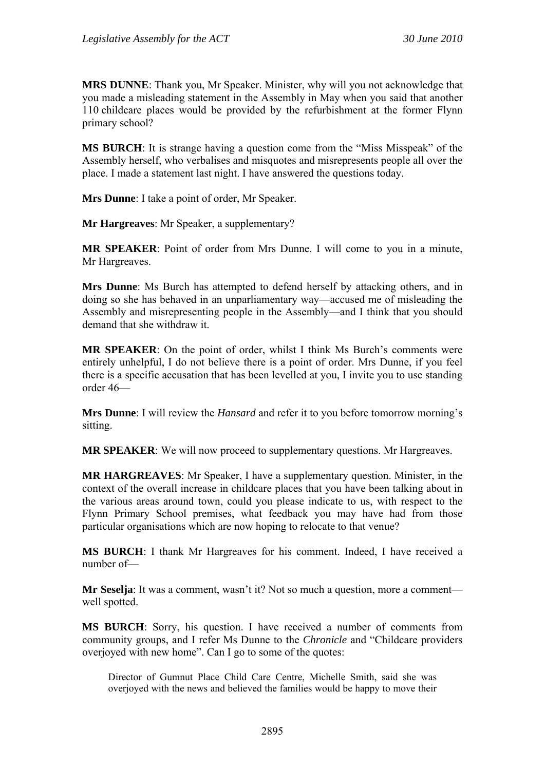**MRS DUNNE**: Thank you, Mr Speaker. Minister, why will you not acknowledge that you made a misleading statement in the Assembly in May when you said that another 110 childcare places would be provided by the refurbishment at the former Flynn primary school?

**MS BURCH**: It is strange having a question come from the "Miss Misspeak" of the Assembly herself, who verbalises and misquotes and misrepresents people all over the place. I made a statement last night. I have answered the questions today.

**Mrs Dunne**: I take a point of order, Mr Speaker.

**Mr Hargreaves**: Mr Speaker, a supplementary?

**MR SPEAKER**: Point of order from Mrs Dunne. I will come to you in a minute, Mr Hargreaves.

**Mrs Dunne**: Ms Burch has attempted to defend herself by attacking others, and in doing so she has behaved in an unparliamentary way—accused me of misleading the Assembly and misrepresenting people in the Assembly—and I think that you should demand that she withdraw it.

**MR SPEAKER**: On the point of order, whilst I think Ms Burch's comments were entirely unhelpful, I do not believe there is a point of order. Mrs Dunne, if you feel there is a specific accusation that has been levelled at you, I invite you to use standing order 46—

**Mrs Dunne**: I will review the *Hansard* and refer it to you before tomorrow morning's sitting.

**MR SPEAKER**: We will now proceed to supplementary questions. Mr Hargreaves.

**MR HARGREAVES**: Mr Speaker, I have a supplementary question. Minister, in the context of the overall increase in childcare places that you have been talking about in the various areas around town, could you please indicate to us, with respect to the Flynn Primary School premises, what feedback you may have had from those particular organisations which are now hoping to relocate to that venue?

**MS BURCH**: I thank Mr Hargreaves for his comment. Indeed, I have received a number of—

**Mr Seselja**: It was a comment, wasn't it? Not so much a question, more a comment well spotted.

**MS BURCH**: Sorry, his question. I have received a number of comments from community groups, and I refer Ms Dunne to the *Chronicle* and "Childcare providers overjoyed with new home". Can I go to some of the quotes:

Director of Gumnut Place Child Care Centre, Michelle Smith, said she was overjoyed with the news and believed the families would be happy to move their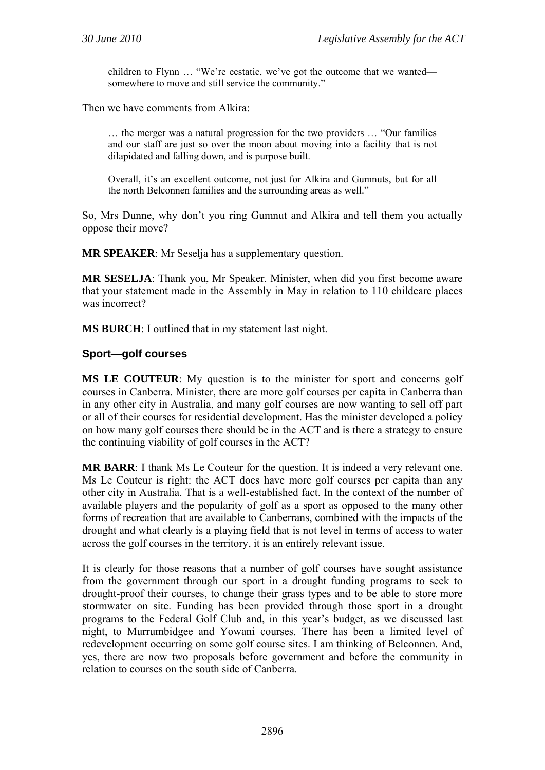children to Flynn … "We're ecstatic, we've got the outcome that we wanted somewhere to move and still service the community."

Then we have comments from Alkira:

… the merger was a natural progression for the two providers … "Our families and our staff are just so over the moon about moving into a facility that is not dilapidated and falling down, and is purpose built.

Overall, it's an excellent outcome, not just for Alkira and Gumnuts, but for all the north Belconnen families and the surrounding areas as well."

So, Mrs Dunne, why don't you ring Gumnut and Alkira and tell them you actually oppose their move?

**MR SPEAKER:** Mr Seselja has a supplementary question.

**MR SESELJA**: Thank you, Mr Speaker. Minister, when did you first become aware that your statement made in the Assembly in May in relation to 110 childcare places was incorrect?

**MS BURCH**: I outlined that in my statement last night.

#### **Sport—golf courses**

**MS LE COUTEUR**: My question is to the minister for sport and concerns golf courses in Canberra. Minister, there are more golf courses per capita in Canberra than in any other city in Australia, and many golf courses are now wanting to sell off part or all of their courses for residential development. Has the minister developed a policy on how many golf courses there should be in the ACT and is there a strategy to ensure the continuing viability of golf courses in the ACT?

**MR BARR**: I thank Ms Le Couteur for the question. It is indeed a very relevant one. Ms Le Couteur is right: the ACT does have more golf courses per capita than any other city in Australia. That is a well-established fact. In the context of the number of available players and the popularity of golf as a sport as opposed to the many other forms of recreation that are available to Canberrans, combined with the impacts of the drought and what clearly is a playing field that is not level in terms of access to water across the golf courses in the territory, it is an entirely relevant issue.

It is clearly for those reasons that a number of golf courses have sought assistance from the government through our sport in a drought funding programs to seek to drought-proof their courses, to change their grass types and to be able to store more stormwater on site. Funding has been provided through those sport in a drought programs to the Federal Golf Club and, in this year's budget, as we discussed last night, to Murrumbidgee and Yowani courses. There has been a limited level of redevelopment occurring on some golf course sites. I am thinking of Belconnen. And, yes, there are now two proposals before government and before the community in relation to courses on the south side of Canberra.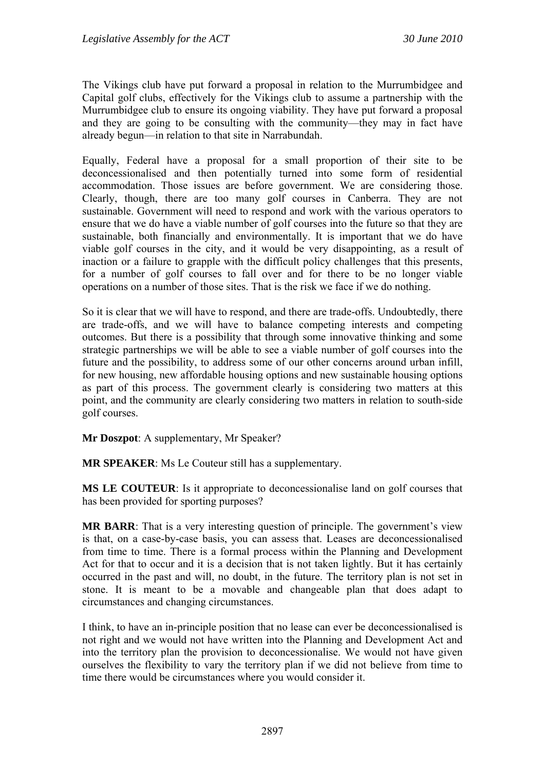The Vikings club have put forward a proposal in relation to the Murrumbidgee and Capital golf clubs, effectively for the Vikings club to assume a partnership with the Murrumbidgee club to ensure its ongoing viability. They have put forward a proposal and they are going to be consulting with the community—they may in fact have already begun—in relation to that site in Narrabundah.

Equally, Federal have a proposal for a small proportion of their site to be deconcessionalised and then potentially turned into some form of residential accommodation. Those issues are before government. We are considering those. Clearly, though, there are too many golf courses in Canberra. They are not sustainable. Government will need to respond and work with the various operators to ensure that we do have a viable number of golf courses into the future so that they are sustainable, both financially and environmentally. It is important that we do have viable golf courses in the city, and it would be very disappointing, as a result of inaction or a failure to grapple with the difficult policy challenges that this presents, for a number of golf courses to fall over and for there to be no longer viable operations on a number of those sites. That is the risk we face if we do nothing.

So it is clear that we will have to respond, and there are trade-offs. Undoubtedly, there are trade-offs, and we will have to balance competing interests and competing outcomes. But there is a possibility that through some innovative thinking and some strategic partnerships we will be able to see a viable number of golf courses into the future and the possibility, to address some of our other concerns around urban infill, for new housing, new affordable housing options and new sustainable housing options as part of this process. The government clearly is considering two matters at this point, and the community are clearly considering two matters in relation to south-side golf courses.

**Mr Doszpot**: A supplementary, Mr Speaker?

**MR SPEAKER**: Ms Le Couteur still has a supplementary.

**MS LE COUTEUR**: Is it appropriate to deconcessionalise land on golf courses that has been provided for sporting purposes?

**MR BARR**: That is a very interesting question of principle. The government's view is that, on a case-by-case basis, you can assess that. Leases are deconcessionalised from time to time. There is a formal process within the Planning and Development Act for that to occur and it is a decision that is not taken lightly. But it has certainly occurred in the past and will, no doubt, in the future. The territory plan is not set in stone. It is meant to be a movable and changeable plan that does adapt to circumstances and changing circumstances.

I think, to have an in-principle position that no lease can ever be deconcessionalised is not right and we would not have written into the Planning and Development Act and into the territory plan the provision to deconcessionalise. We would not have given ourselves the flexibility to vary the territory plan if we did not believe from time to time there would be circumstances where you would consider it.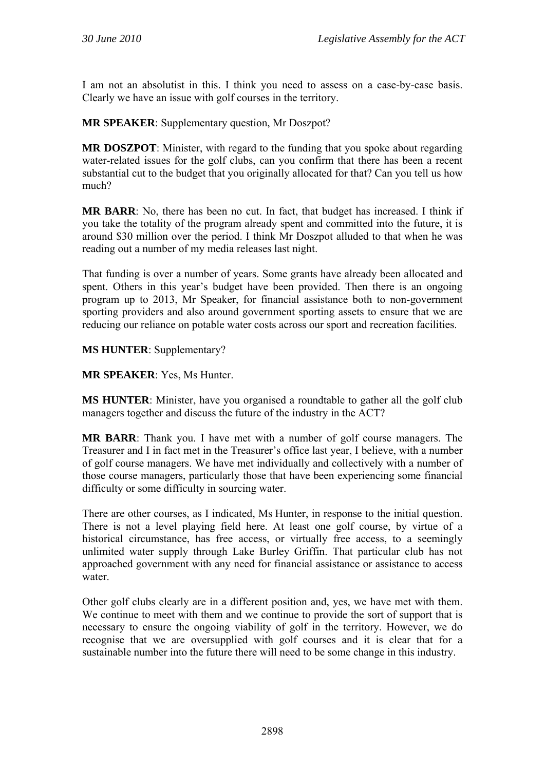I am not an absolutist in this. I think you need to assess on a case-by-case basis. Clearly we have an issue with golf courses in the territory.

**MR SPEAKER**: Supplementary question, Mr Doszpot?

**MR DOSZPOT**: Minister, with regard to the funding that you spoke about regarding water-related issues for the golf clubs, can you confirm that there has been a recent substantial cut to the budget that you originally allocated for that? Can you tell us how much?

**MR BARR**: No, there has been no cut. In fact, that budget has increased. I think if you take the totality of the program already spent and committed into the future, it is around \$30 million over the period. I think Mr Doszpot alluded to that when he was reading out a number of my media releases last night.

That funding is over a number of years. Some grants have already been allocated and spent. Others in this year's budget have been provided. Then there is an ongoing program up to 2013, Mr Speaker, for financial assistance both to non-government sporting providers and also around government sporting assets to ensure that we are reducing our reliance on potable water costs across our sport and recreation facilities.

**MS HUNTER**: Supplementary?

**MR SPEAKER**: Yes, Ms Hunter.

**MS HUNTER**: Minister, have you organised a roundtable to gather all the golf club managers together and discuss the future of the industry in the ACT?

**MR BARR**: Thank you. I have met with a number of golf course managers. The Treasurer and I in fact met in the Treasurer's office last year, I believe, with a number of golf course managers. We have met individually and collectively with a number of those course managers, particularly those that have been experiencing some financial difficulty or some difficulty in sourcing water.

There are other courses, as I indicated, Ms Hunter, in response to the initial question. There is not a level playing field here. At least one golf course, by virtue of a historical circumstance, has free access, or virtually free access, to a seemingly unlimited water supply through Lake Burley Griffin. That particular club has not approached government with any need for financial assistance or assistance to access water

Other golf clubs clearly are in a different position and, yes, we have met with them. We continue to meet with them and we continue to provide the sort of support that is necessary to ensure the ongoing viability of golf in the territory. However, we do recognise that we are oversupplied with golf courses and it is clear that for a sustainable number into the future there will need to be some change in this industry.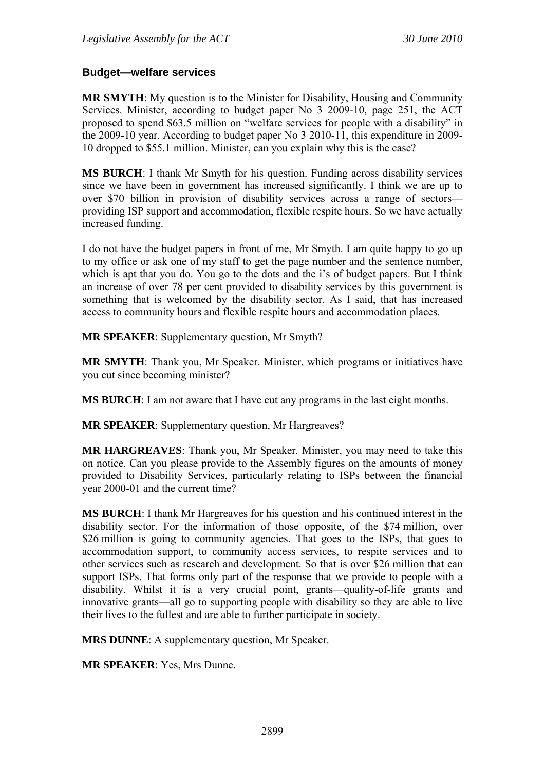#### **Budget—welfare services**

**MR SMYTH**: My question is to the Minister for Disability, Housing and Community Services. Minister, according to budget paper No 3 2009-10, page 251, the ACT proposed to spend \$63.5 million on "welfare services for people with a disability" in the 2009-10 year. According to budget paper No 3 2010-11, this expenditure in 2009- 10 dropped to \$55.1 million. Minister, can you explain why this is the case?

**MS BURCH**: I thank Mr Smyth for his question. Funding across disability services since we have been in government has increased significantly. I think we are up to over \$70 billion in provision of disability services across a range of sectors providing ISP support and accommodation, flexible respite hours. So we have actually increased funding.

I do not have the budget papers in front of me, Mr Smyth. I am quite happy to go up to my office or ask one of my staff to get the page number and the sentence number, which is apt that you do. You go to the dots and the i's of budget papers. But I think an increase of over 78 per cent provided to disability services by this government is something that is welcomed by the disability sector. As I said, that has increased access to community hours and flexible respite hours and accommodation places.

**MR SPEAKER**: Supplementary question, Mr Smyth?

**MR SMYTH**: Thank you, Mr Speaker. Minister, which programs or initiatives have you cut since becoming minister?

**MS BURCH**: I am not aware that I have cut any programs in the last eight months.

**MR SPEAKER**: Supplementary question, Mr Hargreaves?

**MR HARGREAVES**: Thank you, Mr Speaker. Minister, you may need to take this on notice. Can you please provide to the Assembly figures on the amounts of money provided to Disability Services, particularly relating to ISPs between the financial year 2000-01 and the current time?

**MS BURCH**: I thank Mr Hargreaves for his question and his continued interest in the disability sector. For the information of those opposite, of the \$74 million, over \$26 million is going to community agencies. That goes to the ISPs, that goes to accommodation support, to community access services, to respite services and to other services such as research and development. So that is over \$26 million that can support ISPs. That forms only part of the response that we provide to people with a disability. Whilst it is a very crucial point, grants—quality-of-life grants and innovative grants—all go to supporting people with disability so they are able to live their lives to the fullest and are able to further participate in society.

**MRS DUNNE**: A supplementary question, Mr Speaker.

**MR SPEAKER**: Yes, Mrs Dunne.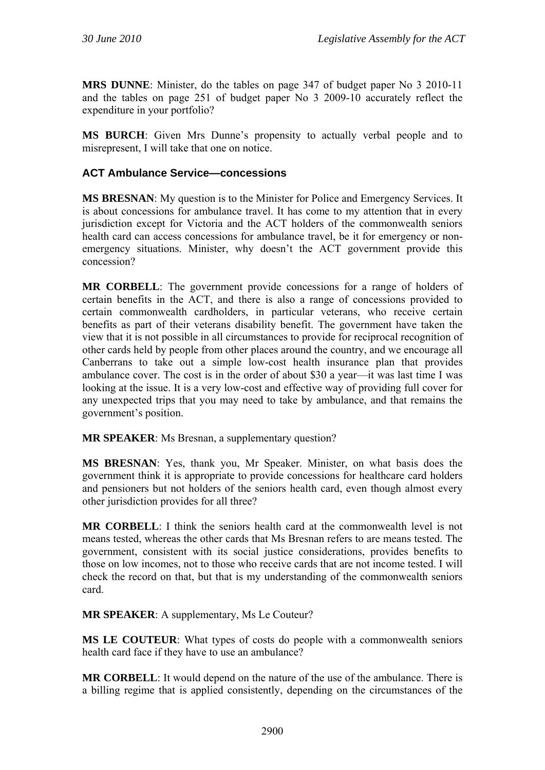**MRS DUNNE**: Minister, do the tables on page 347 of budget paper No 3 2010-11 and the tables on page 251 of budget paper No 3 2009-10 accurately reflect the expenditure in your portfolio?

**MS BURCH**: Given Mrs Dunne's propensity to actually verbal people and to misrepresent, I will take that one on notice.

### **ACT Ambulance Service—concessions**

**MS BRESNAN**: My question is to the Minister for Police and Emergency Services. It is about concessions for ambulance travel. It has come to my attention that in every jurisdiction except for Victoria and the ACT holders of the commonwealth seniors health card can access concessions for ambulance travel, be it for emergency or nonemergency situations. Minister, why doesn't the ACT government provide this concession?

**MR CORBELL**: The government provide concessions for a range of holders of certain benefits in the ACT, and there is also a range of concessions provided to certain commonwealth cardholders, in particular veterans, who receive certain benefits as part of their veterans disability benefit. The government have taken the view that it is not possible in all circumstances to provide for reciprocal recognition of other cards held by people from other places around the country, and we encourage all Canberrans to take out a simple low-cost health insurance plan that provides ambulance cover. The cost is in the order of about \$30 a year—it was last time I was looking at the issue. It is a very low-cost and effective way of providing full cover for any unexpected trips that you may need to take by ambulance, and that remains the government's position.

**MR SPEAKER:** Ms Bresnan, a supplementary question?

**MS BRESNAN**: Yes, thank you, Mr Speaker. Minister, on what basis does the government think it is appropriate to provide concessions for healthcare card holders and pensioners but not holders of the seniors health card, even though almost every other jurisdiction provides for all three?

**MR CORBELL**: I think the seniors health card at the commonwealth level is not means tested, whereas the other cards that Ms Bresnan refers to are means tested. The government, consistent with its social justice considerations, provides benefits to those on low incomes, not to those who receive cards that are not income tested. I will check the record on that, but that is my understanding of the commonwealth seniors card.

**MR SPEAKER**: A supplementary, Ms Le Couteur?

**MS LE COUTEUR**: What types of costs do people with a commonwealth seniors health card face if they have to use an ambulance?

**MR CORBELL**: It would depend on the nature of the use of the ambulance. There is a billing regime that is applied consistently, depending on the circumstances of the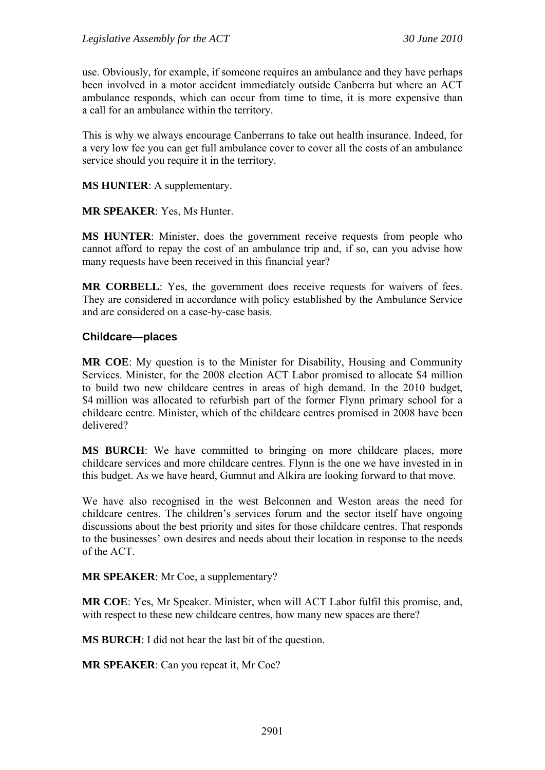use. Obviously, for example, if someone requires an ambulance and they have perhaps been involved in a motor accident immediately outside Canberra but where an ACT ambulance responds, which can occur from time to time, it is more expensive than a call for an ambulance within the territory.

This is why we always encourage Canberrans to take out health insurance. Indeed, for a very low fee you can get full ambulance cover to cover all the costs of an ambulance service should you require it in the territory.

**MS HUNTER**: A supplementary.

**MR SPEAKER**: Yes, Ms Hunter.

**MS HUNTER**: Minister, does the government receive requests from people who cannot afford to repay the cost of an ambulance trip and, if so, can you advise how many requests have been received in this financial year?

**MR CORBELL**: Yes, the government does receive requests for waivers of fees. They are considered in accordance with policy established by the Ambulance Service and are considered on a case-by-case basis.

#### **Childcare—places**

**MR COE**: My question is to the Minister for Disability, Housing and Community Services. Minister, for the 2008 election ACT Labor promised to allocate \$4 million to build two new childcare centres in areas of high demand. In the 2010 budget, \$4 million was allocated to refurbish part of the former Flynn primary school for a childcare centre. Minister, which of the childcare centres promised in 2008 have been delivered?

**MS BURCH**: We have committed to bringing on more childcare places, more childcare services and more childcare centres. Flynn is the one we have invested in in this budget. As we have heard, Gumnut and Alkira are looking forward to that move.

We have also recognised in the west Belconnen and Weston areas the need for childcare centres. The children's services forum and the sector itself have ongoing discussions about the best priority and sites for those childcare centres. That responds to the businesses' own desires and needs about their location in response to the needs of the ACT.

**MR SPEAKER**: Mr Coe, a supplementary?

**MR COE**: Yes, Mr Speaker. Minister, when will ACT Labor fulfil this promise, and, with respect to these new childcare centres, how many new spaces are there?

**MS BURCH**: I did not hear the last bit of the question.

**MR SPEAKER**: Can you repeat it, Mr Coe?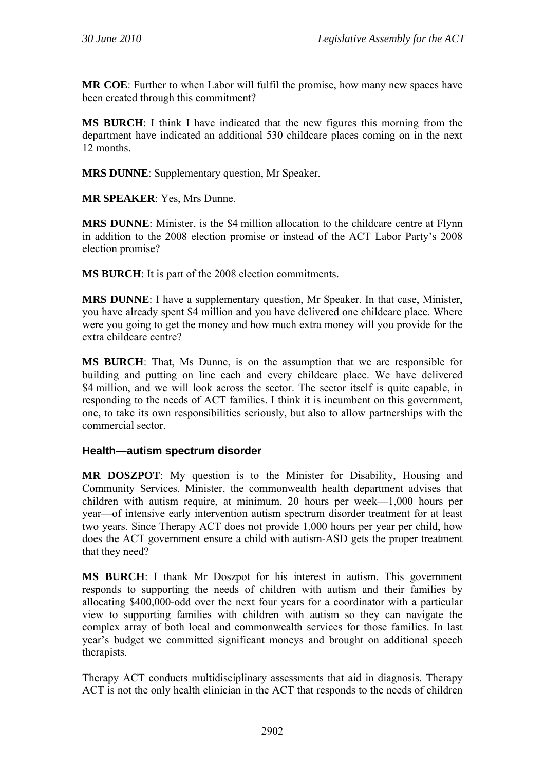**MR COE**: Further to when Labor will fulfil the promise, how many new spaces have been created through this commitment?

**MS BURCH**: I think I have indicated that the new figures this morning from the department have indicated an additional 530 childcare places coming on in the next 12 months.

**MRS DUNNE**: Supplementary question, Mr Speaker.

**MR SPEAKER**: Yes, Mrs Dunne.

**MRS DUNNE**: Minister, is the \$4 million allocation to the childcare centre at Flynn in addition to the 2008 election promise or instead of the ACT Labor Party's 2008 election promise?

**MS BURCH**: It is part of the 2008 election commitments.

**MRS DUNNE**: I have a supplementary question, Mr Speaker. In that case, Minister, you have already spent \$4 million and you have delivered one childcare place. Where were you going to get the money and how much extra money will you provide for the extra childcare centre?

**MS BURCH**: That, Ms Dunne, is on the assumption that we are responsible for building and putting on line each and every childcare place. We have delivered \$4 million, and we will look across the sector. The sector itself is quite capable, in responding to the needs of ACT families. I think it is incumbent on this government, one, to take its own responsibilities seriously, but also to allow partnerships with the commercial sector.

#### **Health—autism spectrum disorder**

**MR DOSZPOT**: My question is to the Minister for Disability, Housing and Community Services. Minister, the commonwealth health department advises that children with autism require, at minimum, 20 hours per week—1,000 hours per year—of intensive early intervention autism spectrum disorder treatment for at least two years. Since Therapy ACT does not provide 1,000 hours per year per child, how does the ACT government ensure a child with autism-ASD gets the proper treatment that they need?

**MS BURCH**: I thank Mr Doszpot for his interest in autism. This government responds to supporting the needs of children with autism and their families by allocating \$400,000-odd over the next four years for a coordinator with a particular view to supporting families with children with autism so they can navigate the complex array of both local and commonwealth services for those families. In last year's budget we committed significant moneys and brought on additional speech therapists.

Therapy ACT conducts multidisciplinary assessments that aid in diagnosis. Therapy ACT is not the only health clinician in the ACT that responds to the needs of children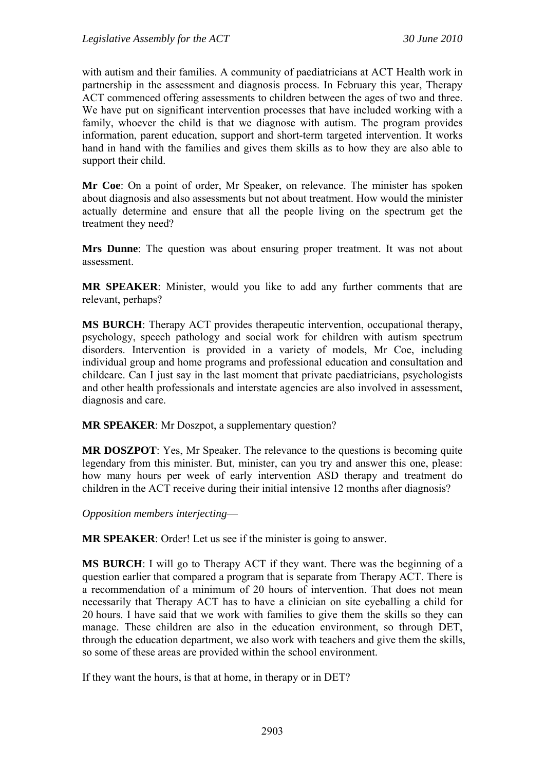with autism and their families. A community of paediatricians at ACT Health work in partnership in the assessment and diagnosis process. In February this year, Therapy ACT commenced offering assessments to children between the ages of two and three. We have put on significant intervention processes that have included working with a family, whoever the child is that we diagnose with autism. The program provides information, parent education, support and short-term targeted intervention. It works hand in hand with the families and gives them skills as to how they are also able to support their child.

**Mr Coe**: On a point of order, Mr Speaker, on relevance. The minister has spoken about diagnosis and also assessments but not about treatment. How would the minister actually determine and ensure that all the people living on the spectrum get the treatment they need?

**Mrs Dunne**: The question was about ensuring proper treatment. It was not about assessment.

**MR SPEAKER**: Minister, would you like to add any further comments that are relevant, perhaps?

**MS BURCH**: Therapy ACT provides therapeutic intervention, occupational therapy, psychology, speech pathology and social work for children with autism spectrum disorders. Intervention is provided in a variety of models, Mr Coe, including individual group and home programs and professional education and consultation and childcare. Can I just say in the last moment that private paediatricians, psychologists and other health professionals and interstate agencies are also involved in assessment, diagnosis and care.

**MR SPEAKER**: Mr Doszpot, a supplementary question?

**MR DOSZPOT**: Yes, Mr Speaker. The relevance to the questions is becoming quite legendary from this minister. But, minister, can you try and answer this one, please: how many hours per week of early intervention ASD therapy and treatment do children in the ACT receive during their initial intensive 12 months after diagnosis?

*Opposition members interjecting*—

**MR SPEAKER**: Order! Let us see if the minister is going to answer.

**MS BURCH**: I will go to Therapy ACT if they want. There was the beginning of a question earlier that compared a program that is separate from Therapy ACT. There is a recommendation of a minimum of 20 hours of intervention. That does not mean necessarily that Therapy ACT has to have a clinician on site eyeballing a child for 20 hours. I have said that we work with families to give them the skills so they can manage. These children are also in the education environment, so through DET, through the education department, we also work with teachers and give them the skills, so some of these areas are provided within the school environment.

If they want the hours, is that at home, in therapy or in DET?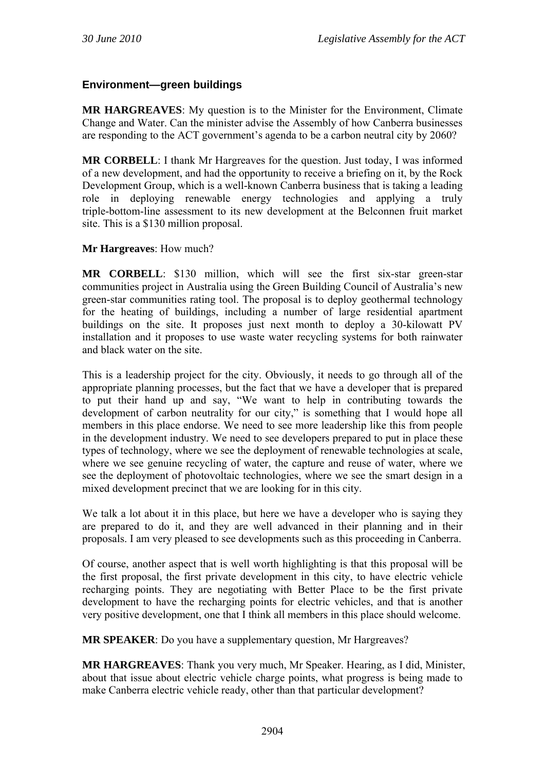# **Environment—green buildings**

**MR HARGREAVES**: My question is to the Minister for the Environment, Climate Change and Water. Can the minister advise the Assembly of how Canberra businesses are responding to the ACT government's agenda to be a carbon neutral city by 2060?

**MR CORBELL**: I thank Mr Hargreaves for the question. Just today, I was informed of a new development, and had the opportunity to receive a briefing on it, by the Rock Development Group, which is a well-known Canberra business that is taking a leading role in deploying renewable energy technologies and applying a truly triple-bottom-line assessment to its new development at the Belconnen fruit market site. This is a \$130 million proposal.

### **Mr Hargreaves**: How much?

**MR CORBELL**: \$130 million, which will see the first six-star green-star communities project in Australia using the Green Building Council of Australia's new green-star communities rating tool. The proposal is to deploy geothermal technology for the heating of buildings, including a number of large residential apartment buildings on the site. It proposes just next month to deploy a 30-kilowatt PV installation and it proposes to use waste water recycling systems for both rainwater and black water on the site.

This is a leadership project for the city. Obviously, it needs to go through all of the appropriate planning processes, but the fact that we have a developer that is prepared to put their hand up and say, "We want to help in contributing towards the development of carbon neutrality for our city," is something that I would hope all members in this place endorse. We need to see more leadership like this from people in the development industry. We need to see developers prepared to put in place these types of technology, where we see the deployment of renewable technologies at scale, where we see genuine recycling of water, the capture and reuse of water, where we see the deployment of photovoltaic technologies, where we see the smart design in a mixed development precinct that we are looking for in this city.

We talk a lot about it in this place, but here we have a developer who is saying they are prepared to do it, and they are well advanced in their planning and in their proposals. I am very pleased to see developments such as this proceeding in Canberra.

Of course, another aspect that is well worth highlighting is that this proposal will be the first proposal, the first private development in this city, to have electric vehicle recharging points. They are negotiating with Better Place to be the first private development to have the recharging points for electric vehicles, and that is another very positive development, one that I think all members in this place should welcome.

**MR SPEAKER**: Do you have a supplementary question, Mr Hargreaves?

**MR HARGREAVES**: Thank you very much, Mr Speaker. Hearing, as I did, Minister, about that issue about electric vehicle charge points, what progress is being made to make Canberra electric vehicle ready, other than that particular development?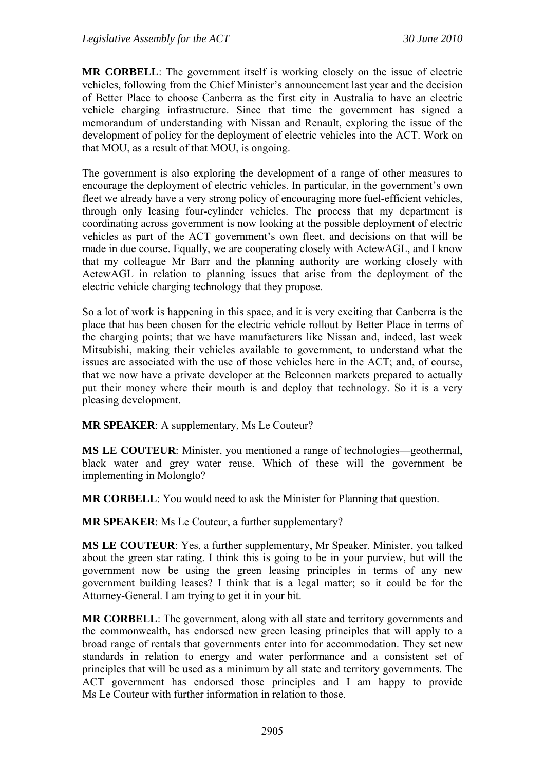**MR CORBELL**: The government itself is working closely on the issue of electric vehicles, following from the Chief Minister's announcement last year and the decision of Better Place to choose Canberra as the first city in Australia to have an electric vehicle charging infrastructure. Since that time the government has signed a memorandum of understanding with Nissan and Renault, exploring the issue of the development of policy for the deployment of electric vehicles into the ACT. Work on that MOU, as a result of that MOU, is ongoing.

The government is also exploring the development of a range of other measures to encourage the deployment of electric vehicles. In particular, in the government's own fleet we already have a very strong policy of encouraging more fuel-efficient vehicles, through only leasing four-cylinder vehicles. The process that my department is coordinating across government is now looking at the possible deployment of electric vehicles as part of the ACT government's own fleet, and decisions on that will be made in due course. Equally, we are cooperating closely with ActewAGL, and I know that my colleague Mr Barr and the planning authority are working closely with ActewAGL in relation to planning issues that arise from the deployment of the electric vehicle charging technology that they propose.

So a lot of work is happening in this space, and it is very exciting that Canberra is the place that has been chosen for the electric vehicle rollout by Better Place in terms of the charging points; that we have manufacturers like Nissan and, indeed, last week Mitsubishi, making their vehicles available to government, to understand what the issues are associated with the use of those vehicles here in the ACT; and, of course, that we now have a private developer at the Belconnen markets prepared to actually put their money where their mouth is and deploy that technology. So it is a very pleasing development.

**MR SPEAKER**: A supplementary, Ms Le Couteur?

**MS LE COUTEUR**: Minister, you mentioned a range of technologies—geothermal, black water and grey water reuse. Which of these will the government be implementing in Molonglo?

**MR CORBELL**: You would need to ask the Minister for Planning that question.

**MR SPEAKER**: Ms Le Couteur, a further supplementary?

**MS LE COUTEUR**: Yes, a further supplementary, Mr Speaker. Minister, you talked about the green star rating. I think this is going to be in your purview, but will the government now be using the green leasing principles in terms of any new government building leases? I think that is a legal matter; so it could be for the Attorney-General. I am trying to get it in your bit.

**MR CORBELL**: The government, along with all state and territory governments and the commonwealth, has endorsed new green leasing principles that will apply to a broad range of rentals that governments enter into for accommodation. They set new standards in relation to energy and water performance and a consistent set of principles that will be used as a minimum by all state and territory governments. The ACT government has endorsed those principles and I am happy to provide Ms Le Couteur with further information in relation to those.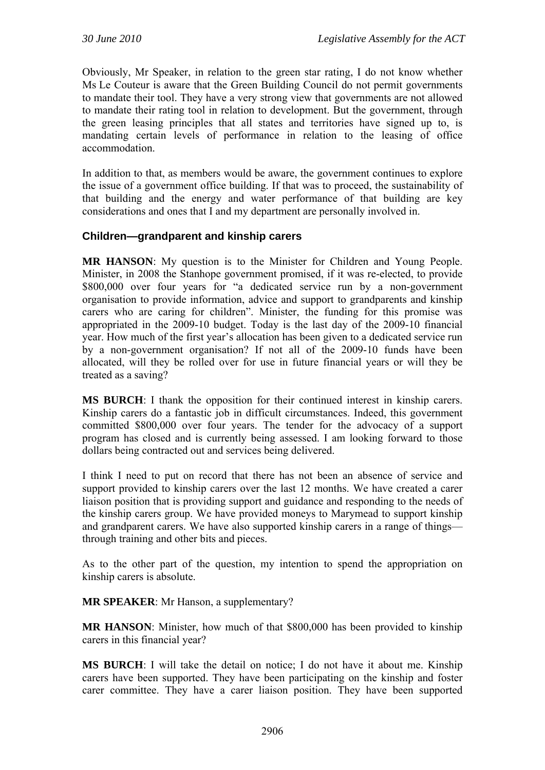Obviously, Mr Speaker, in relation to the green star rating, I do not know whether Ms Le Couteur is aware that the Green Building Council do not permit governments to mandate their tool. They have a very strong view that governments are not allowed to mandate their rating tool in relation to development. But the government, through the green leasing principles that all states and territories have signed up to, is mandating certain levels of performance in relation to the leasing of office accommodation.

In addition to that, as members would be aware, the government continues to explore the issue of a government office building. If that was to proceed, the sustainability of that building and the energy and water performance of that building are key considerations and ones that I and my department are personally involved in.

## **Children—grandparent and kinship carers**

**MR HANSON**: My question is to the Minister for Children and Young People. Minister, in 2008 the Stanhope government promised, if it was re-elected, to provide \$800,000 over four years for "a dedicated service run by a non-government organisation to provide information, advice and support to grandparents and kinship carers who are caring for children". Minister, the funding for this promise was appropriated in the 2009-10 budget. Today is the last day of the 2009-10 financial year. How much of the first year's allocation has been given to a dedicated service run by a non-government organisation? If not all of the 2009-10 funds have been allocated, will they be rolled over for use in future financial years or will they be treated as a saving?

**MS BURCH**: I thank the opposition for their continued interest in kinship carers. Kinship carers do a fantastic job in difficult circumstances. Indeed, this government committed \$800,000 over four years. The tender for the advocacy of a support program has closed and is currently being assessed. I am looking forward to those dollars being contracted out and services being delivered.

I think I need to put on record that there has not been an absence of service and support provided to kinship carers over the last 12 months. We have created a carer liaison position that is providing support and guidance and responding to the needs of the kinship carers group. We have provided moneys to Marymead to support kinship and grandparent carers. We have also supported kinship carers in a range of things through training and other bits and pieces.

As to the other part of the question, my intention to spend the appropriation on kinship carers is absolute.

**MR SPEAKER**: Mr Hanson, a supplementary?

**MR HANSON**: Minister, how much of that \$800,000 has been provided to kinship carers in this financial year?

**MS BURCH**: I will take the detail on notice; I do not have it about me. Kinship carers have been supported. They have been participating on the kinship and foster carer committee. They have a carer liaison position. They have been supported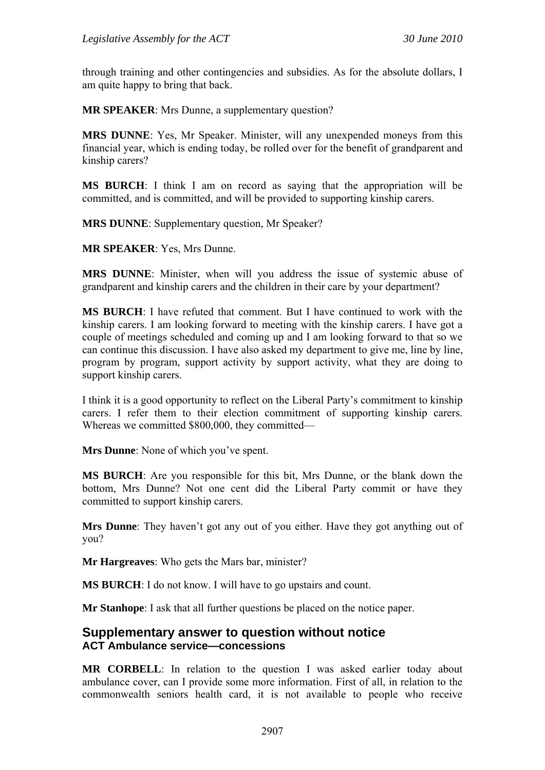through training and other contingencies and subsidies. As for the absolute dollars, I am quite happy to bring that back.

**MR SPEAKER**: Mrs Dunne, a supplementary question?

**MRS DUNNE**: Yes, Mr Speaker. Minister, will any unexpended moneys from this financial year, which is ending today, be rolled over for the benefit of grandparent and kinship carers?

**MS BURCH**: I think I am on record as saying that the appropriation will be committed, and is committed, and will be provided to supporting kinship carers.

**MRS DUNNE**: Supplementary question, Mr Speaker?

**MR SPEAKER**: Yes, Mrs Dunne.

**MRS DUNNE**: Minister, when will you address the issue of systemic abuse of grandparent and kinship carers and the children in their care by your department?

**MS BURCH**: I have refuted that comment. But I have continued to work with the kinship carers. I am looking forward to meeting with the kinship carers. I have got a couple of meetings scheduled and coming up and I am looking forward to that so we can continue this discussion. I have also asked my department to give me, line by line, program by program, support activity by support activity, what they are doing to support kinship carers.

I think it is a good opportunity to reflect on the Liberal Party's commitment to kinship carers. I refer them to their election commitment of supporting kinship carers. Whereas we committed \$800,000, they committed—

**Mrs Dunne**: None of which you've spent.

**MS BURCH**: Are you responsible for this bit, Mrs Dunne, or the blank down the bottom, Mrs Dunne? Not one cent did the Liberal Party commit or have they committed to support kinship carers.

**Mrs Dunne**: They haven't got any out of you either. Have they got anything out of you?

**Mr Hargreaves**: Who gets the Mars bar, minister?

**MS BURCH**: I do not know. I will have to go upstairs and count.

**Mr Stanhope**: I ask that all further questions be placed on the notice paper.

## **Supplementary answer to question without notice ACT Ambulance service—concessions**

**MR CORBELL**: In relation to the question I was asked earlier today about ambulance cover, can I provide some more information. First of all, in relation to the commonwealth seniors health card, it is not available to people who receive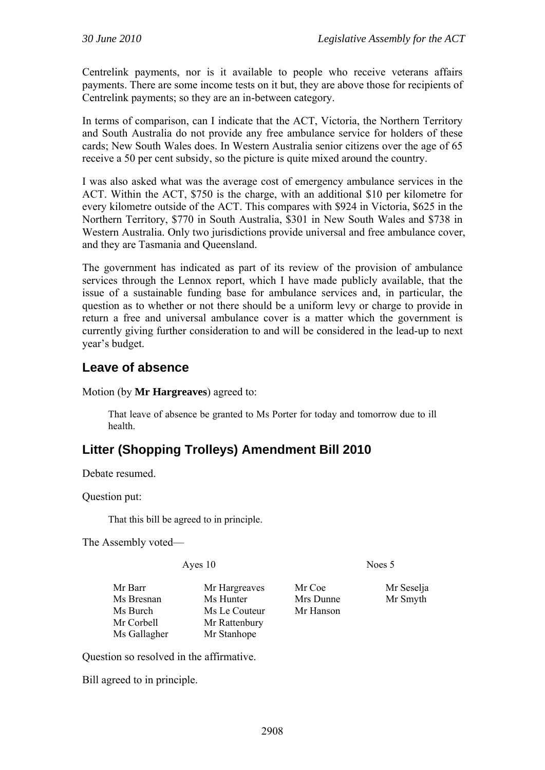Centrelink payments, nor is it available to people who receive veterans affairs payments. There are some income tests on it but, they are above those for recipients of Centrelink payments; so they are an in-between category.

In terms of comparison, can I indicate that the ACT, Victoria, the Northern Territory and South Australia do not provide any free ambulance service for holders of these cards; New South Wales does. In Western Australia senior citizens over the age of 65 receive a 50 per cent subsidy, so the picture is quite mixed around the country.

I was also asked what was the average cost of emergency ambulance services in the ACT. Within the ACT, \$750 is the charge, with an additional \$10 per kilometre for every kilometre outside of the ACT. This compares with \$924 in Victoria, \$625 in the Northern Territory, \$770 in South Australia, \$301 in New South Wales and \$738 in Western Australia. Only two jurisdictions provide universal and free ambulance cover, and they are Tasmania and Queensland.

The government has indicated as part of its review of the provision of ambulance services through the Lennox report, which I have made publicly available, that the issue of a sustainable funding base for ambulance services and, in particular, the question as to whether or not there should be a uniform levy or charge to provide in return a free and universal ambulance cover is a matter which the government is currently giving further consideration to and will be considered in the lead-up to next year's budget.

# **Leave of absence**

Motion (by **Mr Hargreaves**) agreed to:

That leave of absence be granted to Ms Porter for today and tomorrow due to ill health.

# **Litter (Shopping Trolleys) Amendment Bill 2010**

Debate resumed.

Question put:

That this bill be agreed to in principle.

The Assembly voted—

Ayes 10 Noes 5

| Mr Barr      |  |
|--------------|--|
| Ms Bresnan   |  |
| Ms Burch     |  |
| Mr Corbell   |  |
| Ms Gallagher |  |

Mr Hargreaves Mr Coe Mr Seselja Ms Hunter Mrs Dunne Mr Smyth Ms Le Couteur Mr Hanson Mr Rattenbury Mr Stanhope

Question so resolved in the affirmative.

Bill agreed to in principle.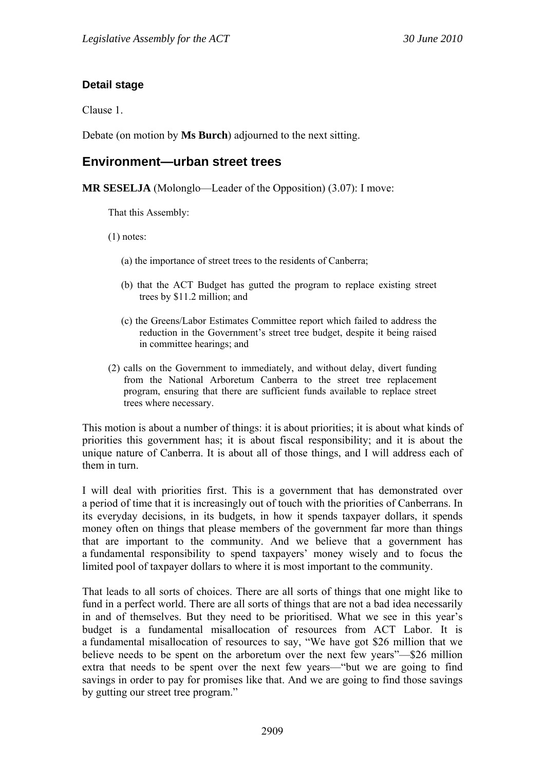### **Detail stage**

Clause 1.

Debate (on motion by **Ms Burch**) adjourned to the next sitting.

# **Environment—urban street trees**

**MR SESELJA** (Molonglo—Leader of the Opposition) (3.07): I move:

That this Assembly:

(1) notes:

- (a) the importance of street trees to the residents of Canberra;
- (b) that the ACT Budget has gutted the program to replace existing street trees by \$11.2 million; and
- (c) the Greens/Labor Estimates Committee report which failed to address the reduction in the Government's street tree budget, despite it being raised in committee hearings; and
- (2) calls on the Government to immediately, and without delay, divert funding from the National Arboretum Canberra to the street tree replacement program, ensuring that there are sufficient funds available to replace street trees where necessary.

This motion is about a number of things: it is about priorities; it is about what kinds of priorities this government has; it is about fiscal responsibility; and it is about the unique nature of Canberra. It is about all of those things, and I will address each of them in turn.

I will deal with priorities first. This is a government that has demonstrated over a period of time that it is increasingly out of touch with the priorities of Canberrans. In its everyday decisions, in its budgets, in how it spends taxpayer dollars, it spends money often on things that please members of the government far more than things that are important to the community. And we believe that a government has a fundamental responsibility to spend taxpayers' money wisely and to focus the limited pool of taxpayer dollars to where it is most important to the community.

That leads to all sorts of choices. There are all sorts of things that one might like to fund in a perfect world. There are all sorts of things that are not a bad idea necessarily in and of themselves. But they need to be prioritised. What we see in this year's budget is a fundamental misallocation of resources from ACT Labor. It is a fundamental misallocation of resources to say, "We have got \$26 million that we believe needs to be spent on the arboretum over the next few years"—\$26 million extra that needs to be spent over the next few years—"but we are going to find savings in order to pay for promises like that. And we are going to find those savings by gutting our street tree program."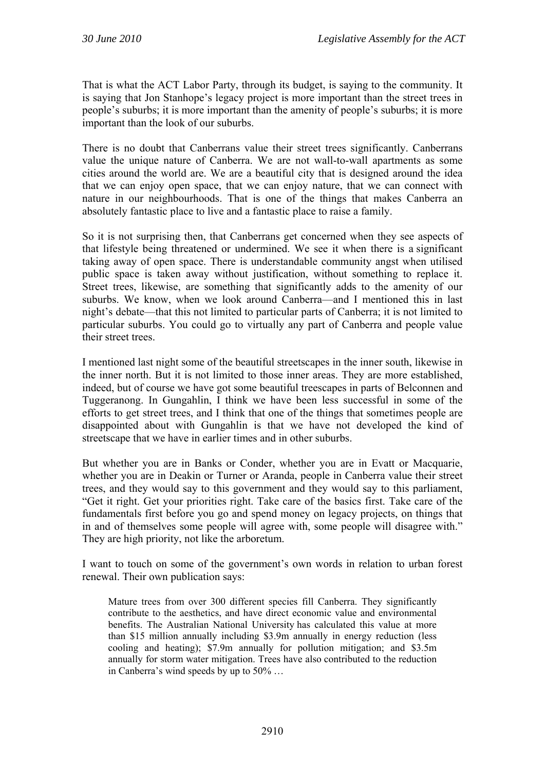That is what the ACT Labor Party, through its budget, is saying to the community. It is saying that Jon Stanhope's legacy project is more important than the street trees in people's suburbs; it is more important than the amenity of people's suburbs; it is more important than the look of our suburbs.

There is no doubt that Canberrans value their street trees significantly. Canberrans value the unique nature of Canberra. We are not wall-to-wall apartments as some cities around the world are. We are a beautiful city that is designed around the idea that we can enjoy open space, that we can enjoy nature, that we can connect with nature in our neighbourhoods. That is one of the things that makes Canberra an absolutely fantastic place to live and a fantastic place to raise a family.

So it is not surprising then, that Canberrans get concerned when they see aspects of that lifestyle being threatened or undermined. We see it when there is a significant taking away of open space. There is understandable community angst when utilised public space is taken away without justification, without something to replace it. Street trees, likewise, are something that significantly adds to the amenity of our suburbs. We know, when we look around Canberra—and I mentioned this in last night's debate—that this not limited to particular parts of Canberra; it is not limited to particular suburbs. You could go to virtually any part of Canberra and people value their street trees.

I mentioned last night some of the beautiful streetscapes in the inner south, likewise in the inner north. But it is not limited to those inner areas. They are more established, indeed, but of course we have got some beautiful treescapes in parts of Belconnen and Tuggeranong. In Gungahlin, I think we have been less successful in some of the efforts to get street trees, and I think that one of the things that sometimes people are disappointed about with Gungahlin is that we have not developed the kind of streetscape that we have in earlier times and in other suburbs.

But whether you are in Banks or Conder, whether you are in Evatt or Macquarie, whether you are in Deakin or Turner or Aranda, people in Canberra value their street trees, and they would say to this government and they would say to this parliament, "Get it right. Get your priorities right. Take care of the basics first. Take care of the fundamentals first before you go and spend money on legacy projects, on things that in and of themselves some people will agree with, some people will disagree with." They are high priority, not like the arboretum.

I want to touch on some of the government's own words in relation to urban forest renewal. Their own publication says:

Mature trees from over 300 different species fill Canberra. They significantly contribute to the aesthetics, and have direct economic value and environmental benefits. The Australian National University has calculated this value at more than \$15 million annually including \$3.9m annually in energy reduction (less cooling and heating); \$7.9m annually for pollution mitigation; and \$3.5m annually for storm water mitigation. Trees have also contributed to the reduction in Canberra's wind speeds by up to 50% …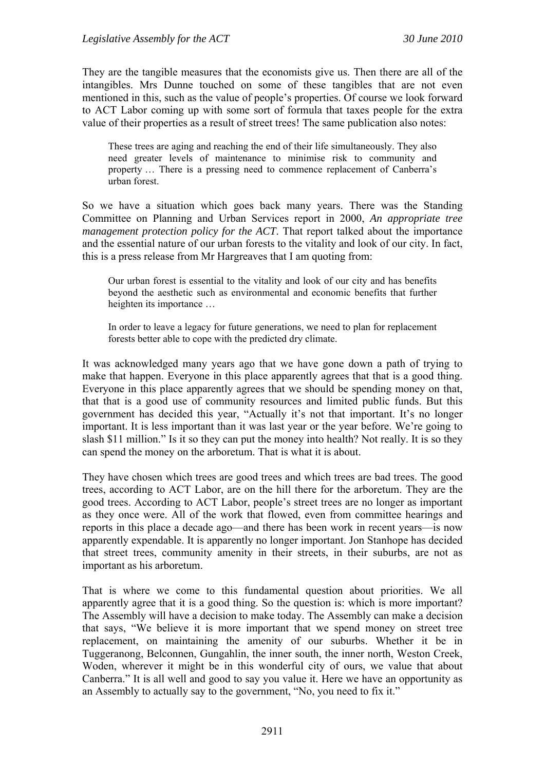They are the tangible measures that the economists give us. Then there are all of the intangibles. Mrs Dunne touched on some of these tangibles that are not even mentioned in this, such as the value of people's properties. Of course we look forward to ACT Labor coming up with some sort of formula that taxes people for the extra value of their properties as a result of street trees! The same publication also notes:

These trees are aging and reaching the end of their life simultaneously. They also need greater levels of maintenance to minimise risk to community and property … There is a pressing need to commence replacement of Canberra's urban forest.

So we have a situation which goes back many years. There was the Standing Committee on Planning and Urban Services report in 2000, *An appropriate tree management protection policy for the ACT*. That report talked about the importance and the essential nature of our urban forests to the vitality and look of our city. In fact, this is a press release from Mr Hargreaves that I am quoting from:

Our urban forest is essential to the vitality and look of our city and has benefits beyond the aesthetic such as environmental and economic benefits that further heighten its importance …

In order to leave a legacy for future generations, we need to plan for replacement forests better able to cope with the predicted dry climate.

It was acknowledged many years ago that we have gone down a path of trying to make that happen. Everyone in this place apparently agrees that that is a good thing. Everyone in this place apparently agrees that we should be spending money on that, that that is a good use of community resources and limited public funds. But this government has decided this year, "Actually it's not that important. It's no longer important. It is less important than it was last year or the year before. We're going to slash \$11 million." Is it so they can put the money into health? Not really. It is so they can spend the money on the arboretum. That is what it is about.

They have chosen which trees are good trees and which trees are bad trees. The good trees, according to ACT Labor, are on the hill there for the arboretum. They are the good trees. According to ACT Labor, people's street trees are no longer as important as they once were. All of the work that flowed, even from committee hearings and reports in this place a decade ago—and there has been work in recent years—is now apparently expendable. It is apparently no longer important. Jon Stanhope has decided that street trees, community amenity in their streets, in their suburbs, are not as important as his arboretum.

That is where we come to this fundamental question about priorities. We all apparently agree that it is a good thing. So the question is: which is more important? The Assembly will have a decision to make today. The Assembly can make a decision that says, "We believe it is more important that we spend money on street tree replacement, on maintaining the amenity of our suburbs. Whether it be in Tuggeranong, Belconnen, Gungahlin, the inner south, the inner north, Weston Creek, Woden, wherever it might be in this wonderful city of ours, we value that about Canberra." It is all well and good to say you value it. Here we have an opportunity as an Assembly to actually say to the government, "No, you need to fix it."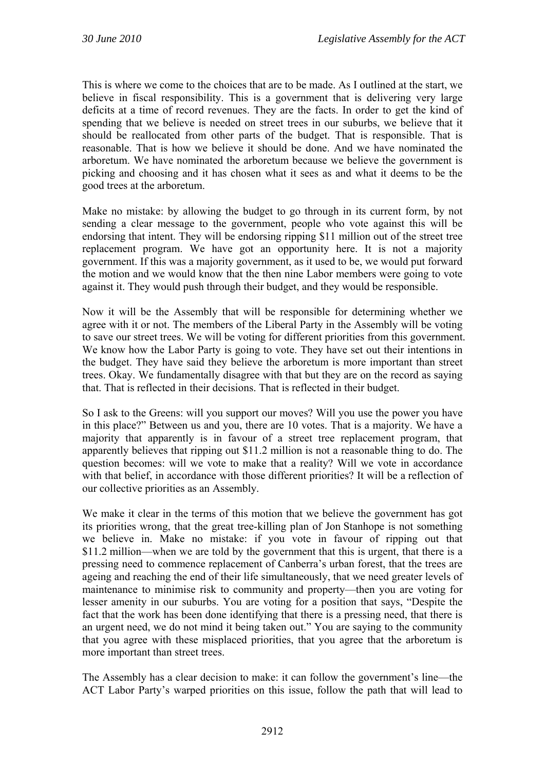This is where we come to the choices that are to be made. As I outlined at the start, we believe in fiscal responsibility. This is a government that is delivering very large deficits at a time of record revenues. They are the facts. In order to get the kind of spending that we believe is needed on street trees in our suburbs, we believe that it should be reallocated from other parts of the budget. That is responsible. That is reasonable. That is how we believe it should be done. And we have nominated the arboretum. We have nominated the arboretum because we believe the government is picking and choosing and it has chosen what it sees as and what it deems to be the good trees at the arboretum.

Make no mistake: by allowing the budget to go through in its current form, by not sending a clear message to the government, people who vote against this will be endorsing that intent. They will be endorsing ripping \$11 million out of the street tree replacement program. We have got an opportunity here. It is not a majority government. If this was a majority government, as it used to be, we would put forward the motion and we would know that the then nine Labor members were going to vote against it. They would push through their budget, and they would be responsible.

Now it will be the Assembly that will be responsible for determining whether we agree with it or not. The members of the Liberal Party in the Assembly will be voting to save our street trees. We will be voting for different priorities from this government. We know how the Labor Party is going to vote. They have set out their intentions in the budget. They have said they believe the arboretum is more important than street trees. Okay. We fundamentally disagree with that but they are on the record as saying that. That is reflected in their decisions. That is reflected in their budget.

So I ask to the Greens: will you support our moves? Will you use the power you have in this place?" Between us and you, there are 10 votes. That is a majority. We have a majority that apparently is in favour of a street tree replacement program, that apparently believes that ripping out \$11.2 million is not a reasonable thing to do. The question becomes: will we vote to make that a reality? Will we vote in accordance with that belief, in accordance with those different priorities? It will be a reflection of our collective priorities as an Assembly.

We make it clear in the terms of this motion that we believe the government has got its priorities wrong, that the great tree-killing plan of Jon Stanhope is not something we believe in. Make no mistake: if you vote in favour of ripping out that \$11.2 million—when we are told by the government that this is urgent, that there is a pressing need to commence replacement of Canberra's urban forest, that the trees are ageing and reaching the end of their life simultaneously, that we need greater levels of maintenance to minimise risk to community and property—then you are voting for lesser amenity in our suburbs. You are voting for a position that says, "Despite the fact that the work has been done identifying that there is a pressing need, that there is an urgent need, we do not mind it being taken out." You are saying to the community that you agree with these misplaced priorities, that you agree that the arboretum is more important than street trees.

The Assembly has a clear decision to make: it can follow the government's line—the ACT Labor Party's warped priorities on this issue, follow the path that will lead to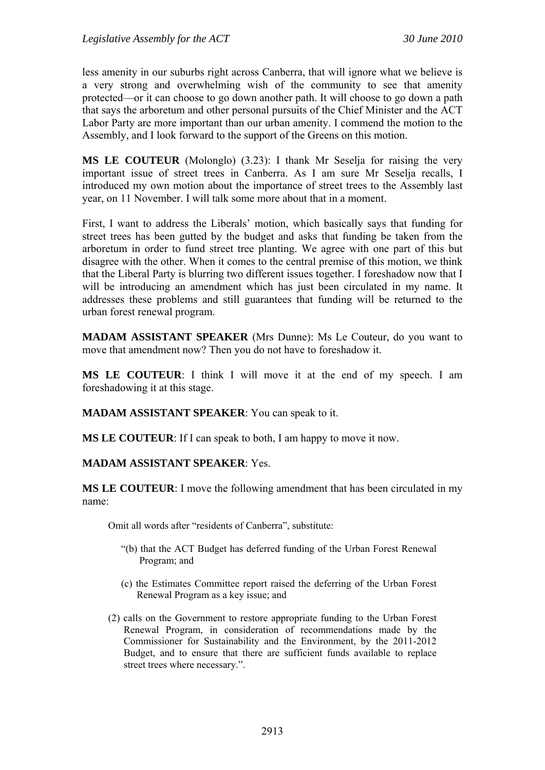less amenity in our suburbs right across Canberra, that will ignore what we believe is a very strong and overwhelming wish of the community to see that amenity protected—or it can choose to go down another path. It will choose to go down a path that says the arboretum and other personal pursuits of the Chief Minister and the ACT Labor Party are more important than our urban amenity. I commend the motion to the Assembly, and I look forward to the support of the Greens on this motion.

**MS LE COUTEUR** (Molonglo) (3.23): I thank Mr Seselja for raising the very important issue of street trees in Canberra. As I am sure Mr Seselja recalls, I introduced my own motion about the importance of street trees to the Assembly last year, on 11 November. I will talk some more about that in a moment.

First, I want to address the Liberals' motion, which basically says that funding for street trees has been gutted by the budget and asks that funding be taken from the arboretum in order to fund street tree planting. We agree with one part of this but disagree with the other. When it comes to the central premise of this motion, we think that the Liberal Party is blurring two different issues together. I foreshadow now that I will be introducing an amendment which has just been circulated in my name. It addresses these problems and still guarantees that funding will be returned to the urban forest renewal program.

**MADAM ASSISTANT SPEAKER** (Mrs Dunne): Ms Le Couteur, do you want to move that amendment now? Then you do not have to foreshadow it.

**MS LE COUTEUR**: I think I will move it at the end of my speech. I am foreshadowing it at this stage.

**MADAM ASSISTANT SPEAKER**: You can speak to it.

**MS LE COUTEUR**: If I can speak to both, I am happy to move it now.

#### **MADAM ASSISTANT SPEAKER**: Yes.

**MS LE COUTEUR**: I move the following amendment that has been circulated in my name:

Omit all words after "residents of Canberra", substitute:

- "(b) that the ACT Budget has deferred funding of the Urban Forest Renewal Program; and
- (c) the Estimates Committee report raised the deferring of the Urban Forest Renewal Program as a key issue; and
- (2) calls on the Government to restore appropriate funding to the Urban Forest Renewal Program, in consideration of recommendations made by the Commissioner for Sustainability and the Environment, by the 2011-2012 Budget, and to ensure that there are sufficient funds available to replace street trees where necessary.".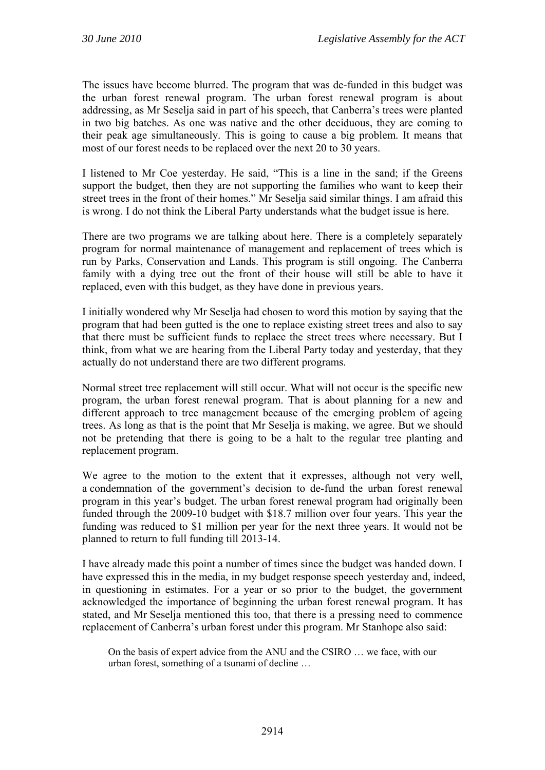The issues have become blurred. The program that was de-funded in this budget was the urban forest renewal program. The urban forest renewal program is about addressing, as Mr Seselja said in part of his speech, that Canberra's trees were planted in two big batches. As one was native and the other deciduous, they are coming to their peak age simultaneously. This is going to cause a big problem. It means that most of our forest needs to be replaced over the next 20 to 30 years.

I listened to Mr Coe yesterday. He said, "This is a line in the sand; if the Greens support the budget, then they are not supporting the families who want to keep their street trees in the front of their homes." Mr Seselja said similar things. I am afraid this is wrong. I do not think the Liberal Party understands what the budget issue is here.

There are two programs we are talking about here. There is a completely separately program for normal maintenance of management and replacement of trees which is run by Parks, Conservation and Lands. This program is still ongoing. The Canberra family with a dying tree out the front of their house will still be able to have it replaced, even with this budget, as they have done in previous years.

I initially wondered why Mr Seselja had chosen to word this motion by saying that the program that had been gutted is the one to replace existing street trees and also to say that there must be sufficient funds to replace the street trees where necessary. But I think, from what we are hearing from the Liberal Party today and yesterday, that they actually do not understand there are two different programs.

Normal street tree replacement will still occur. What will not occur is the specific new program, the urban forest renewal program. That is about planning for a new and different approach to tree management because of the emerging problem of ageing trees. As long as that is the point that Mr Seselja is making, we agree. But we should not be pretending that there is going to be a halt to the regular tree planting and replacement program.

We agree to the motion to the extent that it expresses, although not very well, a condemnation of the government's decision to de-fund the urban forest renewal program in this year's budget. The urban forest renewal program had originally been funded through the 2009-10 budget with \$18.7 million over four years. This year the funding was reduced to \$1 million per year for the next three years. It would not be planned to return to full funding till 2013-14.

I have already made this point a number of times since the budget was handed down. I have expressed this in the media, in my budget response speech yesterday and, indeed, in questioning in estimates. For a year or so prior to the budget, the government acknowledged the importance of beginning the urban forest renewal program. It has stated, and Mr Seselja mentioned this too, that there is a pressing need to commence replacement of Canberra's urban forest under this program. Mr Stanhope also said:

On the basis of expert advice from the ANU and the CSIRO … we face, with our urban forest, something of a tsunami of decline …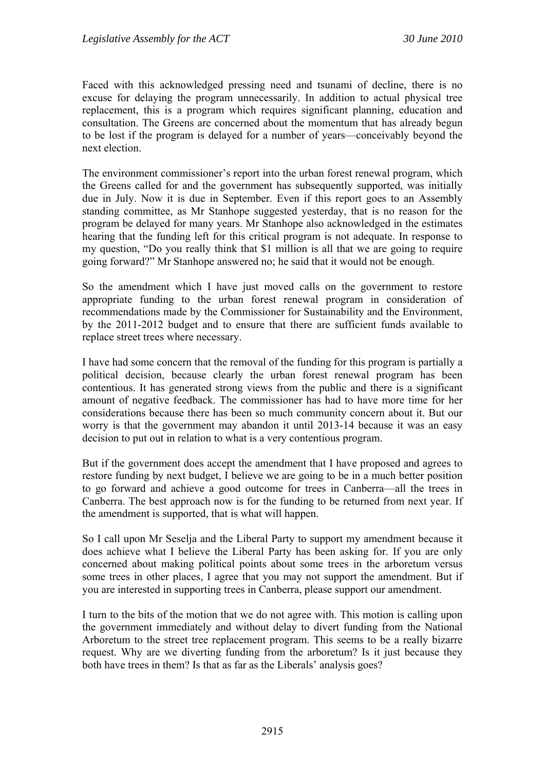Faced with this acknowledged pressing need and tsunami of decline, there is no excuse for delaying the program unnecessarily. In addition to actual physical tree replacement, this is a program which requires significant planning, education and consultation. The Greens are concerned about the momentum that has already begun to be lost if the program is delayed for a number of years—conceivably beyond the next election.

The environment commissioner's report into the urban forest renewal program, which the Greens called for and the government has subsequently supported, was initially due in July. Now it is due in September. Even if this report goes to an Assembly standing committee, as Mr Stanhope suggested yesterday, that is no reason for the program be delayed for many years. Mr Stanhope also acknowledged in the estimates hearing that the funding left for this critical program is not adequate. In response to my question, "Do you really think that \$1 million is all that we are going to require going forward?" Mr Stanhope answered no; he said that it would not be enough.

So the amendment which I have just moved calls on the government to restore appropriate funding to the urban forest renewal program in consideration of recommendations made by the Commissioner for Sustainability and the Environment, by the 2011-2012 budget and to ensure that there are sufficient funds available to replace street trees where necessary.

I have had some concern that the removal of the funding for this program is partially a political decision, because clearly the urban forest renewal program has been contentious. It has generated strong views from the public and there is a significant amount of negative feedback. The commissioner has had to have more time for her considerations because there has been so much community concern about it. But our worry is that the government may abandon it until 2013-14 because it was an easy decision to put out in relation to what is a very contentious program.

But if the government does accept the amendment that I have proposed and agrees to restore funding by next budget, I believe we are going to be in a much better position to go forward and achieve a good outcome for trees in Canberra—all the trees in Canberra. The best approach now is for the funding to be returned from next year. If the amendment is supported, that is what will happen.

So I call upon Mr Seselja and the Liberal Party to support my amendment because it does achieve what I believe the Liberal Party has been asking for. If you are only concerned about making political points about some trees in the arboretum versus some trees in other places, I agree that you may not support the amendment. But if you are interested in supporting trees in Canberra, please support our amendment.

I turn to the bits of the motion that we do not agree with. This motion is calling upon the government immediately and without delay to divert funding from the National Arboretum to the street tree replacement program. This seems to be a really bizarre request. Why are we diverting funding from the arboretum? Is it just because they both have trees in them? Is that as far as the Liberals' analysis goes?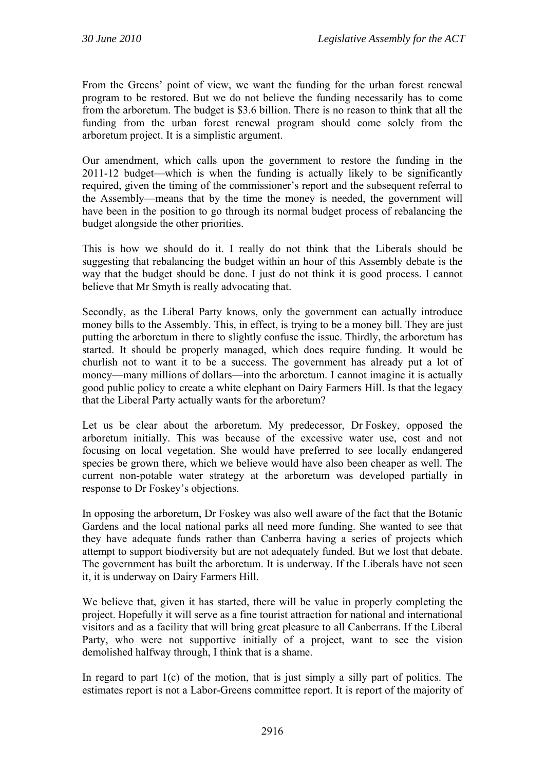From the Greens' point of view, we want the funding for the urban forest renewal program to be restored. But we do not believe the funding necessarily has to come from the arboretum. The budget is \$3.6 billion. There is no reason to think that all the funding from the urban forest renewal program should come solely from the arboretum project. It is a simplistic argument.

Our amendment, which calls upon the government to restore the funding in the 2011-12 budget—which is when the funding is actually likely to be significantly required, given the timing of the commissioner's report and the subsequent referral to the Assembly—means that by the time the money is needed, the government will have been in the position to go through its normal budget process of rebalancing the budget alongside the other priorities.

This is how we should do it. I really do not think that the Liberals should be suggesting that rebalancing the budget within an hour of this Assembly debate is the way that the budget should be done. I just do not think it is good process. I cannot believe that Mr Smyth is really advocating that.

Secondly, as the Liberal Party knows, only the government can actually introduce money bills to the Assembly. This, in effect, is trying to be a money bill. They are just putting the arboretum in there to slightly confuse the issue. Thirdly, the arboretum has started. It should be properly managed, which does require funding. It would be churlish not to want it to be a success. The government has already put a lot of money—many millions of dollars—into the arboretum. I cannot imagine it is actually good public policy to create a white elephant on Dairy Farmers Hill. Is that the legacy that the Liberal Party actually wants for the arboretum?

Let us be clear about the arboretum. My predecessor, Dr Foskey, opposed the arboretum initially. This was because of the excessive water use, cost and not focusing on local vegetation. She would have preferred to see locally endangered species be grown there, which we believe would have also been cheaper as well. The current non-potable water strategy at the arboretum was developed partially in response to Dr Foskey's objections.

In opposing the arboretum, Dr Foskey was also well aware of the fact that the Botanic Gardens and the local national parks all need more funding. She wanted to see that they have adequate funds rather than Canberra having a series of projects which attempt to support biodiversity but are not adequately funded. But we lost that debate. The government has built the arboretum. It is underway. If the Liberals have not seen it, it is underway on Dairy Farmers Hill.

We believe that, given it has started, there will be value in properly completing the project. Hopefully it will serve as a fine tourist attraction for national and international visitors and as a facility that will bring great pleasure to all Canberrans. If the Liberal Party, who were not supportive initially of a project, want to see the vision demolished halfway through, I think that is a shame.

In regard to part  $1(c)$  of the motion, that is just simply a silly part of politics. The estimates report is not a Labor-Greens committee report. It is report of the majority of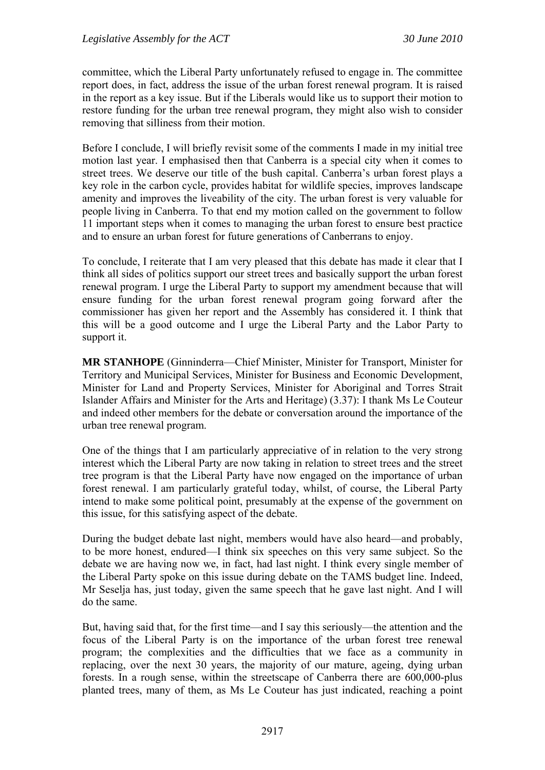committee, which the Liberal Party unfortunately refused to engage in. The committee report does, in fact, address the issue of the urban forest renewal program. It is raised in the report as a key issue. But if the Liberals would like us to support their motion to restore funding for the urban tree renewal program, they might also wish to consider removing that silliness from their motion.

Before I conclude, I will briefly revisit some of the comments I made in my initial tree motion last year. I emphasised then that Canberra is a special city when it comes to street trees. We deserve our title of the bush capital. Canberra's urban forest plays a key role in the carbon cycle, provides habitat for wildlife species, improves landscape amenity and improves the liveability of the city. The urban forest is very valuable for people living in Canberra. To that end my motion called on the government to follow 11 important steps when it comes to managing the urban forest to ensure best practice and to ensure an urban forest for future generations of Canberrans to enjoy.

To conclude, I reiterate that I am very pleased that this debate has made it clear that I think all sides of politics support our street trees and basically support the urban forest renewal program. I urge the Liberal Party to support my amendment because that will ensure funding for the urban forest renewal program going forward after the commissioner has given her report and the Assembly has considered it. I think that this will be a good outcome and I urge the Liberal Party and the Labor Party to support it.

**MR STANHOPE** (Ginninderra—Chief Minister, Minister for Transport, Minister for Territory and Municipal Services, Minister for Business and Economic Development, Minister for Land and Property Services, Minister for Aboriginal and Torres Strait Islander Affairs and Minister for the Arts and Heritage) (3.37): I thank Ms Le Couteur and indeed other members for the debate or conversation around the importance of the urban tree renewal program.

One of the things that I am particularly appreciative of in relation to the very strong interest which the Liberal Party are now taking in relation to street trees and the street tree program is that the Liberal Party have now engaged on the importance of urban forest renewal. I am particularly grateful today, whilst, of course, the Liberal Party intend to make some political point, presumably at the expense of the government on this issue, for this satisfying aspect of the debate.

During the budget debate last night, members would have also heard—and probably, to be more honest, endured—I think six speeches on this very same subject. So the debate we are having now we, in fact, had last night. I think every single member of the Liberal Party spoke on this issue during debate on the TAMS budget line. Indeed, Mr Seselja has, just today, given the same speech that he gave last night. And I will do the same.

But, having said that, for the first time—and I say this seriously—the attention and the focus of the Liberal Party is on the importance of the urban forest tree renewal program; the complexities and the difficulties that we face as a community in replacing, over the next 30 years, the majority of our mature, ageing, dying urban forests. In a rough sense, within the streetscape of Canberra there are 600,000-plus planted trees, many of them, as Ms Le Couteur has just indicated, reaching a point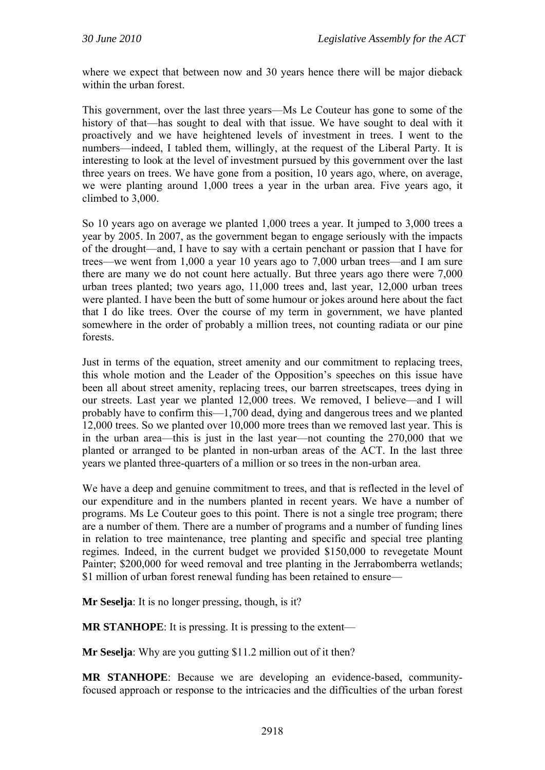where we expect that between now and 30 years hence there will be major dieback within the urban forest.

This government, over the last three years—Ms Le Couteur has gone to some of the history of that—has sought to deal with that issue. We have sought to deal with it proactively and we have heightened levels of investment in trees. I went to the numbers—indeed, I tabled them, willingly, at the request of the Liberal Party. It is interesting to look at the level of investment pursued by this government over the last three years on trees. We have gone from a position, 10 years ago, where, on average, we were planting around 1,000 trees a year in the urban area. Five years ago, it climbed to 3,000.

So 10 years ago on average we planted 1,000 trees a year. It jumped to 3,000 trees a year by 2005. In 2007, as the government began to engage seriously with the impacts of the drought—and, I have to say with a certain penchant or passion that I have for trees—we went from 1,000 a year 10 years ago to 7,000 urban trees—and I am sure there are many we do not count here actually. But three years ago there were 7,000 urban trees planted; two years ago, 11,000 trees and, last year, 12,000 urban trees were planted. I have been the butt of some humour or jokes around here about the fact that I do like trees. Over the course of my term in government, we have planted somewhere in the order of probably a million trees, not counting radiata or our pine forests.

Just in terms of the equation, street amenity and our commitment to replacing trees, this whole motion and the Leader of the Opposition's speeches on this issue have been all about street amenity, replacing trees, our barren streetscapes, trees dying in our streets. Last year we planted 12,000 trees. We removed, I believe—and I will probably have to confirm this—1,700 dead, dying and dangerous trees and we planted 12,000 trees. So we planted over 10,000 more trees than we removed last year. This is in the urban area—this is just in the last year—not counting the 270,000 that we planted or arranged to be planted in non-urban areas of the ACT. In the last three years we planted three-quarters of a million or so trees in the non-urban area.

We have a deep and genuine commitment to trees, and that is reflected in the level of our expenditure and in the numbers planted in recent years. We have a number of programs. Ms Le Couteur goes to this point. There is not a single tree program; there are a number of them. There are a number of programs and a number of funding lines in relation to tree maintenance, tree planting and specific and special tree planting regimes. Indeed, in the current budget we provided \$150,000 to revegetate Mount Painter; \$200,000 for weed removal and tree planting in the Jerrabomberra wetlands; \$1 million of urban forest renewal funding has been retained to ensure—

**Mr Seselja**: It is no longer pressing, though, is it?

**MR STANHOPE**: It is pressing. It is pressing to the extent—

**Mr Seselja**: Why are you gutting \$11.2 million out of it then?

**MR STANHOPE**: Because we are developing an evidence-based, communityfocused approach or response to the intricacies and the difficulties of the urban forest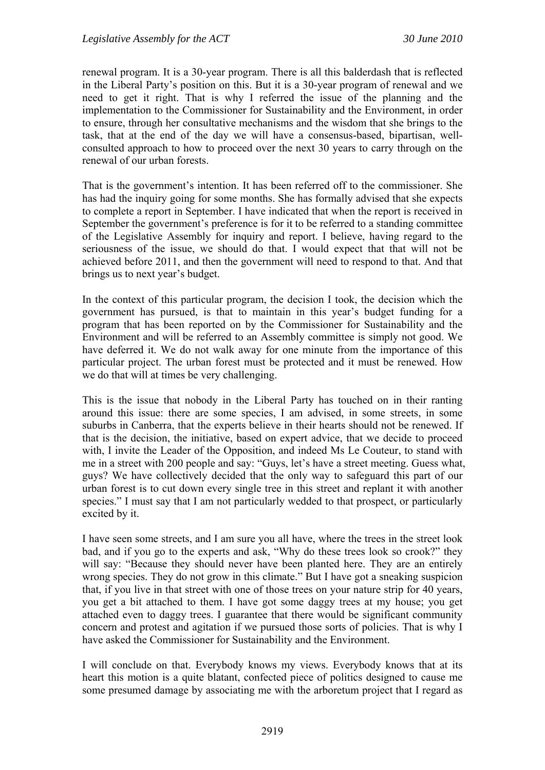renewal program. It is a 30-year program. There is all this balderdash that is reflected in the Liberal Party's position on this. But it is a 30-year program of renewal and we need to get it right. That is why I referred the issue of the planning and the implementation to the Commissioner for Sustainability and the Environment, in order to ensure, through her consultative mechanisms and the wisdom that she brings to the task, that at the end of the day we will have a consensus-based, bipartisan, wellconsulted approach to how to proceed over the next 30 years to carry through on the renewal of our urban forests.

That is the government's intention. It has been referred off to the commissioner. She has had the inquiry going for some months. She has formally advised that she expects to complete a report in September. I have indicated that when the report is received in September the government's preference is for it to be referred to a standing committee of the Legislative Assembly for inquiry and report. I believe, having regard to the seriousness of the issue, we should do that. I would expect that that will not be achieved before 2011, and then the government will need to respond to that. And that brings us to next year's budget.

In the context of this particular program, the decision I took, the decision which the government has pursued, is that to maintain in this year's budget funding for a program that has been reported on by the Commissioner for Sustainability and the Environment and will be referred to an Assembly committee is simply not good. We have deferred it. We do not walk away for one minute from the importance of this particular project. The urban forest must be protected and it must be renewed. How we do that will at times be very challenging.

This is the issue that nobody in the Liberal Party has touched on in their ranting around this issue: there are some species, I am advised, in some streets, in some suburbs in Canberra, that the experts believe in their hearts should not be renewed. If that is the decision, the initiative, based on expert advice, that we decide to proceed with, I invite the Leader of the Opposition, and indeed Ms Le Couteur, to stand with me in a street with 200 people and say: "Guys, let's have a street meeting. Guess what, guys? We have collectively decided that the only way to safeguard this part of our urban forest is to cut down every single tree in this street and replant it with another species." I must say that I am not particularly wedded to that prospect, or particularly excited by it.

I have seen some streets, and I am sure you all have, where the trees in the street look bad, and if you go to the experts and ask, "Why do these trees look so crook?" they will say: "Because they should never have been planted here. They are an entirely wrong species. They do not grow in this climate." But I have got a sneaking suspicion that, if you live in that street with one of those trees on your nature strip for 40 years, you get a bit attached to them. I have got some daggy trees at my house; you get attached even to daggy trees. I guarantee that there would be significant community concern and protest and agitation if we pursued those sorts of policies. That is why I have asked the Commissioner for Sustainability and the Environment.

I will conclude on that. Everybody knows my views. Everybody knows that at its heart this motion is a quite blatant, confected piece of politics designed to cause me some presumed damage by associating me with the arboretum project that I regard as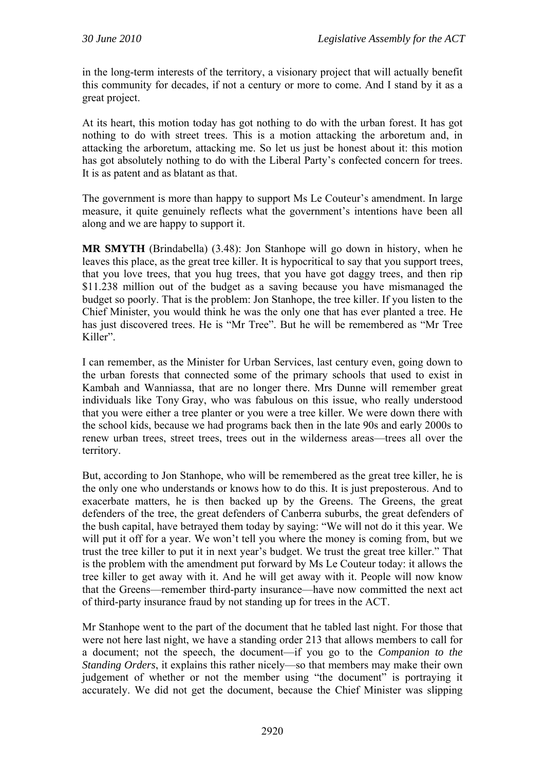in the long-term interests of the territory, a visionary project that will actually benefit this community for decades, if not a century or more to come. And I stand by it as a great project.

At its heart, this motion today has got nothing to do with the urban forest. It has got nothing to do with street trees. This is a motion attacking the arboretum and, in attacking the arboretum, attacking me. So let us just be honest about it: this motion has got absolutely nothing to do with the Liberal Party's confected concern for trees. It is as patent and as blatant as that.

The government is more than happy to support Ms Le Couteur's amendment. In large measure, it quite genuinely reflects what the government's intentions have been all along and we are happy to support it.

**MR SMYTH** (Brindabella) (3.48): Jon Stanhope will go down in history, when he leaves this place, as the great tree killer. It is hypocritical to say that you support trees, that you love trees, that you hug trees, that you have got daggy trees, and then rip \$11.238 million out of the budget as a saving because you have mismanaged the budget so poorly. That is the problem: Jon Stanhope, the tree killer. If you listen to the Chief Minister, you would think he was the only one that has ever planted a tree. He has just discovered trees. He is "Mr Tree". But he will be remembered as "Mr Tree Killer".

I can remember, as the Minister for Urban Services, last century even, going down to the urban forests that connected some of the primary schools that used to exist in Kambah and Wanniassa, that are no longer there. Mrs Dunne will remember great individuals like Tony Gray, who was fabulous on this issue, who really understood that you were either a tree planter or you were a tree killer. We were down there with the school kids, because we had programs back then in the late 90s and early 2000s to renew urban trees, street trees, trees out in the wilderness areas—trees all over the territory.

But, according to Jon Stanhope, who will be remembered as the great tree killer, he is the only one who understands or knows how to do this. It is just preposterous. And to exacerbate matters, he is then backed up by the Greens. The Greens, the great defenders of the tree, the great defenders of Canberra suburbs, the great defenders of the bush capital, have betrayed them today by saying: "We will not do it this year. We will put it off for a year. We won't tell you where the money is coming from, but we trust the tree killer to put it in next year's budget. We trust the great tree killer." That is the problem with the amendment put forward by Ms Le Couteur today: it allows the tree killer to get away with it. And he will get away with it. People will now know that the Greens—remember third-party insurance—have now committed the next act of third-party insurance fraud by not standing up for trees in the ACT.

Mr Stanhope went to the part of the document that he tabled last night. For those that were not here last night, we have a standing order 213 that allows members to call for a document; not the speech, the document—if you go to the *Companion to the Standing Orders*, it explains this rather nicely—so that members may make their own judgement of whether or not the member using "the document" is portraying it accurately. We did not get the document, because the Chief Minister was slipping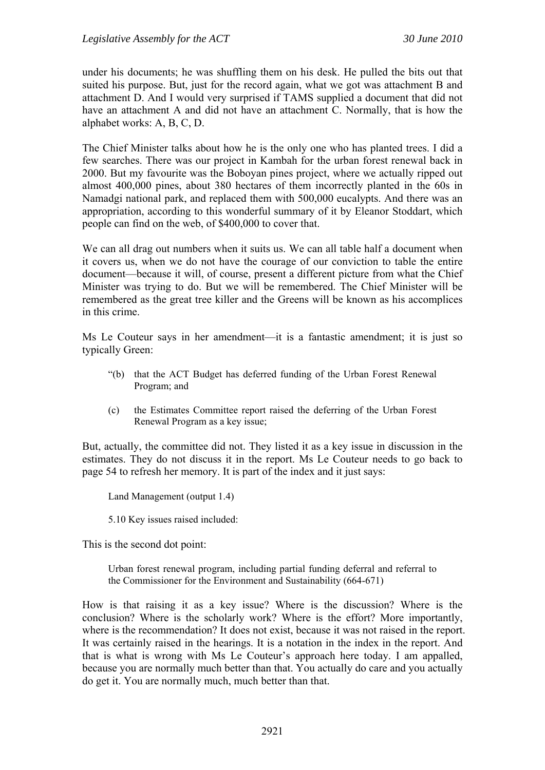under his documents; he was shuffling them on his desk. He pulled the bits out that suited his purpose. But, just for the record again, what we got was attachment B and attachment D. And I would very surprised if TAMS supplied a document that did not have an attachment A and did not have an attachment C. Normally, that is how the alphabet works: A, B, C, D.

The Chief Minister talks about how he is the only one who has planted trees. I did a few searches. There was our project in Kambah for the urban forest renewal back in 2000. But my favourite was the Boboyan pines project, where we actually ripped out almost 400,000 pines, about 380 hectares of them incorrectly planted in the 60s in Namadgi national park, and replaced them with 500,000 eucalypts. And there was an appropriation, according to this wonderful summary of it by Eleanor Stoddart, which people can find on the web, of \$400,000 to cover that.

We can all drag out numbers when it suits us. We can all table half a document when it covers us, when we do not have the courage of our conviction to table the entire document—because it will, of course, present a different picture from what the Chief Minister was trying to do. But we will be remembered. The Chief Minister will be remembered as the great tree killer and the Greens will be known as his accomplices in this crime.

Ms Le Couteur says in her amendment—it is a fantastic amendment; it is just so typically Green:

- "(b) that the ACT Budget has deferred funding of the Urban Forest Renewal Program; and
- (c) the Estimates Committee report raised the deferring of the Urban Forest Renewal Program as a key issue;

But, actually, the committee did not. They listed it as a key issue in discussion in the estimates. They do not discuss it in the report. Ms Le Couteur needs to go back to page 54 to refresh her memory. It is part of the index and it just says:

Land Management (output 1.4)

5.10 Key issues raised included:

This is the second dot point:

Urban forest renewal program, including partial funding deferral and referral to the Commissioner for the Environment and Sustainability (664-671)

How is that raising it as a key issue? Where is the discussion? Where is the conclusion? Where is the scholarly work? Where is the effort? More importantly, where is the recommendation? It does not exist, because it was not raised in the report. It was certainly raised in the hearings. It is a notation in the index in the report. And that is what is wrong with Ms Le Couteur's approach here today. I am appalled, because you are normally much better than that. You actually do care and you actually do get it. You are normally much, much better than that.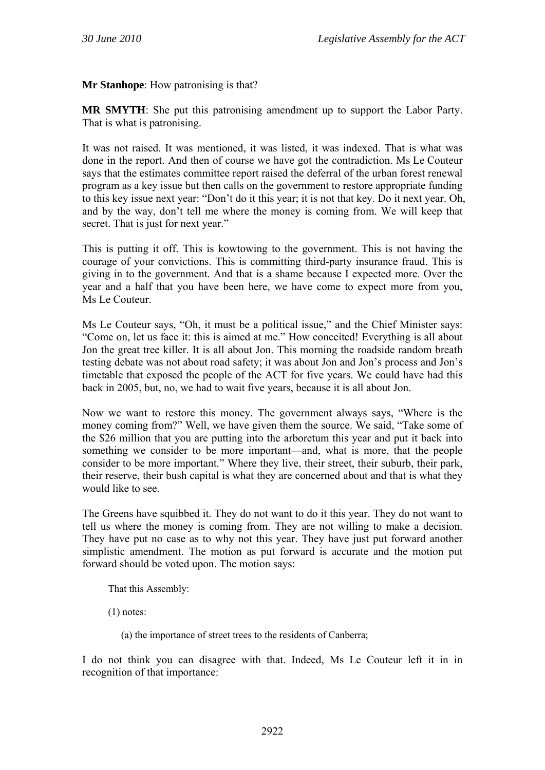**Mr Stanhope**: How patronising is that?

**MR SMYTH**: She put this patronising amendment up to support the Labor Party. That is what is patronising.

It was not raised. It was mentioned, it was listed, it was indexed. That is what was done in the report. And then of course we have got the contradiction. Ms Le Couteur says that the estimates committee report raised the deferral of the urban forest renewal program as a key issue but then calls on the government to restore appropriate funding to this key issue next year: "Don't do it this year; it is not that key. Do it next year. Oh, and by the way, don't tell me where the money is coming from. We will keep that secret. That is just for next year."

This is putting it off. This is kowtowing to the government. This is not having the courage of your convictions. This is committing third-party insurance fraud. This is giving in to the government. And that is a shame because I expected more. Over the year and a half that you have been here, we have come to expect more from you, Ms Le Couteur.

Ms Le Couteur says, "Oh, it must be a political issue," and the Chief Minister says: "Come on, let us face it: this is aimed at me." How conceited! Everything is all about Jon the great tree killer. It is all about Jon. This morning the roadside random breath testing debate was not about road safety; it was about Jon and Jon's process and Jon's timetable that exposed the people of the ACT for five years. We could have had this back in 2005, but, no, we had to wait five years, because it is all about Jon.

Now we want to restore this money. The government always says, "Where is the money coming from?" Well, we have given them the source. We said, "Take some of the \$26 million that you are putting into the arboretum this year and put it back into something we consider to be more important—and, what is more, that the people consider to be more important." Where they live, their street, their suburb, their park, their reserve, their bush capital is what they are concerned about and that is what they would like to see.

The Greens have squibbed it. They do not want to do it this year. They do not want to tell us where the money is coming from. They are not willing to make a decision. They have put no case as to why not this year. They have just put forward another simplistic amendment. The motion as put forward is accurate and the motion put forward should be voted upon. The motion says:

That this Assembly:

(1) notes:

(a) the importance of street trees to the residents of Canberra;

I do not think you can disagree with that. Indeed, Ms Le Couteur left it in in recognition of that importance: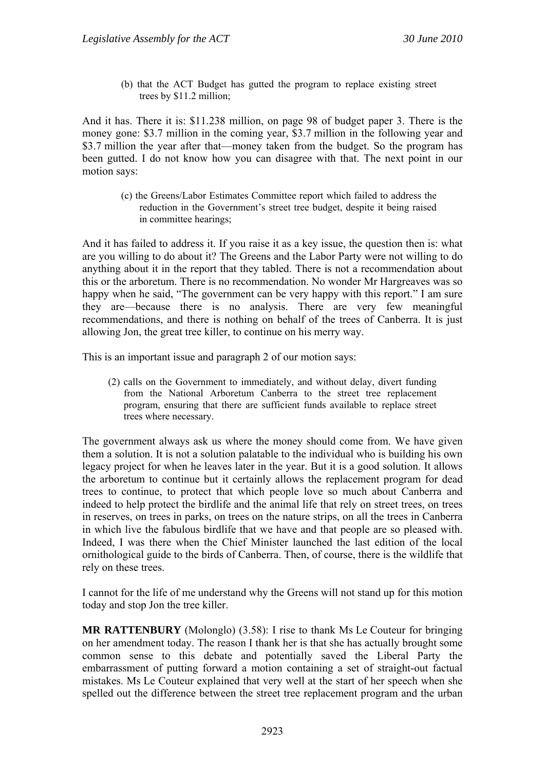(b) that the ACT Budget has gutted the program to replace existing street trees by \$11.2 million;

And it has. There it is: \$11.238 million, on page 98 of budget paper 3. There is the money gone: \$3.7 million in the coming year, \$3.7 million in the following year and \$3.7 million the year after that—money taken from the budget. So the program has been gutted. I do not know how you can disagree with that. The next point in our motion says:

(c) the Greens/Labor Estimates Committee report which failed to address the reduction in the Government's street tree budget, despite it being raised in committee hearings;

And it has failed to address it. If you raise it as a key issue, the question then is: what are you willing to do about it? The Greens and the Labor Party were not willing to do anything about it in the report that they tabled. There is not a recommendation about this or the arboretum. There is no recommendation. No wonder Mr Hargreaves was so happy when he said, "The government can be very happy with this report." I am sure they are—because there is no analysis. There are very few meaningful recommendations, and there is nothing on behalf of the trees of Canberra. It is just allowing Jon, the great tree killer, to continue on his merry way.

This is an important issue and paragraph 2 of our motion says:

(2) calls on the Government to immediately, and without delay, divert funding from the National Arboretum Canberra to the street tree replacement program, ensuring that there are sufficient funds available to replace street trees where necessary.

The government always ask us where the money should come from. We have given them a solution. It is not a solution palatable to the individual who is building his own legacy project for when he leaves later in the year. But it is a good solution. It allows the arboretum to continue but it certainly allows the replacement program for dead trees to continue, to protect that which people love so much about Canberra and indeed to help protect the birdlife and the animal life that rely on street trees, on trees in reserves, on trees in parks, on trees on the nature strips, on all the trees in Canberra in which live the fabulous birdlife that we have and that people are so pleased with. Indeed, I was there when the Chief Minister launched the last edition of the local ornithological guide to the birds of Canberra. Then, of course, there is the wildlife that rely on these trees.

I cannot for the life of me understand why the Greens will not stand up for this motion today and stop Jon the tree killer.

**MR RATTENBURY** (Molonglo) (3.58): I rise to thank Ms Le Couteur for bringing on her amendment today. The reason I thank her is that she has actually brought some common sense to this debate and potentially saved the Liberal Party the embarrassment of putting forward a motion containing a set of straight-out factual mistakes. Ms Le Couteur explained that very well at the start of her speech when she spelled out the difference between the street tree replacement program and the urban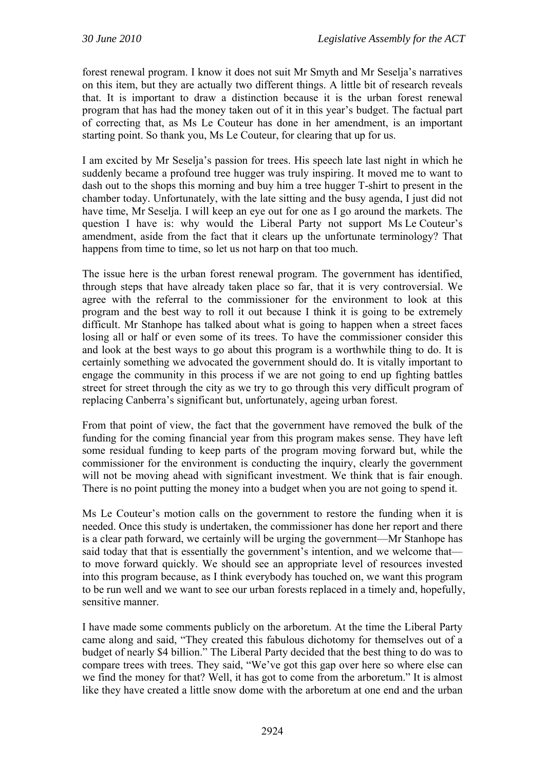forest renewal program. I know it does not suit Mr Smyth and Mr Seselja's narratives on this item, but they are actually two different things. A little bit of research reveals that. It is important to draw a distinction because it is the urban forest renewal program that has had the money taken out of it in this year's budget. The factual part of correcting that, as Ms Le Couteur has done in her amendment, is an important starting point. So thank you, Ms Le Couteur, for clearing that up for us.

I am excited by Mr Seselja's passion for trees. His speech late last night in which he suddenly became a profound tree hugger was truly inspiring. It moved me to want to dash out to the shops this morning and buy him a tree hugger T-shirt to present in the chamber today. Unfortunately, with the late sitting and the busy agenda, I just did not have time, Mr Seselja. I will keep an eye out for one as I go around the markets. The question I have is: why would the Liberal Party not support Ms Le Couteur's amendment, aside from the fact that it clears up the unfortunate terminology? That happens from time to time, so let us not harp on that too much.

The issue here is the urban forest renewal program. The government has identified, through steps that have already taken place so far, that it is very controversial. We agree with the referral to the commissioner for the environment to look at this program and the best way to roll it out because I think it is going to be extremely difficult. Mr Stanhope has talked about what is going to happen when a street faces losing all or half or even some of its trees. To have the commissioner consider this and look at the best ways to go about this program is a worthwhile thing to do. It is certainly something we advocated the government should do. It is vitally important to engage the community in this process if we are not going to end up fighting battles street for street through the city as we try to go through this very difficult program of replacing Canberra's significant but, unfortunately, ageing urban forest.

From that point of view, the fact that the government have removed the bulk of the funding for the coming financial year from this program makes sense. They have left some residual funding to keep parts of the program moving forward but, while the commissioner for the environment is conducting the inquiry, clearly the government will not be moving ahead with significant investment. We think that is fair enough. There is no point putting the money into a budget when you are not going to spend it.

Ms Le Couteur's motion calls on the government to restore the funding when it is needed. Once this study is undertaken, the commissioner has done her report and there is a clear path forward, we certainly will be urging the government—Mr Stanhope has said today that that is essentially the government's intention, and we welcome that to move forward quickly. We should see an appropriate level of resources invested into this program because, as I think everybody has touched on, we want this program to be run well and we want to see our urban forests replaced in a timely and, hopefully, sensitive manner.

I have made some comments publicly on the arboretum. At the time the Liberal Party came along and said, "They created this fabulous dichotomy for themselves out of a budget of nearly \$4 billion." The Liberal Party decided that the best thing to do was to compare trees with trees. They said, "We've got this gap over here so where else can we find the money for that? Well, it has got to come from the arboretum." It is almost like they have created a little snow dome with the arboretum at one end and the urban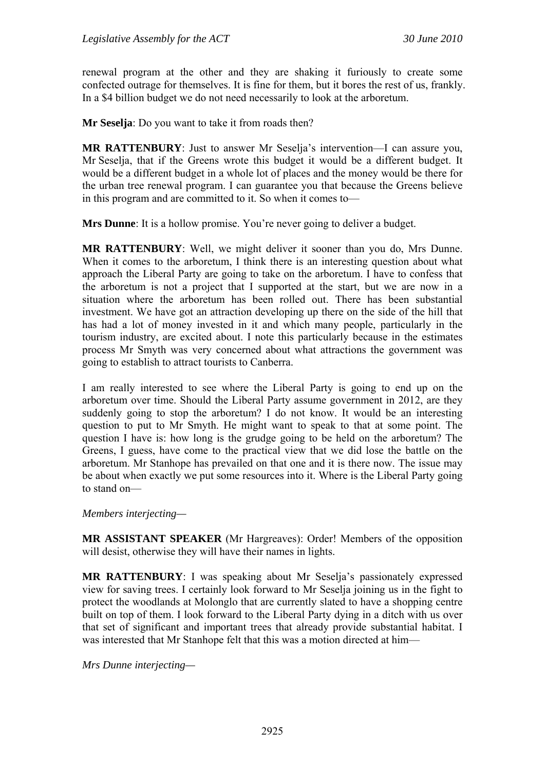renewal program at the other and they are shaking it furiously to create some confected outrage for themselves. It is fine for them, but it bores the rest of us, frankly. In a \$4 billion budget we do not need necessarily to look at the arboretum.

**Mr Seselja**: Do you want to take it from roads then?

**MR RATTENBURY**: Just to answer Mr Seselia's intervention—I can assure you, Mr Seselja, that if the Greens wrote this budget it would be a different budget. It would be a different budget in a whole lot of places and the money would be there for the urban tree renewal program. I can guarantee you that because the Greens believe in this program and are committed to it. So when it comes to—

**Mrs Dunne**: It is a hollow promise. You're never going to deliver a budget.

**MR RATTENBURY**: Well, we might deliver it sooner than you do, Mrs Dunne. When it comes to the arboretum, I think there is an interesting question about what approach the Liberal Party are going to take on the arboretum. I have to confess that the arboretum is not a project that I supported at the start, but we are now in a situation where the arboretum has been rolled out. There has been substantial investment. We have got an attraction developing up there on the side of the hill that has had a lot of money invested in it and which many people, particularly in the tourism industry, are excited about. I note this particularly because in the estimates process Mr Smyth was very concerned about what attractions the government was going to establish to attract tourists to Canberra.

I am really interested to see where the Liberal Party is going to end up on the arboretum over time. Should the Liberal Party assume government in 2012, are they suddenly going to stop the arboretum? I do not know. It would be an interesting question to put to Mr Smyth. He might want to speak to that at some point. The question I have is: how long is the grudge going to be held on the arboretum? The Greens, I guess, have come to the practical view that we did lose the battle on the arboretum. Mr Stanhope has prevailed on that one and it is there now. The issue may be about when exactly we put some resources into it. Where is the Liberal Party going to stand on—

*Members interjecting—* 

**MR ASSISTANT SPEAKER** (Mr Hargreaves): Order! Members of the opposition will desist, otherwise they will have their names in lights.

**MR RATTENBURY**: I was speaking about Mr Seselja's passionately expressed view for saving trees. I certainly look forward to Mr Seselja joining us in the fight to protect the woodlands at Molonglo that are currently slated to have a shopping centre built on top of them. I look forward to the Liberal Party dying in a ditch with us over that set of significant and important trees that already provide substantial habitat. I was interested that Mr Stanhope felt that this was a motion directed at him—

*Mrs Dunne interjecting—*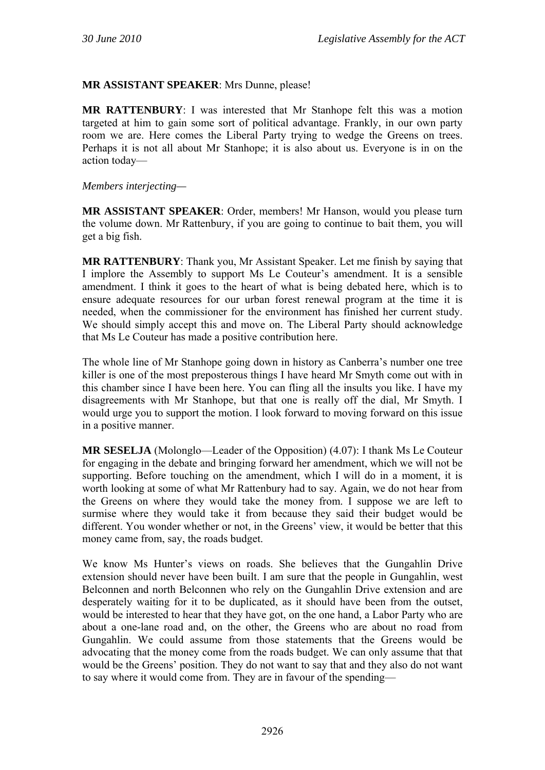### **MR ASSISTANT SPEAKER**: Mrs Dunne, please!

**MR RATTENBURY**: I was interested that Mr Stanhope felt this was a motion targeted at him to gain some sort of political advantage. Frankly, in our own party room we are. Here comes the Liberal Party trying to wedge the Greens on trees. Perhaps it is not all about Mr Stanhope; it is also about us. Everyone is in on the action today—

*Members interjecting—* 

**MR ASSISTANT SPEAKER**: Order, members! Mr Hanson, would you please turn the volume down. Mr Rattenbury, if you are going to continue to bait them, you will get a big fish.

**MR RATTENBURY**: Thank you, Mr Assistant Speaker. Let me finish by saying that I implore the Assembly to support Ms Le Couteur's amendment. It is a sensible amendment. I think it goes to the heart of what is being debated here, which is to ensure adequate resources for our urban forest renewal program at the time it is needed, when the commissioner for the environment has finished her current study. We should simply accept this and move on. The Liberal Party should acknowledge that Ms Le Couteur has made a positive contribution here.

The whole line of Mr Stanhope going down in history as Canberra's number one tree killer is one of the most preposterous things I have heard Mr Smyth come out with in this chamber since I have been here. You can fling all the insults you like. I have my disagreements with Mr Stanhope, but that one is really off the dial, Mr Smyth. I would urge you to support the motion. I look forward to moving forward on this issue in a positive manner.

**MR SESELJA** (Molonglo—Leader of the Opposition) (4.07): I thank Ms Le Couteur for engaging in the debate and bringing forward her amendment, which we will not be supporting. Before touching on the amendment, which I will do in a moment, it is worth looking at some of what Mr Rattenbury had to say. Again, we do not hear from the Greens on where they would take the money from. I suppose we are left to surmise where they would take it from because they said their budget would be different. You wonder whether or not, in the Greens' view, it would be better that this money came from, say, the roads budget.

We know Ms Hunter's views on roads. She believes that the Gungahlin Drive extension should never have been built. I am sure that the people in Gungahlin, west Belconnen and north Belconnen who rely on the Gungahlin Drive extension and are desperately waiting for it to be duplicated, as it should have been from the outset, would be interested to hear that they have got, on the one hand, a Labor Party who are about a one-lane road and, on the other, the Greens who are about no road from Gungahlin. We could assume from those statements that the Greens would be advocating that the money come from the roads budget. We can only assume that that would be the Greens' position. They do not want to say that and they also do not want to say where it would come from. They are in favour of the spending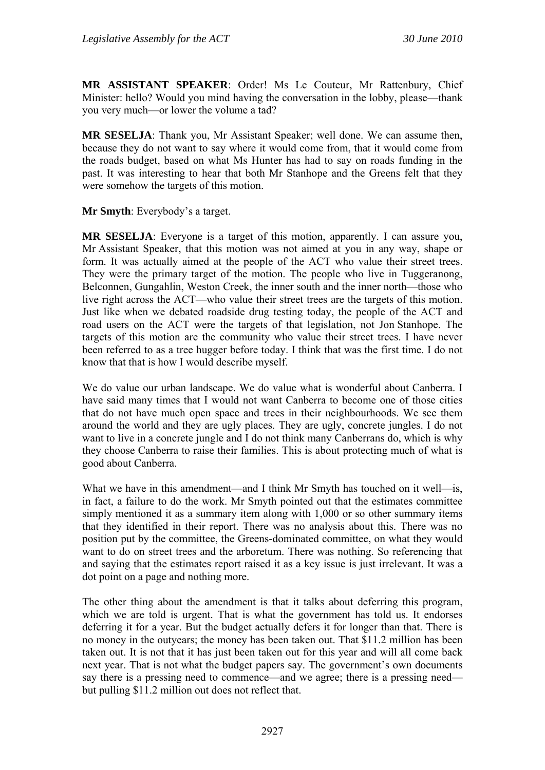**MR ASSISTANT SPEAKER**: Order! Ms Le Couteur, Mr Rattenbury, Chief Minister: hello? Would you mind having the conversation in the lobby, please—thank you very much—or lower the volume a tad?

**MR SESELJA**: Thank you, Mr Assistant Speaker; well done. We can assume then, because they do not want to say where it would come from, that it would come from the roads budget, based on what Ms Hunter has had to say on roads funding in the past. It was interesting to hear that both Mr Stanhope and the Greens felt that they were somehow the targets of this motion.

**Mr Smyth**: Everybody's a target.

**MR SESELJA**: Everyone is a target of this motion, apparently. I can assure you, Mr Assistant Speaker, that this motion was not aimed at you in any way, shape or form. It was actually aimed at the people of the ACT who value their street trees. They were the primary target of the motion. The people who live in Tuggeranong, Belconnen, Gungahlin, Weston Creek, the inner south and the inner north—those who live right across the ACT—who value their street trees are the targets of this motion. Just like when we debated roadside drug testing today, the people of the ACT and road users on the ACT were the targets of that legislation, not Jon Stanhope. The targets of this motion are the community who value their street trees. I have never been referred to as a tree hugger before today. I think that was the first time. I do not know that that is how I would describe myself.

We do value our urban landscape. We do value what is wonderful about Canberra. I have said many times that I would not want Canberra to become one of those cities that do not have much open space and trees in their neighbourhoods. We see them around the world and they are ugly places. They are ugly, concrete jungles. I do not want to live in a concrete jungle and I do not think many Canberrans do, which is why they choose Canberra to raise their families. This is about protecting much of what is good about Canberra.

What we have in this amendment—and I think Mr Smyth has touched on it well—is, in fact, a failure to do the work. Mr Smyth pointed out that the estimates committee simply mentioned it as a summary item along with 1,000 or so other summary items that they identified in their report. There was no analysis about this. There was no position put by the committee, the Greens-dominated committee, on what they would want to do on street trees and the arboretum. There was nothing. So referencing that and saying that the estimates report raised it as a key issue is just irrelevant. It was a dot point on a page and nothing more.

The other thing about the amendment is that it talks about deferring this program, which we are told is urgent. That is what the government has told us. It endorses deferring it for a year. But the budget actually defers it for longer than that. There is no money in the outyears; the money has been taken out. That \$11.2 million has been taken out. It is not that it has just been taken out for this year and will all come back next year. That is not what the budget papers say. The government's own documents say there is a pressing need to commence—and we agree; there is a pressing need but pulling \$11.2 million out does not reflect that.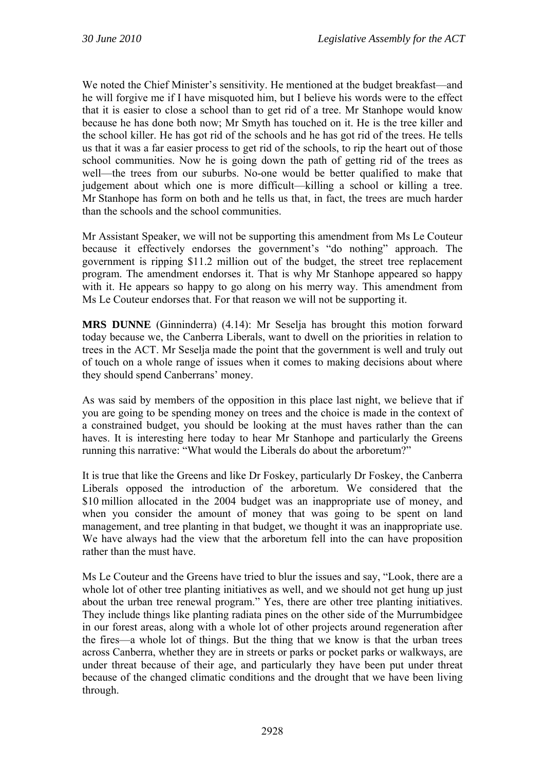We noted the Chief Minister's sensitivity. He mentioned at the budget breakfast—and he will forgive me if I have misquoted him, but I believe his words were to the effect that it is easier to close a school than to get rid of a tree. Mr Stanhope would know because he has done both now; Mr Smyth has touched on it. He is the tree killer and the school killer. He has got rid of the schools and he has got rid of the trees. He tells us that it was a far easier process to get rid of the schools, to rip the heart out of those school communities. Now he is going down the path of getting rid of the trees as well—the trees from our suburbs. No-one would be better qualified to make that judgement about which one is more difficult—killing a school or killing a tree. Mr Stanhope has form on both and he tells us that, in fact, the trees are much harder than the schools and the school communities.

Mr Assistant Speaker, we will not be supporting this amendment from Ms Le Couteur because it effectively endorses the government's "do nothing" approach. The government is ripping \$11.2 million out of the budget, the street tree replacement program. The amendment endorses it. That is why Mr Stanhope appeared so happy with it. He appears so happy to go along on his merry way. This amendment from Ms Le Couteur endorses that. For that reason we will not be supporting it.

**MRS DUNNE** (Ginninderra) (4.14): Mr Seselja has brought this motion forward today because we, the Canberra Liberals, want to dwell on the priorities in relation to trees in the ACT. Mr Seselja made the point that the government is well and truly out of touch on a whole range of issues when it comes to making decisions about where they should spend Canberrans' money.

As was said by members of the opposition in this place last night, we believe that if you are going to be spending money on trees and the choice is made in the context of a constrained budget, you should be looking at the must haves rather than the can haves. It is interesting here today to hear Mr Stanhope and particularly the Greens running this narrative: "What would the Liberals do about the arboretum?"

It is true that like the Greens and like Dr Foskey, particularly Dr Foskey, the Canberra Liberals opposed the introduction of the arboretum. We considered that the \$10 million allocated in the 2004 budget was an inappropriate use of money, and when you consider the amount of money that was going to be spent on land management, and tree planting in that budget, we thought it was an inappropriate use. We have always had the view that the arboretum fell into the can have proposition rather than the must have.

Ms Le Couteur and the Greens have tried to blur the issues and say, "Look, there are a whole lot of other tree planting initiatives as well, and we should not get hung up just about the urban tree renewal program." Yes, there are other tree planting initiatives. They include things like planting radiata pines on the other side of the Murrumbidgee in our forest areas, along with a whole lot of other projects around regeneration after the fires—a whole lot of things. But the thing that we know is that the urban trees across Canberra, whether they are in streets or parks or pocket parks or walkways, are under threat because of their age, and particularly they have been put under threat because of the changed climatic conditions and the drought that we have been living through.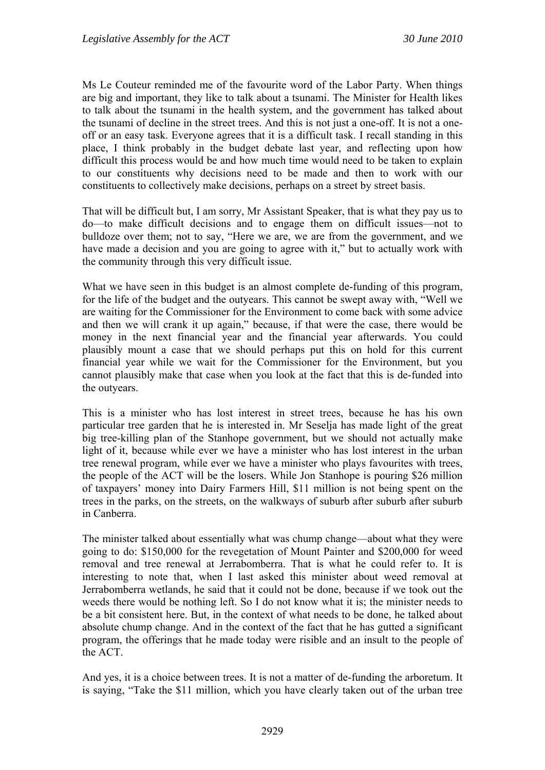Ms Le Couteur reminded me of the favourite word of the Labor Party. When things are big and important, they like to talk about a tsunami. The Minister for Health likes to talk about the tsunami in the health system, and the government has talked about the tsunami of decline in the street trees. And this is not just a one-off. It is not a oneoff or an easy task. Everyone agrees that it is a difficult task. I recall standing in this place, I think probably in the budget debate last year, and reflecting upon how difficult this process would be and how much time would need to be taken to explain to our constituents why decisions need to be made and then to work with our constituents to collectively make decisions, perhaps on a street by street basis.

That will be difficult but, I am sorry, Mr Assistant Speaker, that is what they pay us to do—to make difficult decisions and to engage them on difficult issues—not to bulldoze over them; not to say, "Here we are, we are from the government, and we have made a decision and you are going to agree with it," but to actually work with the community through this very difficult issue.

What we have seen in this budget is an almost complete de-funding of this program. for the life of the budget and the outyears. This cannot be swept away with, "Well we are waiting for the Commissioner for the Environment to come back with some advice and then we will crank it up again," because, if that were the case, there would be money in the next financial year and the financial year afterwards. You could plausibly mount a case that we should perhaps put this on hold for this current financial year while we wait for the Commissioner for the Environment, but you cannot plausibly make that case when you look at the fact that this is de-funded into the outyears.

This is a minister who has lost interest in street trees, because he has his own particular tree garden that he is interested in. Mr Seselja has made light of the great big tree-killing plan of the Stanhope government, but we should not actually make light of it, because while ever we have a minister who has lost interest in the urban tree renewal program, while ever we have a minister who plays favourites with trees, the people of the ACT will be the losers. While Jon Stanhope is pouring \$26 million of taxpayers' money into Dairy Farmers Hill, \$11 million is not being spent on the trees in the parks, on the streets, on the walkways of suburb after suburb after suburb in Canberra.

The minister talked about essentially what was chump change—about what they were going to do: \$150,000 for the revegetation of Mount Painter and \$200,000 for weed removal and tree renewal at Jerrabomberra. That is what he could refer to. It is interesting to note that, when I last asked this minister about weed removal at Jerrabomberra wetlands, he said that it could not be done, because if we took out the weeds there would be nothing left. So I do not know what it is; the minister needs to be a bit consistent here. But, in the context of what needs to be done, he talked about absolute chump change. And in the context of the fact that he has gutted a significant program, the offerings that he made today were risible and an insult to the people of the ACT.

And yes, it is a choice between trees. It is not a matter of de-funding the arboretum. It is saying, "Take the \$11 million, which you have clearly taken out of the urban tree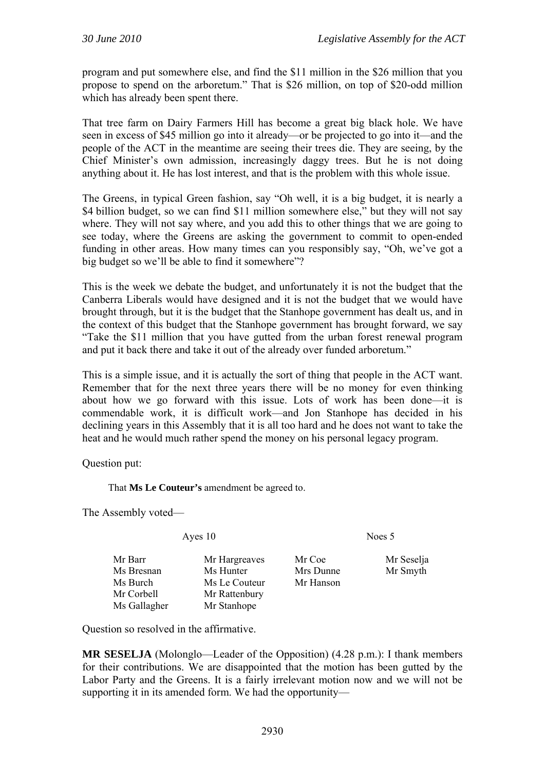program and put somewhere else, and find the \$11 million in the \$26 million that you propose to spend on the arboretum." That is \$26 million, on top of \$20-odd million which has already been spent there.

That tree farm on Dairy Farmers Hill has become a great big black hole. We have seen in excess of \$45 million go into it already—or be projected to go into it—and the people of the ACT in the meantime are seeing their trees die. They are seeing, by the Chief Minister's own admission, increasingly daggy trees. But he is not doing anything about it. He has lost interest, and that is the problem with this whole issue.

The Greens, in typical Green fashion, say "Oh well, it is a big budget, it is nearly a \$4 billion budget, so we can find \$11 million somewhere else," but they will not say where. They will not say where, and you add this to other things that we are going to see today, where the Greens are asking the government to commit to open-ended funding in other areas. How many times can you responsibly say, "Oh, we've got a big budget so we'll be able to find it somewhere"?

This is the week we debate the budget, and unfortunately it is not the budget that the Canberra Liberals would have designed and it is not the budget that we would have brought through, but it is the budget that the Stanhope government has dealt us, and in the context of this budget that the Stanhope government has brought forward, we say "Take the \$11 million that you have gutted from the urban forest renewal program and put it back there and take it out of the already over funded arboretum."

This is a simple issue, and it is actually the sort of thing that people in the ACT want. Remember that for the next three years there will be no money for even thinking about how we go forward with this issue. Lots of work has been done—it is commendable work, it is difficult work—and Jon Stanhope has decided in his declining years in this Assembly that it is all too hard and he does not want to take the heat and he would much rather spend the money on his personal legacy program.

Question put:

That **Ms Le Couteur's** amendment be agreed to.

The Assembly voted—

Ayes 10 Noes 5

| Mr Barr      | Mr Hargreaves | Mr Coe    |
|--------------|---------------|-----------|
| Ms Bresnan   | Ms Hunter     | Mrs Dunne |
| Ms Burch     | Ms Le Couteur | Mr Hanson |
| Mr Corbell   | Mr Rattenbury |           |
| Ms Gallagher | Mr Stanhope   |           |

eaves Mr Coe Mr Seselja er Mrs Dunne Mr Smyth

Question so resolved in the affirmative.

**MR SESELJA** (Molonglo—Leader of the Opposition) (4.28 p.m.): I thank members for their contributions. We are disappointed that the motion has been gutted by the Labor Party and the Greens. It is a fairly irrelevant motion now and we will not be supporting it in its amended form. We had the opportunity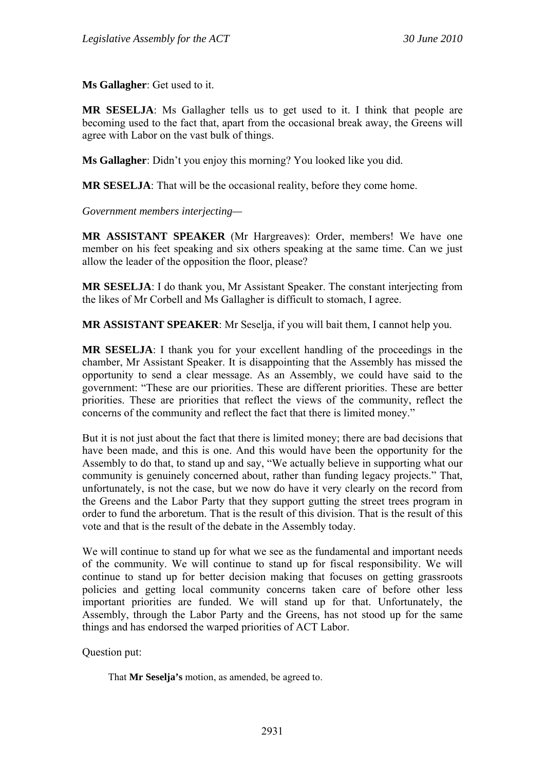**Ms Gallagher**: Get used to it.

**MR SESELJA**: Ms Gallagher tells us to get used to it. I think that people are becoming used to the fact that, apart from the occasional break away, the Greens will agree with Labor on the vast bulk of things.

**Ms Gallagher**: Didn't you enjoy this morning? You looked like you did.

**MR SESELJA**: That will be the occasional reality, before they come home.

*Government members interjecting—* 

**MR ASSISTANT SPEAKER** (Mr Hargreaves): Order, members! We have one member on his feet speaking and six others speaking at the same time. Can we just allow the leader of the opposition the floor, please?

**MR SESELJA**: I do thank you, Mr Assistant Speaker. The constant interjecting from the likes of Mr Corbell and Ms Gallagher is difficult to stomach, I agree.

**MR ASSISTANT SPEAKER**: Mr Seselja, if you will bait them, I cannot help you.

**MR SESELJA**: I thank you for your excellent handling of the proceedings in the chamber, Mr Assistant Speaker. It is disappointing that the Assembly has missed the opportunity to send a clear message. As an Assembly, we could have said to the government: "These are our priorities. These are different priorities. These are better priorities. These are priorities that reflect the views of the community, reflect the concerns of the community and reflect the fact that there is limited money."

But it is not just about the fact that there is limited money; there are bad decisions that have been made, and this is one. And this would have been the opportunity for the Assembly to do that, to stand up and say, "We actually believe in supporting what our community is genuinely concerned about, rather than funding legacy projects." That, unfortunately, is not the case, but we now do have it very clearly on the record from the Greens and the Labor Party that they support gutting the street trees program in order to fund the arboretum. That is the result of this division. That is the result of this vote and that is the result of the debate in the Assembly today.

We will continue to stand up for what we see as the fundamental and important needs of the community. We will continue to stand up for fiscal responsibility. We will continue to stand up for better decision making that focuses on getting grassroots policies and getting local community concerns taken care of before other less important priorities are funded. We will stand up for that. Unfortunately, the Assembly, through the Labor Party and the Greens, has not stood up for the same things and has endorsed the warped priorities of ACT Labor.

Question put:

That **Mr Seselja's** motion, as amended, be agreed to.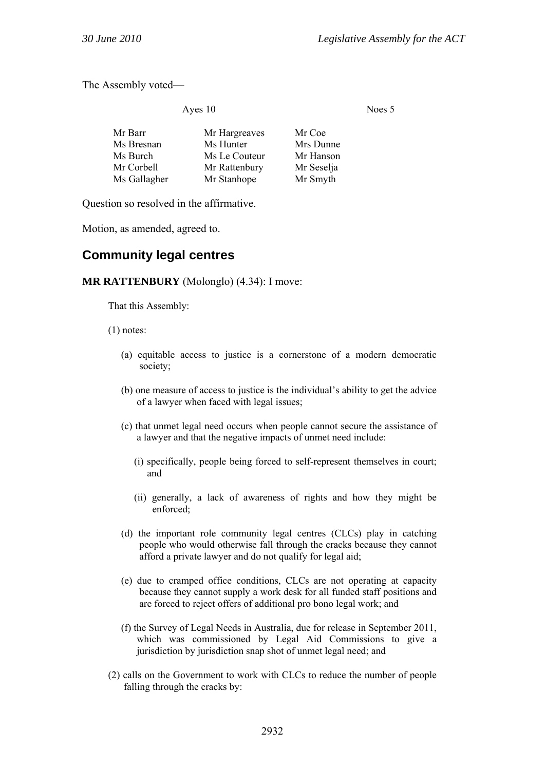The Assembly voted—

Ayes 10 Noes 5

| Mr Barr      | Mr Hargreaves | Mr Coe     |
|--------------|---------------|------------|
| Ms Bresnan   | Ms Hunter     | Mrs Dunne  |
| Ms Burch     | Ms Le Couteur | Mr Hanson  |
| Mr Corbell   | Mr Rattenbury | Mr Seselja |
| Ms Gallagher | Mr Stanhope   | Mr Smyth   |

Question so resolved in the affirmative.

Motion, as amended, agreed to.

# **Community legal centres**

#### **MR RATTENBURY** (Molonglo) (4.34): I move:

That this Assembly:

(1) notes:

- (a) equitable access to justice is a cornerstone of a modern democratic society;
- (b) one measure of access to justice is the individual's ability to get the advice of a lawyer when faced with legal issues;
- (c) that unmet legal need occurs when people cannot secure the assistance of a lawyer and that the negative impacts of unmet need include:
	- (i) specifically, people being forced to self-represent themselves in court; and
	- (ii) generally, a lack of awareness of rights and how they might be enforced;
- (d) the important role community legal centres (CLCs) play in catching people who would otherwise fall through the cracks because they cannot afford a private lawyer and do not qualify for legal aid;
- (e) due to cramped office conditions, CLCs are not operating at capacity because they cannot supply a work desk for all funded staff positions and are forced to reject offers of additional pro bono legal work; and
- (f) the Survey of Legal Needs in Australia, due for release in September 2011, which was commissioned by Legal Aid Commissions to give a jurisdiction by jurisdiction snap shot of unmet legal need; and
- (2) calls on the Government to work with CLCs to reduce the number of people falling through the cracks by: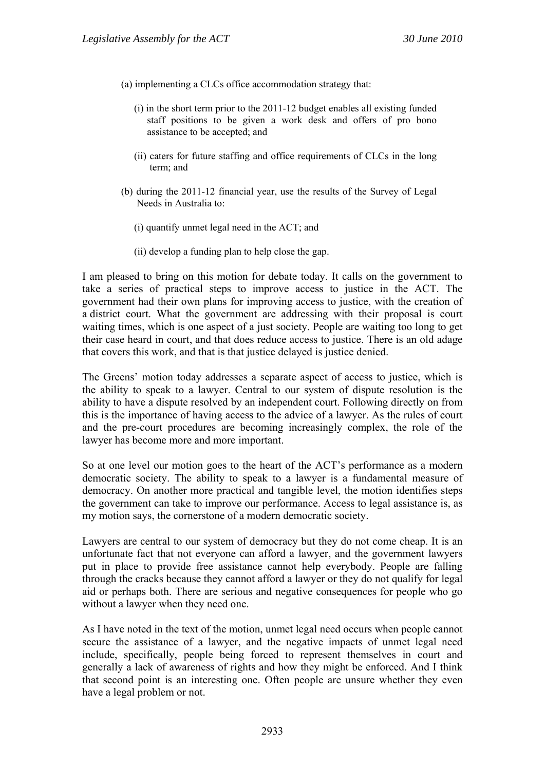- (a) implementing a CLCs office accommodation strategy that:
	- (i) in the short term prior to the 2011-12 budget enables all existing funded staff positions to be given a work desk and offers of pro bono assistance to be accepted; and
	- (ii) caters for future staffing and office requirements of CLCs in the long term; and
- (b) during the 2011-12 financial year, use the results of the Survey of Legal Needs in Australia to:
	- (i) quantify unmet legal need in the ACT; and
	- (ii) develop a funding plan to help close the gap.

I am pleased to bring on this motion for debate today. It calls on the government to take a series of practical steps to improve access to justice in the ACT. The government had their own plans for improving access to justice, with the creation of a district court. What the government are addressing with their proposal is court waiting times, which is one aspect of a just society. People are waiting too long to get their case heard in court, and that does reduce access to justice. There is an old adage that covers this work, and that is that justice delayed is justice denied.

The Greens' motion today addresses a separate aspect of access to justice, which is the ability to speak to a lawyer. Central to our system of dispute resolution is the ability to have a dispute resolved by an independent court. Following directly on from this is the importance of having access to the advice of a lawyer. As the rules of court and the pre-court procedures are becoming increasingly complex, the role of the lawyer has become more and more important.

So at one level our motion goes to the heart of the ACT's performance as a modern democratic society. The ability to speak to a lawyer is a fundamental measure of democracy. On another more practical and tangible level, the motion identifies steps the government can take to improve our performance. Access to legal assistance is, as my motion says, the cornerstone of a modern democratic society.

Lawyers are central to our system of democracy but they do not come cheap. It is an unfortunate fact that not everyone can afford a lawyer, and the government lawyers put in place to provide free assistance cannot help everybody. People are falling through the cracks because they cannot afford a lawyer or they do not qualify for legal aid or perhaps both. There are serious and negative consequences for people who go without a lawyer when they need one.

As I have noted in the text of the motion, unmet legal need occurs when people cannot secure the assistance of a lawyer, and the negative impacts of unmet legal need include, specifically, people being forced to represent themselves in court and generally a lack of awareness of rights and how they might be enforced. And I think that second point is an interesting one. Often people are unsure whether they even have a legal problem or not.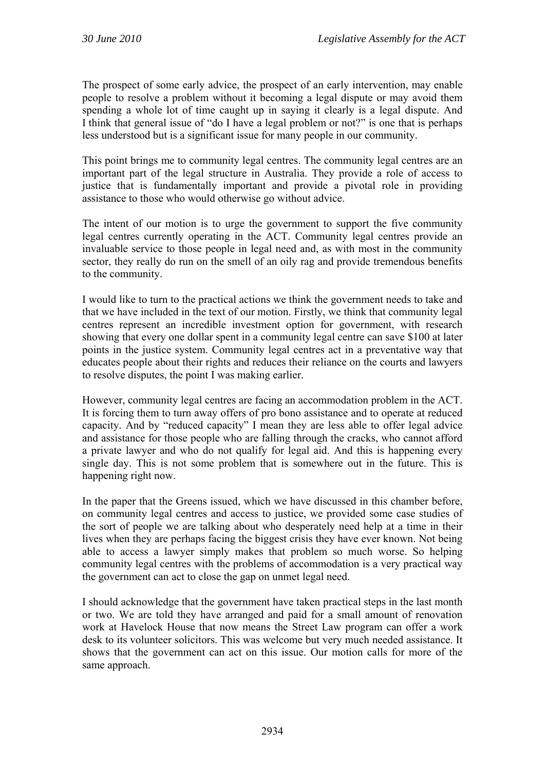The prospect of some early advice, the prospect of an early intervention, may enable people to resolve a problem without it becoming a legal dispute or may avoid them spending a whole lot of time caught up in saying it clearly is a legal dispute. And I think that general issue of "do I have a legal problem or not?" is one that is perhaps less understood but is a significant issue for many people in our community.

This point brings me to community legal centres. The community legal centres are an important part of the legal structure in Australia. They provide a role of access to justice that is fundamentally important and provide a pivotal role in providing assistance to those who would otherwise go without advice.

The intent of our motion is to urge the government to support the five community legal centres currently operating in the ACT. Community legal centres provide an invaluable service to those people in legal need and, as with most in the community sector, they really do run on the smell of an oily rag and provide tremendous benefits to the community.

I would like to turn to the practical actions we think the government needs to take and that we have included in the text of our motion. Firstly, we think that community legal centres represent an incredible investment option for government, with research showing that every one dollar spent in a community legal centre can save \$100 at later points in the justice system. Community legal centres act in a preventative way that educates people about their rights and reduces their reliance on the courts and lawyers to resolve disputes, the point I was making earlier.

However, community legal centres are facing an accommodation problem in the ACT. It is forcing them to turn away offers of pro bono assistance and to operate at reduced capacity. And by "reduced capacity" I mean they are less able to offer legal advice and assistance for those people who are falling through the cracks, who cannot afford a private lawyer and who do not qualify for legal aid. And this is happening every single day. This is not some problem that is somewhere out in the future. This is happening right now.

In the paper that the Greens issued, which we have discussed in this chamber before, on community legal centres and access to justice, we provided some case studies of the sort of people we are talking about who desperately need help at a time in their lives when they are perhaps facing the biggest crisis they have ever known. Not being able to access a lawyer simply makes that problem so much worse. So helping community legal centres with the problems of accommodation is a very practical way the government can act to close the gap on unmet legal need.

I should acknowledge that the government have taken practical steps in the last month or two. We are told they have arranged and paid for a small amount of renovation work at Havelock House that now means the Street Law program can offer a work desk to its volunteer solicitors. This was welcome but very much needed assistance. It shows that the government can act on this issue. Our motion calls for more of the same approach.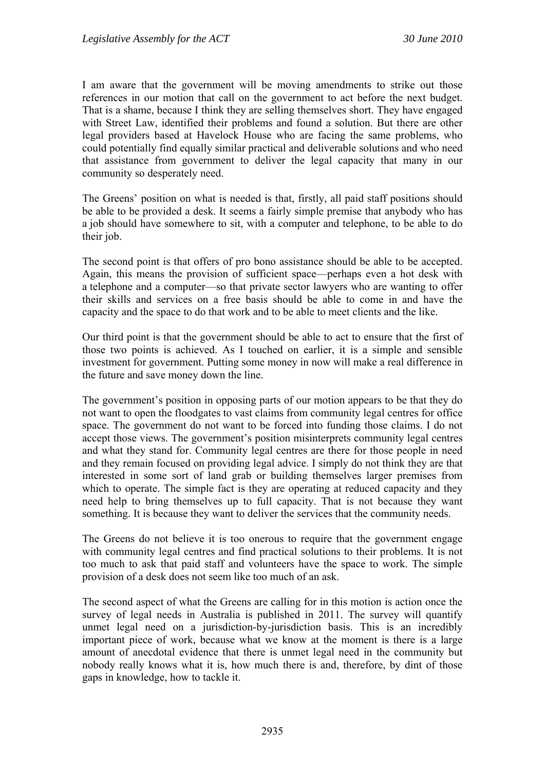I am aware that the government will be moving amendments to strike out those references in our motion that call on the government to act before the next budget. That is a shame, because I think they are selling themselves short. They have engaged with Street Law, identified their problems and found a solution. But there are other legal providers based at Havelock House who are facing the same problems, who could potentially find equally similar practical and deliverable solutions and who need that assistance from government to deliver the legal capacity that many in our community so desperately need.

The Greens' position on what is needed is that, firstly, all paid staff positions should be able to be provided a desk. It seems a fairly simple premise that anybody who has a job should have somewhere to sit, with a computer and telephone, to be able to do their job.

The second point is that offers of pro bono assistance should be able to be accepted. Again, this means the provision of sufficient space—perhaps even a hot desk with a telephone and a computer—so that private sector lawyers who are wanting to offer their skills and services on a free basis should be able to come in and have the capacity and the space to do that work and to be able to meet clients and the like.

Our third point is that the government should be able to act to ensure that the first of those two points is achieved. As I touched on earlier, it is a simple and sensible investment for government. Putting some money in now will make a real difference in the future and save money down the line.

The government's position in opposing parts of our motion appears to be that they do not want to open the floodgates to vast claims from community legal centres for office space. The government do not want to be forced into funding those claims. I do not accept those views. The government's position misinterprets community legal centres and what they stand for. Community legal centres are there for those people in need and they remain focused on providing legal advice. I simply do not think they are that interested in some sort of land grab or building themselves larger premises from which to operate. The simple fact is they are operating at reduced capacity and they need help to bring themselves up to full capacity. That is not because they want something. It is because they want to deliver the services that the community needs.

The Greens do not believe it is too onerous to require that the government engage with community legal centres and find practical solutions to their problems. It is not too much to ask that paid staff and volunteers have the space to work. The simple provision of a desk does not seem like too much of an ask.

The second aspect of what the Greens are calling for in this motion is action once the survey of legal needs in Australia is published in 2011. The survey will quantify unmet legal need on a jurisdiction-by-jurisdiction basis. This is an incredibly important piece of work, because what we know at the moment is there is a large amount of anecdotal evidence that there is unmet legal need in the community but nobody really knows what it is, how much there is and, therefore, by dint of those gaps in knowledge, how to tackle it.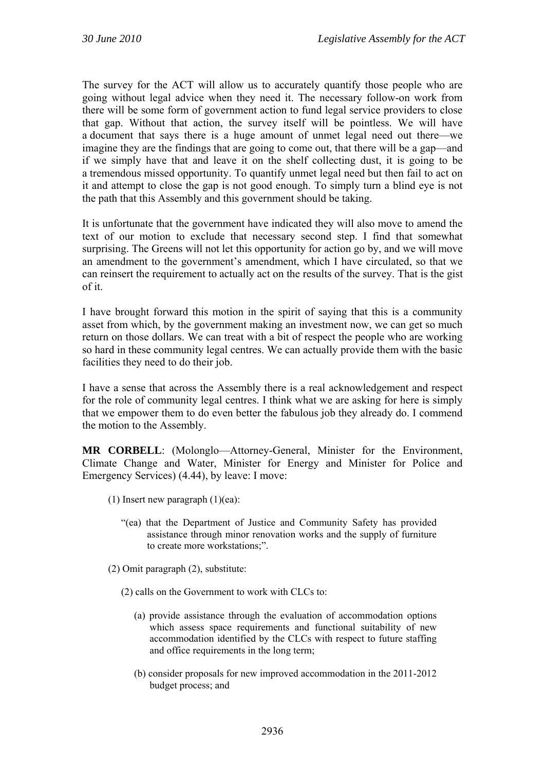The survey for the ACT will allow us to accurately quantify those people who are going without legal advice when they need it. The necessary follow-on work from there will be some form of government action to fund legal service providers to close that gap. Without that action, the survey itself will be pointless. We will have a document that says there is a huge amount of unmet legal need out there—we imagine they are the findings that are going to come out, that there will be a gap—and if we simply have that and leave it on the shelf collecting dust, it is going to be a tremendous missed opportunity. To quantify unmet legal need but then fail to act on it and attempt to close the gap is not good enough. To simply turn a blind eye is not the path that this Assembly and this government should be taking.

It is unfortunate that the government have indicated they will also move to amend the text of our motion to exclude that necessary second step. I find that somewhat surprising. The Greens will not let this opportunity for action go by, and we will move an amendment to the government's amendment, which I have circulated, so that we can reinsert the requirement to actually act on the results of the survey. That is the gist of it.

I have brought forward this motion in the spirit of saying that this is a community asset from which, by the government making an investment now, we can get so much return on those dollars. We can treat with a bit of respect the people who are working so hard in these community legal centres. We can actually provide them with the basic facilities they need to do their job.

I have a sense that across the Assembly there is a real acknowledgement and respect for the role of community legal centres. I think what we are asking for here is simply that we empower them to do even better the fabulous job they already do. I commend the motion to the Assembly.

**MR CORBELL**: (Molonglo—Attorney-General, Minister for the Environment, Climate Change and Water, Minister for Energy and Minister for Police and Emergency Services) (4.44), by leave: I move:

- (1) Insert new paragraph (1)(ea):
	- "(ea) that the Department of Justice and Community Safety has provided assistance through minor renovation works and the supply of furniture to create more workstations;".
- (2) Omit paragraph (2), substitute:
	- (2) calls on the Government to work with CLCs to:
		- (a) provide assistance through the evaluation of accommodation options which assess space requirements and functional suitability of new accommodation identified by the CLCs with respect to future staffing and office requirements in the long term;
		- (b) consider proposals for new improved accommodation in the 2011-2012 budget process; and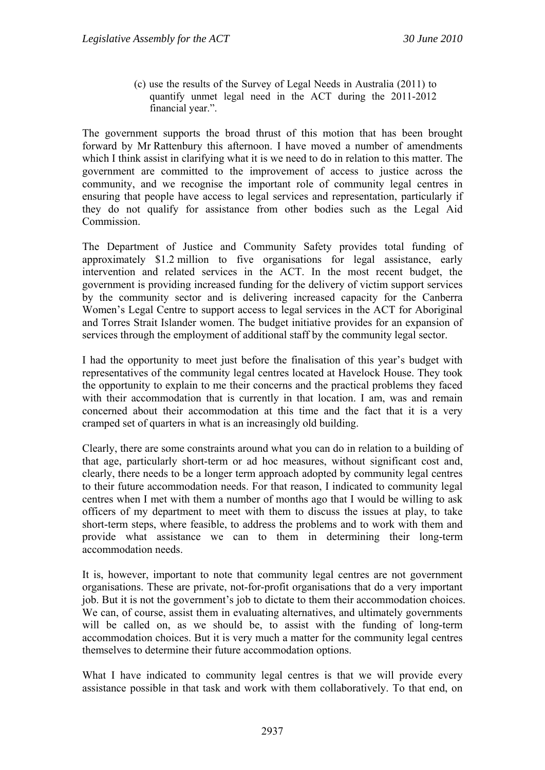(c) use the results of the Survey of Legal Needs in Australia (2011) to quantify unmet legal need in the ACT during the 2011-2012 financial year.".

The government supports the broad thrust of this motion that has been brought forward by Mr Rattenbury this afternoon. I have moved a number of amendments which I think assist in clarifying what it is we need to do in relation to this matter. The government are committed to the improvement of access to justice across the community, and we recognise the important role of community legal centres in ensuring that people have access to legal services and representation, particularly if they do not qualify for assistance from other bodies such as the Legal Aid Commission.

The Department of Justice and Community Safety provides total funding of approximately \$1.2 million to five organisations for legal assistance, early intervention and related services in the ACT. In the most recent budget, the government is providing increased funding for the delivery of victim support services by the community sector and is delivering increased capacity for the Canberra Women's Legal Centre to support access to legal services in the ACT for Aboriginal and Torres Strait Islander women. The budget initiative provides for an expansion of services through the employment of additional staff by the community legal sector.

I had the opportunity to meet just before the finalisation of this year's budget with representatives of the community legal centres located at Havelock House. They took the opportunity to explain to me their concerns and the practical problems they faced with their accommodation that is currently in that location. I am, was and remain concerned about their accommodation at this time and the fact that it is a very cramped set of quarters in what is an increasingly old building.

Clearly, there are some constraints around what you can do in relation to a building of that age, particularly short-term or ad hoc measures, without significant cost and, clearly, there needs to be a longer term approach adopted by community legal centres to their future accommodation needs. For that reason, I indicated to community legal centres when I met with them a number of months ago that I would be willing to ask officers of my department to meet with them to discuss the issues at play, to take short-term steps, where feasible, to address the problems and to work with them and provide what assistance we can to them in determining their long-term accommodation needs.

It is, however, important to note that community legal centres are not government organisations. These are private, not-for-profit organisations that do a very important job. But it is not the government's job to dictate to them their accommodation choices. We can, of course, assist them in evaluating alternatives, and ultimately governments will be called on, as we should be, to assist with the funding of long-term accommodation choices. But it is very much a matter for the community legal centres themselves to determine their future accommodation options.

What I have indicated to community legal centres is that we will provide every assistance possible in that task and work with them collaboratively. To that end, on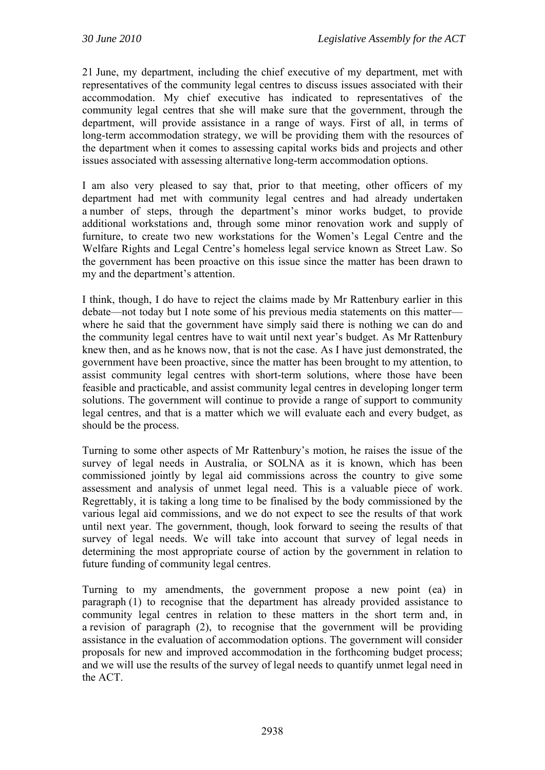21 June, my department, including the chief executive of my department, met with representatives of the community legal centres to discuss issues associated with their accommodation. My chief executive has indicated to representatives of the community legal centres that she will make sure that the government, through the department, will provide assistance in a range of ways. First of all, in terms of long-term accommodation strategy, we will be providing them with the resources of the department when it comes to assessing capital works bids and projects and other issues associated with assessing alternative long-term accommodation options.

I am also very pleased to say that, prior to that meeting, other officers of my department had met with community legal centres and had already undertaken a number of steps, through the department's minor works budget, to provide additional workstations and, through some minor renovation work and supply of furniture, to create two new workstations for the Women's Legal Centre and the Welfare Rights and Legal Centre's homeless legal service known as Street Law. So the government has been proactive on this issue since the matter has been drawn to my and the department's attention.

I think, though, I do have to reject the claims made by Mr Rattenbury earlier in this debate—not today but I note some of his previous media statements on this matter where he said that the government have simply said there is nothing we can do and the community legal centres have to wait until next year's budget. As Mr Rattenbury knew then, and as he knows now, that is not the case. As I have just demonstrated, the government have been proactive, since the matter has been brought to my attention, to assist community legal centres with short-term solutions, where those have been feasible and practicable, and assist community legal centres in developing longer term solutions. The government will continue to provide a range of support to community legal centres, and that is a matter which we will evaluate each and every budget, as should be the process.

Turning to some other aspects of Mr Rattenbury's motion, he raises the issue of the survey of legal needs in Australia, or SOLNA as it is known, which has been commissioned jointly by legal aid commissions across the country to give some assessment and analysis of unmet legal need. This is a valuable piece of work. Regrettably, it is taking a long time to be finalised by the body commissioned by the various legal aid commissions, and we do not expect to see the results of that work until next year. The government, though, look forward to seeing the results of that survey of legal needs. We will take into account that survey of legal needs in determining the most appropriate course of action by the government in relation to future funding of community legal centres.

Turning to my amendments, the government propose a new point (ea) in paragraph (1) to recognise that the department has already provided assistance to community legal centres in relation to these matters in the short term and, in a revision of paragraph (2), to recognise that the government will be providing assistance in the evaluation of accommodation options. The government will consider proposals for new and improved accommodation in the forthcoming budget process; and we will use the results of the survey of legal needs to quantify unmet legal need in the ACT.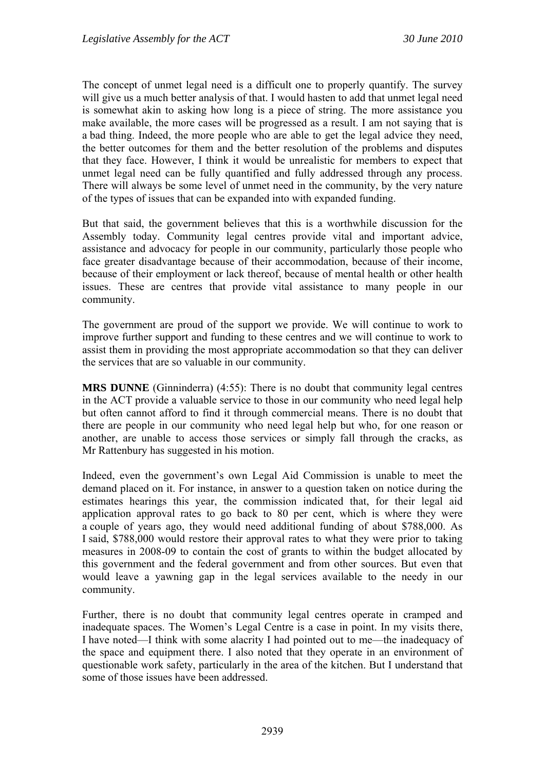The concept of unmet legal need is a difficult one to properly quantify. The survey will give us a much better analysis of that. I would hasten to add that unmet legal need is somewhat akin to asking how long is a piece of string. The more assistance you make available, the more cases will be progressed as a result. I am not saying that is a bad thing. Indeed, the more people who are able to get the legal advice they need, the better outcomes for them and the better resolution of the problems and disputes that they face. However, I think it would be unrealistic for members to expect that unmet legal need can be fully quantified and fully addressed through any process. There will always be some level of unmet need in the community, by the very nature of the types of issues that can be expanded into with expanded funding.

But that said, the government believes that this is a worthwhile discussion for the Assembly today. Community legal centres provide vital and important advice, assistance and advocacy for people in our community, particularly those people who face greater disadvantage because of their accommodation, because of their income, because of their employment or lack thereof, because of mental health or other health issues. These are centres that provide vital assistance to many people in our community.

The government are proud of the support we provide. We will continue to work to improve further support and funding to these centres and we will continue to work to assist them in providing the most appropriate accommodation so that they can deliver the services that are so valuable in our community.

**MRS DUNNE** (Ginninderra) (4:55): There is no doubt that community legal centres in the ACT provide a valuable service to those in our community who need legal help but often cannot afford to find it through commercial means. There is no doubt that there are people in our community who need legal help but who, for one reason or another, are unable to access those services or simply fall through the cracks, as Mr Rattenbury has suggested in his motion.

Indeed, even the government's own Legal Aid Commission is unable to meet the demand placed on it. For instance, in answer to a question taken on notice during the estimates hearings this year, the commission indicated that, for their legal aid application approval rates to go back to 80 per cent, which is where they were a couple of years ago, they would need additional funding of about \$788,000. As I said, \$788,000 would restore their approval rates to what they were prior to taking measures in 2008-09 to contain the cost of grants to within the budget allocated by this government and the federal government and from other sources. But even that would leave a yawning gap in the legal services available to the needy in our community.

Further, there is no doubt that community legal centres operate in cramped and inadequate spaces. The Women's Legal Centre is a case in point. In my visits there, I have noted—I think with some alacrity I had pointed out to me—the inadequacy of the space and equipment there. I also noted that they operate in an environment of questionable work safety, particularly in the area of the kitchen. But I understand that some of those issues have been addressed.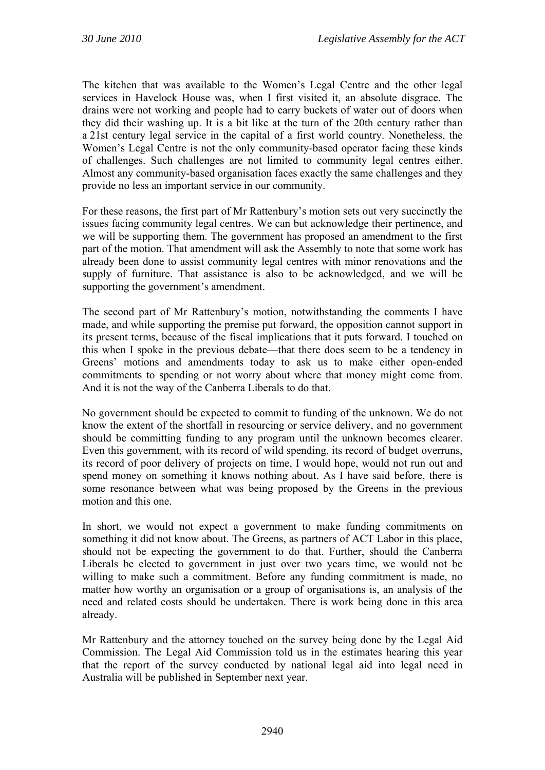The kitchen that was available to the Women's Legal Centre and the other legal services in Havelock House was, when I first visited it, an absolute disgrace. The drains were not working and people had to carry buckets of water out of doors when they did their washing up. It is a bit like at the turn of the 20th century rather than a 21st century legal service in the capital of a first world country. Nonetheless, the Women's Legal Centre is not the only community-based operator facing these kinds of challenges. Such challenges are not limited to community legal centres either. Almost any community-based organisation faces exactly the same challenges and they provide no less an important service in our community.

For these reasons, the first part of Mr Rattenbury's motion sets out very succinctly the issues facing community legal centres. We can but acknowledge their pertinence, and we will be supporting them. The government has proposed an amendment to the first part of the motion. That amendment will ask the Assembly to note that some work has already been done to assist community legal centres with minor renovations and the supply of furniture. That assistance is also to be acknowledged, and we will be supporting the government's amendment.

The second part of Mr Rattenbury's motion, notwithstanding the comments I have made, and while supporting the premise put forward, the opposition cannot support in its present terms, because of the fiscal implications that it puts forward. I touched on this when I spoke in the previous debate—that there does seem to be a tendency in Greens' motions and amendments today to ask us to make either open-ended commitments to spending or not worry about where that money might come from. And it is not the way of the Canberra Liberals to do that.

No government should be expected to commit to funding of the unknown. We do not know the extent of the shortfall in resourcing or service delivery, and no government should be committing funding to any program until the unknown becomes clearer. Even this government, with its record of wild spending, its record of budget overruns, its record of poor delivery of projects on time, I would hope, would not run out and spend money on something it knows nothing about. As I have said before, there is some resonance between what was being proposed by the Greens in the previous motion and this one.

In short, we would not expect a government to make funding commitments on something it did not know about. The Greens, as partners of ACT Labor in this place, should not be expecting the government to do that. Further, should the Canberra Liberals be elected to government in just over two years time, we would not be willing to make such a commitment. Before any funding commitment is made, no matter how worthy an organisation or a group of organisations is, an analysis of the need and related costs should be undertaken. There is work being done in this area already.

Mr Rattenbury and the attorney touched on the survey being done by the Legal Aid Commission. The Legal Aid Commission told us in the estimates hearing this year that the report of the survey conducted by national legal aid into legal need in Australia will be published in September next year.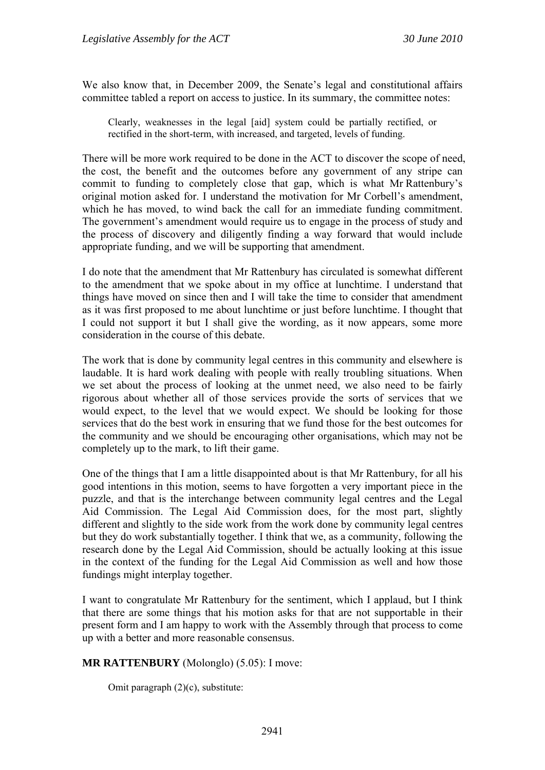We also know that, in December 2009, the Senate's legal and constitutional affairs committee tabled a report on access to justice. In its summary, the committee notes:

Clearly, weaknesses in the legal [aid] system could be partially rectified, or rectified in the short-term, with increased, and targeted, levels of funding.

There will be more work required to be done in the ACT to discover the scope of need, the cost, the benefit and the outcomes before any government of any stripe can commit to funding to completely close that gap, which is what Mr Rattenbury's original motion asked for. I understand the motivation for Mr Corbell's amendment, which he has moved, to wind back the call for an immediate funding commitment. The government's amendment would require us to engage in the process of study and the process of discovery and diligently finding a way forward that would include appropriate funding, and we will be supporting that amendment.

I do note that the amendment that Mr Rattenbury has circulated is somewhat different to the amendment that we spoke about in my office at lunchtime. I understand that things have moved on since then and I will take the time to consider that amendment as it was first proposed to me about lunchtime or just before lunchtime. I thought that I could not support it but I shall give the wording, as it now appears, some more consideration in the course of this debate.

The work that is done by community legal centres in this community and elsewhere is laudable. It is hard work dealing with people with really troubling situations. When we set about the process of looking at the unmet need, we also need to be fairly rigorous about whether all of those services provide the sorts of services that we would expect, to the level that we would expect. We should be looking for those services that do the best work in ensuring that we fund those for the best outcomes for the community and we should be encouraging other organisations, which may not be completely up to the mark, to lift their game.

One of the things that I am a little disappointed about is that Mr Rattenbury, for all his good intentions in this motion, seems to have forgotten a very important piece in the puzzle, and that is the interchange between community legal centres and the Legal Aid Commission. The Legal Aid Commission does, for the most part, slightly different and slightly to the side work from the work done by community legal centres but they do work substantially together. I think that we, as a community, following the research done by the Legal Aid Commission, should be actually looking at this issue in the context of the funding for the Legal Aid Commission as well and how those fundings might interplay together.

I want to congratulate Mr Rattenbury for the sentiment, which I applaud, but I think that there are some things that his motion asks for that are not supportable in their present form and I am happy to work with the Assembly through that process to come up with a better and more reasonable consensus.

### **MR RATTENBURY** (Molonglo) (5.05): I move:

Omit paragraph (2)(c), substitute: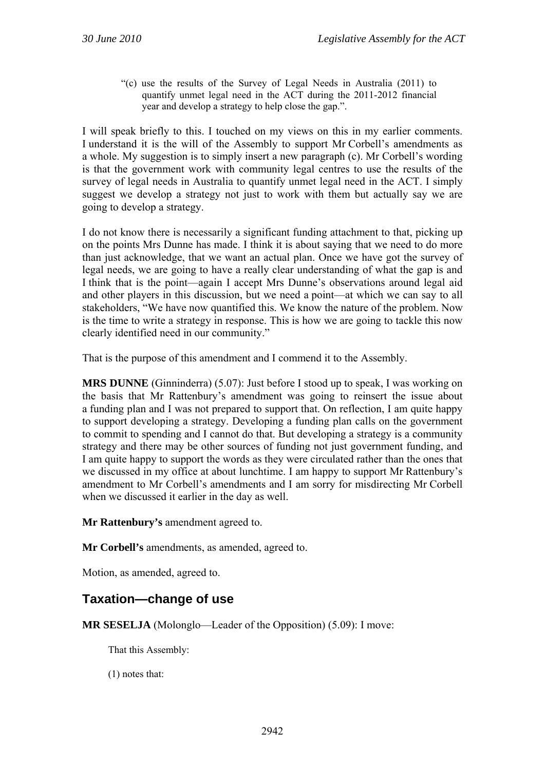"(c) use the results of the Survey of Legal Needs in Australia (2011) to quantify unmet legal need in the ACT during the 2011-2012 financial year and develop a strategy to help close the gap.".

I will speak briefly to this. I touched on my views on this in my earlier comments. I understand it is the will of the Assembly to support Mr Corbell's amendments as a whole. My suggestion is to simply insert a new paragraph (c). Mr Corbell's wording is that the government work with community legal centres to use the results of the survey of legal needs in Australia to quantify unmet legal need in the ACT. I simply suggest we develop a strategy not just to work with them but actually say we are going to develop a strategy.

I do not know there is necessarily a significant funding attachment to that, picking up on the points Mrs Dunne has made. I think it is about saying that we need to do more than just acknowledge, that we want an actual plan. Once we have got the survey of legal needs, we are going to have a really clear understanding of what the gap is and I think that is the point—again I accept Mrs Dunne's observations around legal aid and other players in this discussion, but we need a point—at which we can say to all stakeholders, "We have now quantified this. We know the nature of the problem. Now is the time to write a strategy in response. This is how we are going to tackle this now clearly identified need in our community."

That is the purpose of this amendment and I commend it to the Assembly.

**MRS DUNNE** (Ginninderra) (5.07): Just before I stood up to speak, I was working on the basis that Mr Rattenbury's amendment was going to reinsert the issue about a funding plan and I was not prepared to support that. On reflection, I am quite happy to support developing a strategy. Developing a funding plan calls on the government to commit to spending and I cannot do that. But developing a strategy is a community strategy and there may be other sources of funding not just government funding, and I am quite happy to support the words as they were circulated rather than the ones that we discussed in my office at about lunchtime. I am happy to support Mr Rattenbury's amendment to Mr Corbell's amendments and I am sorry for misdirecting Mr Corbell when we discussed it earlier in the day as well.

**Mr Rattenbury's** amendment agreed to.

**Mr Corbell's** amendments, as amended, agreed to.

Motion, as amended, agreed to.

## **Taxation—change of use**

**MR SESELJA** (Molonglo—Leader of the Opposition) (5.09): I move:

That this Assembly:

(1) notes that: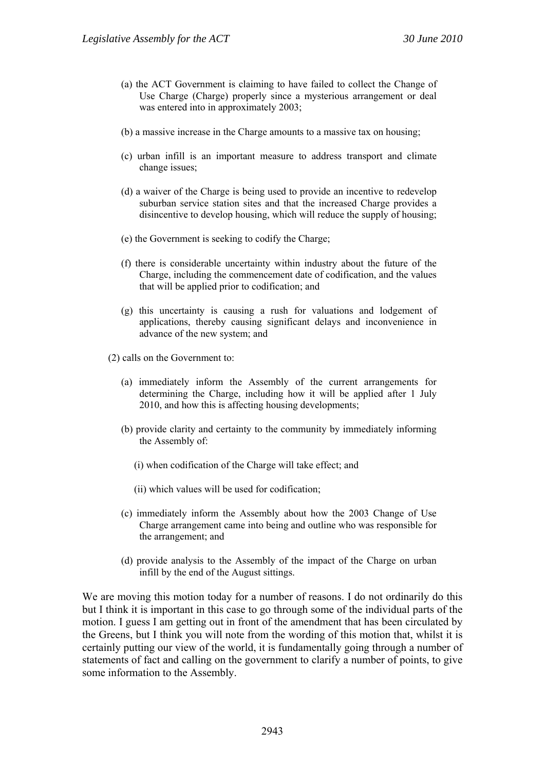- (a) the ACT Government is claiming to have failed to collect the Change of Use Charge (Charge) properly since a mysterious arrangement or deal was entered into in approximately 2003;
- (b) a massive increase in the Charge amounts to a massive tax on housing;
- (c) urban infill is an important measure to address transport and climate change issues;
- (d) a waiver of the Charge is being used to provide an incentive to redevelop suburban service station sites and that the increased Charge provides a disincentive to develop housing, which will reduce the supply of housing;
- (e) the Government is seeking to codify the Charge;
- (f) there is considerable uncertainty within industry about the future of the Charge, including the commencement date of codification, and the values that will be applied prior to codification; and
- (g) this uncertainty is causing a rush for valuations and lodgement of applications, thereby causing significant delays and inconvenience in advance of the new system; and
- (2) calls on the Government to:
	- (a) immediately inform the Assembly of the current arrangements for determining the Charge, including how it will be applied after 1 July 2010, and how this is affecting housing developments;
	- (b) provide clarity and certainty to the community by immediately informing the Assembly of:
		- (i) when codification of the Charge will take effect; and
		- (ii) which values will be used for codification;
	- (c) immediately inform the Assembly about how the 2003 Change of Use Charge arrangement came into being and outline who was responsible for the arrangement; and
	- (d) provide analysis to the Assembly of the impact of the Charge on urban infill by the end of the August sittings.

We are moving this motion today for a number of reasons. I do not ordinarily do this but I think it is important in this case to go through some of the individual parts of the motion. I guess I am getting out in front of the amendment that has been circulated by the Greens, but I think you will note from the wording of this motion that, whilst it is certainly putting our view of the world, it is fundamentally going through a number of statements of fact and calling on the government to clarify a number of points, to give some information to the Assembly.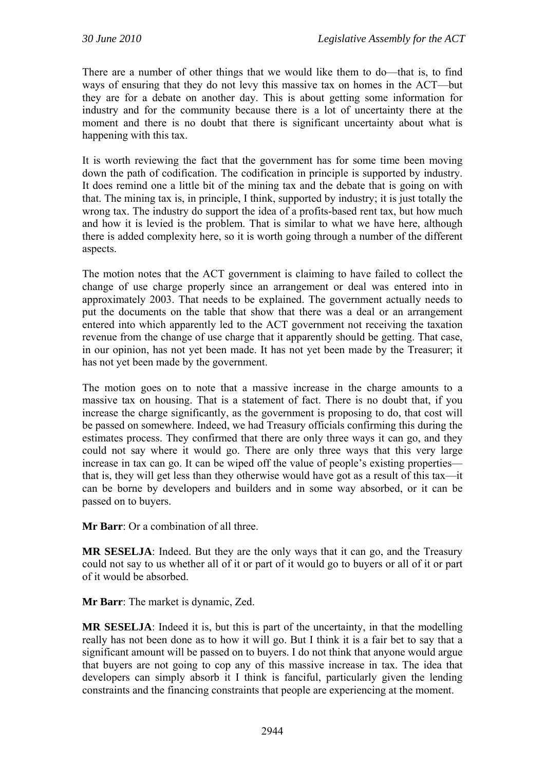There are a number of other things that we would like them to do—that is, to find ways of ensuring that they do not levy this massive tax on homes in the ACT—but they are for a debate on another day. This is about getting some information for industry and for the community because there is a lot of uncertainty there at the moment and there is no doubt that there is significant uncertainty about what is happening with this tax.

It is worth reviewing the fact that the government has for some time been moving down the path of codification. The codification in principle is supported by industry. It does remind one a little bit of the mining tax and the debate that is going on with that. The mining tax is, in principle, I think, supported by industry; it is just totally the wrong tax. The industry do support the idea of a profits-based rent tax, but how much and how it is levied is the problem. That is similar to what we have here, although there is added complexity here, so it is worth going through a number of the different aspects.

The motion notes that the ACT government is claiming to have failed to collect the change of use charge properly since an arrangement or deal was entered into in approximately 2003. That needs to be explained. The government actually needs to put the documents on the table that show that there was a deal or an arrangement entered into which apparently led to the ACT government not receiving the taxation revenue from the change of use charge that it apparently should be getting. That case, in our opinion, has not yet been made. It has not yet been made by the Treasurer; it has not yet been made by the government.

The motion goes on to note that a massive increase in the charge amounts to a massive tax on housing. That is a statement of fact. There is no doubt that, if you increase the charge significantly, as the government is proposing to do, that cost will be passed on somewhere. Indeed, we had Treasury officials confirming this during the estimates process. They confirmed that there are only three ways it can go, and they could not say where it would go. There are only three ways that this very large increase in tax can go. It can be wiped off the value of people's existing properties that is, they will get less than they otherwise would have got as a result of this tax—it can be borne by developers and builders and in some way absorbed, or it can be passed on to buyers.

**Mr Barr**: Or a combination of all three

**MR SESELJA**: Indeed. But they are the only ways that it can go, and the Treasury could not say to us whether all of it or part of it would go to buyers or all of it or part of it would be absorbed.

**Mr Barr**: The market is dynamic, Zed.

**MR SESELJA**: Indeed it is, but this is part of the uncertainty, in that the modelling really has not been done as to how it will go. But I think it is a fair bet to say that a significant amount will be passed on to buyers. I do not think that anyone would argue that buyers are not going to cop any of this massive increase in tax. The idea that developers can simply absorb it I think is fanciful, particularly given the lending constraints and the financing constraints that people are experiencing at the moment.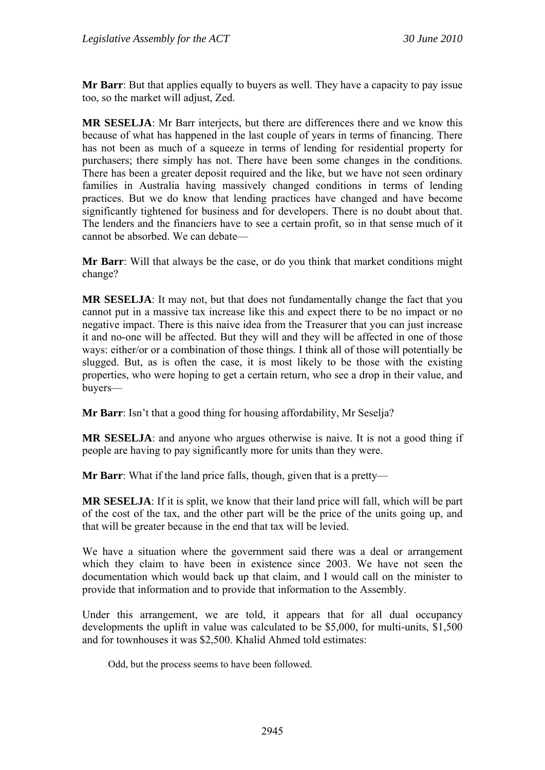**Mr Barr**: But that applies equally to buyers as well. They have a capacity to pay issue too, so the market will adjust, Zed.

**MR SESELJA**: Mr Barr interjects, but there are differences there and we know this because of what has happened in the last couple of years in terms of financing. There has not been as much of a squeeze in terms of lending for residential property for purchasers; there simply has not. There have been some changes in the conditions. There has been a greater deposit required and the like, but we have not seen ordinary families in Australia having massively changed conditions in terms of lending practices. But we do know that lending practices have changed and have become significantly tightened for business and for developers. There is no doubt about that. The lenders and the financiers have to see a certain profit, so in that sense much of it cannot be absorbed. We can debate—

**Mr Barr**: Will that always be the case, or do you think that market conditions might change?

**MR SESELJA**: It may not, but that does not fundamentally change the fact that you cannot put in a massive tax increase like this and expect there to be no impact or no negative impact. There is this naive idea from the Treasurer that you can just increase it and no-one will be affected. But they will and they will be affected in one of those ways: either/or or a combination of those things. I think all of those will potentially be slugged. But, as is often the case, it is most likely to be those with the existing properties, who were hoping to get a certain return, who see a drop in their value, and buyers—

**Mr Barr**: Isn't that a good thing for housing affordability, Mr Seselja?

**MR SESELJA**: and anyone who argues otherwise is naive. It is not a good thing if people are having to pay significantly more for units than they were.

**Mr Barr**: What if the land price falls, though, given that is a pretty—

**MR SESELJA**: If it is split, we know that their land price will fall, which will be part of the cost of the tax, and the other part will be the price of the units going up, and that will be greater because in the end that tax will be levied.

We have a situation where the government said there was a deal or arrangement which they claim to have been in existence since 2003. We have not seen the documentation which would back up that claim, and I would call on the minister to provide that information and to provide that information to the Assembly.

Under this arrangement, we are told, it appears that for all dual occupancy developments the uplift in value was calculated to be \$5,000, for multi-units, \$1,500 and for townhouses it was \$2,500. Khalid Ahmed told estimates:

Odd, but the process seems to have been followed.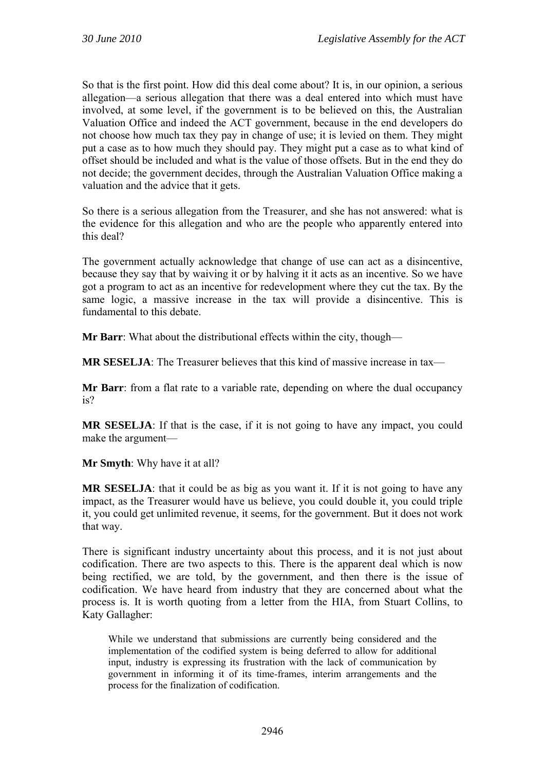So that is the first point. How did this deal come about? It is, in our opinion, a serious allegation—a serious allegation that there was a deal entered into which must have involved, at some level, if the government is to be believed on this, the Australian Valuation Office and indeed the ACT government, because in the end developers do not choose how much tax they pay in change of use; it is levied on them. They might put a case as to how much they should pay. They might put a case as to what kind of offset should be included and what is the value of those offsets. But in the end they do not decide; the government decides, through the Australian Valuation Office making a valuation and the advice that it gets.

So there is a serious allegation from the Treasurer, and she has not answered: what is the evidence for this allegation and who are the people who apparently entered into this deal?

The government actually acknowledge that change of use can act as a disincentive, because they say that by waiving it or by halving it it acts as an incentive. So we have got a program to act as an incentive for redevelopment where they cut the tax. By the same logic, a massive increase in the tax will provide a disincentive. This is fundamental to this debate.

**Mr Barr**: What about the distributional effects within the city, though—

**MR SESELJA**: The Treasurer believes that this kind of massive increase in tax—

**Mr Barr**: from a flat rate to a variable rate, depending on where the dual occupancy is?

**MR SESELJA**: If that is the case, if it is not going to have any impact, you could make the argument—

**Mr Smyth**: Why have it at all?

**MR SESELJA:** that it could be as big as you want it. If it is not going to have any impact, as the Treasurer would have us believe, you could double it, you could triple it, you could get unlimited revenue, it seems, for the government. But it does not work that way.

There is significant industry uncertainty about this process, and it is not just about codification. There are two aspects to this. There is the apparent deal which is now being rectified, we are told, by the government, and then there is the issue of codification. We have heard from industry that they are concerned about what the process is. It is worth quoting from a letter from the HIA, from Stuart Collins, to Katy Gallagher:

While we understand that submissions are currently being considered and the implementation of the codified system is being deferred to allow for additional input, industry is expressing its frustration with the lack of communication by government in informing it of its time-frames, interim arrangements and the process for the finalization of codification.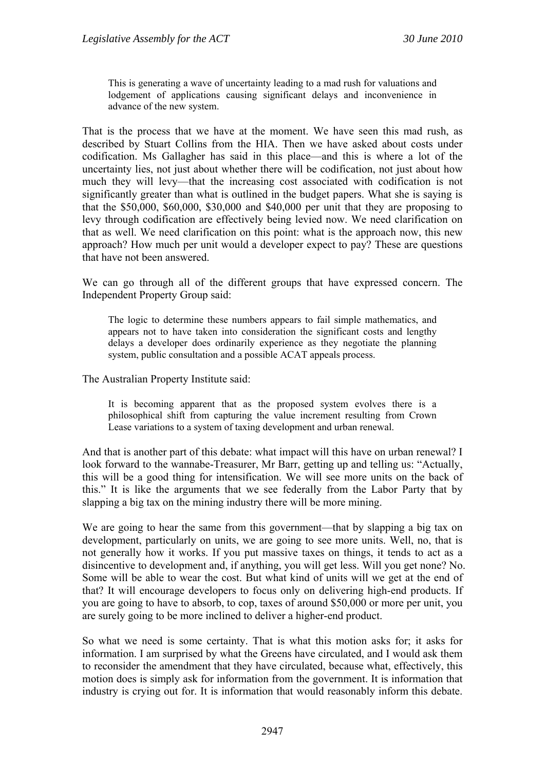This is generating a wave of uncertainty leading to a mad rush for valuations and lodgement of applications causing significant delays and inconvenience in advance of the new system.

That is the process that we have at the moment. We have seen this mad rush, as described by Stuart Collins from the HIA. Then we have asked about costs under codification. Ms Gallagher has said in this place—and this is where a lot of the uncertainty lies, not just about whether there will be codification, not just about how much they will levy—that the increasing cost associated with codification is not significantly greater than what is outlined in the budget papers. What she is saying is that the \$50,000, \$60,000, \$30,000 and \$40,000 per unit that they are proposing to levy through codification are effectively being levied now. We need clarification on that as well. We need clarification on this point: what is the approach now, this new approach? How much per unit would a developer expect to pay? These are questions that have not been answered.

We can go through all of the different groups that have expressed concern. The Independent Property Group said:

The logic to determine these numbers appears to fail simple mathematics, and appears not to have taken into consideration the significant costs and lengthy delays a developer does ordinarily experience as they negotiate the planning system, public consultation and a possible ACAT appeals process.

The Australian Property Institute said:

It is becoming apparent that as the proposed system evolves there is a philosophical shift from capturing the value increment resulting from Crown Lease variations to a system of taxing development and urban renewal.

And that is another part of this debate: what impact will this have on urban renewal? I look forward to the wannabe-Treasurer, Mr Barr, getting up and telling us: "Actually, this will be a good thing for intensification. We will see more units on the back of this." It is like the arguments that we see federally from the Labor Party that by slapping a big tax on the mining industry there will be more mining.

We are going to hear the same from this government—that by slapping a big tax on development, particularly on units, we are going to see more units. Well, no, that is not generally how it works. If you put massive taxes on things, it tends to act as a disincentive to development and, if anything, you will get less. Will you get none? No. Some will be able to wear the cost. But what kind of units will we get at the end of that? It will encourage developers to focus only on delivering high-end products. If you are going to have to absorb, to cop, taxes of around \$50,000 or more per unit, you are surely going to be more inclined to deliver a higher-end product.

So what we need is some certainty. That is what this motion asks for; it asks for information. I am surprised by what the Greens have circulated, and I would ask them to reconsider the amendment that they have circulated, because what, effectively, this motion does is simply ask for information from the government. It is information that industry is crying out for. It is information that would reasonably inform this debate.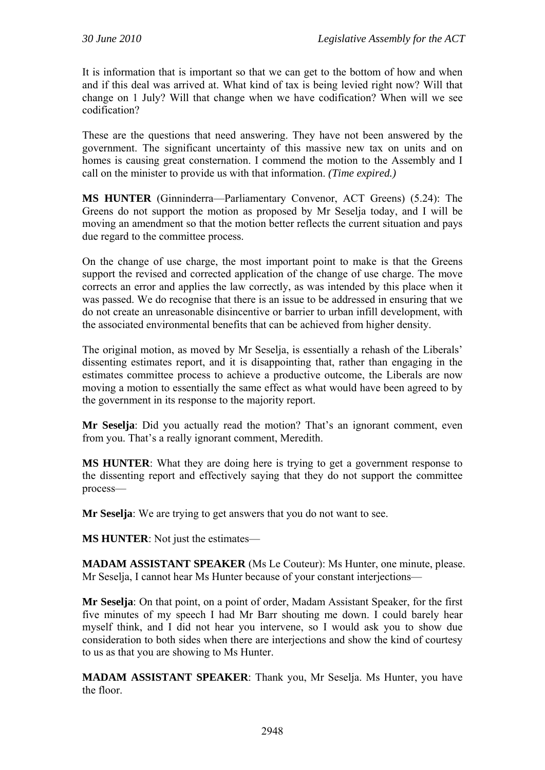It is information that is important so that we can get to the bottom of how and when and if this deal was arrived at. What kind of tax is being levied right now? Will that change on 1 July? Will that change when we have codification? When will we see codification?

These are the questions that need answering. They have not been answered by the government. The significant uncertainty of this massive new tax on units and on homes is causing great consternation. I commend the motion to the Assembly and I call on the minister to provide us with that information. *(Time expired.)*

**MS HUNTER** (Ginninderra—Parliamentary Convenor, ACT Greens) (5.24): The Greens do not support the motion as proposed by Mr Seselja today, and I will be moving an amendment so that the motion better reflects the current situation and pays due regard to the committee process.

On the change of use charge, the most important point to make is that the Greens support the revised and corrected application of the change of use charge. The move corrects an error and applies the law correctly, as was intended by this place when it was passed. We do recognise that there is an issue to be addressed in ensuring that we do not create an unreasonable disincentive or barrier to urban infill development, with the associated environmental benefits that can be achieved from higher density.

The original motion, as moved by Mr Seselja, is essentially a rehash of the Liberals' dissenting estimates report, and it is disappointing that, rather than engaging in the estimates committee process to achieve a productive outcome, the Liberals are now moving a motion to essentially the same effect as what would have been agreed to by the government in its response to the majority report.

**Mr Seselja**: Did you actually read the motion? That's an ignorant comment, even from you. That's a really ignorant comment, Meredith.

**MS HUNTER**: What they are doing here is trying to get a government response to the dissenting report and effectively saying that they do not support the committee process—

**Mr Seselja**: We are trying to get answers that you do not want to see.

**MS HUNTER**: Not just the estimates—

**MADAM ASSISTANT SPEAKER** (Ms Le Couteur): Ms Hunter, one minute, please. Mr Seselja, I cannot hear Ms Hunter because of your constant interjections—

**Mr Seselja**: On that point, on a point of order, Madam Assistant Speaker, for the first five minutes of my speech I had Mr Barr shouting me down. I could barely hear myself think, and I did not hear you intervene, so I would ask you to show due consideration to both sides when there are interjections and show the kind of courtesy to us as that you are showing to Ms Hunter.

**MADAM ASSISTANT SPEAKER**: Thank you, Mr Seselja. Ms Hunter, you have the floor.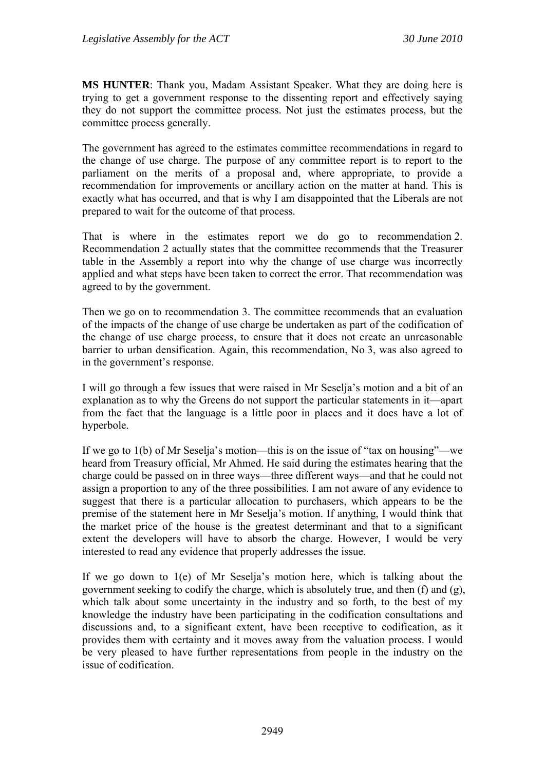**MS HUNTER**: Thank you, Madam Assistant Speaker. What they are doing here is trying to get a government response to the dissenting report and effectively saying they do not support the committee process. Not just the estimates process, but the committee process generally.

The government has agreed to the estimates committee recommendations in regard to the change of use charge. The purpose of any committee report is to report to the parliament on the merits of a proposal and, where appropriate, to provide a recommendation for improvements or ancillary action on the matter at hand. This is exactly what has occurred, and that is why I am disappointed that the Liberals are not prepared to wait for the outcome of that process.

That is where in the estimates report we do go to recommendation 2. Recommendation 2 actually states that the committee recommends that the Treasurer table in the Assembly a report into why the change of use charge was incorrectly applied and what steps have been taken to correct the error. That recommendation was agreed to by the government.

Then we go on to recommendation 3. The committee recommends that an evaluation of the impacts of the change of use charge be undertaken as part of the codification of the change of use charge process, to ensure that it does not create an unreasonable barrier to urban densification. Again, this recommendation, No 3, was also agreed to in the government's response.

I will go through a few issues that were raised in Mr Seselja's motion and a bit of an explanation as to why the Greens do not support the particular statements in it—apart from the fact that the language is a little poor in places and it does have a lot of hyperbole.

If we go to 1(b) of Mr Seselja's motion—this is on the issue of "tax on housing"—we heard from Treasury official, Mr Ahmed. He said during the estimates hearing that the charge could be passed on in three ways—three different ways—and that he could not assign a proportion to any of the three possibilities. I am not aware of any evidence to suggest that there is a particular allocation to purchasers, which appears to be the premise of the statement here in Mr Seselja's motion. If anything, I would think that the market price of the house is the greatest determinant and that to a significant extent the developers will have to absorb the charge. However, I would be very interested to read any evidence that properly addresses the issue.

If we go down to 1(e) of Mr Seselja's motion here, which is talking about the government seeking to codify the charge, which is absolutely true, and then (f) and (g), which talk about some uncertainty in the industry and so forth, to the best of my knowledge the industry have been participating in the codification consultations and discussions and, to a significant extent, have been receptive to codification, as it provides them with certainty and it moves away from the valuation process. I would be very pleased to have further representations from people in the industry on the issue of codification.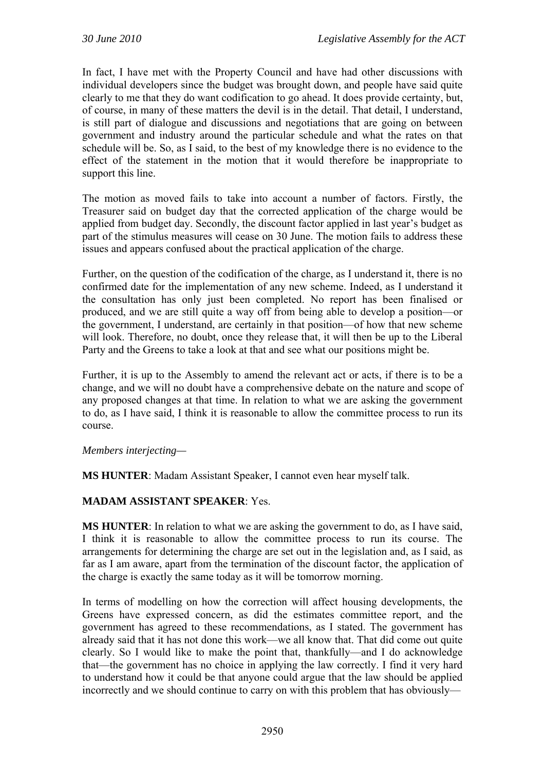In fact, I have met with the Property Council and have had other discussions with individual developers since the budget was brought down, and people have said quite clearly to me that they do want codification to go ahead. It does provide certainty, but, of course, in many of these matters the devil is in the detail. That detail, I understand, is still part of dialogue and discussions and negotiations that are going on between government and industry around the particular schedule and what the rates on that schedule will be. So, as I said, to the best of my knowledge there is no evidence to the effect of the statement in the motion that it would therefore be inappropriate to support this line.

The motion as moved fails to take into account a number of factors. Firstly, the Treasurer said on budget day that the corrected application of the charge would be applied from budget day. Secondly, the discount factor applied in last year's budget as part of the stimulus measures will cease on 30 June. The motion fails to address these issues and appears confused about the practical application of the charge.

Further, on the question of the codification of the charge, as I understand it, there is no confirmed date for the implementation of any new scheme. Indeed, as I understand it the consultation has only just been completed. No report has been finalised or produced, and we are still quite a way off from being able to develop a position—or the government, I understand, are certainly in that position—of how that new scheme will look. Therefore, no doubt, once they release that, it will then be up to the Liberal Party and the Greens to take a look at that and see what our positions might be.

Further, it is up to the Assembly to amend the relevant act or acts, if there is to be a change, and we will no doubt have a comprehensive debate on the nature and scope of any proposed changes at that time. In relation to what we are asking the government to do, as I have said, I think it is reasonable to allow the committee process to run its course.

*Members interjecting—* 

**MS HUNTER**: Madam Assistant Speaker, I cannot even hear myself talk.

### **MADAM ASSISTANT SPEAKER**: Yes.

**MS HUNTER**: In relation to what we are asking the government to do, as I have said, I think it is reasonable to allow the committee process to run its course. The arrangements for determining the charge are set out in the legislation and, as I said, as far as I am aware, apart from the termination of the discount factor, the application of the charge is exactly the same today as it will be tomorrow morning.

In terms of modelling on how the correction will affect housing developments, the Greens have expressed concern, as did the estimates committee report, and the government has agreed to these recommendations, as I stated. The government has already said that it has not done this work—we all know that. That did come out quite clearly. So I would like to make the point that, thankfully—and I do acknowledge that—the government has no choice in applying the law correctly. I find it very hard to understand how it could be that anyone could argue that the law should be applied incorrectly and we should continue to carry on with this problem that has obviously—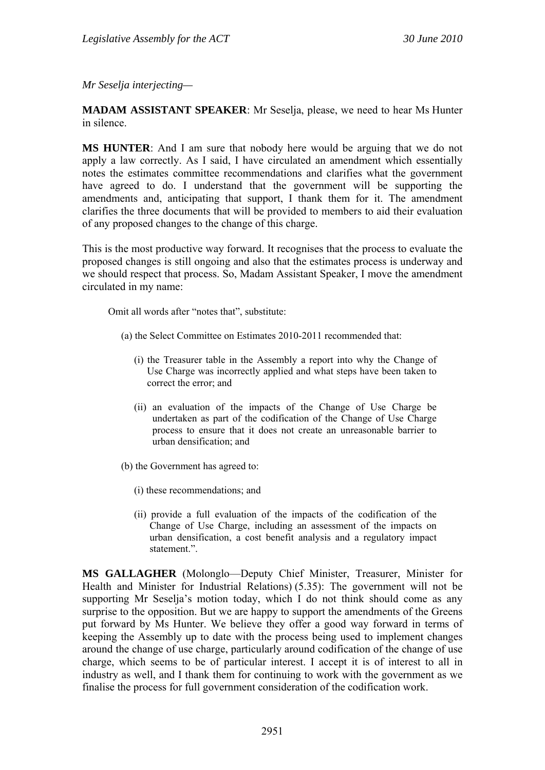*Mr Seselja interjecting—* 

**MADAM ASSISTANT SPEAKER**: Mr Seselja, please, we need to hear Ms Hunter in silence.

**MS HUNTER**: And I am sure that nobody here would be arguing that we do not apply a law correctly. As I said, I have circulated an amendment which essentially notes the estimates committee recommendations and clarifies what the government have agreed to do. I understand that the government will be supporting the amendments and, anticipating that support, I thank them for it. The amendment clarifies the three documents that will be provided to members to aid their evaluation of any proposed changes to the change of this charge.

This is the most productive way forward. It recognises that the process to evaluate the proposed changes is still ongoing and also that the estimates process is underway and we should respect that process. So, Madam Assistant Speaker, I move the amendment circulated in my name:

Omit all words after "notes that", substitute:

- (a) the Select Committee on Estimates 2010-2011 recommended that:
	- (i) the Treasurer table in the Assembly a report into why the Change of Use Charge was incorrectly applied and what steps have been taken to correct the error; and
	- (ii) an evaluation of the impacts of the Change of Use Charge be undertaken as part of the codification of the Change of Use Charge process to ensure that it does not create an unreasonable barrier to urban densification; and
- (b) the Government has agreed to:
	- (i) these recommendations; and
	- (ii) provide a full evaluation of the impacts of the codification of the Change of Use Charge, including an assessment of the impacts on urban densification, a cost benefit analysis and a regulatory impact statement.".

**MS GALLAGHER** (Molonglo—Deputy Chief Minister, Treasurer, Minister for Health and Minister for Industrial Relations) (5.35): The government will not be supporting Mr Seselja's motion today, which I do not think should come as any surprise to the opposition. But we are happy to support the amendments of the Greens put forward by Ms Hunter. We believe they offer a good way forward in terms of keeping the Assembly up to date with the process being used to implement changes around the change of use charge, particularly around codification of the change of use charge, which seems to be of particular interest. I accept it is of interest to all in industry as well, and I thank them for continuing to work with the government as we finalise the process for full government consideration of the codification work.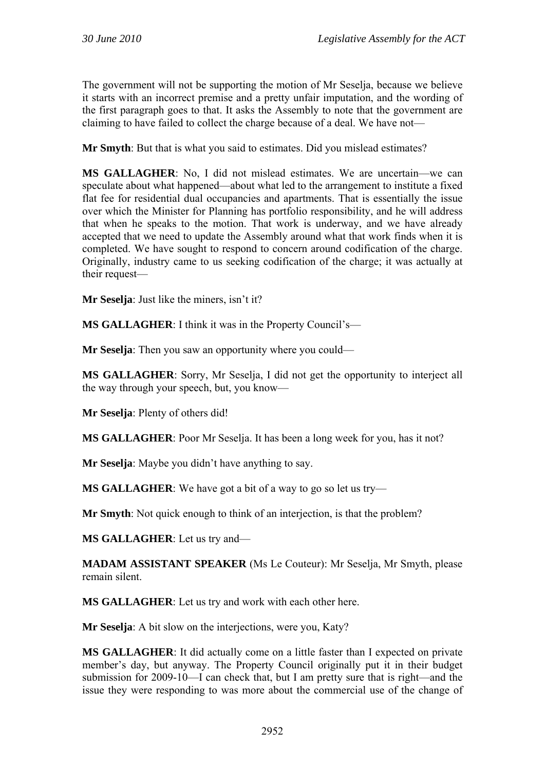The government will not be supporting the motion of Mr Seselja, because we believe it starts with an incorrect premise and a pretty unfair imputation, and the wording of the first paragraph goes to that. It asks the Assembly to note that the government are claiming to have failed to collect the charge because of a deal. We have not—

**Mr Smyth**: But that is what you said to estimates. Did you mislead estimates?

**MS GALLAGHER**: No, I did not mislead estimates. We are uncertain—we can speculate about what happened—about what led to the arrangement to institute a fixed flat fee for residential dual occupancies and apartments. That is essentially the issue over which the Minister for Planning has portfolio responsibility, and he will address that when he speaks to the motion. That work is underway, and we have already accepted that we need to update the Assembly around what that work finds when it is completed. We have sought to respond to concern around codification of the charge. Originally, industry came to us seeking codification of the charge; it was actually at their request—

**Mr Seselja**: Just like the miners, isn't it?

**MS GALLAGHER**: I think it was in the Property Council's—

**Mr Seselia**: Then you saw an opportunity where you could—

**MS GALLAGHER**: Sorry, Mr Seselja, I did not get the opportunity to interject all the way through your speech, but, you know—

**Mr Seselja**: Plenty of others did!

**MS GALLAGHER**: Poor Mr Seselja. It has been a long week for you, has it not?

**Mr Seselja**: Maybe you didn't have anything to say.

**MS GALLAGHER**: We have got a bit of a way to go so let us try—

**Mr Smyth**: Not quick enough to think of an interjection, is that the problem?

**MS GALLAGHER**: Let us try and—

**MADAM ASSISTANT SPEAKER** (Ms Le Couteur): Mr Seselja, Mr Smyth, please remain silent.

**MS GALLAGHER**: Let us try and work with each other here.

**Mr Seselja**: A bit slow on the interjections, were you, Katy?

**MS GALLAGHER**: It did actually come on a little faster than I expected on private member's day, but anyway. The Property Council originally put it in their budget submission for 2009-10—I can check that, but I am pretty sure that is right—and the issue they were responding to was more about the commercial use of the change of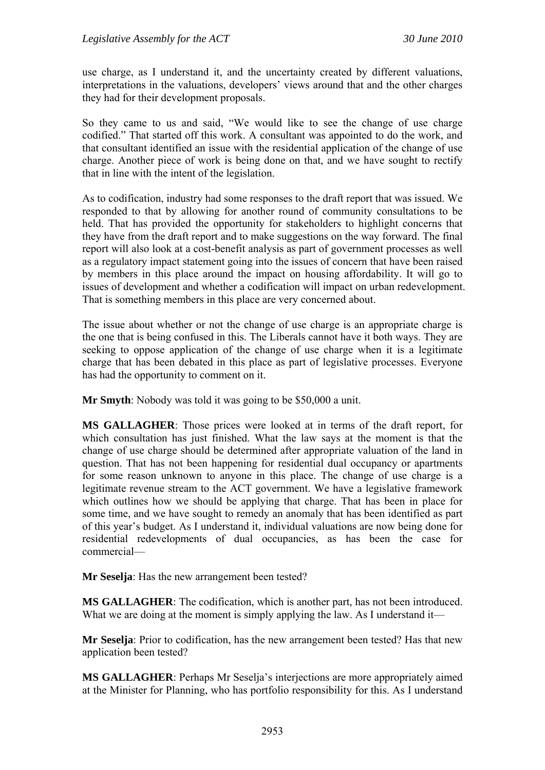use charge, as I understand it, and the uncertainty created by different valuations, interpretations in the valuations, developers' views around that and the other charges they had for their development proposals.

So they came to us and said, "We would like to see the change of use charge codified." That started off this work. A consultant was appointed to do the work, and that consultant identified an issue with the residential application of the change of use charge. Another piece of work is being done on that, and we have sought to rectify that in line with the intent of the legislation.

As to codification, industry had some responses to the draft report that was issued. We responded to that by allowing for another round of community consultations to be held. That has provided the opportunity for stakeholders to highlight concerns that they have from the draft report and to make suggestions on the way forward. The final report will also look at a cost-benefit analysis as part of government processes as well as a regulatory impact statement going into the issues of concern that have been raised by members in this place around the impact on housing affordability. It will go to issues of development and whether a codification will impact on urban redevelopment. That is something members in this place are very concerned about.

The issue about whether or not the change of use charge is an appropriate charge is the one that is being confused in this. The Liberals cannot have it both ways. They are seeking to oppose application of the change of use charge when it is a legitimate charge that has been debated in this place as part of legislative processes. Everyone has had the opportunity to comment on it.

**Mr Smyth**: Nobody was told it was going to be \$50,000 a unit.

**MS GALLAGHER**: Those prices were looked at in terms of the draft report, for which consultation has just finished. What the law says at the moment is that the change of use charge should be determined after appropriate valuation of the land in question. That has not been happening for residential dual occupancy or apartments for some reason unknown to anyone in this place. The change of use charge is a legitimate revenue stream to the ACT government. We have a legislative framework which outlines how we should be applying that charge. That has been in place for some time, and we have sought to remedy an anomaly that has been identified as part of this year's budget. As I understand it, individual valuations are now being done for residential redevelopments of dual occupancies, as has been the case for commercial—

**Mr Seselja**: Has the new arrangement been tested?

**MS GALLAGHER**: The codification, which is another part, has not been introduced. What we are doing at the moment is simply applying the law. As I understand it—

**Mr Seselja**: Prior to codification, has the new arrangement been tested? Has that new application been tested?

**MS GALLAGHER**: Perhaps Mr Seselja's interjections are more appropriately aimed at the Minister for Planning, who has portfolio responsibility for this. As I understand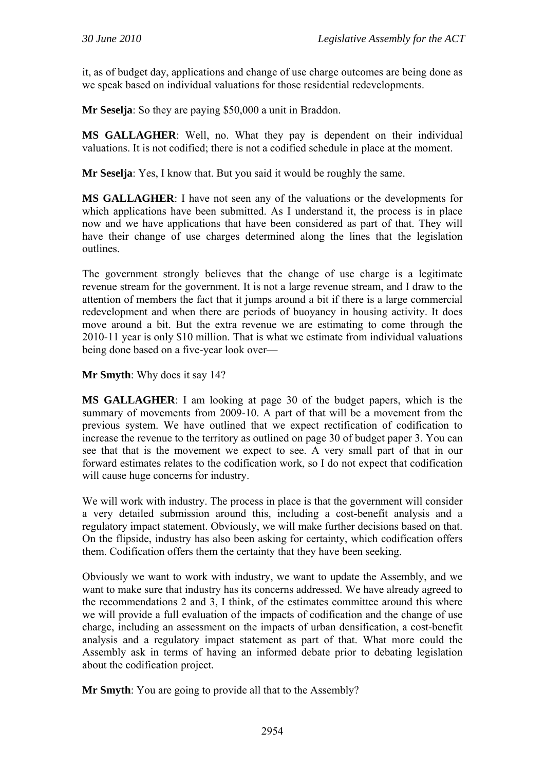it, as of budget day, applications and change of use charge outcomes are being done as we speak based on individual valuations for those residential redevelopments.

**Mr Seselja**: So they are paying \$50,000 a unit in Braddon.

**MS GALLAGHER**: Well, no. What they pay is dependent on their individual valuations. It is not codified; there is not a codified schedule in place at the moment.

**Mr Seselja**: Yes, I know that. But you said it would be roughly the same.

**MS GALLAGHER**: I have not seen any of the valuations or the developments for which applications have been submitted. As I understand it, the process is in place now and we have applications that have been considered as part of that. They will have their change of use charges determined along the lines that the legislation outlines.

The government strongly believes that the change of use charge is a legitimate revenue stream for the government. It is not a large revenue stream, and I draw to the attention of members the fact that it jumps around a bit if there is a large commercial redevelopment and when there are periods of buoyancy in housing activity. It does move around a bit. But the extra revenue we are estimating to come through the 2010-11 year is only \$10 million. That is what we estimate from individual valuations being done based on a five-year look over—

**Mr Smyth**: Why does it say 14?

**MS GALLAGHER**: I am looking at page 30 of the budget papers, which is the summary of movements from 2009-10. A part of that will be a movement from the previous system. We have outlined that we expect rectification of codification to increase the revenue to the territory as outlined on page 30 of budget paper 3. You can see that that is the movement we expect to see. A very small part of that in our forward estimates relates to the codification work, so I do not expect that codification will cause huge concerns for industry.

We will work with industry. The process in place is that the government will consider a very detailed submission around this, including a cost-benefit analysis and a regulatory impact statement. Obviously, we will make further decisions based on that. On the flipside, industry has also been asking for certainty, which codification offers them. Codification offers them the certainty that they have been seeking.

Obviously we want to work with industry, we want to update the Assembly, and we want to make sure that industry has its concerns addressed. We have already agreed to the recommendations 2 and 3, I think, of the estimates committee around this where we will provide a full evaluation of the impacts of codification and the change of use charge, including an assessment on the impacts of urban densification, a cost-benefit analysis and a regulatory impact statement as part of that. What more could the Assembly ask in terms of having an informed debate prior to debating legislation about the codification project.

**Mr Smyth**: You are going to provide all that to the Assembly?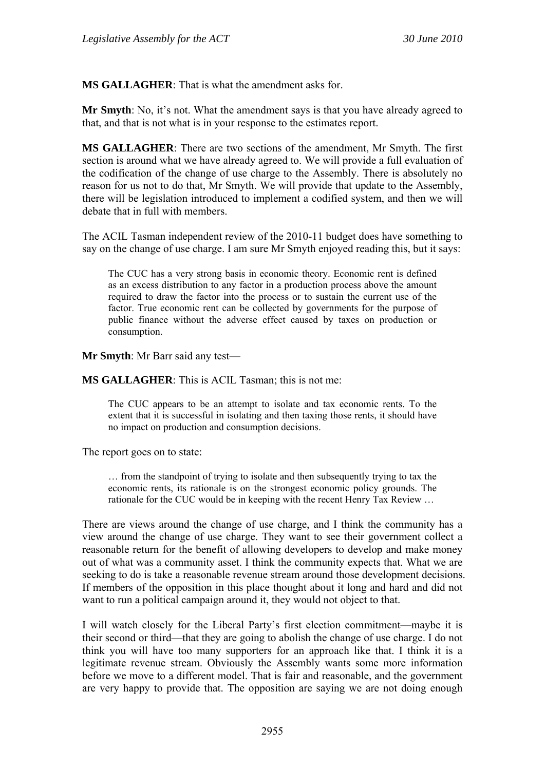**MS GALLAGHER**: That is what the amendment asks for.

**Mr Smyth**: No, it's not. What the amendment says is that you have already agreed to that, and that is not what is in your response to the estimates report.

**MS GALLAGHER**: There are two sections of the amendment, Mr Smyth. The first section is around what we have already agreed to. We will provide a full evaluation of the codification of the change of use charge to the Assembly. There is absolutely no reason for us not to do that, Mr Smyth. We will provide that update to the Assembly, there will be legislation introduced to implement a codified system, and then we will debate that in full with members.

The ACIL Tasman independent review of the 2010-11 budget does have something to say on the change of use charge. I am sure Mr Smyth enjoyed reading this, but it says:

The CUC has a very strong basis in economic theory. Economic rent is defined as an excess distribution to any factor in a production process above the amount required to draw the factor into the process or to sustain the current use of the factor. True economic rent can be collected by governments for the purpose of public finance without the adverse effect caused by taxes on production or consumption.

**Mr Smyth**: Mr Barr said any test—

**MS GALLAGHER**: This is ACIL Tasman; this is not me:

The CUC appears to be an attempt to isolate and tax economic rents. To the extent that it is successful in isolating and then taxing those rents, it should have no impact on production and consumption decisions.

The report goes on to state:

… from the standpoint of trying to isolate and then subsequently trying to tax the economic rents, its rationale is on the strongest economic policy grounds. The rationale for the CUC would be in keeping with the recent Henry Tax Review …

There are views around the change of use charge, and I think the community has a view around the change of use charge. They want to see their government collect a reasonable return for the benefit of allowing developers to develop and make money out of what was a community asset. I think the community expects that. What we are seeking to do is take a reasonable revenue stream around those development decisions. If members of the opposition in this place thought about it long and hard and did not want to run a political campaign around it, they would not object to that.

I will watch closely for the Liberal Party's first election commitment—maybe it is their second or third—that they are going to abolish the change of use charge. I do not think you will have too many supporters for an approach like that. I think it is a legitimate revenue stream. Obviously the Assembly wants some more information before we move to a different model. That is fair and reasonable, and the government are very happy to provide that. The opposition are saying we are not doing enough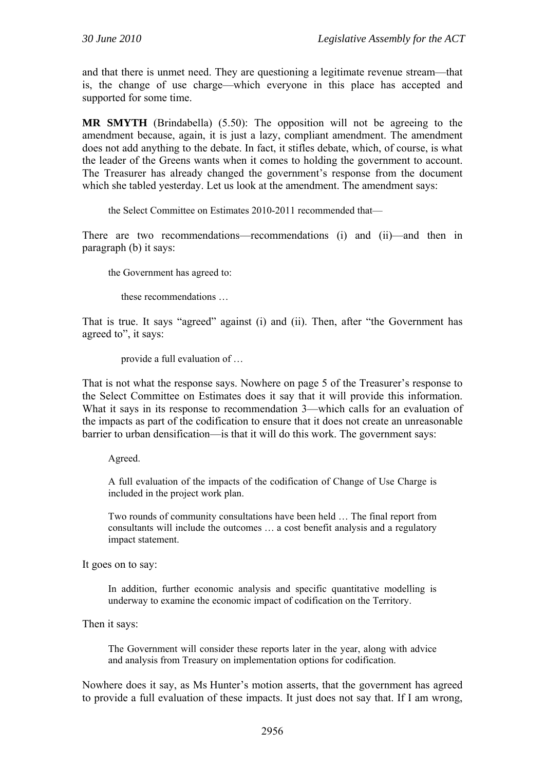and that there is unmet need. They are questioning a legitimate revenue stream—that is, the change of use charge—which everyone in this place has accepted and supported for some time.

**MR SMYTH** (Brindabella) (5.50): The opposition will not be agreeing to the amendment because, again, it is just a lazy, compliant amendment. The amendment does not add anything to the debate. In fact, it stifles debate, which, of course, is what the leader of the Greens wants when it comes to holding the government to account. The Treasurer has already changed the government's response from the document which she tabled yesterday. Let us look at the amendment. The amendment says:

the Select Committee on Estimates 2010-2011 recommended that—

There are two recommendations—recommendations (i) and (ii)—and then in paragraph (b) it says:

the Government has agreed to:

these recommendations …

That is true. It says "agreed" against (i) and (ii). Then, after "the Government has agreed to", it says:

provide a full evaluation of …

That is not what the response says. Nowhere on page 5 of the Treasurer's response to the Select Committee on Estimates does it say that it will provide this information. What it says in its response to recommendation 3—which calls for an evaluation of the impacts as part of the codification to ensure that it does not create an unreasonable barrier to urban densification—is that it will do this work. The government says:

Agreed.

A full evaluation of the impacts of the codification of Change of Use Charge is included in the project work plan.

Two rounds of community consultations have been held … The final report from consultants will include the outcomes … a cost benefit analysis and a regulatory impact statement.

It goes on to say:

In addition, further economic analysis and specific quantitative modelling is underway to examine the economic impact of codification on the Territory.

Then it says:

The Government will consider these reports later in the year, along with advice and analysis from Treasury on implementation options for codification.

Nowhere does it say, as Ms Hunter's motion asserts, that the government has agreed to provide a full evaluation of these impacts. It just does not say that. If I am wrong,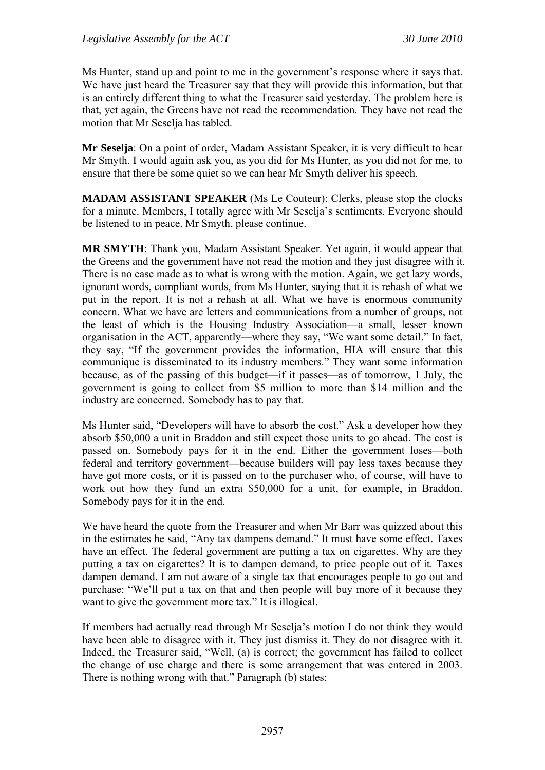Ms Hunter, stand up and point to me in the government's response where it says that. We have just heard the Treasurer say that they will provide this information, but that is an entirely different thing to what the Treasurer said yesterday. The problem here is that, yet again, the Greens have not read the recommendation. They have not read the motion that Mr Seselja has tabled.

**Mr Seselja**: On a point of order, Madam Assistant Speaker, it is very difficult to hear Mr Smyth. I would again ask you, as you did for Ms Hunter, as you did not for me, to ensure that there be some quiet so we can hear Mr Smyth deliver his speech.

**MADAM ASSISTANT SPEAKER** (Ms Le Couteur): Clerks, please stop the clocks for a minute. Members, I totally agree with Mr Seselja's sentiments. Everyone should be listened to in peace. Mr Smyth, please continue.

**MR SMYTH**: Thank you, Madam Assistant Speaker. Yet again, it would appear that the Greens and the government have not read the motion and they just disagree with it. There is no case made as to what is wrong with the motion. Again, we get lazy words, ignorant words, compliant words, from Ms Hunter, saying that it is rehash of what we put in the report. It is not a rehash at all. What we have is enormous community concern. What we have are letters and communications from a number of groups, not the least of which is the Housing Industry Association—a small, lesser known organisation in the ACT, apparently—where they say, "We want some detail." In fact, they say, "If the government provides the information, HIA will ensure that this communique is disseminated to its industry members." They want some information because, as of the passing of this budget—if it passes—as of tomorrow, 1 July, the government is going to collect from \$5 million to more than \$14 million and the industry are concerned. Somebody has to pay that.

Ms Hunter said, "Developers will have to absorb the cost." Ask a developer how they absorb \$50,000 a unit in Braddon and still expect those units to go ahead. The cost is passed on. Somebody pays for it in the end. Either the government loses—both federal and territory government—because builders will pay less taxes because they have got more costs, or it is passed on to the purchaser who, of course, will have to work out how they fund an extra \$50,000 for a unit, for example, in Braddon. Somebody pays for it in the end.

We have heard the quote from the Treasurer and when Mr Barr was quizzed about this in the estimates he said, "Any tax dampens demand." It must have some effect. Taxes have an effect. The federal government are putting a tax on cigarettes. Why are they putting a tax on cigarettes? It is to dampen demand, to price people out of it. Taxes dampen demand. I am not aware of a single tax that encourages people to go out and purchase: "We'll put a tax on that and then people will buy more of it because they want to give the government more tax." It is illogical.

If members had actually read through Mr Seselja's motion I do not think they would have been able to disagree with it. They just dismiss it. They do not disagree with it. Indeed, the Treasurer said, "Well, (a) is correct; the government has failed to collect the change of use charge and there is some arrangement that was entered in 2003. There is nothing wrong with that." Paragraph (b) states: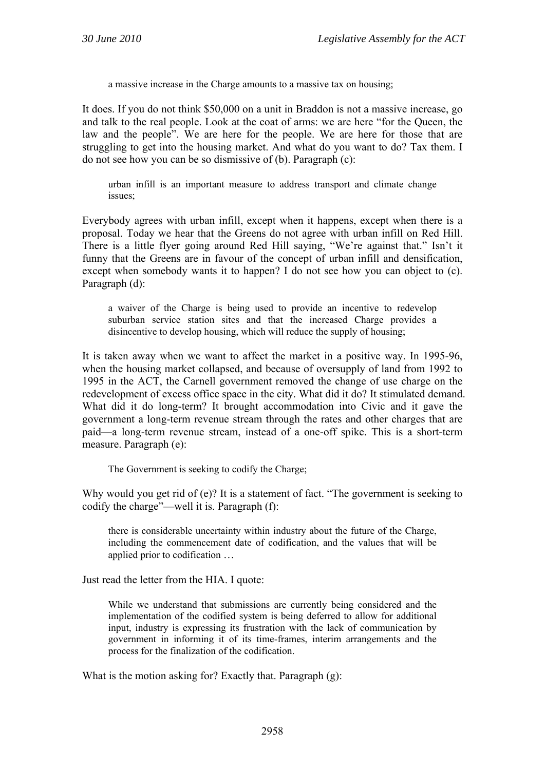a massive increase in the Charge amounts to a massive tax on housing;

It does. If you do not think \$50,000 on a unit in Braddon is not a massive increase, go and talk to the real people. Look at the coat of arms: we are here "for the Queen, the law and the people". We are here for the people. We are here for those that are struggling to get into the housing market. And what do you want to do? Tax them. I do not see how you can be so dismissive of (b). Paragraph (c):

urban infill is an important measure to address transport and climate change issues;

Everybody agrees with urban infill, except when it happens, except when there is a proposal. Today we hear that the Greens do not agree with urban infill on Red Hill. There is a little flyer going around Red Hill saying, "We're against that." Isn't it funny that the Greens are in favour of the concept of urban infill and densification, except when somebody wants it to happen? I do not see how you can object to (c). Paragraph (d):

a waiver of the Charge is being used to provide an incentive to redevelop suburban service station sites and that the increased Charge provides a disincentive to develop housing, which will reduce the supply of housing;

It is taken away when we want to affect the market in a positive way. In 1995-96, when the housing market collapsed, and because of oversupply of land from 1992 to 1995 in the ACT, the Carnell government removed the change of use charge on the redevelopment of excess office space in the city. What did it do? It stimulated demand. What did it do long-term? It brought accommodation into Civic and it gave the government a long-term revenue stream through the rates and other charges that are paid—a long-term revenue stream, instead of a one-off spike. This is a short-term measure. Paragraph (e):

The Government is seeking to codify the Charge;

Why would you get rid of (e)? It is a statement of fact. "The government is seeking to codify the charge"—well it is. Paragraph (f):

there is considerable uncertainty within industry about the future of the Charge, including the commencement date of codification, and the values that will be applied prior to codification …

Just read the letter from the HIA. I quote:

While we understand that submissions are currently being considered and the implementation of the codified system is being deferred to allow for additional input, industry is expressing its frustration with the lack of communication by government in informing it of its time-frames, interim arrangements and the process for the finalization of the codification.

What is the motion asking for? Exactly that. Paragraph (g):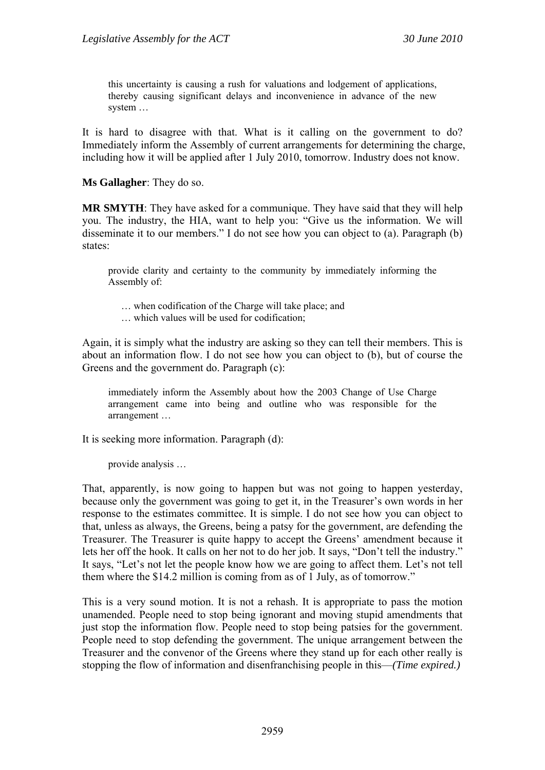this uncertainty is causing a rush for valuations and lodgement of applications, thereby causing significant delays and inconvenience in advance of the new system …

It is hard to disagree with that. What is it calling on the government to do? Immediately inform the Assembly of current arrangements for determining the charge, including how it will be applied after 1 July 2010, tomorrow. Industry does not know.

**Ms Gallagher**: They do so.

**MR SMYTH**: They have asked for a communique. They have said that they will help you. The industry, the HIA, want to help you: "Give us the information. We will disseminate it to our members." I do not see how you can object to (a). Paragraph (b) states:

provide clarity and certainty to the community by immediately informing the Assembly of:

… when codification of the Charge will take place; and

… which values will be used for codification;

Again, it is simply what the industry are asking so they can tell their members. This is about an information flow. I do not see how you can object to (b), but of course the Greens and the government do. Paragraph (c):

immediately inform the Assembly about how the 2003 Change of Use Charge arrangement came into being and outline who was responsible for the arrangement …

It is seeking more information. Paragraph (d):

provide analysis …

That, apparently, is now going to happen but was not going to happen yesterday, because only the government was going to get it, in the Treasurer's own words in her response to the estimates committee. It is simple. I do not see how you can object to that, unless as always, the Greens, being a patsy for the government, are defending the Treasurer. The Treasurer is quite happy to accept the Greens' amendment because it lets her off the hook. It calls on her not to do her job. It says, "Don't tell the industry." It says, "Let's not let the people know how we are going to affect them. Let's not tell them where the \$14.2 million is coming from as of 1 July, as of tomorrow."

This is a very sound motion. It is not a rehash. It is appropriate to pass the motion unamended. People need to stop being ignorant and moving stupid amendments that just stop the information flow. People need to stop being patsies for the government. People need to stop defending the government. The unique arrangement between the Treasurer and the convenor of the Greens where they stand up for each other really is stopping the flow of information and disenfranchising people in this—*(Time expired.)*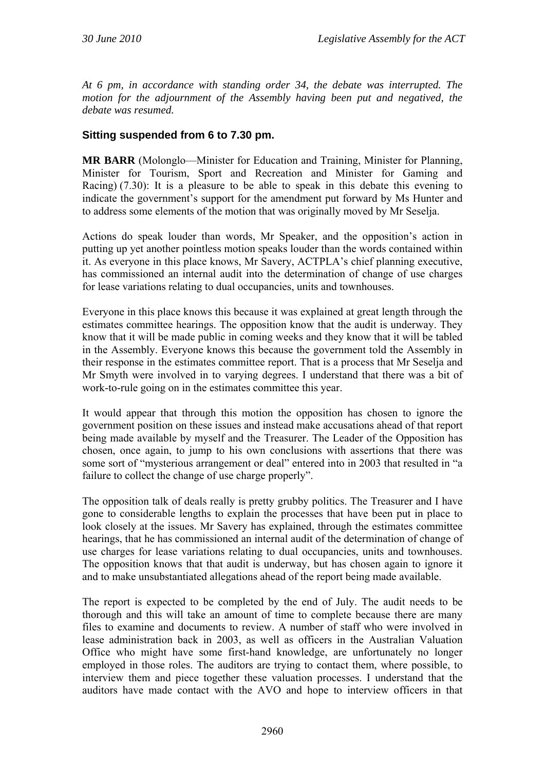*At 6 pm, in accordance with standing order 34, the debate was interrupted. The motion for the adjournment of the Assembly having been put and negatived, the debate was resumed.* 

### **Sitting suspended from 6 to 7.30 pm.**

**MR BARR** (Molonglo—Minister for Education and Training, Minister for Planning, Minister for Tourism, Sport and Recreation and Minister for Gaming and Racing) (7.30): It is a pleasure to be able to speak in this debate this evening to indicate the government's support for the amendment put forward by Ms Hunter and to address some elements of the motion that was originally moved by Mr Seselja.

Actions do speak louder than words, Mr Speaker, and the opposition's action in putting up yet another pointless motion speaks louder than the words contained within it. As everyone in this place knows, Mr Savery, ACTPLA's chief planning executive, has commissioned an internal audit into the determination of change of use charges for lease variations relating to dual occupancies, units and townhouses.

Everyone in this place knows this because it was explained at great length through the estimates committee hearings. The opposition know that the audit is underway. They know that it will be made public in coming weeks and they know that it will be tabled in the Assembly. Everyone knows this because the government told the Assembly in their response in the estimates committee report. That is a process that Mr Seselja and Mr Smyth were involved in to varying degrees. I understand that there was a bit of work-to-rule going on in the estimates committee this year.

It would appear that through this motion the opposition has chosen to ignore the government position on these issues and instead make accusations ahead of that report being made available by myself and the Treasurer. The Leader of the Opposition has chosen, once again, to jump to his own conclusions with assertions that there was some sort of "mysterious arrangement or deal" entered into in 2003 that resulted in "a failure to collect the change of use charge properly".

The opposition talk of deals really is pretty grubby politics. The Treasurer and I have gone to considerable lengths to explain the processes that have been put in place to look closely at the issues. Mr Savery has explained, through the estimates committee hearings, that he has commissioned an internal audit of the determination of change of use charges for lease variations relating to dual occupancies, units and townhouses. The opposition knows that that audit is underway, but has chosen again to ignore it and to make unsubstantiated allegations ahead of the report being made available.

The report is expected to be completed by the end of July. The audit needs to be thorough and this will take an amount of time to complete because there are many files to examine and documents to review. A number of staff who were involved in lease administration back in 2003, as well as officers in the Australian Valuation Office who might have some first-hand knowledge, are unfortunately no longer employed in those roles. The auditors are trying to contact them, where possible, to interview them and piece together these valuation processes. I understand that the auditors have made contact with the AVO and hope to interview officers in that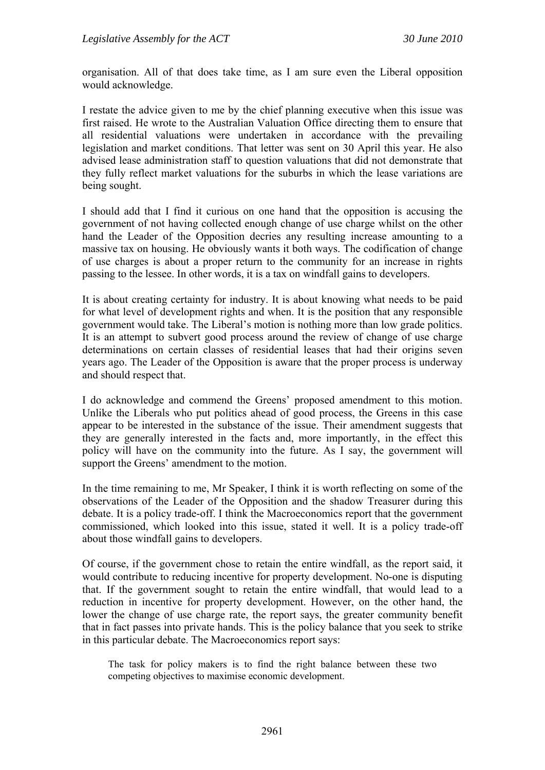organisation. All of that does take time, as I am sure even the Liberal opposition would acknowledge.

I restate the advice given to me by the chief planning executive when this issue was first raised. He wrote to the Australian Valuation Office directing them to ensure that all residential valuations were undertaken in accordance with the prevailing legislation and market conditions. That letter was sent on 30 April this year. He also advised lease administration staff to question valuations that did not demonstrate that they fully reflect market valuations for the suburbs in which the lease variations are being sought.

I should add that I find it curious on one hand that the opposition is accusing the government of not having collected enough change of use charge whilst on the other hand the Leader of the Opposition decries any resulting increase amounting to a massive tax on housing. He obviously wants it both ways. The codification of change of use charges is about a proper return to the community for an increase in rights passing to the lessee. In other words, it is a tax on windfall gains to developers.

It is about creating certainty for industry. It is about knowing what needs to be paid for what level of development rights and when. It is the position that any responsible government would take. The Liberal's motion is nothing more than low grade politics. It is an attempt to subvert good process around the review of change of use charge determinations on certain classes of residential leases that had their origins seven years ago. The Leader of the Opposition is aware that the proper process is underway and should respect that.

I do acknowledge and commend the Greens' proposed amendment to this motion. Unlike the Liberals who put politics ahead of good process, the Greens in this case appear to be interested in the substance of the issue. Their amendment suggests that they are generally interested in the facts and, more importantly, in the effect this policy will have on the community into the future. As I say, the government will support the Greens' amendment to the motion.

In the time remaining to me, Mr Speaker, I think it is worth reflecting on some of the observations of the Leader of the Opposition and the shadow Treasurer during this debate. It is a policy trade-off. I think the Macroeconomics report that the government commissioned, which looked into this issue, stated it well. It is a policy trade-off about those windfall gains to developers.

Of course, if the government chose to retain the entire windfall, as the report said, it would contribute to reducing incentive for property development. No-one is disputing that. If the government sought to retain the entire windfall, that would lead to a reduction in incentive for property development. However, on the other hand, the lower the change of use charge rate, the report says, the greater community benefit that in fact passes into private hands. This is the policy balance that you seek to strike in this particular debate. The Macroeconomics report says:

The task for policy makers is to find the right balance between these two competing objectives to maximise economic development.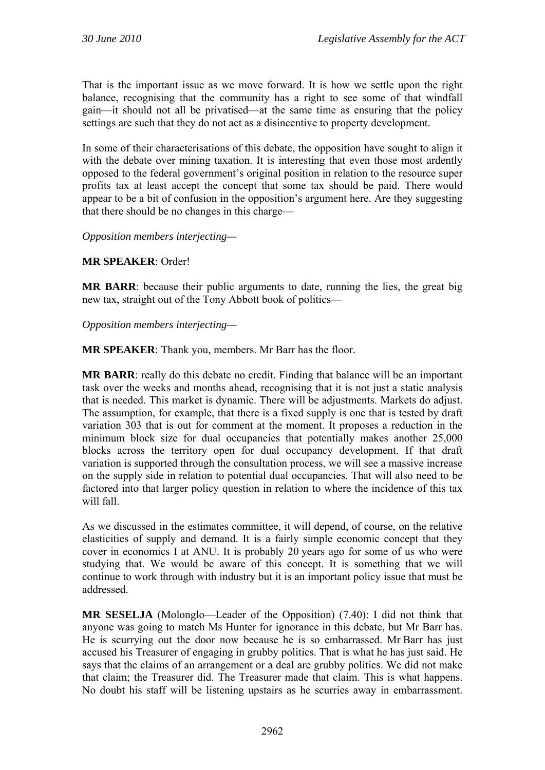That is the important issue as we move forward. It is how we settle upon the right balance, recognising that the community has a right to see some of that windfall gain—it should not all be privatised—at the same time as ensuring that the policy settings are such that they do not act as a disincentive to property development.

In some of their characterisations of this debate, the opposition have sought to align it with the debate over mining taxation. It is interesting that even those most ardently opposed to the federal government's original position in relation to the resource super profits tax at least accept the concept that some tax should be paid. There would appear to be a bit of confusion in the opposition's argument here. Are they suggesting that there should be no changes in this charge—

*Opposition members interjecting—*

### **MR SPEAKER**: Order!

**MR BARR**: because their public arguments to date, running the lies, the great big new tax, straight out of the Tony Abbott book of politics—

*Opposition members interjecting—*

**MR SPEAKER**: Thank you, members. Mr Barr has the floor.

**MR BARR**: really do this debate no credit. Finding that balance will be an important task over the weeks and months ahead, recognising that it is not just a static analysis that is needed. This market is dynamic. There will be adjustments. Markets do adjust. The assumption, for example, that there is a fixed supply is one that is tested by draft variation 303 that is out for comment at the moment. It proposes a reduction in the minimum block size for dual occupancies that potentially makes another 25,000 blocks across the territory open for dual occupancy development. If that draft variation is supported through the consultation process, we will see a massive increase on the supply side in relation to potential dual occupancies. That will also need to be factored into that larger policy question in relation to where the incidence of this tax will fall.

As we discussed in the estimates committee, it will depend, of course, on the relative elasticities of supply and demand. It is a fairly simple economic concept that they cover in economics I at ANU. It is probably 20 years ago for some of us who were studying that. We would be aware of this concept. It is something that we will continue to work through with industry but it is an important policy issue that must be addressed.

**MR SESELJA** (Molonglo—Leader of the Opposition) (7.40): I did not think that anyone was going to match Ms Hunter for ignorance in this debate, but Mr Barr has. He is scurrying out the door now because he is so embarrassed. Mr Barr has just accused his Treasurer of engaging in grubby politics. That is what he has just said. He says that the claims of an arrangement or a deal are grubby politics. We did not make that claim; the Treasurer did. The Treasurer made that claim. This is what happens. No doubt his staff will be listening upstairs as he scurries away in embarrassment.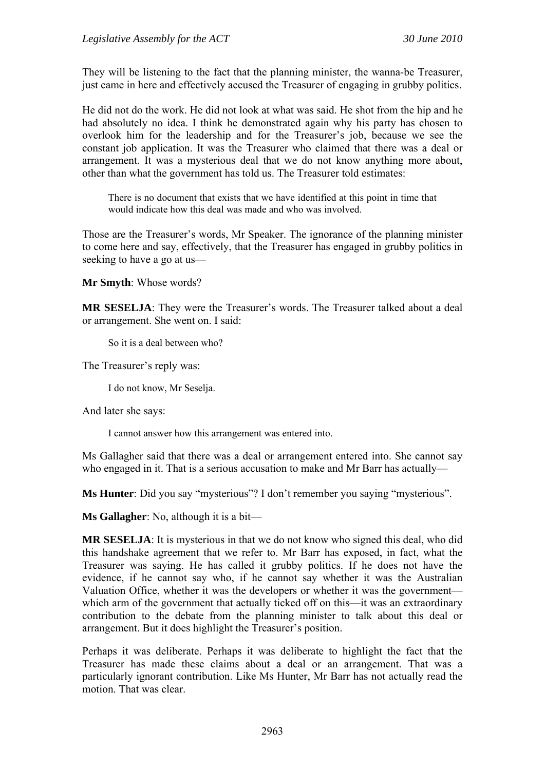They will be listening to the fact that the planning minister, the wanna-be Treasurer, just came in here and effectively accused the Treasurer of engaging in grubby politics.

He did not do the work. He did not look at what was said. He shot from the hip and he had absolutely no idea. I think he demonstrated again why his party has chosen to overlook him for the leadership and for the Treasurer's job, because we see the constant job application. It was the Treasurer who claimed that there was a deal or arrangement. It was a mysterious deal that we do not know anything more about, other than what the government has told us. The Treasurer told estimates:

There is no document that exists that we have identified at this point in time that would indicate how this deal was made and who was involved.

Those are the Treasurer's words, Mr Speaker. The ignorance of the planning minister to come here and say, effectively, that the Treasurer has engaged in grubby politics in seeking to have a go at us—

**Mr Smyth**: Whose words?

**MR SESELJA**: They were the Treasurer's words. The Treasurer talked about a deal or arrangement. She went on. I said:

So it is a deal between who?

The Treasurer's reply was:

I do not know, Mr Seselja.

And later she says:

I cannot answer how this arrangement was entered into.

Ms Gallagher said that there was a deal or arrangement entered into. She cannot say who engaged in it. That is a serious accusation to make and Mr Barr has actually—

**Ms Hunter**: Did you say "mysterious"? I don't remember you saying "mysterious".

**Ms Gallagher**: No, although it is a bit—

**MR SESELJA**: It is mysterious in that we do not know who signed this deal, who did this handshake agreement that we refer to. Mr Barr has exposed, in fact, what the Treasurer was saying. He has called it grubby politics. If he does not have the evidence, if he cannot say who, if he cannot say whether it was the Australian Valuation Office, whether it was the developers or whether it was the government which arm of the government that actually ticked off on this—it was an extraordinary contribution to the debate from the planning minister to talk about this deal or arrangement. But it does highlight the Treasurer's position.

Perhaps it was deliberate. Perhaps it was deliberate to highlight the fact that the Treasurer has made these claims about a deal or an arrangement. That was a particularly ignorant contribution. Like Ms Hunter, Mr Barr has not actually read the motion. That was clear.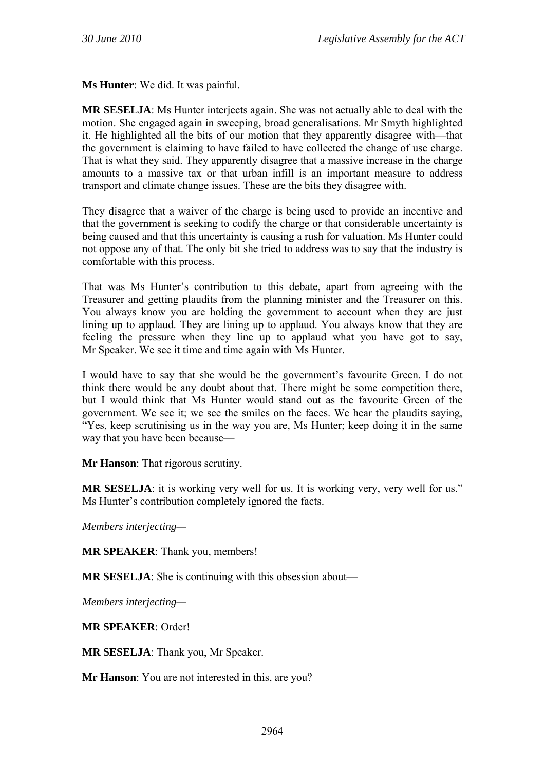**Ms Hunter**: We did. It was painful.

**MR SESELJA**: Ms Hunter interjects again. She was not actually able to deal with the motion. She engaged again in sweeping, broad generalisations. Mr Smyth highlighted it. He highlighted all the bits of our motion that they apparently disagree with—that the government is claiming to have failed to have collected the change of use charge. That is what they said. They apparently disagree that a massive increase in the charge amounts to a massive tax or that urban infill is an important measure to address transport and climate change issues. These are the bits they disagree with.

They disagree that a waiver of the charge is being used to provide an incentive and that the government is seeking to codify the charge or that considerable uncertainty is being caused and that this uncertainty is causing a rush for valuation. Ms Hunter could not oppose any of that. The only bit she tried to address was to say that the industry is comfortable with this process.

That was Ms Hunter's contribution to this debate, apart from agreeing with the Treasurer and getting plaudits from the planning minister and the Treasurer on this. You always know you are holding the government to account when they are just lining up to applaud. They are lining up to applaud. You always know that they are feeling the pressure when they line up to applaud what you have got to say, Mr Speaker. We see it time and time again with Ms Hunter.

I would have to say that she would be the government's favourite Green. I do not think there would be any doubt about that. There might be some competition there, but I would think that Ms Hunter would stand out as the favourite Green of the government. We see it; we see the smiles on the faces. We hear the plaudits saying, "Yes, keep scrutinising us in the way you are, Ms Hunter; keep doing it in the same way that you have been because—

**Mr Hanson**: That rigorous scrutiny.

**MR SESELJA**: it is working very well for us. It is working very, very well for us." Ms Hunter's contribution completely ignored the facts.

*Members interjecting—* 

**MR SPEAKER**: Thank you, members!

**MR SESELJA**: She is continuing with this obsession about—

*Members interjecting—* 

**MR SPEAKER**: Order!

**MR SESELJA**: Thank you, Mr Speaker.

**Mr Hanson**: You are not interested in this, are you?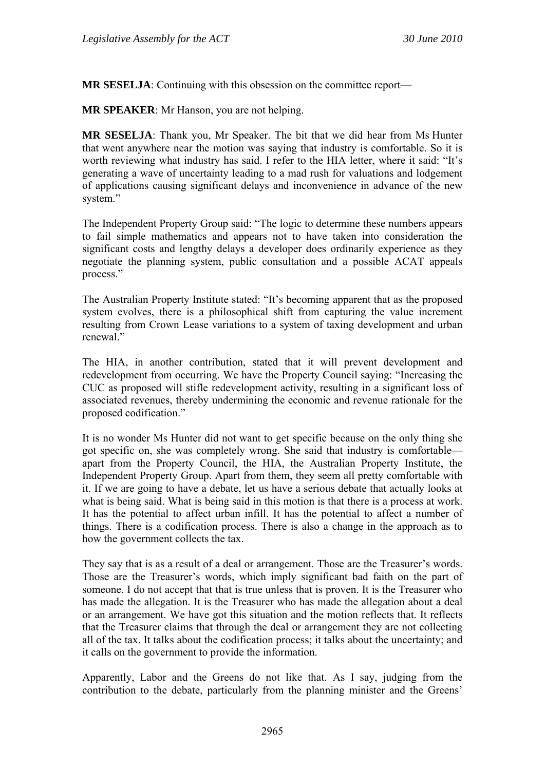**MR SESELJA**: Continuing with this obsession on the committee report—

**MR SPEAKER**: Mr Hanson, you are not helping.

**MR SESELJA**: Thank you, Mr Speaker. The bit that we did hear from Ms Hunter that went anywhere near the motion was saying that industry is comfortable. So it is worth reviewing what industry has said. I refer to the HIA letter, where it said: "It's generating a wave of uncertainty leading to a mad rush for valuations and lodgement of applications causing significant delays and inconvenience in advance of the new system."

The Independent Property Group said: "The logic to determine these numbers appears to fail simple mathematics and appears not to have taken into consideration the significant costs and lengthy delays a developer does ordinarily experience as they negotiate the planning system, public consultation and a possible ACAT appeals process."

The Australian Property Institute stated: "It's becoming apparent that as the proposed system evolves, there is a philosophical shift from capturing the value increment resulting from Crown Lease variations to a system of taxing development and urban renewal."

The HIA, in another contribution, stated that it will prevent development and redevelopment from occurring. We have the Property Council saying: "Increasing the CUC as proposed will stifle redevelopment activity, resulting in a significant loss of associated revenues, thereby undermining the economic and revenue rationale for the proposed codification."

It is no wonder Ms Hunter did not want to get specific because on the only thing she got specific on, she was completely wrong. She said that industry is comfortable apart from the Property Council, the HIA, the Australian Property Institute, the Independent Property Group. Apart from them, they seem all pretty comfortable with it. If we are going to have a debate, let us have a serious debate that actually looks at what is being said. What is being said in this motion is that there is a process at work. It has the potential to affect urban infill. It has the potential to affect a number of things. There is a codification process. There is also a change in the approach as to how the government collects the tax.

They say that is as a result of a deal or arrangement. Those are the Treasurer's words. Those are the Treasurer's words, which imply significant bad faith on the part of someone. I do not accept that that is true unless that is proven. It is the Treasurer who has made the allegation. It is the Treasurer who has made the allegation about a deal or an arrangement. We have got this situation and the motion reflects that. It reflects that the Treasurer claims that through the deal or arrangement they are not collecting all of the tax. It talks about the codification process; it talks about the uncertainty; and it calls on the government to provide the information.

Apparently, Labor and the Greens do not like that. As I say, judging from the contribution to the debate, particularly from the planning minister and the Greens'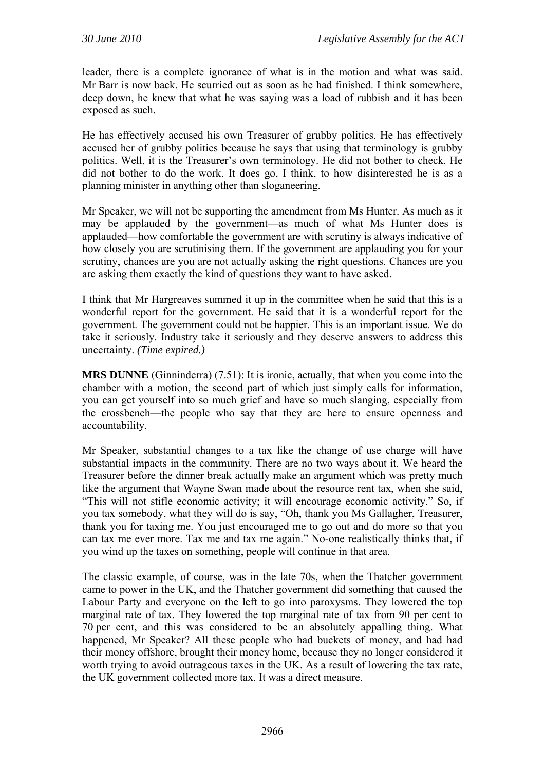leader, there is a complete ignorance of what is in the motion and what was said. Mr Barr is now back. He scurried out as soon as he had finished. I think somewhere, deep down, he knew that what he was saying was a load of rubbish and it has been exposed as such.

He has effectively accused his own Treasurer of grubby politics. He has effectively accused her of grubby politics because he says that using that terminology is grubby politics. Well, it is the Treasurer's own terminology. He did not bother to check. He did not bother to do the work. It does go, I think, to how disinterested he is as a planning minister in anything other than sloganeering.

Mr Speaker, we will not be supporting the amendment from Ms Hunter. As much as it may be applauded by the government—as much of what Ms Hunter does is applauded—how comfortable the government are with scrutiny is always indicative of how closely you are scrutinising them. If the government are applauding you for your scrutiny, chances are you are not actually asking the right questions. Chances are you are asking them exactly the kind of questions they want to have asked.

I think that Mr Hargreaves summed it up in the committee when he said that this is a wonderful report for the government. He said that it is a wonderful report for the government. The government could not be happier. This is an important issue. We do take it seriously. Industry take it seriously and they deserve answers to address this uncertainty. *(Time expired.)*

**MRS DUNNE** (Ginninderra) (7.51): It is ironic, actually, that when you come into the chamber with a motion, the second part of which just simply calls for information, you can get yourself into so much grief and have so much slanging, especially from the crossbench—the people who say that they are here to ensure openness and accountability.

Mr Speaker, substantial changes to a tax like the change of use charge will have substantial impacts in the community. There are no two ways about it. We heard the Treasurer before the dinner break actually make an argument which was pretty much like the argument that Wayne Swan made about the resource rent tax, when she said, "This will not stifle economic activity; it will encourage economic activity." So, if you tax somebody, what they will do is say, "Oh, thank you Ms Gallagher, Treasurer, thank you for taxing me. You just encouraged me to go out and do more so that you can tax me ever more. Tax me and tax me again." No-one realistically thinks that, if you wind up the taxes on something, people will continue in that area.

The classic example, of course, was in the late 70s, when the Thatcher government came to power in the UK, and the Thatcher government did something that caused the Labour Party and everyone on the left to go into paroxysms. They lowered the top marginal rate of tax. They lowered the top marginal rate of tax from 90 per cent to 70 per cent, and this was considered to be an absolutely appalling thing. What happened, Mr Speaker? All these people who had buckets of money, and had had their money offshore, brought their money home, because they no longer considered it worth trying to avoid outrageous taxes in the UK. As a result of lowering the tax rate, the UK government collected more tax. It was a direct measure.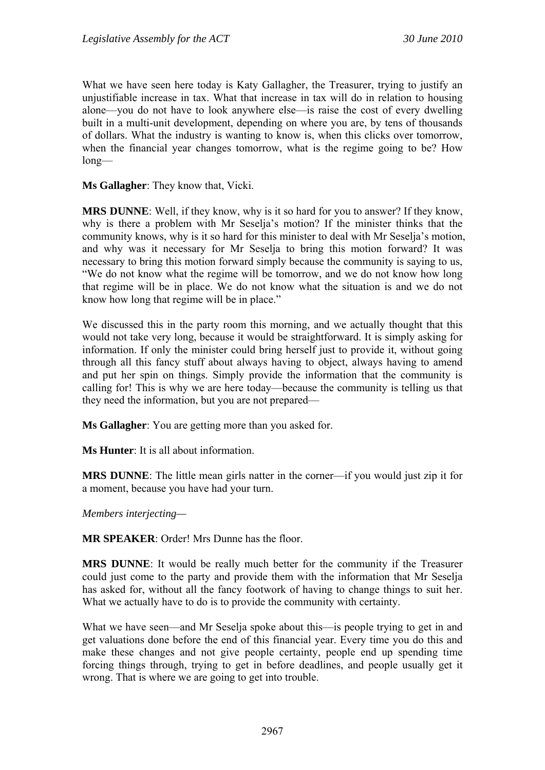What we have seen here today is Katy Gallagher, the Treasurer, trying to justify an unjustifiable increase in tax. What that increase in tax will do in relation to housing alone—you do not have to look anywhere else—is raise the cost of every dwelling built in a multi-unit development, depending on where you are, by tens of thousands of dollars. What the industry is wanting to know is, when this clicks over tomorrow, when the financial year changes tomorrow, what is the regime going to be? How long—

**Ms Gallagher**: They know that, Vicki.

**MRS DUNNE**: Well, if they know, why is it so hard for you to answer? If they know, why is there a problem with Mr Seselja's motion? If the minister thinks that the community knows, why is it so hard for this minister to deal with Mr Seselja's motion, and why was it necessary for Mr Seselja to bring this motion forward? It was necessary to bring this motion forward simply because the community is saying to us, "We do not know what the regime will be tomorrow, and we do not know how long that regime will be in place. We do not know what the situation is and we do not know how long that regime will be in place."

We discussed this in the party room this morning, and we actually thought that this would not take very long, because it would be straightforward. It is simply asking for information. If only the minister could bring herself just to provide it, without going through all this fancy stuff about always having to object, always having to amend and put her spin on things. Simply provide the information that the community is calling for! This is why we are here today—because the community is telling us that they need the information, but you are not prepared—

**Ms Gallagher**: You are getting more than you asked for.

**Ms Hunter**: It is all about information.

**MRS DUNNE**: The little mean girls natter in the corner—if you would just zip it for a moment, because you have had your turn.

*Members interjecting—* 

**MR SPEAKER**: Order! Mrs Dunne has the floor.

**MRS DUNNE**: It would be really much better for the community if the Treasurer could just come to the party and provide them with the information that Mr Seselja has asked for, without all the fancy footwork of having to change things to suit her. What we actually have to do is to provide the community with certainty.

What we have seen—and Mr Seselja spoke about this—is people trying to get in and get valuations done before the end of this financial year. Every time you do this and make these changes and not give people certainty, people end up spending time forcing things through, trying to get in before deadlines, and people usually get it wrong. That is where we are going to get into trouble.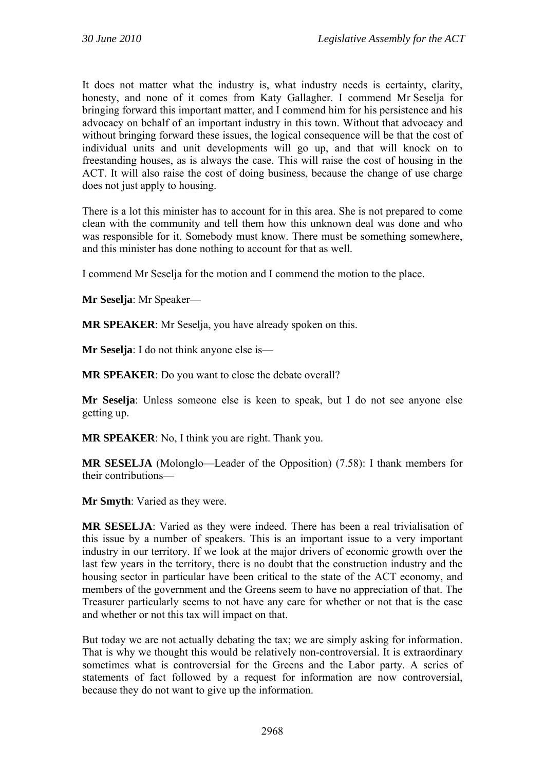It does not matter what the industry is, what industry needs is certainty, clarity, honesty, and none of it comes from Katy Gallagher. I commend Mr Seselja for bringing forward this important matter, and I commend him for his persistence and his advocacy on behalf of an important industry in this town. Without that advocacy and without bringing forward these issues, the logical consequence will be that the cost of individual units and unit developments will go up, and that will knock on to freestanding houses, as is always the case. This will raise the cost of housing in the ACT. It will also raise the cost of doing business, because the change of use charge does not just apply to housing.

There is a lot this minister has to account for in this area. She is not prepared to come clean with the community and tell them how this unknown deal was done and who was responsible for it. Somebody must know. There must be something somewhere, and this minister has done nothing to account for that as well.

I commend Mr Seselja for the motion and I commend the motion to the place.

**Mr Seselja**: Mr Speaker—

**MR SPEAKER**: Mr Seselja, you have already spoken on this.

**Mr Seselja**: I do not think anyone else is—

**MR SPEAKER**: Do you want to close the debate overall?

**Mr Seselja**: Unless someone else is keen to speak, but I do not see anyone else getting up.

**MR SPEAKER**: No, I think you are right. Thank you.

**MR SESELJA** (Molonglo—Leader of the Opposition) (7.58): I thank members for their contributions—

**Mr Smyth**: Varied as they were.

**MR SESELJA**: Varied as they were indeed. There has been a real trivialisation of this issue by a number of speakers. This is an important issue to a very important industry in our territory. If we look at the major drivers of economic growth over the last few years in the territory, there is no doubt that the construction industry and the housing sector in particular have been critical to the state of the ACT economy, and members of the government and the Greens seem to have no appreciation of that. The Treasurer particularly seems to not have any care for whether or not that is the case and whether or not this tax will impact on that.

But today we are not actually debating the tax; we are simply asking for information. That is why we thought this would be relatively non-controversial. It is extraordinary sometimes what is controversial for the Greens and the Labor party. A series of statements of fact followed by a request for information are now controversial, because they do not want to give up the information.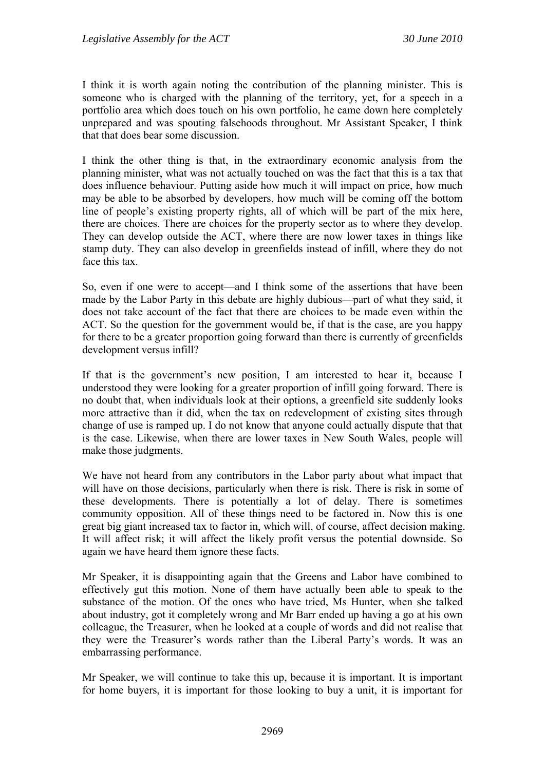I think it is worth again noting the contribution of the planning minister. This is someone who is charged with the planning of the territory, yet, for a speech in a portfolio area which does touch on his own portfolio, he came down here completely unprepared and was spouting falsehoods throughout. Mr Assistant Speaker, I think that that does bear some discussion.

I think the other thing is that, in the extraordinary economic analysis from the planning minister, what was not actually touched on was the fact that this is a tax that does influence behaviour. Putting aside how much it will impact on price, how much may be able to be absorbed by developers, how much will be coming off the bottom line of people's existing property rights, all of which will be part of the mix here, there are choices. There are choices for the property sector as to where they develop. They can develop outside the ACT, where there are now lower taxes in things like stamp duty. They can also develop in greenfields instead of infill, where they do not face this tax.

So, even if one were to accept—and I think some of the assertions that have been made by the Labor Party in this debate are highly dubious—part of what they said, it does not take account of the fact that there are choices to be made even within the ACT. So the question for the government would be, if that is the case, are you happy for there to be a greater proportion going forward than there is currently of greenfields development versus infill?

If that is the government's new position, I am interested to hear it, because I understood they were looking for a greater proportion of infill going forward. There is no doubt that, when individuals look at their options, a greenfield site suddenly looks more attractive than it did, when the tax on redevelopment of existing sites through change of use is ramped up. I do not know that anyone could actually dispute that that is the case. Likewise, when there are lower taxes in New South Wales, people will make those judgments.

We have not heard from any contributors in the Labor party about what impact that will have on those decisions, particularly when there is risk. There is risk in some of these developments. There is potentially a lot of delay. There is sometimes community opposition. All of these things need to be factored in. Now this is one great big giant increased tax to factor in, which will, of course, affect decision making. It will affect risk; it will affect the likely profit versus the potential downside. So again we have heard them ignore these facts.

Mr Speaker, it is disappointing again that the Greens and Labor have combined to effectively gut this motion. None of them have actually been able to speak to the substance of the motion. Of the ones who have tried, Ms Hunter, when she talked about industry, got it completely wrong and Mr Barr ended up having a go at his own colleague, the Treasurer, when he looked at a couple of words and did not realise that they were the Treasurer's words rather than the Liberal Party's words. It was an embarrassing performance.

Mr Speaker, we will continue to take this up, because it is important. It is important for home buyers, it is important for those looking to buy a unit, it is important for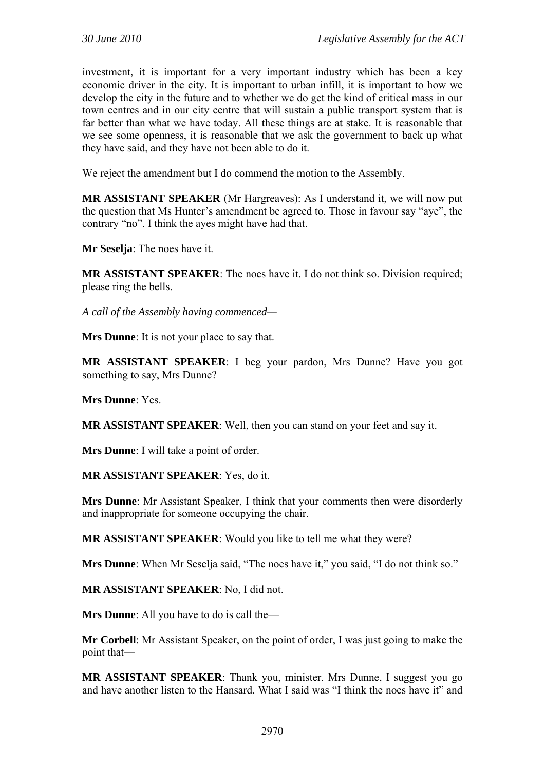investment, it is important for a very important industry which has been a key economic driver in the city. It is important to urban infill, it is important to how we develop the city in the future and to whether we do get the kind of critical mass in our town centres and in our city centre that will sustain a public transport system that is far better than what we have today. All these things are at stake. It is reasonable that we see some openness, it is reasonable that we ask the government to back up what they have said, and they have not been able to do it.

We reject the amendment but I do commend the motion to the Assembly.

**MR ASSISTANT SPEAKER** (Mr Hargreaves): As I understand it, we will now put the question that Ms Hunter's amendment be agreed to. Those in favour say "aye", the contrary "no". I think the ayes might have had that.

**Mr Seselja**: The noes have it.

**MR ASSISTANT SPEAKER:** The noes have it. I do not think so. Division required; please ring the bells.

*A call of the Assembly having commenced—* 

**Mrs Dunne**: It is not your place to say that.

**MR ASSISTANT SPEAKER**: I beg your pardon, Mrs Dunne? Have you got something to say, Mrs Dunne?

**Mrs Dunne**: Yes.

**MR ASSISTANT SPEAKER**: Well, then you can stand on your feet and say it.

**Mrs Dunne**: I will take a point of order.

**MR ASSISTANT SPEAKER**: Yes, do it.

**Mrs Dunne**: Mr Assistant Speaker, I think that your comments then were disorderly and inappropriate for someone occupying the chair.

**MR ASSISTANT SPEAKER**: Would you like to tell me what they were?

**Mrs Dunne**: When Mr Seselja said, "The noes have it," you said, "I do not think so."

**MR ASSISTANT SPEAKER**: No, I did not.

**Mrs Dunne**: All you have to do is call the—

**Mr Corbell**: Mr Assistant Speaker, on the point of order, I was just going to make the point that—

**MR ASSISTANT SPEAKER**: Thank you, minister. Mrs Dunne, I suggest you go and have another listen to the Hansard. What I said was "I think the noes have it" and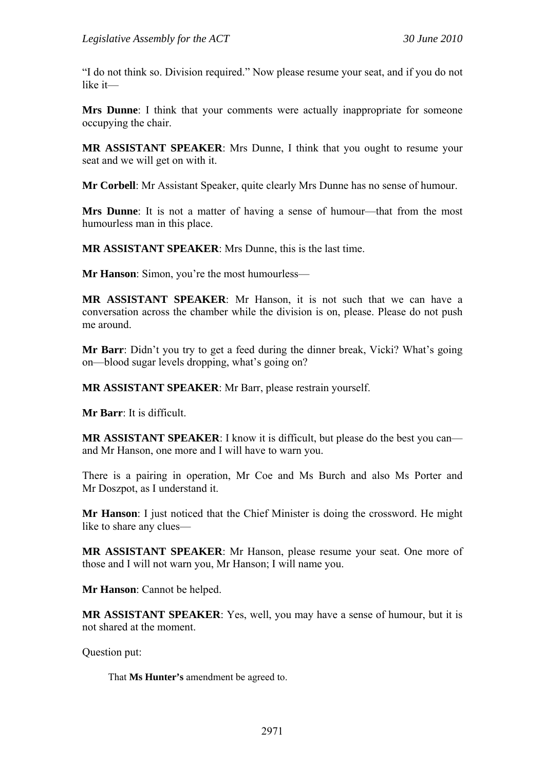"I do not think so. Division required." Now please resume your seat, and if you do not like it—

**Mrs Dunne**: I think that your comments were actually inappropriate for someone occupying the chair.

**MR ASSISTANT SPEAKER**: Mrs Dunne, I think that you ought to resume your seat and we will get on with it.

**Mr Corbell**: Mr Assistant Speaker, quite clearly Mrs Dunne has no sense of humour.

**Mrs Dunne**: It is not a matter of having a sense of humour—that from the most humourless man in this place.

**MR ASSISTANT SPEAKER**: Mrs Dunne, this is the last time.

**Mr Hanson**: Simon, you're the most humourless—

**MR ASSISTANT SPEAKER**: Mr Hanson, it is not such that we can have a conversation across the chamber while the division is on, please. Please do not push me around.

**Mr Barr**: Didn't you try to get a feed during the dinner break, Vicki? What's going on—blood sugar levels dropping, what's going on?

**MR ASSISTANT SPEAKER**: Mr Barr, please restrain yourself.

**Mr Barr**: It is difficult.

**MR ASSISTANT SPEAKER:** I know it is difficult, but please do the best you can and Mr Hanson, one more and I will have to warn you.

There is a pairing in operation, Mr Coe and Ms Burch and also Ms Porter and Mr Doszpot, as I understand it.

**Mr Hanson**: I just noticed that the Chief Minister is doing the crossword. He might like to share any clues—

**MR ASSISTANT SPEAKER**: Mr Hanson, please resume your seat. One more of those and I will not warn you, Mr Hanson; I will name you.

**Mr Hanson**: Cannot be helped.

**MR ASSISTANT SPEAKER**: Yes, well, you may have a sense of humour, but it is not shared at the moment.

Question put:

That **Ms Hunter's** amendment be agreed to.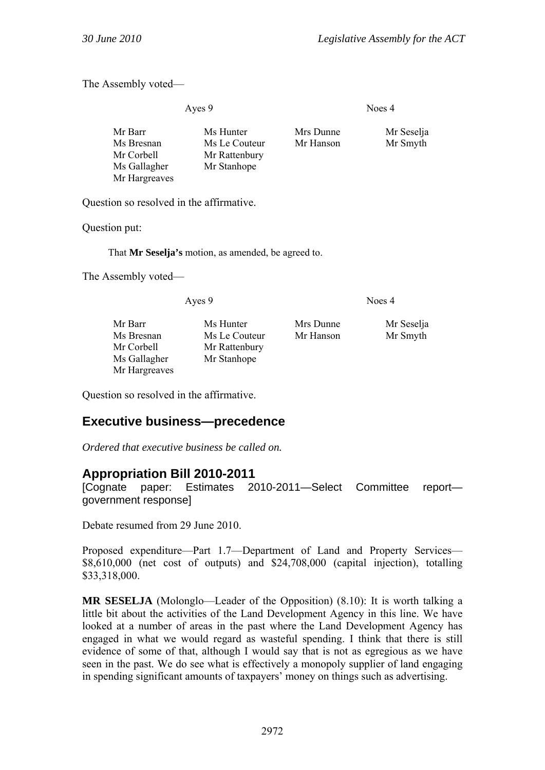The Assembly voted—

Ayes 9 Noes 4

| Mr Barr       | Ms Hunter     | Mrs Dunne | Mr Seselja |
|---------------|---------------|-----------|------------|
| Ms Bresnan    | Ms Le Couteur | Mr Hanson | Mr Smyth   |
| Mr Corbell    | Mr Rattenbury |           |            |
| Ms Gallagher  | Mr Stanhope   |           |            |
| Mr Hargreaves |               |           |            |

Question so resolved in the affirmative.

Question put:

That **Mr Seselja's** motion, as amended, be agreed to.

The Assembly voted—

Ayes 9 Noes 4

| Mr Barr       | Ms Hunter     |
|---------------|---------------|
| Ms Bresnan    | Ms Le Couteur |
| Mr Corbell    | Mr Rattenbury |
| Ms Gallagher  | Mr Stanhope   |
| Mr Hargreaves |               |

er Mrs Dunne Mr Seselja outeur Mr Hanson Mr Smyth

Question so resolved in the affirmative.

# **Executive business—precedence**

*Ordered that executive business be called on.* 

# **Appropriation Bill 2010-2011**

[Cognate paper: Estimates 2010-2011—Select Committee report government response]

Debate resumed from 29 June 2010.

Proposed expenditure—Part 1.7—Department of Land and Property Services— \$8,610,000 (net cost of outputs) and \$24,708,000 (capital injection), totalling \$33,318,000.

**MR SESELJA** (Molonglo—Leader of the Opposition) (8.10): It is worth talking a little bit about the activities of the Land Development Agency in this line. We have looked at a number of areas in the past where the Land Development Agency has engaged in what we would regard as wasteful spending. I think that there is still evidence of some of that, although I would say that is not as egregious as we have seen in the past. We do see what is effectively a monopoly supplier of land engaging in spending significant amounts of taxpayers' money on things such as advertising.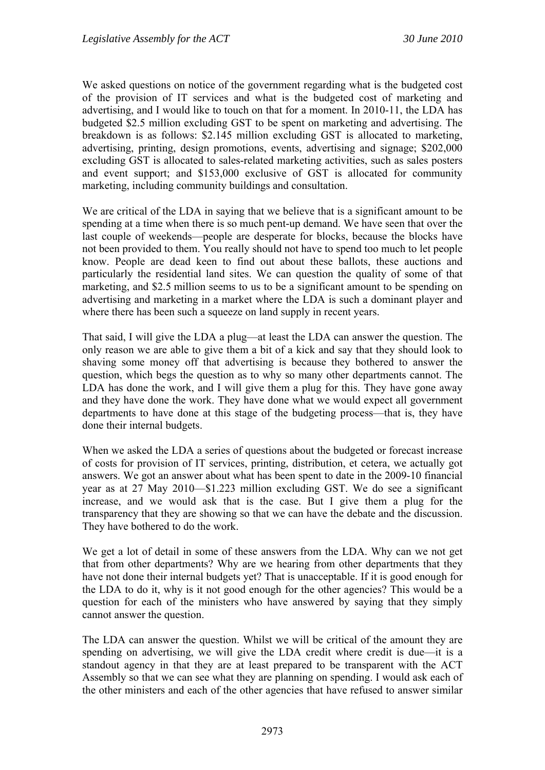We asked questions on notice of the government regarding what is the budgeted cost of the provision of IT services and what is the budgeted cost of marketing and advertising, and I would like to touch on that for a moment. In 2010-11, the LDA has budgeted \$2.5 million excluding GST to be spent on marketing and advertising. The breakdown is as follows: \$2.145 million excluding GST is allocated to marketing, advertising, printing, design promotions, events, advertising and signage; \$202,000 excluding GST is allocated to sales-related marketing activities, such as sales posters and event support; and \$153,000 exclusive of GST is allocated for community marketing, including community buildings and consultation.

We are critical of the LDA in saying that we believe that is a significant amount to be spending at a time when there is so much pent-up demand. We have seen that over the last couple of weekends—people are desperate for blocks, because the blocks have not been provided to them. You really should not have to spend too much to let people know. People are dead keen to find out about these ballots, these auctions and particularly the residential land sites. We can question the quality of some of that marketing, and \$2.5 million seems to us to be a significant amount to be spending on advertising and marketing in a market where the LDA is such a dominant player and where there has been such a squeeze on land supply in recent years.

That said, I will give the LDA a plug—at least the LDA can answer the question. The only reason we are able to give them a bit of a kick and say that they should look to shaving some money off that advertising is because they bothered to answer the question, which begs the question as to why so many other departments cannot. The LDA has done the work, and I will give them a plug for this. They have gone away and they have done the work. They have done what we would expect all government departments to have done at this stage of the budgeting process—that is, they have done their internal budgets.

When we asked the LDA a series of questions about the budgeted or forecast increase of costs for provision of IT services, printing, distribution, et cetera, we actually got answers. We got an answer about what has been spent to date in the 2009-10 financial year as at 27 May 2010—\$1.223 million excluding GST. We do see a significant increase, and we would ask that is the case. But I give them a plug for the transparency that they are showing so that we can have the debate and the discussion. They have bothered to do the work.

We get a lot of detail in some of these answers from the LDA. Why can we not get that from other departments? Why are we hearing from other departments that they have not done their internal budgets yet? That is unacceptable. If it is good enough for the LDA to do it, why is it not good enough for the other agencies? This would be a question for each of the ministers who have answered by saying that they simply cannot answer the question.

The LDA can answer the question. Whilst we will be critical of the amount they are spending on advertising, we will give the LDA credit where credit is due—it is a standout agency in that they are at least prepared to be transparent with the ACT Assembly so that we can see what they are planning on spending. I would ask each of the other ministers and each of the other agencies that have refused to answer similar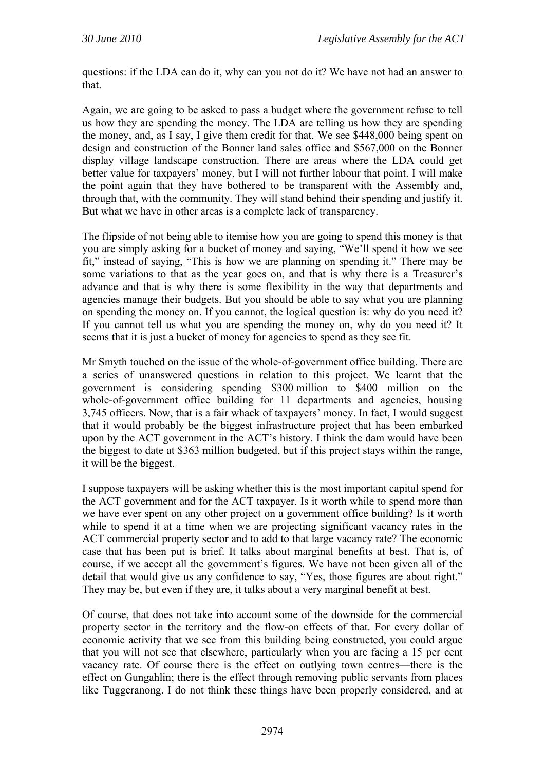questions: if the LDA can do it, why can you not do it? We have not had an answer to that.

Again, we are going to be asked to pass a budget where the government refuse to tell us how they are spending the money. The LDA are telling us how they are spending the money, and, as I say, I give them credit for that. We see \$448,000 being spent on design and construction of the Bonner land sales office and \$567,000 on the Bonner display village landscape construction. There are areas where the LDA could get better value for taxpayers' money, but I will not further labour that point. I will make the point again that they have bothered to be transparent with the Assembly and, through that, with the community. They will stand behind their spending and justify it. But what we have in other areas is a complete lack of transparency.

The flipside of not being able to itemise how you are going to spend this money is that you are simply asking for a bucket of money and saying, "We'll spend it how we see fit," instead of saying, "This is how we are planning on spending it." There may be some variations to that as the year goes on, and that is why there is a Treasurer's advance and that is why there is some flexibility in the way that departments and agencies manage their budgets. But you should be able to say what you are planning on spending the money on. If you cannot, the logical question is: why do you need it? If you cannot tell us what you are spending the money on, why do you need it? It seems that it is just a bucket of money for agencies to spend as they see fit.

Mr Smyth touched on the issue of the whole-of-government office building. There are a series of unanswered questions in relation to this project. We learnt that the government is considering spending \$300 million to \$400 million on the whole-of-government office building for 11 departments and agencies, housing 3,745 officers. Now, that is a fair whack of taxpayers' money. In fact, I would suggest that it would probably be the biggest infrastructure project that has been embarked upon by the ACT government in the ACT's history. I think the dam would have been the biggest to date at \$363 million budgeted, but if this project stays within the range, it will be the biggest.

I suppose taxpayers will be asking whether this is the most important capital spend for the ACT government and for the ACT taxpayer. Is it worth while to spend more than we have ever spent on any other project on a government office building? Is it worth while to spend it at a time when we are projecting significant vacancy rates in the ACT commercial property sector and to add to that large vacancy rate? The economic case that has been put is brief. It talks about marginal benefits at best. That is, of course, if we accept all the government's figures. We have not been given all of the detail that would give us any confidence to say, "Yes, those figures are about right." They may be, but even if they are, it talks about a very marginal benefit at best.

Of course, that does not take into account some of the downside for the commercial property sector in the territory and the flow-on effects of that. For every dollar of economic activity that we see from this building being constructed, you could argue that you will not see that elsewhere, particularly when you are facing a 15 per cent vacancy rate. Of course there is the effect on outlying town centres—there is the effect on Gungahlin; there is the effect through removing public servants from places like Tuggeranong. I do not think these things have been properly considered, and at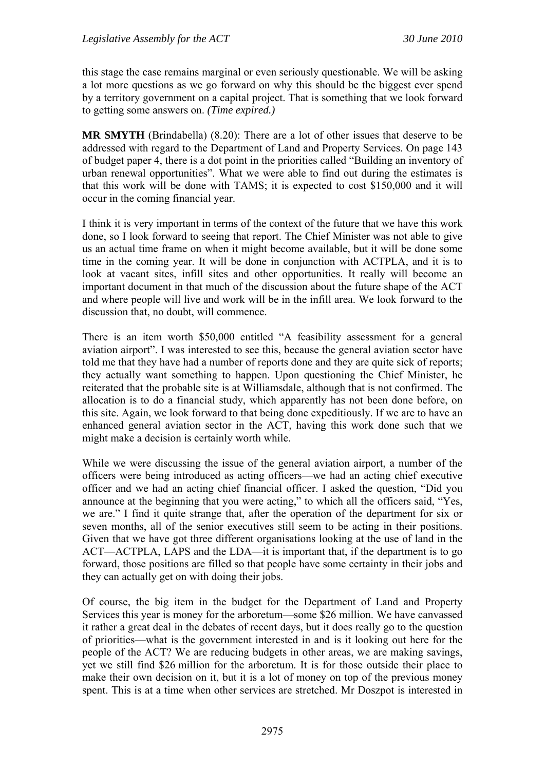this stage the case remains marginal or even seriously questionable. We will be asking a lot more questions as we go forward on why this should be the biggest ever spend by a territory government on a capital project. That is something that we look forward to getting some answers on. *(Time expired.)*

**MR SMYTH** (Brindabella) (8.20): There are a lot of other issues that deserve to be addressed with regard to the Department of Land and Property Services. On page 143 of budget paper 4, there is a dot point in the priorities called "Building an inventory of urban renewal opportunities". What we were able to find out during the estimates is that this work will be done with TAMS; it is expected to cost \$150,000 and it will occur in the coming financial year.

I think it is very important in terms of the context of the future that we have this work done, so I look forward to seeing that report. The Chief Minister was not able to give us an actual time frame on when it might become available, but it will be done some time in the coming year. It will be done in conjunction with ACTPLA, and it is to look at vacant sites, infill sites and other opportunities. It really will become an important document in that much of the discussion about the future shape of the ACT and where people will live and work will be in the infill area. We look forward to the discussion that, no doubt, will commence.

There is an item worth \$50,000 entitled "A feasibility assessment for a general aviation airport". I was interested to see this, because the general aviation sector have told me that they have had a number of reports done and they are quite sick of reports; they actually want something to happen. Upon questioning the Chief Minister, he reiterated that the probable site is at Williamsdale, although that is not confirmed. The allocation is to do a financial study, which apparently has not been done before, on this site. Again, we look forward to that being done expeditiously. If we are to have an enhanced general aviation sector in the ACT, having this work done such that we might make a decision is certainly worth while.

While we were discussing the issue of the general aviation airport, a number of the officers were being introduced as acting officers—we had an acting chief executive officer and we had an acting chief financial officer. I asked the question, "Did you announce at the beginning that you were acting," to which all the officers said, "Yes, we are." I find it quite strange that, after the operation of the department for six or seven months, all of the senior executives still seem to be acting in their positions. Given that we have got three different organisations looking at the use of land in the ACT—ACTPLA, LAPS and the LDA—it is important that, if the department is to go forward, those positions are filled so that people have some certainty in their jobs and they can actually get on with doing their jobs.

Of course, the big item in the budget for the Department of Land and Property Services this year is money for the arboretum—some \$26 million. We have canvassed it rather a great deal in the debates of recent days, but it does really go to the question of priorities—what is the government interested in and is it looking out here for the people of the ACT? We are reducing budgets in other areas, we are making savings, yet we still find \$26 million for the arboretum. It is for those outside their place to make their own decision on it, but it is a lot of money on top of the previous money spent. This is at a time when other services are stretched. Mr Doszpot is interested in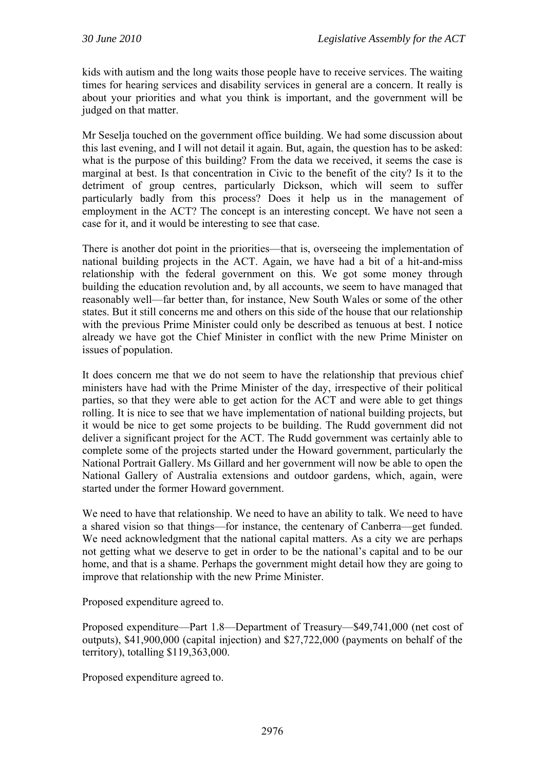kids with autism and the long waits those people have to receive services. The waiting times for hearing services and disability services in general are a concern. It really is about your priorities and what you think is important, and the government will be judged on that matter.

Mr Seselja touched on the government office building. We had some discussion about this last evening, and I will not detail it again. But, again, the question has to be asked: what is the purpose of this building? From the data we received, it seems the case is marginal at best. Is that concentration in Civic to the benefit of the city? Is it to the detriment of group centres, particularly Dickson, which will seem to suffer particularly badly from this process? Does it help us in the management of employment in the ACT? The concept is an interesting concept. We have not seen a case for it, and it would be interesting to see that case.

There is another dot point in the priorities—that is, overseeing the implementation of national building projects in the ACT. Again, we have had a bit of a hit-and-miss relationship with the federal government on this. We got some money through building the education revolution and, by all accounts, we seem to have managed that reasonably well—far better than, for instance, New South Wales or some of the other states. But it still concerns me and others on this side of the house that our relationship with the previous Prime Minister could only be described as tenuous at best. I notice already we have got the Chief Minister in conflict with the new Prime Minister on issues of population.

It does concern me that we do not seem to have the relationship that previous chief ministers have had with the Prime Minister of the day, irrespective of their political parties, so that they were able to get action for the ACT and were able to get things rolling. It is nice to see that we have implementation of national building projects, but it would be nice to get some projects to be building. The Rudd government did not deliver a significant project for the ACT. The Rudd government was certainly able to complete some of the projects started under the Howard government, particularly the National Portrait Gallery. Ms Gillard and her government will now be able to open the National Gallery of Australia extensions and outdoor gardens, which, again, were started under the former Howard government.

We need to have that relationship. We need to have an ability to talk. We need to have a shared vision so that things—for instance, the centenary of Canberra—get funded. We need acknowledgment that the national capital matters. As a city we are perhaps not getting what we deserve to get in order to be the national's capital and to be our home, and that is a shame. Perhaps the government might detail how they are going to improve that relationship with the new Prime Minister.

Proposed expenditure agreed to.

Proposed expenditure—Part 1.8—Department of Treasury—\$49,741,000 (net cost of outputs), \$41,900,000 (capital injection) and \$27,722,000 (payments on behalf of the territory), totalling \$119,363,000.

Proposed expenditure agreed to.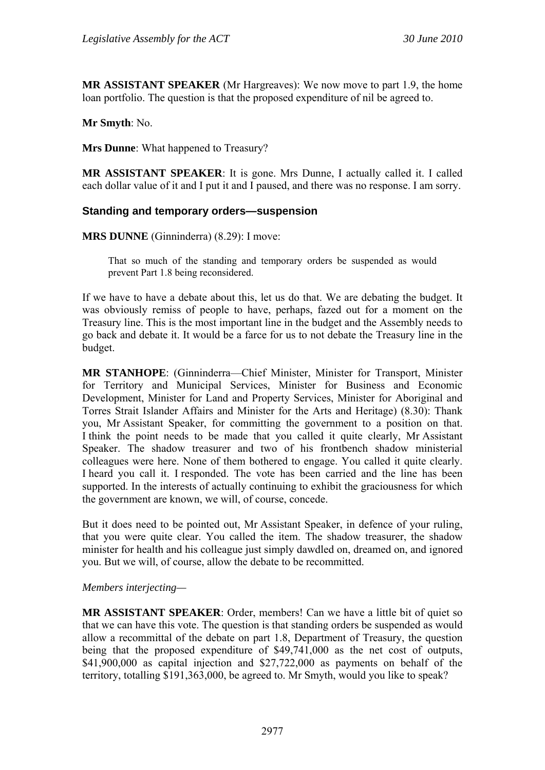**MR ASSISTANT SPEAKER** (Mr Hargreaves): We now move to part 1.9, the home loan portfolio. The question is that the proposed expenditure of nil be agreed to.

**Mr Smyth**: No.

**Mrs Dunne**: What happened to Treasury?

**MR ASSISTANT SPEAKER**: It is gone. Mrs Dunne, I actually called it. I called each dollar value of it and I put it and I paused, and there was no response. I am sorry.

#### **Standing and temporary orders—suspension**

**MRS DUNNE** (Ginninderra) (8.29): I move:

That so much of the standing and temporary orders be suspended as would prevent Part 1.8 being reconsidered.

If we have to have a debate about this, let us do that. We are debating the budget. It was obviously remiss of people to have, perhaps, fazed out for a moment on the Treasury line. This is the most important line in the budget and the Assembly needs to go back and debate it. It would be a farce for us to not debate the Treasury line in the budget.

**MR STANHOPE**: (Ginninderra—Chief Minister, Minister for Transport, Minister for Territory and Municipal Services, Minister for Business and Economic Development, Minister for Land and Property Services, Minister for Aboriginal and Torres Strait Islander Affairs and Minister for the Arts and Heritage) (8.30): Thank you, Mr Assistant Speaker, for committing the government to a position on that. I think the point needs to be made that you called it quite clearly, Mr Assistant Speaker. The shadow treasurer and two of his frontbench shadow ministerial colleagues were here. None of them bothered to engage. You called it quite clearly. I heard you call it. I responded. The vote has been carried and the line has been supported. In the interests of actually continuing to exhibit the graciousness for which the government are known, we will, of course, concede.

But it does need to be pointed out, Mr Assistant Speaker, in defence of your ruling, that you were quite clear. You called the item. The shadow treasurer, the shadow minister for health and his colleague just simply dawdled on, dreamed on, and ignored you. But we will, of course, allow the debate to be recommitted.

#### *Members interjecting—*

**MR ASSISTANT SPEAKER**: Order, members! Can we have a little bit of quiet so that we can have this vote. The question is that standing orders be suspended as would allow a recommittal of the debate on part 1.8, Department of Treasury, the question being that the proposed expenditure of \$49,741,000 as the net cost of outputs, \$41,900,000 as capital injection and \$27,722,000 as payments on behalf of the territory, totalling \$191,363,000, be agreed to. Mr Smyth, would you like to speak?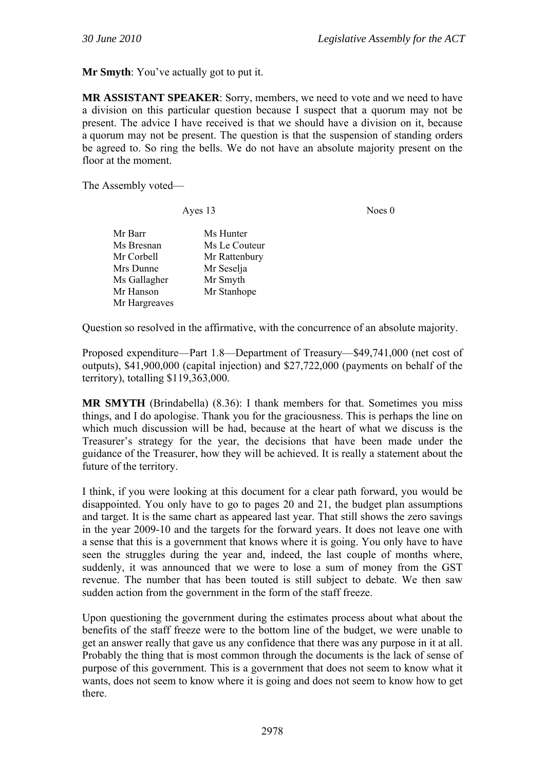**Mr Smyth**: You've actually got to put it.

**MR ASSISTANT SPEAKER**: Sorry, members, we need to vote and we need to have a division on this particular question because I suspect that a quorum may not be present. The advice I have received is that we should have a division on it, because a quorum may not be present. The question is that the suspension of standing orders be agreed to. So ring the bells. We do not have an absolute majority present on the floor at the moment.

The Assembly voted—

Ayes 13 Noes 0

| Ms Hunter     |
|---------------|
| Ms Le Couteur |
| Mr Rattenbury |
| Mr Seselja    |
| Mr Smyth      |
| Mr Stanhope   |
|               |
|               |

Question so resolved in the affirmative, with the concurrence of an absolute majority.

Proposed expenditure—Part 1.8—Department of Treasury—\$49,741,000 (net cost of outputs), \$41,900,000 (capital injection) and \$27,722,000 (payments on behalf of the territory), totalling \$119,363,000.

**MR SMYTH** (Brindabella) (8.36): I thank members for that. Sometimes you miss things, and I do apologise. Thank you for the graciousness. This is perhaps the line on which much discussion will be had, because at the heart of what we discuss is the Treasurer's strategy for the year, the decisions that have been made under the guidance of the Treasurer, how they will be achieved. It is really a statement about the future of the territory.

I think, if you were looking at this document for a clear path forward, you would be disappointed. You only have to go to pages 20 and 21, the budget plan assumptions and target. It is the same chart as appeared last year. That still shows the zero savings in the year 2009-10 and the targets for the forward years. It does not leave one with a sense that this is a government that knows where it is going. You only have to have seen the struggles during the year and, indeed, the last couple of months where, suddenly, it was announced that we were to lose a sum of money from the GST revenue. The number that has been touted is still subject to debate. We then saw sudden action from the government in the form of the staff freeze.

Upon questioning the government during the estimates process about what about the benefits of the staff freeze were to the bottom line of the budget, we were unable to get an answer really that gave us any confidence that there was any purpose in it at all. Probably the thing that is most common through the documents is the lack of sense of purpose of this government. This is a government that does not seem to know what it wants, does not seem to know where it is going and does not seem to know how to get there.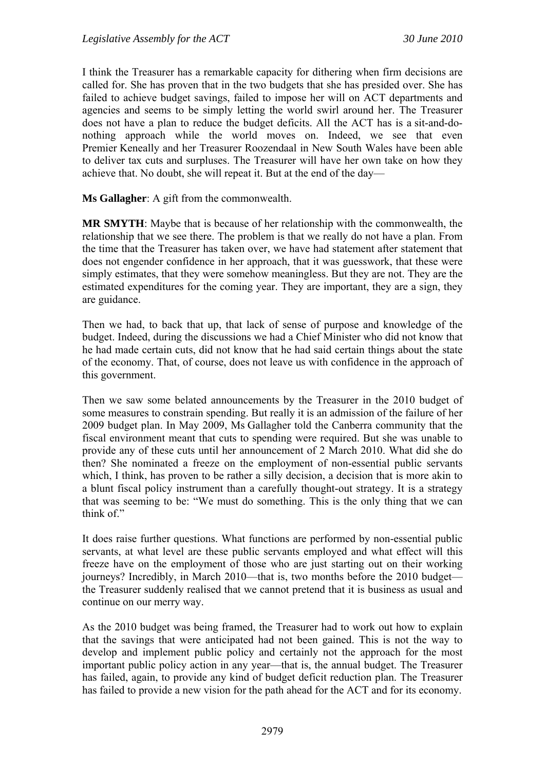I think the Treasurer has a remarkable capacity for dithering when firm decisions are called for. She has proven that in the two budgets that she has presided over. She has failed to achieve budget savings, failed to impose her will on ACT departments and agencies and seems to be simply letting the world swirl around her. The Treasurer does not have a plan to reduce the budget deficits. All the ACT has is a sit-and-donothing approach while the world moves on. Indeed, we see that even Premier Keneally and her Treasurer Roozendaal in New South Wales have been able to deliver tax cuts and surpluses. The Treasurer will have her own take on how they achieve that. No doubt, she will repeat it. But at the end of the day—

**Ms Gallagher**: A gift from the commonwealth.

**MR SMYTH**: Maybe that is because of her relationship with the commonwealth, the relationship that we see there. The problem is that we really do not have a plan. From the time that the Treasurer has taken over, we have had statement after statement that does not engender confidence in her approach, that it was guesswork, that these were simply estimates, that they were somehow meaningless. But they are not. They are the estimated expenditures for the coming year. They are important, they are a sign, they are guidance.

Then we had, to back that up, that lack of sense of purpose and knowledge of the budget. Indeed, during the discussions we had a Chief Minister who did not know that he had made certain cuts, did not know that he had said certain things about the state of the economy. That, of course, does not leave us with confidence in the approach of this government.

Then we saw some belated announcements by the Treasurer in the 2010 budget of some measures to constrain spending. But really it is an admission of the failure of her 2009 budget plan. In May 2009, Ms Gallagher told the Canberra community that the fiscal environment meant that cuts to spending were required. But she was unable to provide any of these cuts until her announcement of 2 March 2010. What did she do then? She nominated a freeze on the employment of non-essential public servants which, I think, has proven to be rather a silly decision, a decision that is more akin to a blunt fiscal policy instrument than a carefully thought-out strategy. It is a strategy that was seeming to be: "We must do something. This is the only thing that we can think of."

It does raise further questions. What functions are performed by non-essential public servants, at what level are these public servants employed and what effect will this freeze have on the employment of those who are just starting out on their working journeys? Incredibly, in March 2010—that is, two months before the 2010 budget the Treasurer suddenly realised that we cannot pretend that it is business as usual and continue on our merry way.

As the 2010 budget was being framed, the Treasurer had to work out how to explain that the savings that were anticipated had not been gained. This is not the way to develop and implement public policy and certainly not the approach for the most important public policy action in any year—that is, the annual budget. The Treasurer has failed, again, to provide any kind of budget deficit reduction plan. The Treasurer has failed to provide a new vision for the path ahead for the ACT and for its economy.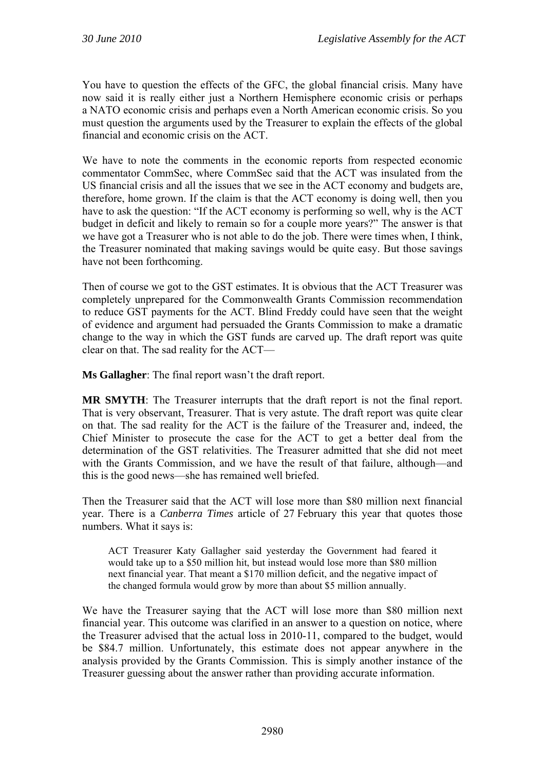You have to question the effects of the GFC, the global financial crisis. Many have now said it is really either just a Northern Hemisphere economic crisis or perhaps a NATO economic crisis and perhaps even a North American economic crisis. So you must question the arguments used by the Treasurer to explain the effects of the global financial and economic crisis on the ACT.

We have to note the comments in the economic reports from respected economic commentator CommSec, where CommSec said that the ACT was insulated from the US financial crisis and all the issues that we see in the ACT economy and budgets are, therefore, home grown. If the claim is that the ACT economy is doing well, then you have to ask the question: "If the ACT economy is performing so well, why is the ACT budget in deficit and likely to remain so for a couple more years?" The answer is that we have got a Treasurer who is not able to do the job. There were times when, I think, the Treasurer nominated that making savings would be quite easy. But those savings have not been forthcoming.

Then of course we got to the GST estimates. It is obvious that the ACT Treasurer was completely unprepared for the Commonwealth Grants Commission recommendation to reduce GST payments for the ACT. Blind Freddy could have seen that the weight of evidence and argument had persuaded the Grants Commission to make a dramatic change to the way in which the GST funds are carved up. The draft report was quite clear on that. The sad reality for the ACT—

**Ms Gallagher**: The final report wasn't the draft report.

**MR SMYTH**: The Treasurer interrupts that the draft report is not the final report. That is very observant, Treasurer. That is very astute. The draft report was quite clear on that. The sad reality for the ACT is the failure of the Treasurer and, indeed, the Chief Minister to prosecute the case for the ACT to get a better deal from the determination of the GST relativities. The Treasurer admitted that she did not meet with the Grants Commission, and we have the result of that failure, although—and this is the good news—she has remained well briefed.

Then the Treasurer said that the ACT will lose more than \$80 million next financial year. There is a *Canberra Times* article of 27 February this year that quotes those numbers. What it says is:

ACT Treasurer Katy Gallagher said yesterday the Government had feared it would take up to a \$50 million hit, but instead would lose more than \$80 million next financial year. That meant a \$170 million deficit, and the negative impact of the changed formula would grow by more than about \$5 million annually.

We have the Treasurer saying that the ACT will lose more than \$80 million next financial year. This outcome was clarified in an answer to a question on notice, where the Treasurer advised that the actual loss in 2010-11, compared to the budget, would be \$84.7 million. Unfortunately, this estimate does not appear anywhere in the analysis provided by the Grants Commission. This is simply another instance of the Treasurer guessing about the answer rather than providing accurate information.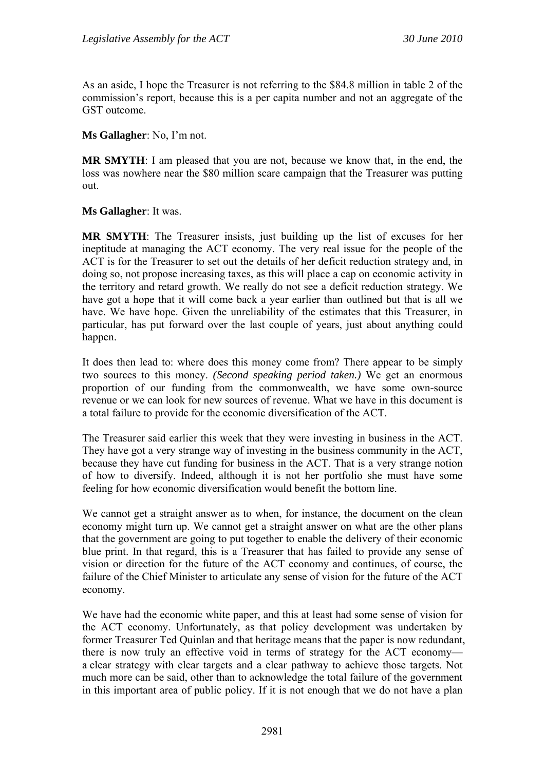As an aside, I hope the Treasurer is not referring to the \$84.8 million in table 2 of the commission's report, because this is a per capita number and not an aggregate of the GST outcome.

**Ms Gallagher**: No, I'm not.

**MR SMYTH**: I am pleased that you are not, because we know that, in the end, the loss was nowhere near the \$80 million scare campaign that the Treasurer was putting out.

**Ms Gallagher**: It was.

**MR SMYTH**: The Treasurer insists, just building up the list of excuses for her ineptitude at managing the ACT economy. The very real issue for the people of the ACT is for the Treasurer to set out the details of her deficit reduction strategy and, in doing so, not propose increasing taxes, as this will place a cap on economic activity in the territory and retard growth. We really do not see a deficit reduction strategy. We have got a hope that it will come back a year earlier than outlined but that is all we have. We have hope. Given the unreliability of the estimates that this Treasurer, in particular, has put forward over the last couple of years, just about anything could happen.

It does then lead to: where does this money come from? There appear to be simply two sources to this money. *(Second speaking period taken.)* We get an enormous proportion of our funding from the commonwealth, we have some own-source revenue or we can look for new sources of revenue. What we have in this document is a total failure to provide for the economic diversification of the ACT.

The Treasurer said earlier this week that they were investing in business in the ACT. They have got a very strange way of investing in the business community in the ACT, because they have cut funding for business in the ACT. That is a very strange notion of how to diversify. Indeed, although it is not her portfolio she must have some feeling for how economic diversification would benefit the bottom line.

We cannot get a straight answer as to when, for instance, the document on the clean economy might turn up. We cannot get a straight answer on what are the other plans that the government are going to put together to enable the delivery of their economic blue print. In that regard, this is a Treasurer that has failed to provide any sense of vision or direction for the future of the ACT economy and continues, of course, the failure of the Chief Minister to articulate any sense of vision for the future of the ACT economy.

We have had the economic white paper, and this at least had some sense of vision for the ACT economy. Unfortunately, as that policy development was undertaken by former Treasurer Ted Quinlan and that heritage means that the paper is now redundant, there is now truly an effective void in terms of strategy for the ACT economy a clear strategy with clear targets and a clear pathway to achieve those targets. Not much more can be said, other than to acknowledge the total failure of the government in this important area of public policy. If it is not enough that we do not have a plan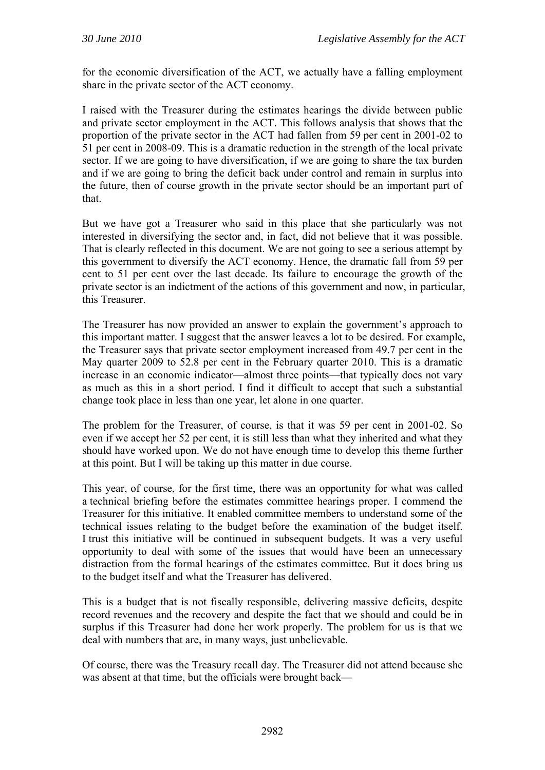for the economic diversification of the ACT, we actually have a falling employment share in the private sector of the ACT economy.

I raised with the Treasurer during the estimates hearings the divide between public and private sector employment in the ACT. This follows analysis that shows that the proportion of the private sector in the ACT had fallen from 59 per cent in 2001-02 to 51 per cent in 2008-09. This is a dramatic reduction in the strength of the local private sector. If we are going to have diversification, if we are going to share the tax burden and if we are going to bring the deficit back under control and remain in surplus into the future, then of course growth in the private sector should be an important part of that.

But we have got a Treasurer who said in this place that she particularly was not interested in diversifying the sector and, in fact, did not believe that it was possible. That is clearly reflected in this document. We are not going to see a serious attempt by this government to diversify the ACT economy. Hence, the dramatic fall from 59 per cent to 51 per cent over the last decade. Its failure to encourage the growth of the private sector is an indictment of the actions of this government and now, in particular, this Treasurer.

The Treasurer has now provided an answer to explain the government's approach to this important matter. I suggest that the answer leaves a lot to be desired. For example, the Treasurer says that private sector employment increased from 49.7 per cent in the May quarter 2009 to 52.8 per cent in the February quarter 2010. This is a dramatic increase in an economic indicator—almost three points—that typically does not vary as much as this in a short period. I find it difficult to accept that such a substantial change took place in less than one year, let alone in one quarter.

The problem for the Treasurer, of course, is that it was 59 per cent in 2001-02. So even if we accept her 52 per cent, it is still less than what they inherited and what they should have worked upon. We do not have enough time to develop this theme further at this point. But I will be taking up this matter in due course.

This year, of course, for the first time, there was an opportunity for what was called a technical briefing before the estimates committee hearings proper. I commend the Treasurer for this initiative. It enabled committee members to understand some of the technical issues relating to the budget before the examination of the budget itself. I trust this initiative will be continued in subsequent budgets. It was a very useful opportunity to deal with some of the issues that would have been an unnecessary distraction from the formal hearings of the estimates committee. But it does bring us to the budget itself and what the Treasurer has delivered.

This is a budget that is not fiscally responsible, delivering massive deficits, despite record revenues and the recovery and despite the fact that we should and could be in surplus if this Treasurer had done her work properly. The problem for us is that we deal with numbers that are, in many ways, just unbelievable.

Of course, there was the Treasury recall day. The Treasurer did not attend because she was absent at that time, but the officials were brought back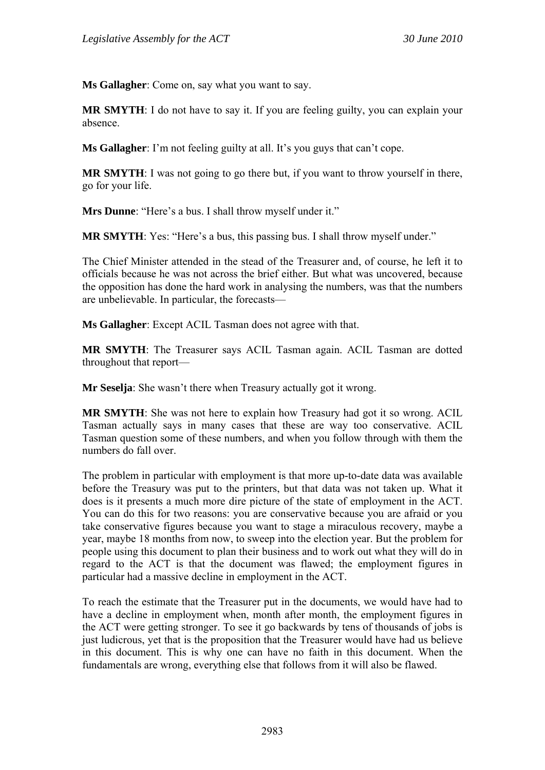**Ms Gallagher**: Come on, say what you want to say.

**MR SMYTH**: I do not have to say it. If you are feeling guilty, you can explain your absence.

**Ms Gallagher**: I'm not feeling guilty at all. It's you guys that can't cope.

**MR SMYTH**: I was not going to go there but, if you want to throw yourself in there, go for your life.

**Mrs Dunne**: "Here's a bus. I shall throw myself under it."

**MR SMYTH**: Yes: "Here's a bus, this passing bus. I shall throw myself under."

The Chief Minister attended in the stead of the Treasurer and, of course, he left it to officials because he was not across the brief either. But what was uncovered, because the opposition has done the hard work in analysing the numbers, was that the numbers are unbelievable. In particular, the forecasts—

**Ms Gallagher**: Except ACIL Tasman does not agree with that.

**MR SMYTH**: The Treasurer says ACIL Tasman again. ACIL Tasman are dotted throughout that report—

**Mr Seselja**: She wasn't there when Treasury actually got it wrong.

**MR SMYTH**: She was not here to explain how Treasury had got it so wrong. ACIL Tasman actually says in many cases that these are way too conservative. ACIL Tasman question some of these numbers, and when you follow through with them the numbers do fall over.

The problem in particular with employment is that more up-to-date data was available before the Treasury was put to the printers, but that data was not taken up. What it does is it presents a much more dire picture of the state of employment in the ACT. You can do this for two reasons: you are conservative because you are afraid or you take conservative figures because you want to stage a miraculous recovery, maybe a year, maybe 18 months from now, to sweep into the election year. But the problem for people using this document to plan their business and to work out what they will do in regard to the ACT is that the document was flawed; the employment figures in particular had a massive decline in employment in the ACT.

To reach the estimate that the Treasurer put in the documents, we would have had to have a decline in employment when, month after month, the employment figures in the ACT were getting stronger. To see it go backwards by tens of thousands of jobs is just ludicrous, yet that is the proposition that the Treasurer would have had us believe in this document. This is why one can have no faith in this document. When the fundamentals are wrong, everything else that follows from it will also be flawed.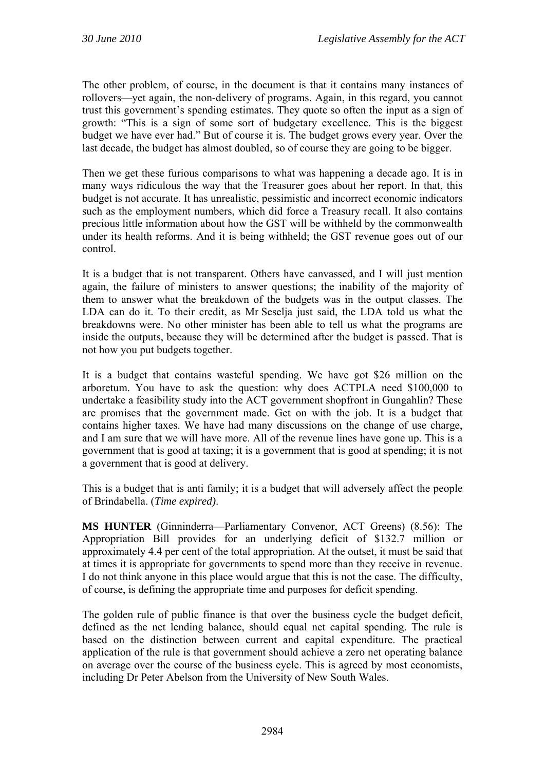The other problem, of course, in the document is that it contains many instances of rollovers—yet again, the non-delivery of programs. Again, in this regard, you cannot trust this government's spending estimates. They quote so often the input as a sign of growth: "This is a sign of some sort of budgetary excellence. This is the biggest budget we have ever had." But of course it is. The budget grows every year. Over the last decade, the budget has almost doubled, so of course they are going to be bigger.

Then we get these furious comparisons to what was happening a decade ago. It is in many ways ridiculous the way that the Treasurer goes about her report. In that, this budget is not accurate. It has unrealistic, pessimistic and incorrect economic indicators such as the employment numbers, which did force a Treasury recall. It also contains precious little information about how the GST will be withheld by the commonwealth under its health reforms. And it is being withheld; the GST revenue goes out of our control.

It is a budget that is not transparent. Others have canvassed, and I will just mention again, the failure of ministers to answer questions; the inability of the majority of them to answer what the breakdown of the budgets was in the output classes. The LDA can do it. To their credit, as Mr Seselja just said, the LDA told us what the breakdowns were. No other minister has been able to tell us what the programs are inside the outputs, because they will be determined after the budget is passed. That is not how you put budgets together.

It is a budget that contains wasteful spending. We have got \$26 million on the arboretum. You have to ask the question: why does ACTPLA need \$100,000 to undertake a feasibility study into the ACT government shopfront in Gungahlin? These are promises that the government made. Get on with the job. It is a budget that contains higher taxes. We have had many discussions on the change of use charge, and I am sure that we will have more. All of the revenue lines have gone up. This is a government that is good at taxing; it is a government that is good at spending; it is not a government that is good at delivery.

This is a budget that is anti family; it is a budget that will adversely affect the people of Brindabella. (*Time expired)*.

**MS HUNTER** (Ginninderra—Parliamentary Convenor, ACT Greens) (8.56): The Appropriation Bill provides for an underlying deficit of \$132.7 million or approximately 4.4 per cent of the total appropriation. At the outset, it must be said that at times it is appropriate for governments to spend more than they receive in revenue. I do not think anyone in this place would argue that this is not the case. The difficulty, of course, is defining the appropriate time and purposes for deficit spending.

The golden rule of public finance is that over the business cycle the budget deficit, defined as the net lending balance, should equal net capital spending. The rule is based on the distinction between current and capital expenditure. The practical application of the rule is that government should achieve a zero net operating balance on average over the course of the business cycle. This is agreed by most economists, including Dr Peter Abelson from the University of New South Wales.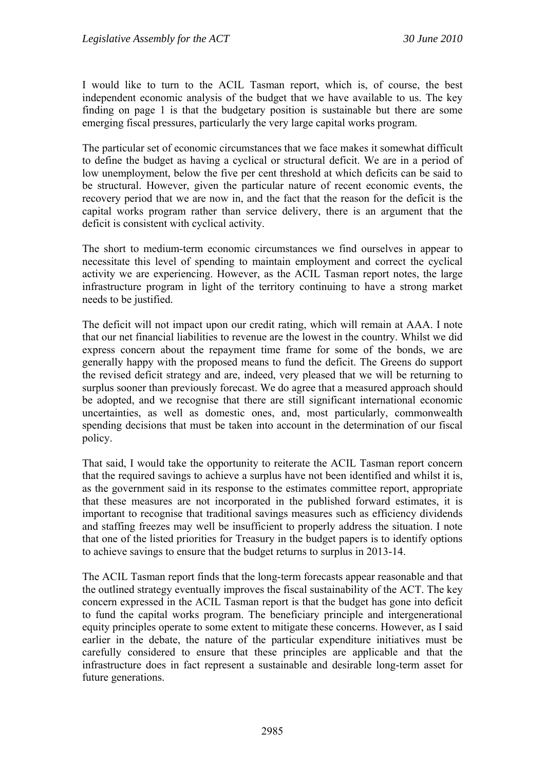I would like to turn to the ACIL Tasman report, which is, of course, the best independent economic analysis of the budget that we have available to us. The key finding on page 1 is that the budgetary position is sustainable but there are some emerging fiscal pressures, particularly the very large capital works program.

The particular set of economic circumstances that we face makes it somewhat difficult to define the budget as having a cyclical or structural deficit. We are in a period of low unemployment, below the five per cent threshold at which deficits can be said to be structural. However, given the particular nature of recent economic events, the recovery period that we are now in, and the fact that the reason for the deficit is the capital works program rather than service delivery, there is an argument that the deficit is consistent with cyclical activity.

The short to medium-term economic circumstances we find ourselves in appear to necessitate this level of spending to maintain employment and correct the cyclical activity we are experiencing. However, as the ACIL Tasman report notes, the large infrastructure program in light of the territory continuing to have a strong market needs to be justified.

The deficit will not impact upon our credit rating, which will remain at AAA. I note that our net financial liabilities to revenue are the lowest in the country. Whilst we did express concern about the repayment time frame for some of the bonds, we are generally happy with the proposed means to fund the deficit. The Greens do support the revised deficit strategy and are, indeed, very pleased that we will be returning to surplus sooner than previously forecast. We do agree that a measured approach should be adopted, and we recognise that there are still significant international economic uncertainties, as well as domestic ones, and, most particularly, commonwealth spending decisions that must be taken into account in the determination of our fiscal policy.

That said, I would take the opportunity to reiterate the ACIL Tasman report concern that the required savings to achieve a surplus have not been identified and whilst it is, as the government said in its response to the estimates committee report, appropriate that these measures are not incorporated in the published forward estimates, it is important to recognise that traditional savings measures such as efficiency dividends and staffing freezes may well be insufficient to properly address the situation. I note that one of the listed priorities for Treasury in the budget papers is to identify options to achieve savings to ensure that the budget returns to surplus in 2013-14.

The ACIL Tasman report finds that the long-term forecasts appear reasonable and that the outlined strategy eventually improves the fiscal sustainability of the ACT. The key concern expressed in the ACIL Tasman report is that the budget has gone into deficit to fund the capital works program. The beneficiary principle and intergenerational equity principles operate to some extent to mitigate these concerns. However, as I said earlier in the debate, the nature of the particular expenditure initiatives must be carefully considered to ensure that these principles are applicable and that the infrastructure does in fact represent a sustainable and desirable long-term asset for future generations.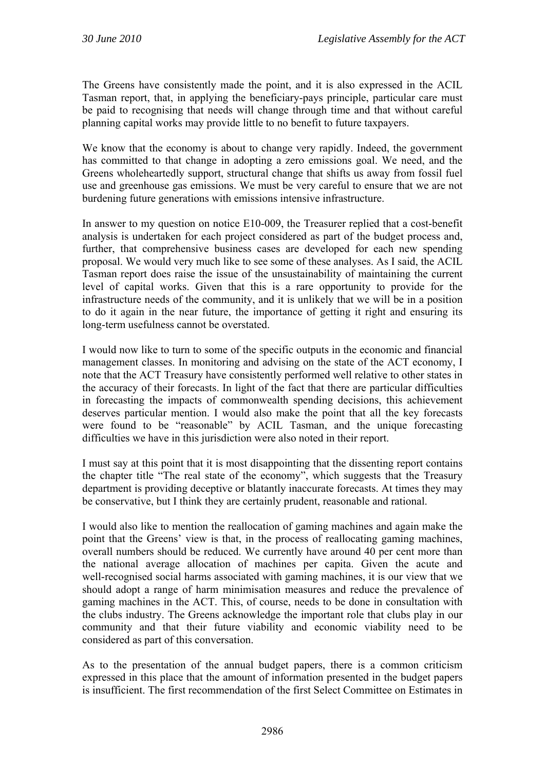The Greens have consistently made the point, and it is also expressed in the ACIL Tasman report, that, in applying the beneficiary-pays principle, particular care must be paid to recognising that needs will change through time and that without careful planning capital works may provide little to no benefit to future taxpayers.

We know that the economy is about to change very rapidly. Indeed, the government has committed to that change in adopting a zero emissions goal. We need, and the Greens wholeheartedly support, structural change that shifts us away from fossil fuel use and greenhouse gas emissions. We must be very careful to ensure that we are not burdening future generations with emissions intensive infrastructure.

In answer to my question on notice E10-009, the Treasurer replied that a cost-benefit analysis is undertaken for each project considered as part of the budget process and, further, that comprehensive business cases are developed for each new spending proposal. We would very much like to see some of these analyses. As I said, the ACIL Tasman report does raise the issue of the unsustainability of maintaining the current level of capital works. Given that this is a rare opportunity to provide for the infrastructure needs of the community, and it is unlikely that we will be in a position to do it again in the near future, the importance of getting it right and ensuring its long-term usefulness cannot be overstated.

I would now like to turn to some of the specific outputs in the economic and financial management classes. In monitoring and advising on the state of the ACT economy, I note that the ACT Treasury have consistently performed well relative to other states in the accuracy of their forecasts. In light of the fact that there are particular difficulties in forecasting the impacts of commonwealth spending decisions, this achievement deserves particular mention. I would also make the point that all the key forecasts were found to be "reasonable" by ACIL Tasman, and the unique forecasting difficulties we have in this jurisdiction were also noted in their report.

I must say at this point that it is most disappointing that the dissenting report contains the chapter title "The real state of the economy", which suggests that the Treasury department is providing deceptive or blatantly inaccurate forecasts. At times they may be conservative, but I think they are certainly prudent, reasonable and rational.

I would also like to mention the reallocation of gaming machines and again make the point that the Greens' view is that, in the process of reallocating gaming machines, overall numbers should be reduced. We currently have around 40 per cent more than the national average allocation of machines per capita. Given the acute and well-recognised social harms associated with gaming machines, it is our view that we should adopt a range of harm minimisation measures and reduce the prevalence of gaming machines in the ACT. This, of course, needs to be done in consultation with the clubs industry. The Greens acknowledge the important role that clubs play in our community and that their future viability and economic viability need to be considered as part of this conversation.

As to the presentation of the annual budget papers, there is a common criticism expressed in this place that the amount of information presented in the budget papers is insufficient. The first recommendation of the first Select Committee on Estimates in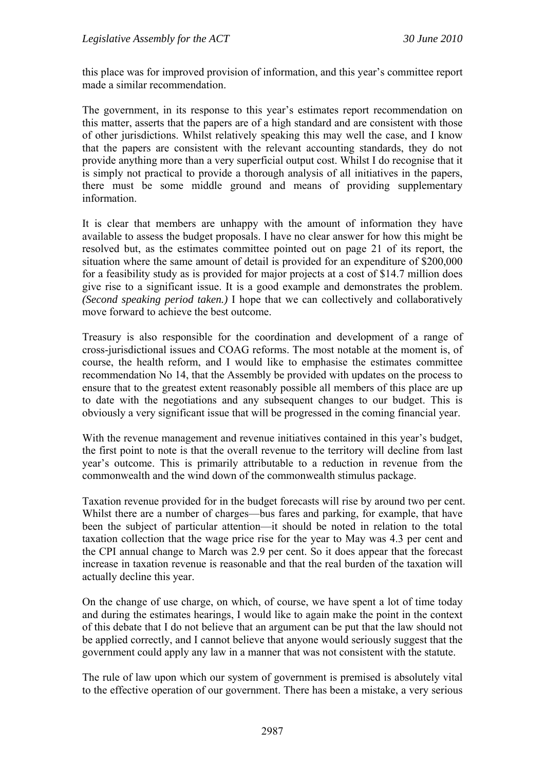this place was for improved provision of information, and this year's committee report made a similar recommendation.

The government, in its response to this year's estimates report recommendation on this matter, asserts that the papers are of a high standard and are consistent with those of other jurisdictions. Whilst relatively speaking this may well the case, and I know that the papers are consistent with the relevant accounting standards, they do not provide anything more than a very superficial output cost. Whilst I do recognise that it is simply not practical to provide a thorough analysis of all initiatives in the papers, there must be some middle ground and means of providing supplementary information.

It is clear that members are unhappy with the amount of information they have available to assess the budget proposals. I have no clear answer for how this might be resolved but, as the estimates committee pointed out on page 21 of its report, the situation where the same amount of detail is provided for an expenditure of \$200,000 for a feasibility study as is provided for major projects at a cost of \$14.7 million does give rise to a significant issue. It is a good example and demonstrates the problem. *(Second speaking period taken.)* I hope that we can collectively and collaboratively move forward to achieve the best outcome.

Treasury is also responsible for the coordination and development of a range of cross-jurisdictional issues and COAG reforms. The most notable at the moment is, of course, the health reform, and I would like to emphasise the estimates committee recommendation No 14, that the Assembly be provided with updates on the process to ensure that to the greatest extent reasonably possible all members of this place are up to date with the negotiations and any subsequent changes to our budget. This is obviously a very significant issue that will be progressed in the coming financial year.

With the revenue management and revenue initiatives contained in this year's budget, the first point to note is that the overall revenue to the territory will decline from last year's outcome. This is primarily attributable to a reduction in revenue from the commonwealth and the wind down of the commonwealth stimulus package.

Taxation revenue provided for in the budget forecasts will rise by around two per cent. Whilst there are a number of charges—bus fares and parking, for example, that have been the subject of particular attention—it should be noted in relation to the total taxation collection that the wage price rise for the year to May was 4.3 per cent and the CPI annual change to March was 2.9 per cent. So it does appear that the forecast increase in taxation revenue is reasonable and that the real burden of the taxation will actually decline this year.

On the change of use charge, on which, of course, we have spent a lot of time today and during the estimates hearings, I would like to again make the point in the context of this debate that I do not believe that an argument can be put that the law should not be applied correctly, and I cannot believe that anyone would seriously suggest that the government could apply any law in a manner that was not consistent with the statute.

The rule of law upon which our system of government is premised is absolutely vital to the effective operation of our government. There has been a mistake, a very serious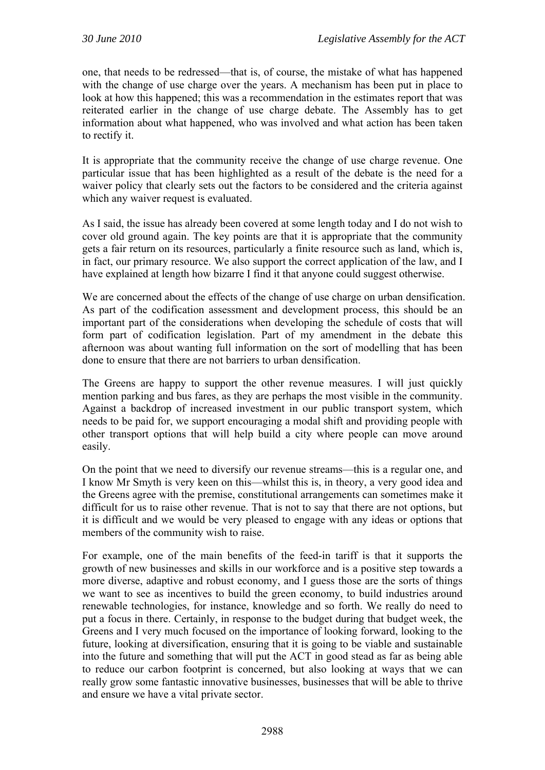one, that needs to be redressed—that is, of course, the mistake of what has happened with the change of use charge over the years. A mechanism has been put in place to look at how this happened; this was a recommendation in the estimates report that was reiterated earlier in the change of use charge debate. The Assembly has to get information about what happened, who was involved and what action has been taken to rectify it.

It is appropriate that the community receive the change of use charge revenue. One particular issue that has been highlighted as a result of the debate is the need for a waiver policy that clearly sets out the factors to be considered and the criteria against which any waiver request is evaluated.

As I said, the issue has already been covered at some length today and I do not wish to cover old ground again. The key points are that it is appropriate that the community gets a fair return on its resources, particularly a finite resource such as land, which is, in fact, our primary resource. We also support the correct application of the law, and I have explained at length how bizarre I find it that anyone could suggest otherwise.

We are concerned about the effects of the change of use charge on urban densification. As part of the codification assessment and development process, this should be an important part of the considerations when developing the schedule of costs that will form part of codification legislation. Part of my amendment in the debate this afternoon was about wanting full information on the sort of modelling that has been done to ensure that there are not barriers to urban densification.

The Greens are happy to support the other revenue measures. I will just quickly mention parking and bus fares, as they are perhaps the most visible in the community. Against a backdrop of increased investment in our public transport system, which needs to be paid for, we support encouraging a modal shift and providing people with other transport options that will help build a city where people can move around easily.

On the point that we need to diversify our revenue streams—this is a regular one, and I know Mr Smyth is very keen on this—whilst this is, in theory, a very good idea and the Greens agree with the premise, constitutional arrangements can sometimes make it difficult for us to raise other revenue. That is not to say that there are not options, but it is difficult and we would be very pleased to engage with any ideas or options that members of the community wish to raise.

For example, one of the main benefits of the feed-in tariff is that it supports the growth of new businesses and skills in our workforce and is a positive step towards a more diverse, adaptive and robust economy, and I guess those are the sorts of things we want to see as incentives to build the green economy, to build industries around renewable technologies, for instance, knowledge and so forth. We really do need to put a focus in there. Certainly, in response to the budget during that budget week, the Greens and I very much focused on the importance of looking forward, looking to the future, looking at diversification, ensuring that it is going to be viable and sustainable into the future and something that will put the ACT in good stead as far as being able to reduce our carbon footprint is concerned, but also looking at ways that we can really grow some fantastic innovative businesses, businesses that will be able to thrive and ensure we have a vital private sector.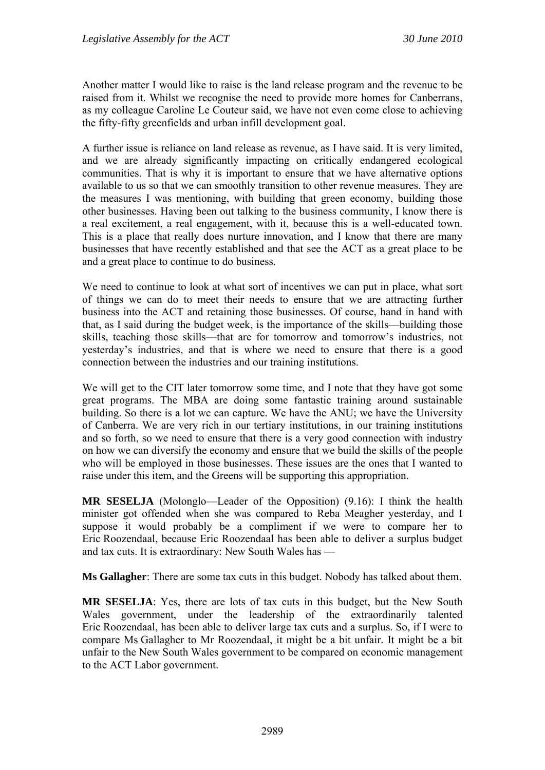Another matter I would like to raise is the land release program and the revenue to be raised from it. Whilst we recognise the need to provide more homes for Canberrans, as my colleague Caroline Le Couteur said, we have not even come close to achieving the fifty-fifty greenfields and urban infill development goal.

A further issue is reliance on land release as revenue, as I have said. It is very limited, and we are already significantly impacting on critically endangered ecological communities. That is why it is important to ensure that we have alternative options available to us so that we can smoothly transition to other revenue measures. They are the measures I was mentioning, with building that green economy, building those other businesses. Having been out talking to the business community, I know there is a real excitement, a real engagement, with it, because this is a well-educated town. This is a place that really does nurture innovation, and I know that there are many businesses that have recently established and that see the ACT as a great place to be and a great place to continue to do business.

We need to continue to look at what sort of incentives we can put in place, what sort of things we can do to meet their needs to ensure that we are attracting further business into the ACT and retaining those businesses. Of course, hand in hand with that, as I said during the budget week, is the importance of the skills—building those skills, teaching those skills—that are for tomorrow and tomorrow's industries, not yesterday's industries, and that is where we need to ensure that there is a good connection between the industries and our training institutions.

We will get to the CIT later tomorrow some time, and I note that they have got some great programs. The MBA are doing some fantastic training around sustainable building. So there is a lot we can capture. We have the ANU; we have the University of Canberra. We are very rich in our tertiary institutions, in our training institutions and so forth, so we need to ensure that there is a very good connection with industry on how we can diversify the economy and ensure that we build the skills of the people who will be employed in those businesses. These issues are the ones that I wanted to raise under this item, and the Greens will be supporting this appropriation.

**MR SESELJA** (Molonglo—Leader of the Opposition) (9.16): I think the health minister got offended when she was compared to Reba Meagher yesterday, and I suppose it would probably be a compliment if we were to compare her to Eric Roozendaal, because Eric Roozendaal has been able to deliver a surplus budget and tax cuts. It is extraordinary: New South Wales has —

**Ms Gallagher**: There are some tax cuts in this budget. Nobody has talked about them.

**MR SESELJA**: Yes, there are lots of tax cuts in this budget, but the New South Wales government, under the leadership of the extraordinarily talented Eric Roozendaal, has been able to deliver large tax cuts and a surplus. So, if I were to compare Ms Gallagher to Mr Roozendaal, it might be a bit unfair. It might be a bit unfair to the New South Wales government to be compared on economic management to the ACT Labor government.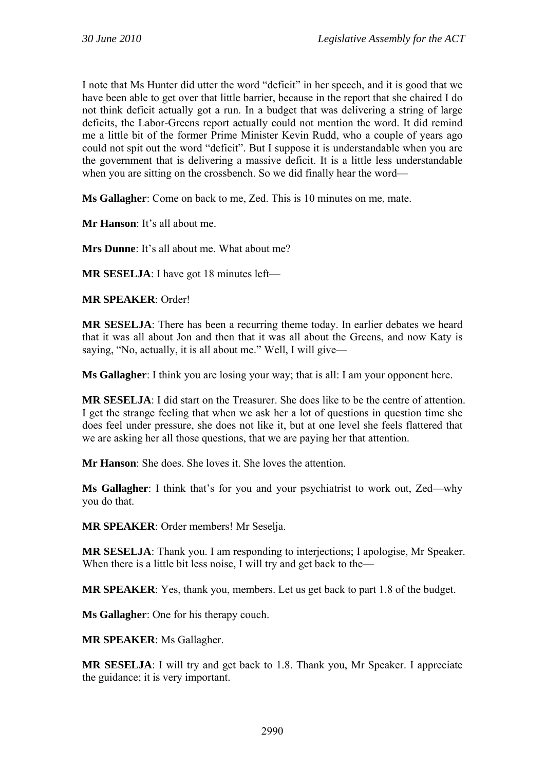I note that Ms Hunter did utter the word "deficit" in her speech, and it is good that we have been able to get over that little barrier, because in the report that she chaired I do not think deficit actually got a run. In a budget that was delivering a string of large deficits, the Labor-Greens report actually could not mention the word. It did remind me a little bit of the former Prime Minister Kevin Rudd, who a couple of years ago could not spit out the word "deficit". But I suppose it is understandable when you are the government that is delivering a massive deficit. It is a little less understandable when you are sitting on the crossbench. So we did finally hear the word—

**Ms Gallagher**: Come on back to me, Zed. This is 10 minutes on me, mate.

**Mr Hanson**: It's all about me.

**Mrs Dunne**: It's all about me. What about me?

**MR SESELJA**: I have got 18 minutes left—

**MR SPEAKER**: Order!

**MR SESELJA**: There has been a recurring theme today. In earlier debates we heard that it was all about Jon and then that it was all about the Greens, and now Katy is saying, "No, actually, it is all about me." Well, I will give—

**Ms Gallagher**: I think you are losing your way; that is all: I am your opponent here.

**MR SESELJA**: I did start on the Treasurer. She does like to be the centre of attention. I get the strange feeling that when we ask her a lot of questions in question time she does feel under pressure, she does not like it, but at one level she feels flattered that we are asking her all those questions, that we are paying her that attention.

**Mr Hanson**: She does. She loves it. She loves the attention.

**Ms Gallagher**: I think that's for you and your psychiatrist to work out, Zed—why you do that.

**MR SPEAKER**: Order members! Mr Seselja.

**MR SESELJA**: Thank you. I am responding to interjections; I apologise, Mr Speaker. When there is a little bit less noise, I will try and get back to the—

**MR SPEAKER**: Yes, thank you, members. Let us get back to part 1.8 of the budget.

**Ms Gallagher**: One for his therapy couch.

**MR SPEAKER**: Ms Gallagher.

**MR SESELJA**: I will try and get back to 1.8. Thank you, Mr Speaker. I appreciate the guidance; it is very important.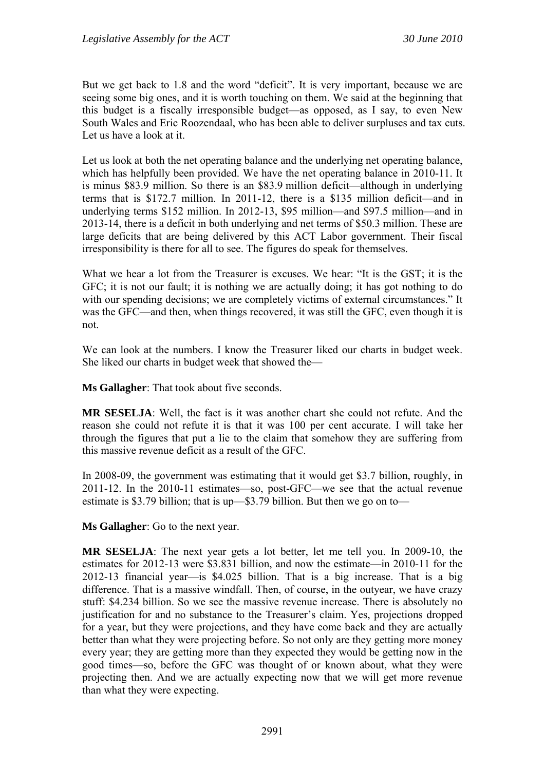But we get back to 1.8 and the word "deficit". It is very important, because we are seeing some big ones, and it is worth touching on them. We said at the beginning that this budget is a fiscally irresponsible budget—as opposed, as I say, to even New South Wales and Eric Roozendaal, who has been able to deliver surpluses and tax cuts. Let us have a look at it.

Let us look at both the net operating balance and the underlying net operating balance, which has helpfully been provided. We have the net operating balance in 2010-11. It is minus \$83.9 million. So there is an \$83.9 million deficit—although in underlying terms that is \$172.7 million. In 2011-12, there is a \$135 million deficit—and in underlying terms \$152 million. In 2012-13, \$95 million—and \$97.5 million—and in 2013-14, there is a deficit in both underlying and net terms of \$50.3 million. These are large deficits that are being delivered by this ACT Labor government. Their fiscal irresponsibility is there for all to see. The figures do speak for themselves.

What we hear a lot from the Treasurer is excuses. We hear: "It is the GST; it is the GFC; it is not our fault; it is nothing we are actually doing; it has got nothing to do with our spending decisions; we are completely victims of external circumstances." It was the GFC—and then, when things recovered, it was still the GFC, even though it is not.

We can look at the numbers. I know the Treasurer liked our charts in budget week. She liked our charts in budget week that showed the—

**Ms Gallagher**: That took about five seconds.

**MR SESELJA**: Well, the fact is it was another chart she could not refute. And the reason she could not refute it is that it was 100 per cent accurate. I will take her through the figures that put a lie to the claim that somehow they are suffering from this massive revenue deficit as a result of the GFC.

In 2008-09, the government was estimating that it would get \$3.7 billion, roughly, in 2011-12. In the 2010-11 estimates—so, post-GFC—we see that the actual revenue estimate is \$3.79 billion; that is up—\$3.79 billion. But then we go on to—

**Ms Gallagher**: Go to the next year.

**MR SESELJA**: The next year gets a lot better, let me tell you. In 2009-10, the estimates for 2012-13 were \$3.831 billion, and now the estimate—in 2010-11 for the 2012-13 financial year—is \$4.025 billion. That is a big increase. That is a big difference. That is a massive windfall. Then, of course, in the outyear, we have crazy stuff: \$4.234 billion. So we see the massive revenue increase. There is absolutely no justification for and no substance to the Treasurer's claim. Yes, projections dropped for a year, but they were projections, and they have come back and they are actually better than what they were projecting before. So not only are they getting more money every year; they are getting more than they expected they would be getting now in the good times—so, before the GFC was thought of or known about, what they were projecting then. And we are actually expecting now that we will get more revenue than what they were expecting.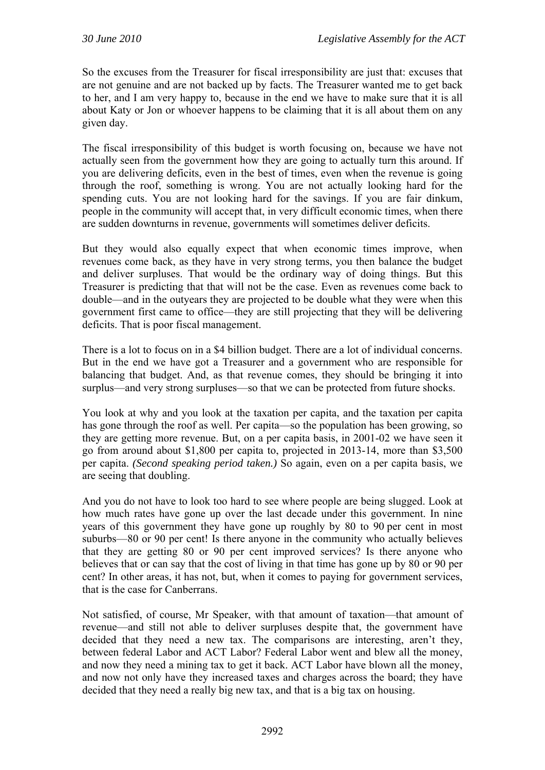So the excuses from the Treasurer for fiscal irresponsibility are just that: excuses that are not genuine and are not backed up by facts. The Treasurer wanted me to get back to her, and I am very happy to, because in the end we have to make sure that it is all about Katy or Jon or whoever happens to be claiming that it is all about them on any given day.

The fiscal irresponsibility of this budget is worth focusing on, because we have not actually seen from the government how they are going to actually turn this around. If you are delivering deficits, even in the best of times, even when the revenue is going through the roof, something is wrong. You are not actually looking hard for the spending cuts. You are not looking hard for the savings. If you are fair dinkum, people in the community will accept that, in very difficult economic times, when there are sudden downturns in revenue, governments will sometimes deliver deficits.

But they would also equally expect that when economic times improve, when revenues come back, as they have in very strong terms, you then balance the budget and deliver surpluses. That would be the ordinary way of doing things. But this Treasurer is predicting that that will not be the case. Even as revenues come back to double—and in the outyears they are projected to be double what they were when this government first came to office—they are still projecting that they will be delivering deficits. That is poor fiscal management.

There is a lot to focus on in a \$4 billion budget. There are a lot of individual concerns. But in the end we have got a Treasurer and a government who are responsible for balancing that budget. And, as that revenue comes, they should be bringing it into surplus—and very strong surpluses—so that we can be protected from future shocks.

You look at why and you look at the taxation per capita, and the taxation per capita has gone through the roof as well. Per capita—so the population has been growing, so they are getting more revenue. But, on a per capita basis, in 2001-02 we have seen it go from around about \$1,800 per capita to, projected in 2013-14, more than \$3,500 per capita. *(Second speaking period taken.)* So again, even on a per capita basis, we are seeing that doubling.

And you do not have to look too hard to see where people are being slugged. Look at how much rates have gone up over the last decade under this government. In nine years of this government they have gone up roughly by 80 to 90 per cent in most suburbs—80 or 90 per cent! Is there anyone in the community who actually believes that they are getting 80 or 90 per cent improved services? Is there anyone who believes that or can say that the cost of living in that time has gone up by 80 or 90 per cent? In other areas, it has not, but, when it comes to paying for government services, that is the case for Canberrans.

Not satisfied, of course, Mr Speaker, with that amount of taxation—that amount of revenue—and still not able to deliver surpluses despite that, the government have decided that they need a new tax. The comparisons are interesting, aren't they, between federal Labor and ACT Labor? Federal Labor went and blew all the money, and now they need a mining tax to get it back. ACT Labor have blown all the money, and now not only have they increased taxes and charges across the board; they have decided that they need a really big new tax, and that is a big tax on housing.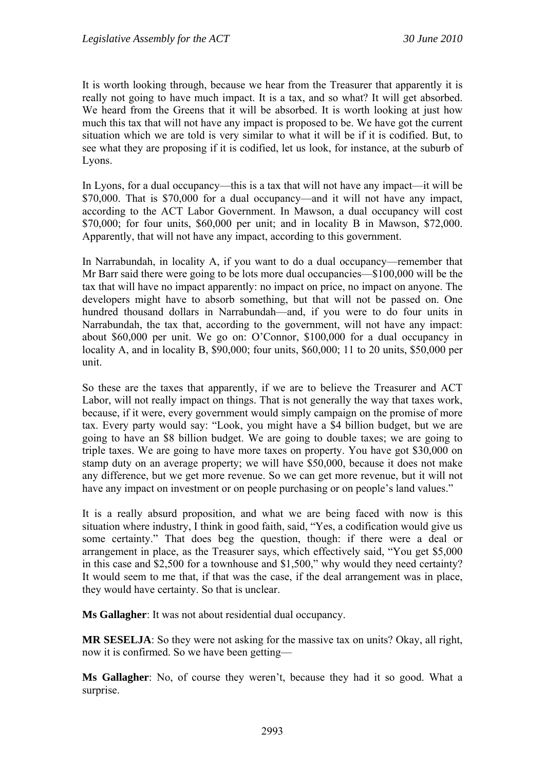It is worth looking through, because we hear from the Treasurer that apparently it is really not going to have much impact. It is a tax, and so what? It will get absorbed. We heard from the Greens that it will be absorbed. It is worth looking at just how much this tax that will not have any impact is proposed to be. We have got the current situation which we are told is very similar to what it will be if it is codified. But, to see what they are proposing if it is codified, let us look, for instance, at the suburb of Lyons.

In Lyons, for a dual occupancy—this is a tax that will not have any impact—it will be \$70,000. That is \$70,000 for a dual occupancy—and it will not have any impact, according to the ACT Labor Government. In Mawson, a dual occupancy will cost \$70,000; for four units, \$60,000 per unit; and in locality B in Mawson, \$72,000. Apparently, that will not have any impact, according to this government.

In Narrabundah, in locality A, if you want to do a dual occupancy—remember that Mr Barr said there were going to be lots more dual occupancies—\$100,000 will be the tax that will have no impact apparently: no impact on price, no impact on anyone. The developers might have to absorb something, but that will not be passed on. One hundred thousand dollars in Narrabundah—and, if you were to do four units in Narrabundah, the tax that, according to the government, will not have any impact: about \$60,000 per unit. We go on: O'Connor, \$100,000 for a dual occupancy in locality A, and in locality B, \$90,000; four units, \$60,000; 11 to 20 units, \$50,000 per unit.

So these are the taxes that apparently, if we are to believe the Treasurer and ACT Labor, will not really impact on things. That is not generally the way that taxes work, because, if it were, every government would simply campaign on the promise of more tax. Every party would say: "Look, you might have a \$4 billion budget, but we are going to have an \$8 billion budget. We are going to double taxes; we are going to triple taxes. We are going to have more taxes on property. You have got \$30,000 on stamp duty on an average property; we will have \$50,000, because it does not make any difference, but we get more revenue. So we can get more revenue, but it will not have any impact on investment or on people purchasing or on people's land values."

It is a really absurd proposition, and what we are being faced with now is this situation where industry, I think in good faith, said, "Yes, a codification would give us some certainty." That does beg the question, though: if there were a deal or arrangement in place, as the Treasurer says, which effectively said, "You get \$5,000 in this case and \$2,500 for a townhouse and \$1,500," why would they need certainty? It would seem to me that, if that was the case, if the deal arrangement was in place, they would have certainty. So that is unclear.

**Ms Gallagher**: It was not about residential dual occupancy.

**MR SESELJA**: So they were not asking for the massive tax on units? Okay, all right, now it is confirmed. So we have been getting—

**Ms Gallagher**: No, of course they weren't, because they had it so good. What a surprise.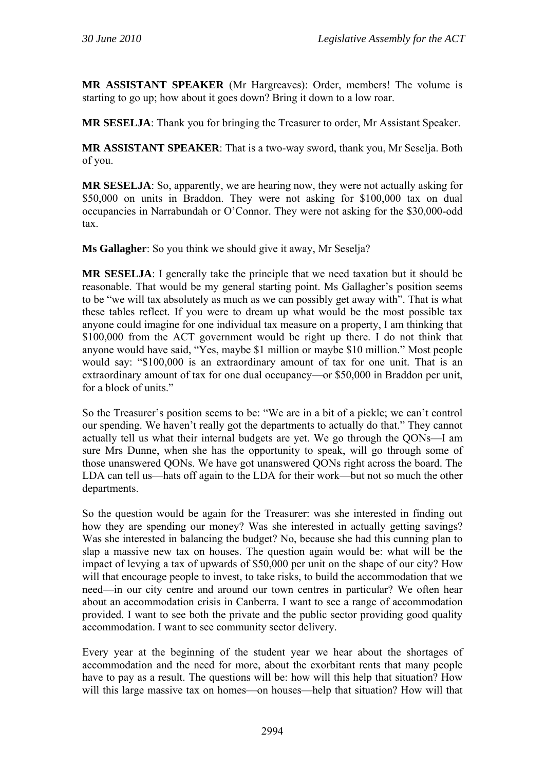**MR ASSISTANT SPEAKER** (Mr Hargreaves): Order, members! The volume is starting to go up; how about it goes down? Bring it down to a low roar.

**MR SESELJA**: Thank you for bringing the Treasurer to order, Mr Assistant Speaker.

**MR ASSISTANT SPEAKER**: That is a two-way sword, thank you, Mr Seselja. Both of you.

**MR SESELJA**: So, apparently, we are hearing now, they were not actually asking for \$50,000 on units in Braddon. They were not asking for \$100,000 tax on dual occupancies in Narrabundah or O'Connor. They were not asking for the \$30,000-odd tax.

**Ms Gallagher**: So you think we should give it away, Mr Seselja?

**MR SESELJA**: I generally take the principle that we need taxation but it should be reasonable. That would be my general starting point. Ms Gallagher's position seems to be "we will tax absolutely as much as we can possibly get away with". That is what these tables reflect. If you were to dream up what would be the most possible tax anyone could imagine for one individual tax measure on a property, I am thinking that \$100,000 from the ACT government would be right up there. I do not think that anyone would have said, "Yes, maybe \$1 million or maybe \$10 million." Most people would say: "\$100,000 is an extraordinary amount of tax for one unit. That is an extraordinary amount of tax for one dual occupancy—or \$50,000 in Braddon per unit, for a block of units."

So the Treasurer's position seems to be: "We are in a bit of a pickle; we can't control our spending. We haven't really got the departments to actually do that." They cannot actually tell us what their internal budgets are yet. We go through the QONs—I am sure Mrs Dunne, when she has the opportunity to speak, will go through some of those unanswered QONs. We have got unanswered QONs right across the board. The LDA can tell us—hats off again to the LDA for their work—but not so much the other departments.

So the question would be again for the Treasurer: was she interested in finding out how they are spending our money? Was she interested in actually getting savings? Was she interested in balancing the budget? No, because she had this cunning plan to slap a massive new tax on houses. The question again would be: what will be the impact of levying a tax of upwards of \$50,000 per unit on the shape of our city? How will that encourage people to invest, to take risks, to build the accommodation that we need—in our city centre and around our town centres in particular? We often hear about an accommodation crisis in Canberra. I want to see a range of accommodation provided. I want to see both the private and the public sector providing good quality accommodation. I want to see community sector delivery.

Every year at the beginning of the student year we hear about the shortages of accommodation and the need for more, about the exorbitant rents that many people have to pay as a result. The questions will be: how will this help that situation? How will this large massive tax on homes—on houses—help that situation? How will that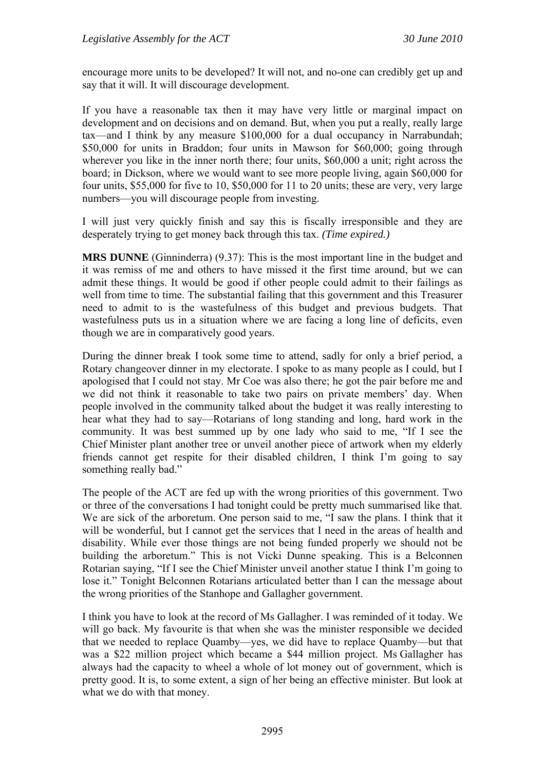encourage more units to be developed? It will not, and no-one can credibly get up and say that it will. It will discourage development.

If you have a reasonable tax then it may have very little or marginal impact on development and on decisions and on demand. But, when you put a really, really large tax—and I think by any measure \$100,000 for a dual occupancy in Narrabundah; \$50,000 for units in Braddon; four units in Mawson for \$60,000; going through wherever you like in the inner north there; four units, \$60,000 a unit; right across the board; in Dickson, where we would want to see more people living, again \$60,000 for four units, \$55,000 for five to 10, \$50,000 for 11 to 20 units; these are very, very large numbers—you will discourage people from investing.

I will just very quickly finish and say this is fiscally irresponsible and they are desperately trying to get money back through this tax. *(Time expired.)*

**MRS DUNNE** (Ginninderra) (9.37): This is the most important line in the budget and it was remiss of me and others to have missed it the first time around, but we can admit these things. It would be good if other people could admit to their failings as well from time to time. The substantial failing that this government and this Treasurer need to admit to is the wastefulness of this budget and previous budgets. That wastefulness puts us in a situation where we are facing a long line of deficits, even though we are in comparatively good years.

During the dinner break I took some time to attend, sadly for only a brief period, a Rotary changeover dinner in my electorate. I spoke to as many people as I could, but I apologised that I could not stay. Mr Coe was also there; he got the pair before me and we did not think it reasonable to take two pairs on private members' day. When people involved in the community talked about the budget it was really interesting to hear what they had to say—Rotarians of long standing and long, hard work in the community. It was best summed up by one lady who said to me, "If I see the Chief Minister plant another tree or unveil another piece of artwork when my elderly friends cannot get respite for their disabled children, I think I'm going to say something really bad."

The people of the ACT are fed up with the wrong priorities of this government. Two or three of the conversations I had tonight could be pretty much summarised like that. We are sick of the arboretum. One person said to me, "I saw the plans. I think that it will be wonderful, but I cannot get the services that I need in the areas of health and disability. While ever those things are not being funded properly we should not be building the arboretum." This is not Vicki Dunne speaking. This is a Belconnen Rotarian saying, "If I see the Chief Minister unveil another statue I think I'm going to lose it." Tonight Belconnen Rotarians articulated better than I can the message about the wrong priorities of the Stanhope and Gallagher government.

I think you have to look at the record of Ms Gallagher. I was reminded of it today. We will go back. My favourite is that when she was the minister responsible we decided that we needed to replace Quamby—yes, we did have to replace Quamby—but that was a \$22 million project which became a \$44 million project. Ms Gallagher has always had the capacity to wheel a whole of lot money out of government, which is pretty good. It is, to some extent, a sign of her being an effective minister. But look at what we do with that money.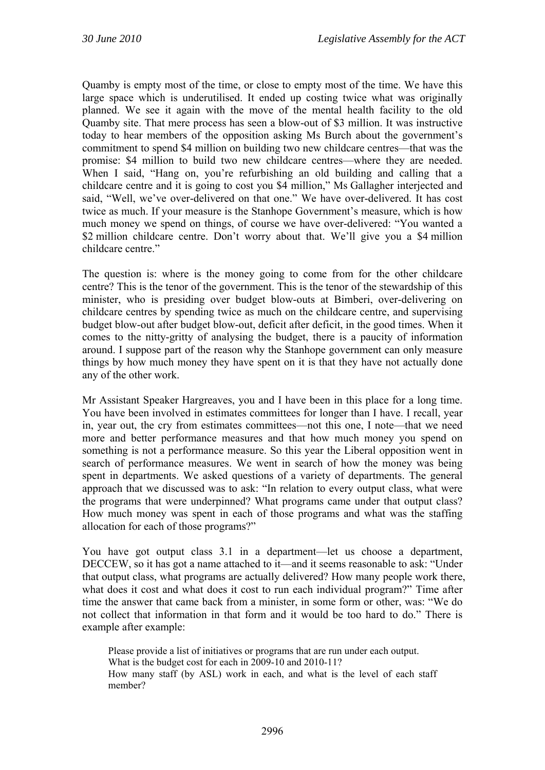Quamby is empty most of the time, or close to empty most of the time. We have this large space which is underutilised. It ended up costing twice what was originally planned. We see it again with the move of the mental health facility to the old Quamby site. That mere process has seen a blow-out of \$3 million. It was instructive today to hear members of the opposition asking Ms Burch about the government's commitment to spend \$4 million on building two new childcare centres—that was the promise: \$4 million to build two new childcare centres—where they are needed. When I said, "Hang on, you're refurbishing an old building and calling that a childcare centre and it is going to cost you \$4 million," Ms Gallagher interjected and said, "Well, we've over-delivered on that one." We have over-delivered. It has cost twice as much. If your measure is the Stanhope Government's measure, which is how much money we spend on things, of course we have over-delivered: "You wanted a \$2 million childcare centre. Don't worry about that. We'll give you a \$4 million childcare centre."

The question is: where is the money going to come from for the other childcare centre? This is the tenor of the government. This is the tenor of the stewardship of this minister, who is presiding over budget blow-outs at Bimberi, over-delivering on childcare centres by spending twice as much on the childcare centre, and supervising budget blow-out after budget blow-out, deficit after deficit, in the good times. When it comes to the nitty-gritty of analysing the budget, there is a paucity of information around. I suppose part of the reason why the Stanhope government can only measure things by how much money they have spent on it is that they have not actually done any of the other work.

Mr Assistant Speaker Hargreaves, you and I have been in this place for a long time. You have been involved in estimates committees for longer than I have. I recall, year in, year out, the cry from estimates committees—not this one, I note—that we need more and better performance measures and that how much money you spend on something is not a performance measure. So this year the Liberal opposition went in search of performance measures. We went in search of how the money was being spent in departments. We asked questions of a variety of departments. The general approach that we discussed was to ask: "In relation to every output class, what were the programs that were underpinned? What programs came under that output class? How much money was spent in each of those programs and what was the staffing allocation for each of those programs?"

You have got output class 3.1 in a department—let us choose a department, DECCEW, so it has got a name attached to it—and it seems reasonable to ask: "Under that output class, what programs are actually delivered? How many people work there, what does it cost and what does it cost to run each individual program?" Time after time the answer that came back from a minister, in some form or other, was: "We do not collect that information in that form and it would be too hard to do." There is example after example:

Please provide a list of initiatives or programs that are run under each output. What is the budget cost for each in 2009-10 and 2010-11? How many staff (by ASL) work in each, and what is the level of each staff member?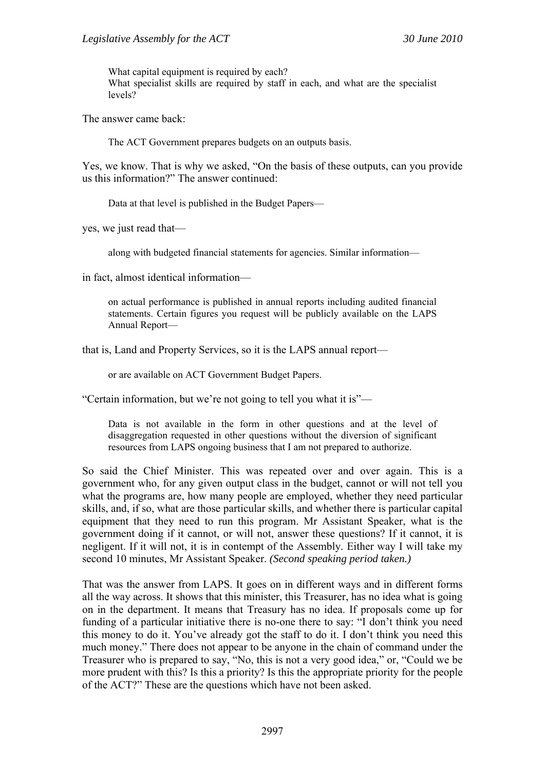What capital equipment is required by each? What specialist skills are required by staff in each, and what are the specialist levels?

The answer came back:

The ACT Government prepares budgets on an outputs basis.

Yes, we know. That is why we asked, "On the basis of these outputs, can you provide us this information?" The answer continued:

Data at that level is published in the Budget Papers—

yes, we just read that—

along with budgeted financial statements for agencies. Similar information—

in fact, almost identical information—

on actual performance is published in annual reports including audited financial statements. Certain figures you request will be publicly available on the LAPS Annual Report—

that is, Land and Property Services, so it is the LAPS annual report—

or are available on ACT Government Budget Papers.

"Certain information, but we're not going to tell you what it is"—

Data is not available in the form in other questions and at the level of disaggregation requested in other questions without the diversion of significant resources from LAPS ongoing business that I am not prepared to authorize.

So said the Chief Minister. This was repeated over and over again. This is a government who, for any given output class in the budget, cannot or will not tell you what the programs are, how many people are employed, whether they need particular skills, and, if so, what are those particular skills, and whether there is particular capital equipment that they need to run this program. Mr Assistant Speaker, what is the government doing if it cannot, or will not, answer these questions? If it cannot, it is negligent. If it will not, it is in contempt of the Assembly. Either way I will take my second 10 minutes, Mr Assistant Speaker. *(Second speaking period taken.)*

That was the answer from LAPS. It goes on in different ways and in different forms all the way across. It shows that this minister, this Treasurer, has no idea what is going on in the department. It means that Treasury has no idea. If proposals come up for funding of a particular initiative there is no-one there to say: "I don't think you need this money to do it. You've already got the staff to do it. I don't think you need this much money." There does not appear to be anyone in the chain of command under the Treasurer who is prepared to say, "No, this is not a very good idea," or, "Could we be more prudent with this? Is this a priority? Is this the appropriate priority for the people of the ACT?" These are the questions which have not been asked.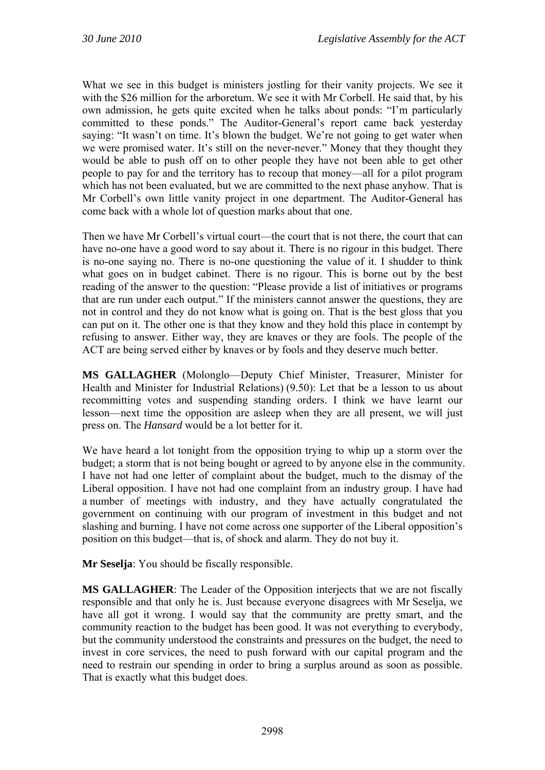What we see in this budget is ministers jostling for their vanity projects. We see it with the \$26 million for the arboretum. We see it with Mr Corbell. He said that, by his own admission, he gets quite excited when he talks about ponds: "I'm particularly committed to these ponds." The Auditor-General's report came back yesterday saying: "It wasn't on time. It's blown the budget. We're not going to get water when we were promised water. It's still on the never-never." Money that they thought they would be able to push off on to other people they have not been able to get other people to pay for and the territory has to recoup that money—all for a pilot program which has not been evaluated, but we are committed to the next phase anyhow. That is Mr Corbell's own little vanity project in one department. The Auditor-General has come back with a whole lot of question marks about that one.

Then we have Mr Corbell's virtual court—the court that is not there, the court that can have no-one have a good word to say about it. There is no rigour in this budget. There is no-one saying no. There is no-one questioning the value of it. I shudder to think what goes on in budget cabinet. There is no rigour. This is borne out by the best reading of the answer to the question: "Please provide a list of initiatives or programs that are run under each output." If the ministers cannot answer the questions, they are not in control and they do not know what is going on. That is the best gloss that you can put on it. The other one is that they know and they hold this place in contempt by refusing to answer. Either way, they are knaves or they are fools. The people of the ACT are being served either by knaves or by fools and they deserve much better.

**MS GALLAGHER** (Molonglo—Deputy Chief Minister, Treasurer, Minister for Health and Minister for Industrial Relations) (9.50): Let that be a lesson to us about recommitting votes and suspending standing orders. I think we have learnt our lesson—next time the opposition are asleep when they are all present, we will just press on. The *Hansard* would be a lot better for it.

We have heard a lot tonight from the opposition trying to whip up a storm over the budget; a storm that is not being bought or agreed to by anyone else in the community. I have not had one letter of complaint about the budget, much to the dismay of the Liberal opposition. I have not had one complaint from an industry group. I have had a number of meetings with industry, and they have actually congratulated the government on continuing with our program of investment in this budget and not slashing and burning. I have not come across one supporter of the Liberal opposition's position on this budget—that is, of shock and alarm. They do not buy it.

**Mr Seselja**: You should be fiscally responsible.

**MS GALLAGHER**: The Leader of the Opposition interjects that we are not fiscally responsible and that only he is. Just because everyone disagrees with Mr Seselja, we have all got it wrong. I would say that the community are pretty smart, and the community reaction to the budget has been good. It was not everything to everybody, but the community understood the constraints and pressures on the budget, the need to invest in core services, the need to push forward with our capital program and the need to restrain our spending in order to bring a surplus around as soon as possible. That is exactly what this budget does.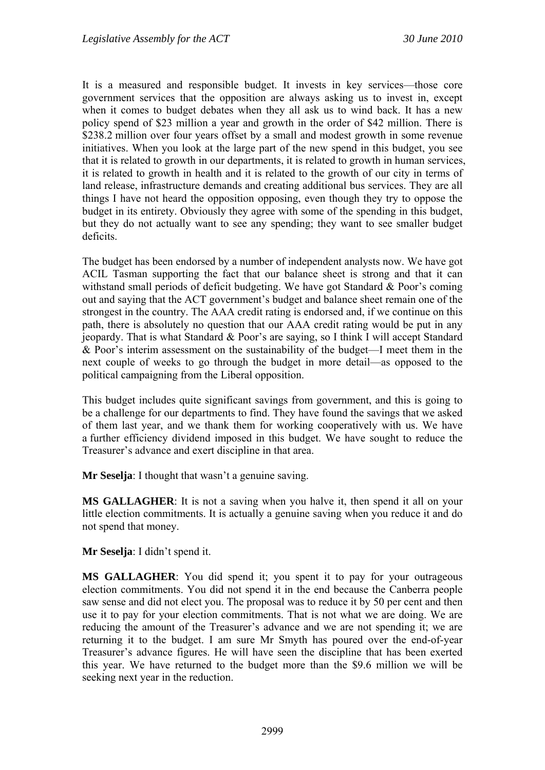It is a measured and responsible budget. It invests in key services—those core government services that the opposition are always asking us to invest in, except when it comes to budget debates when they all ask us to wind back. It has a new policy spend of \$23 million a year and growth in the order of \$42 million. There is \$238.2 million over four years offset by a small and modest growth in some revenue initiatives. When you look at the large part of the new spend in this budget, you see that it is related to growth in our departments, it is related to growth in human services, it is related to growth in health and it is related to the growth of our city in terms of land release, infrastructure demands and creating additional bus services. They are all things I have not heard the opposition opposing, even though they try to oppose the budget in its entirety. Obviously they agree with some of the spending in this budget, but they do not actually want to see any spending; they want to see smaller budget deficits.

The budget has been endorsed by a number of independent analysts now. We have got ACIL Tasman supporting the fact that our balance sheet is strong and that it can withstand small periods of deficit budgeting. We have got Standard & Poor's coming out and saying that the ACT government's budget and balance sheet remain one of the strongest in the country. The AAA credit rating is endorsed and, if we continue on this path, there is absolutely no question that our AAA credit rating would be put in any jeopardy. That is what Standard & Poor's are saying, so I think I will accept Standard & Poor's interim assessment on the sustainability of the budget—I meet them in the next couple of weeks to go through the budget in more detail—as opposed to the political campaigning from the Liberal opposition.

This budget includes quite significant savings from government, and this is going to be a challenge for our departments to find. They have found the savings that we asked of them last year, and we thank them for working cooperatively with us. We have a further efficiency dividend imposed in this budget. We have sought to reduce the Treasurer's advance and exert discipline in that area.

**Mr Seselia**: I thought that wasn't a genuine saving.

**MS GALLAGHER**: It is not a saving when you halve it, then spend it all on your little election commitments. It is actually a genuine saving when you reduce it and do not spend that money.

**Mr Seselja**: I didn't spend it.

**MS GALLAGHER:** You did spend it; you spent it to pay for your outrageous election commitments. You did not spend it in the end because the Canberra people saw sense and did not elect you. The proposal was to reduce it by 50 per cent and then use it to pay for your election commitments. That is not what we are doing. We are reducing the amount of the Treasurer's advance and we are not spending it; we are returning it to the budget. I am sure Mr Smyth has poured over the end-of-year Treasurer's advance figures. He will have seen the discipline that has been exerted this year. We have returned to the budget more than the \$9.6 million we will be seeking next year in the reduction.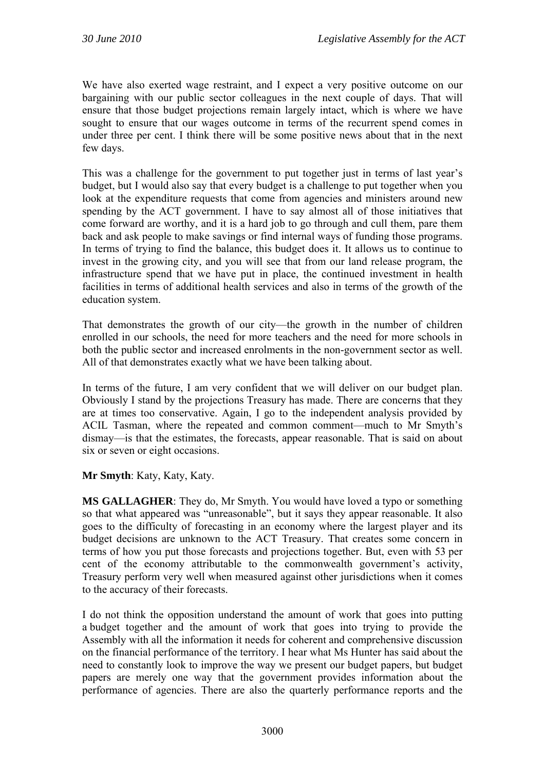We have also exerted wage restraint, and I expect a very positive outcome on our bargaining with our public sector colleagues in the next couple of days. That will ensure that those budget projections remain largely intact, which is where we have sought to ensure that our wages outcome in terms of the recurrent spend comes in under three per cent. I think there will be some positive news about that in the next few days.

This was a challenge for the government to put together just in terms of last year's budget, but I would also say that every budget is a challenge to put together when you look at the expenditure requests that come from agencies and ministers around new spending by the ACT government. I have to say almost all of those initiatives that come forward are worthy, and it is a hard job to go through and cull them, pare them back and ask people to make savings or find internal ways of funding those programs. In terms of trying to find the balance, this budget does it. It allows us to continue to invest in the growing city, and you will see that from our land release program, the infrastructure spend that we have put in place, the continued investment in health facilities in terms of additional health services and also in terms of the growth of the education system.

That demonstrates the growth of our city—the growth in the number of children enrolled in our schools, the need for more teachers and the need for more schools in both the public sector and increased enrolments in the non-government sector as well. All of that demonstrates exactly what we have been talking about.

In terms of the future, I am very confident that we will deliver on our budget plan. Obviously I stand by the projections Treasury has made. There are concerns that they are at times too conservative. Again, I go to the independent analysis provided by ACIL Tasman, where the repeated and common comment—much to Mr Smyth's dismay—is that the estimates, the forecasts, appear reasonable. That is said on about six or seven or eight occasions.

**Mr Smyth**: Katy, Katy, Katy.

**MS GALLAGHER**: They do, Mr Smyth. You would have loved a typo or something so that what appeared was "unreasonable", but it says they appear reasonable. It also goes to the difficulty of forecasting in an economy where the largest player and its budget decisions are unknown to the ACT Treasury. That creates some concern in terms of how you put those forecasts and projections together. But, even with 53 per cent of the economy attributable to the commonwealth government's activity, Treasury perform very well when measured against other jurisdictions when it comes to the accuracy of their forecasts.

I do not think the opposition understand the amount of work that goes into putting a budget together and the amount of work that goes into trying to provide the Assembly with all the information it needs for coherent and comprehensive discussion on the financial performance of the territory. I hear what Ms Hunter has said about the need to constantly look to improve the way we present our budget papers, but budget papers are merely one way that the government provides information about the performance of agencies. There are also the quarterly performance reports and the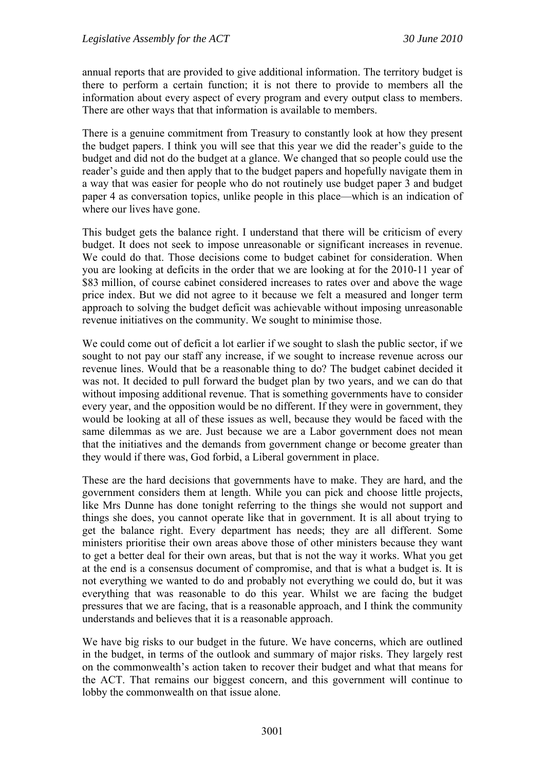annual reports that are provided to give additional information. The territory budget is there to perform a certain function; it is not there to provide to members all the information about every aspect of every program and every output class to members. There are other ways that that information is available to members.

There is a genuine commitment from Treasury to constantly look at how they present the budget papers. I think you will see that this year we did the reader's guide to the budget and did not do the budget at a glance. We changed that so people could use the reader's guide and then apply that to the budget papers and hopefully navigate them in a way that was easier for people who do not routinely use budget paper 3 and budget paper 4 as conversation topics, unlike people in this place—which is an indication of where our lives have gone.

This budget gets the balance right. I understand that there will be criticism of every budget. It does not seek to impose unreasonable or significant increases in revenue. We could do that. Those decisions come to budget cabinet for consideration. When you are looking at deficits in the order that we are looking at for the 2010-11 year of \$83 million, of course cabinet considered increases to rates over and above the wage price index. But we did not agree to it because we felt a measured and longer term approach to solving the budget deficit was achievable without imposing unreasonable revenue initiatives on the community. We sought to minimise those.

We could come out of deficit a lot earlier if we sought to slash the public sector, if we sought to not pay our staff any increase, if we sought to increase revenue across our revenue lines. Would that be a reasonable thing to do? The budget cabinet decided it was not. It decided to pull forward the budget plan by two years, and we can do that without imposing additional revenue. That is something governments have to consider every year, and the opposition would be no different. If they were in government, they would be looking at all of these issues as well, because they would be faced with the same dilemmas as we are. Just because we are a Labor government does not mean that the initiatives and the demands from government change or become greater than they would if there was, God forbid, a Liberal government in place.

These are the hard decisions that governments have to make. They are hard, and the government considers them at length. While you can pick and choose little projects, like Mrs Dunne has done tonight referring to the things she would not support and things she does, you cannot operate like that in government. It is all about trying to get the balance right. Every department has needs; they are all different. Some ministers prioritise their own areas above those of other ministers because they want to get a better deal for their own areas, but that is not the way it works. What you get at the end is a consensus document of compromise, and that is what a budget is. It is not everything we wanted to do and probably not everything we could do, but it was everything that was reasonable to do this year. Whilst we are facing the budget pressures that we are facing, that is a reasonable approach, and I think the community understands and believes that it is a reasonable approach.

We have big risks to our budget in the future. We have concerns, which are outlined in the budget, in terms of the outlook and summary of major risks. They largely rest on the commonwealth's action taken to recover their budget and what that means for the ACT. That remains our biggest concern, and this government will continue to lobby the commonwealth on that issue alone.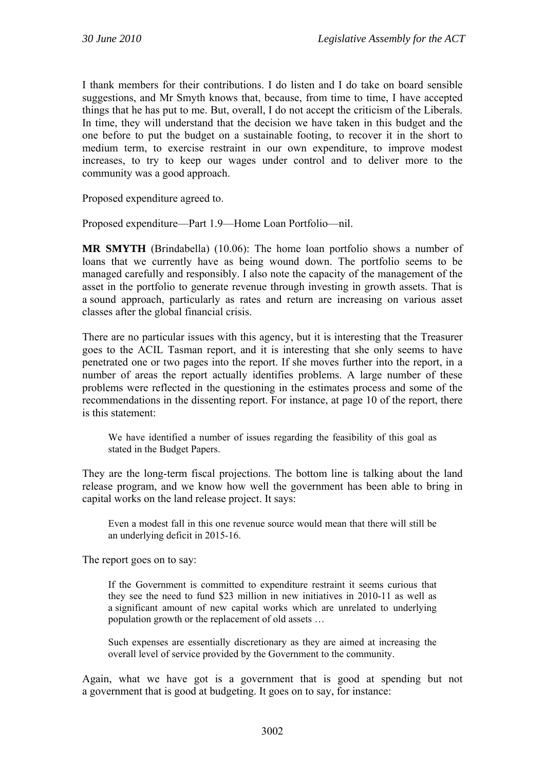I thank members for their contributions. I do listen and I do take on board sensible suggestions, and Mr Smyth knows that, because, from time to time, I have accepted things that he has put to me. But, overall, I do not accept the criticism of the Liberals. In time, they will understand that the decision we have taken in this budget and the one before to put the budget on a sustainable footing, to recover it in the short to medium term, to exercise restraint in our own expenditure, to improve modest increases, to try to keep our wages under control and to deliver more to the community was a good approach.

Proposed expenditure agreed to.

Proposed expenditure—Part 1.9—Home Loan Portfolio—nil.

**MR SMYTH** (Brindabella) (10.06): The home loan portfolio shows a number of loans that we currently have as being wound down. The portfolio seems to be managed carefully and responsibly. I also note the capacity of the management of the asset in the portfolio to generate revenue through investing in growth assets. That is a sound approach, particularly as rates and return are increasing on various asset classes after the global financial crisis.

There are no particular issues with this agency, but it is interesting that the Treasurer goes to the ACIL Tasman report, and it is interesting that she only seems to have penetrated one or two pages into the report. If she moves further into the report, in a number of areas the report actually identifies problems. A large number of these problems were reflected in the questioning in the estimates process and some of the recommendations in the dissenting report. For instance, at page 10 of the report, there is this statement:

We have identified a number of issues regarding the feasibility of this goal as stated in the Budget Papers.

They are the long-term fiscal projections. The bottom line is talking about the land release program, and we know how well the government has been able to bring in capital works on the land release project. It says:

Even a modest fall in this one revenue source would mean that there will still be an underlying deficit in 2015-16.

The report goes on to say:

If the Government is committed to expenditure restraint it seems curious that they see the need to fund \$23 million in new initiatives in 2010-11 as well as a significant amount of new capital works which are unrelated to underlying population growth or the replacement of old assets …

Such expenses are essentially discretionary as they are aimed at increasing the overall level of service provided by the Government to the community.

Again, what we have got is a government that is good at spending but not a government that is good at budgeting. It goes on to say, for instance: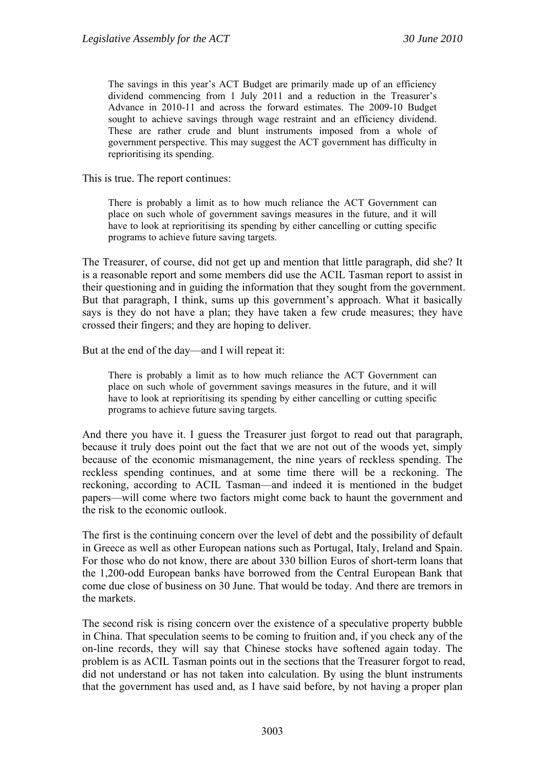The savings in this year's ACT Budget are primarily made up of an efficiency dividend commencing from 1 July 2011 and a reduction in the Treasurer's Advance in 2010-11 and across the forward estimates. The 2009-10 Budget sought to achieve savings through wage restraint and an efficiency dividend. These are rather crude and blunt instruments imposed from a whole of government perspective. This may suggest the ACT government has difficulty in reprioritising its spending.

This is true. The report continues:

There is probably a limit as to how much reliance the ACT Government can place on such whole of government savings measures in the future, and it will have to look at reprioritising its spending by either cancelling or cutting specific programs to achieve future saving targets.

The Treasurer, of course, did not get up and mention that little paragraph, did she? It is a reasonable report and some members did use the ACIL Tasman report to assist in their questioning and in guiding the information that they sought from the government. But that paragraph, I think, sums up this government's approach. What it basically says is they do not have a plan; they have taken a few crude measures; they have crossed their fingers; and they are hoping to deliver.

But at the end of the day—and I will repeat it:

There is probably a limit as to how much reliance the ACT Government can place on such whole of government savings measures in the future, and it will have to look at reprioritising its spending by either cancelling or cutting specific programs to achieve future saving targets.

And there you have it. I guess the Treasurer just forgot to read out that paragraph, because it truly does point out the fact that we are not out of the woods yet, simply because of the economic mismanagement, the nine years of reckless spending. The reckless spending continues, and at some time there will be a reckoning. The reckoning, according to ACIL Tasman—and indeed it is mentioned in the budget papers—will come where two factors might come back to haunt the government and the risk to the economic outlook.

The first is the continuing concern over the level of debt and the possibility of default in Greece as well as other European nations such as Portugal, Italy, Ireland and Spain. For those who do not know, there are about 330 billion Euros of short-term loans that the 1,200-odd European banks have borrowed from the Central European Bank that come due close of business on 30 June. That would be today. And there are tremors in the markets.

The second risk is rising concern over the existence of a speculative property bubble in China. That speculation seems to be coming to fruition and, if you check any of the on-line records, they will say that Chinese stocks have softened again today. The problem is as ACIL Tasman points out in the sections that the Treasurer forgot to read, did not understand or has not taken into calculation. By using the blunt instruments that the government has used and, as I have said before, by not having a proper plan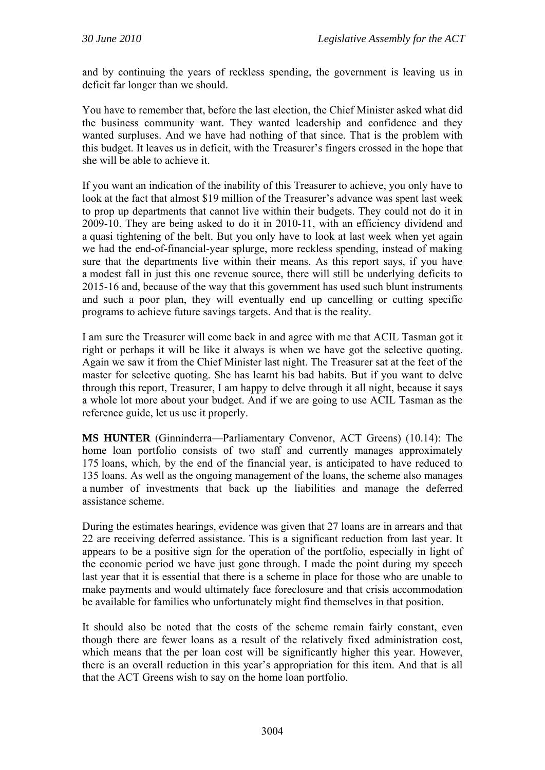and by continuing the years of reckless spending, the government is leaving us in deficit far longer than we should.

You have to remember that, before the last election, the Chief Minister asked what did the business community want. They wanted leadership and confidence and they wanted surpluses. And we have had nothing of that since. That is the problem with this budget. It leaves us in deficit, with the Treasurer's fingers crossed in the hope that she will be able to achieve it.

If you want an indication of the inability of this Treasurer to achieve, you only have to look at the fact that almost \$19 million of the Treasurer's advance was spent last week to prop up departments that cannot live within their budgets. They could not do it in 2009-10. They are being asked to do it in 2010-11, with an efficiency dividend and a quasi tightening of the belt. But you only have to look at last week when yet again we had the end-of-financial-year splurge, more reckless spending, instead of making sure that the departments live within their means. As this report says, if you have a modest fall in just this one revenue source, there will still be underlying deficits to 2015-16 and, because of the way that this government has used such blunt instruments and such a poor plan, they will eventually end up cancelling or cutting specific programs to achieve future savings targets. And that is the reality.

I am sure the Treasurer will come back in and agree with me that ACIL Tasman got it right or perhaps it will be like it always is when we have got the selective quoting. Again we saw it from the Chief Minister last night. The Treasurer sat at the feet of the master for selective quoting. She has learnt his bad habits. But if you want to delve through this report, Treasurer, I am happy to delve through it all night, because it says a whole lot more about your budget. And if we are going to use ACIL Tasman as the reference guide, let us use it properly.

**MS HUNTER** (Ginninderra—Parliamentary Convenor, ACT Greens) (10.14): The home loan portfolio consists of two staff and currently manages approximately 175 loans, which, by the end of the financial year, is anticipated to have reduced to 135 loans. As well as the ongoing management of the loans, the scheme also manages a number of investments that back up the liabilities and manage the deferred assistance scheme.

During the estimates hearings, evidence was given that 27 loans are in arrears and that 22 are receiving deferred assistance. This is a significant reduction from last year. It appears to be a positive sign for the operation of the portfolio, especially in light of the economic period we have just gone through. I made the point during my speech last year that it is essential that there is a scheme in place for those who are unable to make payments and would ultimately face foreclosure and that crisis accommodation be available for families who unfortunately might find themselves in that position.

It should also be noted that the costs of the scheme remain fairly constant, even though there are fewer loans as a result of the relatively fixed administration cost, which means that the per loan cost will be significantly higher this year. However, there is an overall reduction in this year's appropriation for this item. And that is all that the ACT Greens wish to say on the home loan portfolio.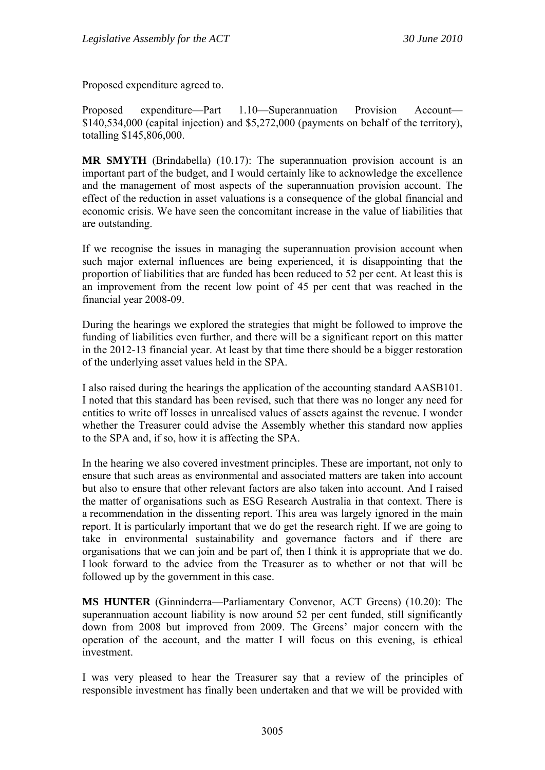Proposed expenditure agreed to.

Proposed expenditure—Part 1.10—Superannuation Provision Account— \$140,534,000 (capital injection) and \$5,272,000 (payments on behalf of the territory), totalling \$145,806,000.

**MR SMYTH** (Brindabella) (10.17): The superannuation provision account is an important part of the budget, and I would certainly like to acknowledge the excellence and the management of most aspects of the superannuation provision account. The effect of the reduction in asset valuations is a consequence of the global financial and economic crisis. We have seen the concomitant increase in the value of liabilities that are outstanding.

If we recognise the issues in managing the superannuation provision account when such major external influences are being experienced, it is disappointing that the proportion of liabilities that are funded has been reduced to 52 per cent. At least this is an improvement from the recent low point of 45 per cent that was reached in the financial year 2008-09.

During the hearings we explored the strategies that might be followed to improve the funding of liabilities even further, and there will be a significant report on this matter in the 2012-13 financial year. At least by that time there should be a bigger restoration of the underlying asset values held in the SPA.

I also raised during the hearings the application of the accounting standard AASB101. I noted that this standard has been revised, such that there was no longer any need for entities to write off losses in unrealised values of assets against the revenue. I wonder whether the Treasurer could advise the Assembly whether this standard now applies to the SPA and, if so, how it is affecting the SPA.

In the hearing we also covered investment principles. These are important, not only to ensure that such areas as environmental and associated matters are taken into account but also to ensure that other relevant factors are also taken into account. And I raised the matter of organisations such as ESG Research Australia in that context. There is a recommendation in the dissenting report. This area was largely ignored in the main report. It is particularly important that we do get the research right. If we are going to take in environmental sustainability and governance factors and if there are organisations that we can join and be part of, then I think it is appropriate that we do. I look forward to the advice from the Treasurer as to whether or not that will be followed up by the government in this case.

**MS HUNTER** (Ginninderra—Parliamentary Convenor, ACT Greens) (10.20): The superannuation account liability is now around 52 per cent funded, still significantly down from 2008 but improved from 2009. The Greens' major concern with the operation of the account, and the matter I will focus on this evening, is ethical investment.

I was very pleased to hear the Treasurer say that a review of the principles of responsible investment has finally been undertaken and that we will be provided with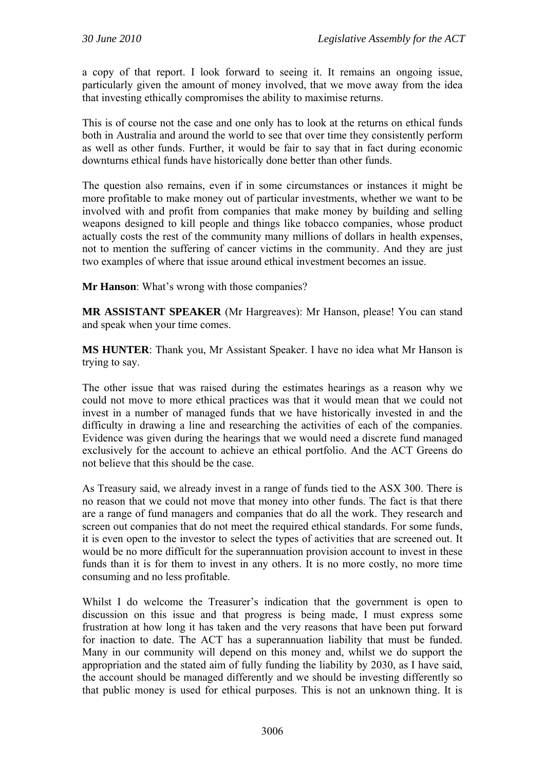a copy of that report. I look forward to seeing it. It remains an ongoing issue, particularly given the amount of money involved, that we move away from the idea that investing ethically compromises the ability to maximise returns.

This is of course not the case and one only has to look at the returns on ethical funds both in Australia and around the world to see that over time they consistently perform as well as other funds. Further, it would be fair to say that in fact during economic downturns ethical funds have historically done better than other funds.

The question also remains, even if in some circumstances or instances it might be more profitable to make money out of particular investments, whether we want to be involved with and profit from companies that make money by building and selling weapons designed to kill people and things like tobacco companies, whose product actually costs the rest of the community many millions of dollars in health expenses, not to mention the suffering of cancer victims in the community. And they are just two examples of where that issue around ethical investment becomes an issue.

**Mr Hanson**: What's wrong with those companies?

**MR ASSISTANT SPEAKER** (Mr Hargreaves): Mr Hanson, please! You can stand and speak when your time comes.

**MS HUNTER**: Thank you, Mr Assistant Speaker. I have no idea what Mr Hanson is trying to say.

The other issue that was raised during the estimates hearings as a reason why we could not move to more ethical practices was that it would mean that we could not invest in a number of managed funds that we have historically invested in and the difficulty in drawing a line and researching the activities of each of the companies. Evidence was given during the hearings that we would need a discrete fund managed exclusively for the account to achieve an ethical portfolio. And the ACT Greens do not believe that this should be the case.

As Treasury said, we already invest in a range of funds tied to the ASX 300. There is no reason that we could not move that money into other funds. The fact is that there are a range of fund managers and companies that do all the work. They research and screen out companies that do not meet the required ethical standards. For some funds, it is even open to the investor to select the types of activities that are screened out. It would be no more difficult for the superannuation provision account to invest in these funds than it is for them to invest in any others. It is no more costly, no more time consuming and no less profitable.

Whilst I do welcome the Treasurer's indication that the government is open to discussion on this issue and that progress is being made, I must express some frustration at how long it has taken and the very reasons that have been put forward for inaction to date. The ACT has a superannuation liability that must be funded. Many in our community will depend on this money and, whilst we do support the appropriation and the stated aim of fully funding the liability by 2030, as I have said, the account should be managed differently and we should be investing differently so that public money is used for ethical purposes. This is not an unknown thing. It is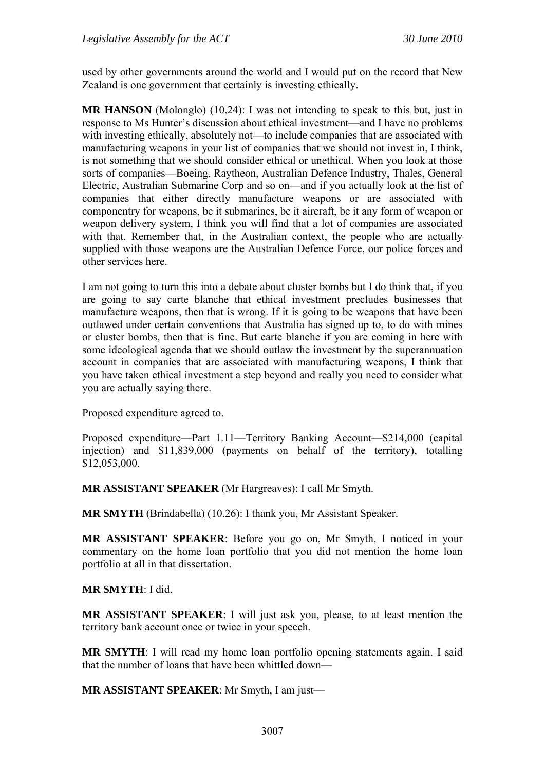used by other governments around the world and I would put on the record that New Zealand is one government that certainly is investing ethically.

**MR HANSON** (Molonglo) (10.24): I was not intending to speak to this but, just in response to Ms Hunter's discussion about ethical investment—and I have no problems with investing ethically, absolutely not—to include companies that are associated with manufacturing weapons in your list of companies that we should not invest in, I think, is not something that we should consider ethical or unethical. When you look at those sorts of companies—Boeing, Raytheon, Australian Defence Industry, Thales, General Electric, Australian Submarine Corp and so on—and if you actually look at the list of companies that either directly manufacture weapons or are associated with componentry for weapons, be it submarines, be it aircraft, be it any form of weapon or weapon delivery system, I think you will find that a lot of companies are associated with that. Remember that, in the Australian context, the people who are actually supplied with those weapons are the Australian Defence Force, our police forces and other services here.

I am not going to turn this into a debate about cluster bombs but I do think that, if you are going to say carte blanche that ethical investment precludes businesses that manufacture weapons, then that is wrong. If it is going to be weapons that have been outlawed under certain conventions that Australia has signed up to, to do with mines or cluster bombs, then that is fine. But carte blanche if you are coming in here with some ideological agenda that we should outlaw the investment by the superannuation account in companies that are associated with manufacturing weapons, I think that you have taken ethical investment a step beyond and really you need to consider what you are actually saying there.

Proposed expenditure agreed to.

Proposed expenditure—Part 1.11—Territory Banking Account—\$214,000 (capital injection) and \$11,839,000 (payments on behalf of the territory), totalling \$12,053,000.

**MR ASSISTANT SPEAKER** (Mr Hargreaves): I call Mr Smyth.

**MR SMYTH** (Brindabella) (10.26): I thank you, Mr Assistant Speaker.

**MR ASSISTANT SPEAKER**: Before you go on, Mr Smyth, I noticed in your commentary on the home loan portfolio that you did not mention the home loan portfolio at all in that dissertation.

#### **MR SMYTH**: I did.

**MR ASSISTANT SPEAKER**: I will just ask you, please, to at least mention the territory bank account once or twice in your speech.

**MR SMYTH**: I will read my home loan portfolio opening statements again. I said that the number of loans that have been whittled down—

**MR ASSISTANT SPEAKER**: Mr Smyth, I am just—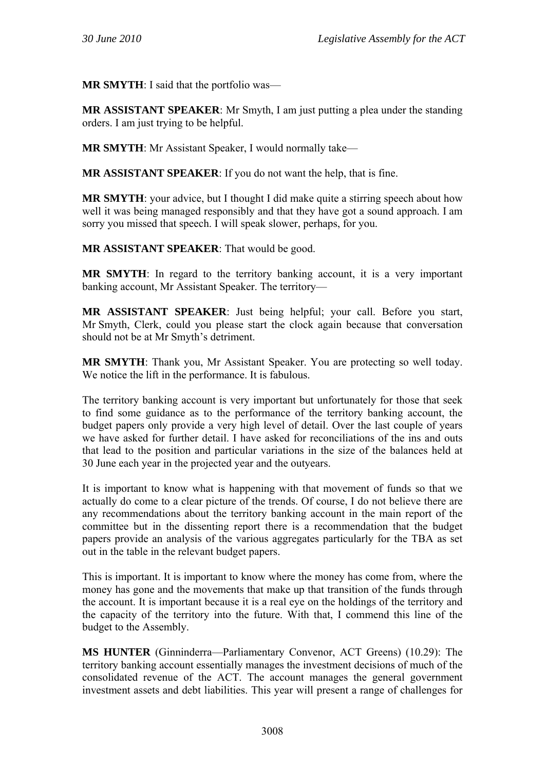**MR SMYTH**: I said that the portfolio was—

**MR ASSISTANT SPEAKER**: Mr Smyth, I am just putting a plea under the standing orders. I am just trying to be helpful.

**MR SMYTH**: Mr Assistant Speaker, I would normally take—

**MR ASSISTANT SPEAKER**: If you do not want the help, that is fine.

**MR SMYTH**: your advice, but I thought I did make quite a stirring speech about how well it was being managed responsibly and that they have got a sound approach. I am sorry you missed that speech. I will speak slower, perhaps, for you.

**MR ASSISTANT SPEAKER**: That would be good.

**MR SMYTH**: In regard to the territory banking account, it is a very important banking account, Mr Assistant Speaker. The territory—

**MR ASSISTANT SPEAKER**: Just being helpful; your call. Before you start, Mr Smyth, Clerk, could you please start the clock again because that conversation should not be at Mr Smyth's detriment.

**MR SMYTH**: Thank you, Mr Assistant Speaker. You are protecting so well today. We notice the lift in the performance. It is fabulous.

The territory banking account is very important but unfortunately for those that seek to find some guidance as to the performance of the territory banking account, the budget papers only provide a very high level of detail. Over the last couple of years we have asked for further detail. I have asked for reconciliations of the ins and outs that lead to the position and particular variations in the size of the balances held at 30 June each year in the projected year and the outyears.

It is important to know what is happening with that movement of funds so that we actually do come to a clear picture of the trends. Of course, I do not believe there are any recommendations about the territory banking account in the main report of the committee but in the dissenting report there is a recommendation that the budget papers provide an analysis of the various aggregates particularly for the TBA as set out in the table in the relevant budget papers.

This is important. It is important to know where the money has come from, where the money has gone and the movements that make up that transition of the funds through the account. It is important because it is a real eye on the holdings of the territory and the capacity of the territory into the future. With that, I commend this line of the budget to the Assembly.

**MS HUNTER** (Ginninderra—Parliamentary Convenor, ACT Greens) (10.29): The territory banking account essentially manages the investment decisions of much of the consolidated revenue of the ACT. The account manages the general government investment assets and debt liabilities. This year will present a range of challenges for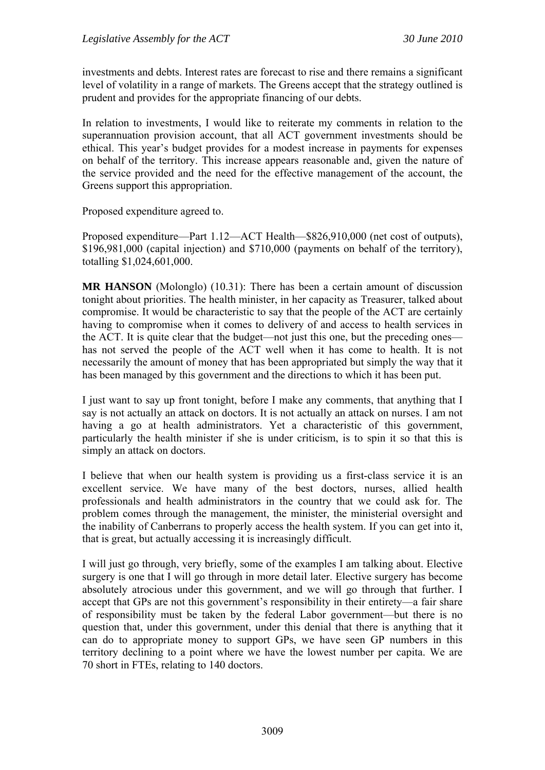investments and debts. Interest rates are forecast to rise and there remains a significant level of volatility in a range of markets. The Greens accept that the strategy outlined is prudent and provides for the appropriate financing of our debts.

In relation to investments, I would like to reiterate my comments in relation to the superannuation provision account, that all ACT government investments should be ethical. This year's budget provides for a modest increase in payments for expenses on behalf of the territory. This increase appears reasonable and, given the nature of the service provided and the need for the effective management of the account, the Greens support this appropriation.

Proposed expenditure agreed to.

Proposed expenditure—Part 1.12—ACT Health—\$826,910,000 (net cost of outputs), \$196,981,000 (capital injection) and \$710,000 (payments on behalf of the territory), totalling \$1,024,601,000.

**MR HANSON** (Molonglo) (10.31): There has been a certain amount of discussion tonight about priorities. The health minister, in her capacity as Treasurer, talked about compromise. It would be characteristic to say that the people of the ACT are certainly having to compromise when it comes to delivery of and access to health services in the ACT. It is quite clear that the budget—not just this one, but the preceding ones has not served the people of the ACT well when it has come to health. It is not necessarily the amount of money that has been appropriated but simply the way that it has been managed by this government and the directions to which it has been put.

I just want to say up front tonight, before I make any comments, that anything that I say is not actually an attack on doctors. It is not actually an attack on nurses. I am not having a go at health administrators. Yet a characteristic of this government, particularly the health minister if she is under criticism, is to spin it so that this is simply an attack on doctors.

I believe that when our health system is providing us a first-class service it is an excellent service. We have many of the best doctors, nurses, allied health professionals and health administrators in the country that we could ask for. The problem comes through the management, the minister, the ministerial oversight and the inability of Canberrans to properly access the health system. If you can get into it, that is great, but actually accessing it is increasingly difficult.

I will just go through, very briefly, some of the examples I am talking about. Elective surgery is one that I will go through in more detail later. Elective surgery has become absolutely atrocious under this government, and we will go through that further. I accept that GPs are not this government's responsibility in their entirety—a fair share of responsibility must be taken by the federal Labor government—but there is no question that, under this government, under this denial that there is anything that it can do to appropriate money to support GPs, we have seen GP numbers in this territory declining to a point where we have the lowest number per capita. We are 70 short in FTEs, relating to 140 doctors.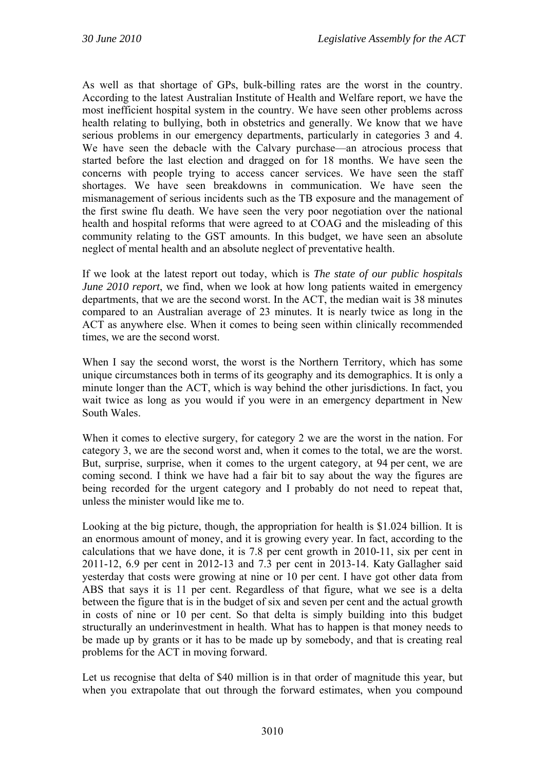As well as that shortage of GPs, bulk-billing rates are the worst in the country. According to the latest Australian Institute of Health and Welfare report, we have the most inefficient hospital system in the country. We have seen other problems across health relating to bullying, both in obstetrics and generally. We know that we have serious problems in our emergency departments, particularly in categories 3 and 4. We have seen the debacle with the Calvary purchase—an atrocious process that started before the last election and dragged on for 18 months. We have seen the concerns with people trying to access cancer services. We have seen the staff shortages. We have seen breakdowns in communication. We have seen the mismanagement of serious incidents such as the TB exposure and the management of the first swine flu death. We have seen the very poor negotiation over the national health and hospital reforms that were agreed to at COAG and the misleading of this community relating to the GST amounts. In this budget, we have seen an absolute neglect of mental health and an absolute neglect of preventative health.

If we look at the latest report out today, which is *The state of our public hospitals June 2010 report*, we find, when we look at how long patients waited in emergency departments, that we are the second worst. In the ACT, the median wait is 38 minutes compared to an Australian average of 23 minutes. It is nearly twice as long in the ACT as anywhere else. When it comes to being seen within clinically recommended times, we are the second worst.

When I say the second worst, the worst is the Northern Territory, which has some unique circumstances both in terms of its geography and its demographics. It is only a minute longer than the ACT, which is way behind the other jurisdictions. In fact, you wait twice as long as you would if you were in an emergency department in New South Wales.

When it comes to elective surgery, for category 2 we are the worst in the nation. For category 3, we are the second worst and, when it comes to the total, we are the worst. But, surprise, surprise, when it comes to the urgent category, at 94 per cent, we are coming second. I think we have had a fair bit to say about the way the figures are being recorded for the urgent category and I probably do not need to repeat that, unless the minister would like me to.

Looking at the big picture, though, the appropriation for health is \$1.024 billion. It is an enormous amount of money, and it is growing every year. In fact, according to the calculations that we have done, it is 7.8 per cent growth in 2010-11, six per cent in 2011-12, 6.9 per cent in 2012-13 and 7.3 per cent in 2013-14. Katy Gallagher said yesterday that costs were growing at nine or 10 per cent. I have got other data from ABS that says it is 11 per cent. Regardless of that figure, what we see is a delta between the figure that is in the budget of six and seven per cent and the actual growth in costs of nine or 10 per cent. So that delta is simply building into this budget structurally an underinvestment in health. What has to happen is that money needs to be made up by grants or it has to be made up by somebody, and that is creating real problems for the ACT in moving forward.

Let us recognise that delta of \$40 million is in that order of magnitude this year, but when you extrapolate that out through the forward estimates, when you compound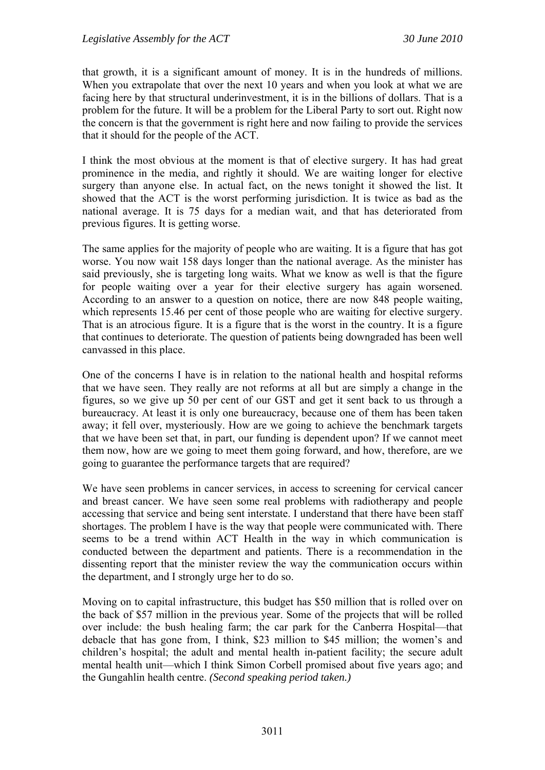that growth, it is a significant amount of money. It is in the hundreds of millions. When you extrapolate that over the next 10 years and when you look at what we are facing here by that structural underinvestment, it is in the billions of dollars. That is a problem for the future. It will be a problem for the Liberal Party to sort out. Right now the concern is that the government is right here and now failing to provide the services that it should for the people of the ACT.

I think the most obvious at the moment is that of elective surgery. It has had great prominence in the media, and rightly it should. We are waiting longer for elective surgery than anyone else. In actual fact, on the news tonight it showed the list. It showed that the ACT is the worst performing jurisdiction. It is twice as bad as the national average. It is 75 days for a median wait, and that has deteriorated from previous figures. It is getting worse.

The same applies for the majority of people who are waiting. It is a figure that has got worse. You now wait 158 days longer than the national average. As the minister has said previously, she is targeting long waits. What we know as well is that the figure for people waiting over a year for their elective surgery has again worsened. According to an answer to a question on notice, there are now 848 people waiting, which represents 15.46 per cent of those people who are waiting for elective surgery. That is an atrocious figure. It is a figure that is the worst in the country. It is a figure that continues to deteriorate. The question of patients being downgraded has been well canvassed in this place.

One of the concerns I have is in relation to the national health and hospital reforms that we have seen. They really are not reforms at all but are simply a change in the figures, so we give up 50 per cent of our GST and get it sent back to us through a bureaucracy. At least it is only one bureaucracy, because one of them has been taken away; it fell over, mysteriously. How are we going to achieve the benchmark targets that we have been set that, in part, our funding is dependent upon? If we cannot meet them now, how are we going to meet them going forward, and how, therefore, are we going to guarantee the performance targets that are required?

We have seen problems in cancer services, in access to screening for cervical cancer and breast cancer. We have seen some real problems with radiotherapy and people accessing that service and being sent interstate. I understand that there have been staff shortages. The problem I have is the way that people were communicated with. There seems to be a trend within ACT Health in the way in which communication is conducted between the department and patients. There is a recommendation in the dissenting report that the minister review the way the communication occurs within the department, and I strongly urge her to do so.

Moving on to capital infrastructure, this budget has \$50 million that is rolled over on the back of \$57 million in the previous year. Some of the projects that will be rolled over include: the bush healing farm; the car park for the Canberra Hospital—that debacle that has gone from, I think, \$23 million to \$45 million; the women's and children's hospital; the adult and mental health in-patient facility; the secure adult mental health unit—which I think Simon Corbell promised about five years ago; and the Gungahlin health centre. *(Second speaking period taken.)*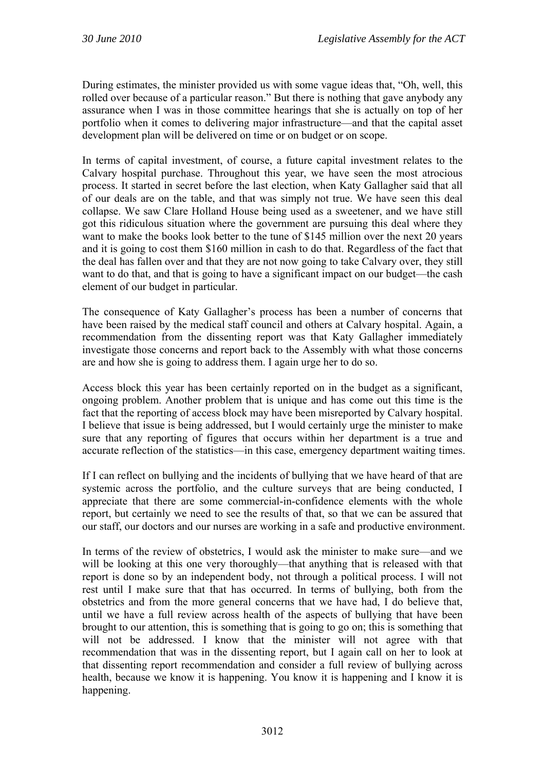During estimates, the minister provided us with some vague ideas that, "Oh, well, this rolled over because of a particular reason." But there is nothing that gave anybody any assurance when I was in those committee hearings that she is actually on top of her portfolio when it comes to delivering major infrastructure—and that the capital asset development plan will be delivered on time or on budget or on scope.

In terms of capital investment, of course, a future capital investment relates to the Calvary hospital purchase. Throughout this year, we have seen the most atrocious process. It started in secret before the last election, when Katy Gallagher said that all of our deals are on the table, and that was simply not true. We have seen this deal collapse. We saw Clare Holland House being used as a sweetener, and we have still got this ridiculous situation where the government are pursuing this deal where they want to make the books look better to the tune of \$145 million over the next 20 years and it is going to cost them \$160 million in cash to do that. Regardless of the fact that the deal has fallen over and that they are not now going to take Calvary over, they still want to do that, and that is going to have a significant impact on our budget—the cash element of our budget in particular.

The consequence of Katy Gallagher's process has been a number of concerns that have been raised by the medical staff council and others at Calvary hospital. Again, a recommendation from the dissenting report was that Katy Gallagher immediately investigate those concerns and report back to the Assembly with what those concerns are and how she is going to address them. I again urge her to do so.

Access block this year has been certainly reported on in the budget as a significant, ongoing problem. Another problem that is unique and has come out this time is the fact that the reporting of access block may have been misreported by Calvary hospital. I believe that issue is being addressed, but I would certainly urge the minister to make sure that any reporting of figures that occurs within her department is a true and accurate reflection of the statistics—in this case, emergency department waiting times.

If I can reflect on bullying and the incidents of bullying that we have heard of that are systemic across the portfolio, and the culture surveys that are being conducted, I appreciate that there are some commercial-in-confidence elements with the whole report, but certainly we need to see the results of that, so that we can be assured that our staff, our doctors and our nurses are working in a safe and productive environment.

In terms of the review of obstetrics, I would ask the minister to make sure—and we will be looking at this one very thoroughly—that anything that is released with that report is done so by an independent body, not through a political process. I will not rest until I make sure that that has occurred. In terms of bullying, both from the obstetrics and from the more general concerns that we have had, I do believe that, until we have a full review across health of the aspects of bullying that have been brought to our attention, this is something that is going to go on; this is something that will not be addressed. I know that the minister will not agree with that recommendation that was in the dissenting report, but I again call on her to look at that dissenting report recommendation and consider a full review of bullying across health, because we know it is happening. You know it is happening and I know it is happening.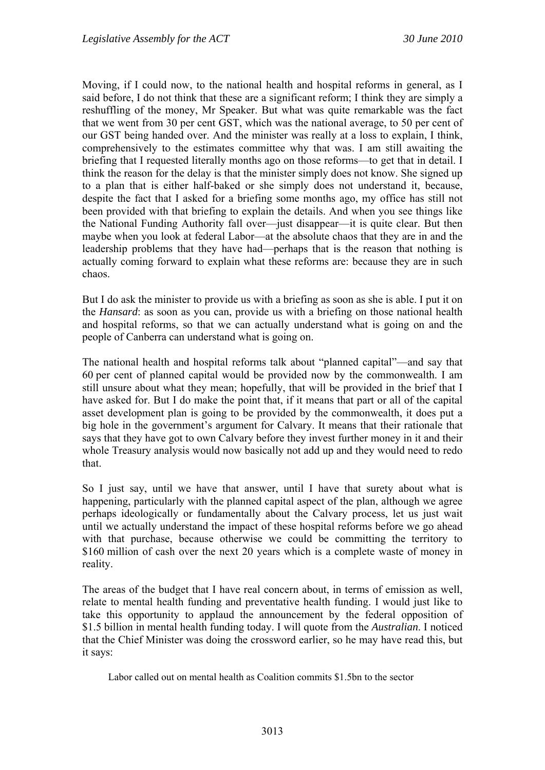Moving, if I could now, to the national health and hospital reforms in general, as I said before, I do not think that these are a significant reform; I think they are simply a reshuffling of the money, Mr Speaker. But what was quite remarkable was the fact that we went from 30 per cent GST, which was the national average, to 50 per cent of our GST being handed over. And the minister was really at a loss to explain, I think, comprehensively to the estimates committee why that was. I am still awaiting the briefing that I requested literally months ago on those reforms—to get that in detail. I think the reason for the delay is that the minister simply does not know. She signed up to a plan that is either half-baked or she simply does not understand it, because, despite the fact that I asked for a briefing some months ago, my office has still not been provided with that briefing to explain the details. And when you see things like the National Funding Authority fall over—just disappear—it is quite clear. But then maybe when you look at federal Labor—at the absolute chaos that they are in and the leadership problems that they have had—perhaps that is the reason that nothing is actually coming forward to explain what these reforms are: because they are in such chaos.

But I do ask the minister to provide us with a briefing as soon as she is able. I put it on the *Hansard*: as soon as you can, provide us with a briefing on those national health and hospital reforms, so that we can actually understand what is going on and the people of Canberra can understand what is going on.

The national health and hospital reforms talk about "planned capital"—and say that 60 per cent of planned capital would be provided now by the commonwealth. I am still unsure about what they mean; hopefully, that will be provided in the brief that I have asked for. But I do make the point that, if it means that part or all of the capital asset development plan is going to be provided by the commonwealth, it does put a big hole in the government's argument for Calvary. It means that their rationale that says that they have got to own Calvary before they invest further money in it and their whole Treasury analysis would now basically not add up and they would need to redo that.

So I just say, until we have that answer, until I have that surety about what is happening, particularly with the planned capital aspect of the plan, although we agree perhaps ideologically or fundamentally about the Calvary process, let us just wait until we actually understand the impact of these hospital reforms before we go ahead with that purchase, because otherwise we could be committing the territory to \$160 million of cash over the next 20 years which is a complete waste of money in reality.

The areas of the budget that I have real concern about, in terms of emission as well, relate to mental health funding and preventative health funding. I would just like to take this opportunity to applaud the announcement by the federal opposition of \$1.5 billion in mental health funding today. I will quote from the *Australian*. I noticed that the Chief Minister was doing the crossword earlier, so he may have read this, but it says:

Labor called out on mental health as Coalition commits \$1.5bn to the sector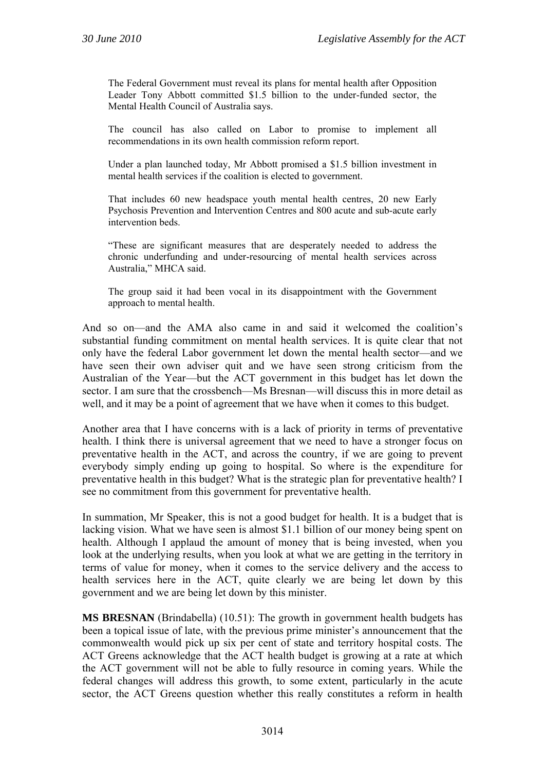The Federal Government must reveal its plans for mental health after Opposition Leader Tony Abbott committed \$1.5 billion to the under-funded sector, the Mental Health Council of Australia says.

The council has also called on Labor to promise to implement all recommendations in its own health commission reform report.

Under a plan launched today, Mr Abbott promised a \$1.5 billion investment in mental health services if the coalition is elected to government.

That includes 60 new headspace youth mental health centres, 20 new Early Psychosis Prevention and Intervention Centres and 800 acute and sub-acute early intervention beds.

"These are significant measures that are desperately needed to address the chronic underfunding and under-resourcing of mental health services across Australia," MHCA said.

The group said it had been vocal in its disappointment with the Government approach to mental health.

And so on—and the AMA also came in and said it welcomed the coalition's substantial funding commitment on mental health services. It is quite clear that not only have the federal Labor government let down the mental health sector—and we have seen their own adviser quit and we have seen strong criticism from the Australian of the Year—but the ACT government in this budget has let down the sector. I am sure that the crossbench—Ms Bresnan—will discuss this in more detail as well, and it may be a point of agreement that we have when it comes to this budget.

Another area that I have concerns with is a lack of priority in terms of preventative health. I think there is universal agreement that we need to have a stronger focus on preventative health in the ACT, and across the country, if we are going to prevent everybody simply ending up going to hospital. So where is the expenditure for preventative health in this budget? What is the strategic plan for preventative health? I see no commitment from this government for preventative health.

In summation, Mr Speaker, this is not a good budget for health. It is a budget that is lacking vision. What we have seen is almost \$1.1 billion of our money being spent on health. Although I applaud the amount of money that is being invested, when you look at the underlying results, when you look at what we are getting in the territory in terms of value for money, when it comes to the service delivery and the access to health services here in the ACT, quite clearly we are being let down by this government and we are being let down by this minister.

**MS BRESNAN** (Brindabella) (10.51): The growth in government health budgets has been a topical issue of late, with the previous prime minister's announcement that the commonwealth would pick up six per cent of state and territory hospital costs. The ACT Greens acknowledge that the ACT health budget is growing at a rate at which the ACT government will not be able to fully resource in coming years. While the federal changes will address this growth, to some extent, particularly in the acute sector, the ACT Greens question whether this really constitutes a reform in health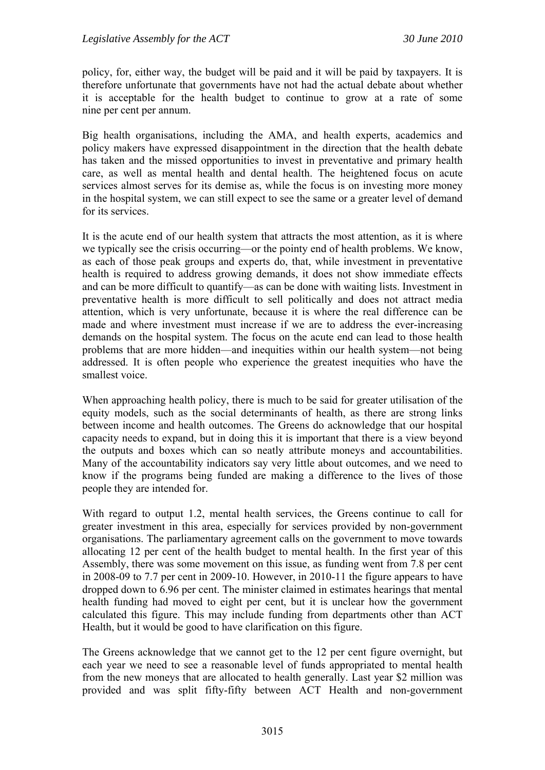policy, for, either way, the budget will be paid and it will be paid by taxpayers. It is therefore unfortunate that governments have not had the actual debate about whether it is acceptable for the health budget to continue to grow at a rate of some nine per cent per annum.

Big health organisations, including the AMA, and health experts, academics and policy makers have expressed disappointment in the direction that the health debate has taken and the missed opportunities to invest in preventative and primary health care, as well as mental health and dental health. The heightened focus on acute services almost serves for its demise as, while the focus is on investing more money in the hospital system, we can still expect to see the same or a greater level of demand for its services.

It is the acute end of our health system that attracts the most attention, as it is where we typically see the crisis occurring—or the pointy end of health problems. We know, as each of those peak groups and experts do, that, while investment in preventative health is required to address growing demands, it does not show immediate effects and can be more difficult to quantify—as can be done with waiting lists. Investment in preventative health is more difficult to sell politically and does not attract media attention, which is very unfortunate, because it is where the real difference can be made and where investment must increase if we are to address the ever-increasing demands on the hospital system. The focus on the acute end can lead to those health problems that are more hidden—and inequities within our health system—not being addressed. It is often people who experience the greatest inequities who have the smallest voice.

When approaching health policy, there is much to be said for greater utilisation of the equity models, such as the social determinants of health, as there are strong links between income and health outcomes. The Greens do acknowledge that our hospital capacity needs to expand, but in doing this it is important that there is a view beyond the outputs and boxes which can so neatly attribute moneys and accountabilities. Many of the accountability indicators say very little about outcomes, and we need to know if the programs being funded are making a difference to the lives of those people they are intended for.

With regard to output 1.2, mental health services, the Greens continue to call for greater investment in this area, especially for services provided by non-government organisations. The parliamentary agreement calls on the government to move towards allocating 12 per cent of the health budget to mental health. In the first year of this Assembly, there was some movement on this issue, as funding went from 7.8 per cent in 2008-09 to 7.7 per cent in 2009-10. However, in 2010-11 the figure appears to have dropped down to 6.96 per cent. The minister claimed in estimates hearings that mental health funding had moved to eight per cent, but it is unclear how the government calculated this figure. This may include funding from departments other than ACT Health, but it would be good to have clarification on this figure.

The Greens acknowledge that we cannot get to the 12 per cent figure overnight, but each year we need to see a reasonable level of funds appropriated to mental health from the new moneys that are allocated to health generally. Last year \$2 million was provided and was split fifty-fifty between ACT Health and non-government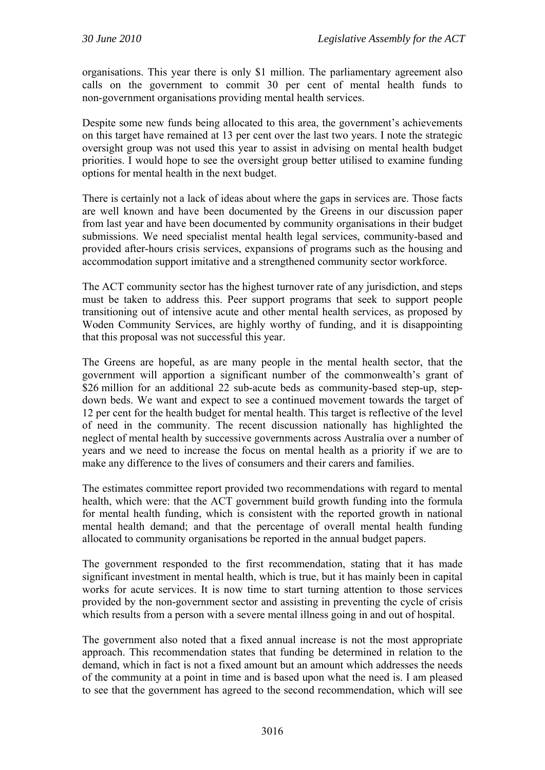organisations. This year there is only \$1 million. The parliamentary agreement also calls on the government to commit 30 per cent of mental health funds to non-government organisations providing mental health services.

Despite some new funds being allocated to this area, the government's achievements on this target have remained at 13 per cent over the last two years. I note the strategic oversight group was not used this year to assist in advising on mental health budget priorities. I would hope to see the oversight group better utilised to examine funding options for mental health in the next budget.

There is certainly not a lack of ideas about where the gaps in services are. Those facts are well known and have been documented by the Greens in our discussion paper from last year and have been documented by community organisations in their budget submissions. We need specialist mental health legal services, community-based and provided after-hours crisis services, expansions of programs such as the housing and accommodation support imitative and a strengthened community sector workforce.

The ACT community sector has the highest turnover rate of any jurisdiction, and steps must be taken to address this. Peer support programs that seek to support people transitioning out of intensive acute and other mental health services, as proposed by Woden Community Services, are highly worthy of funding, and it is disappointing that this proposal was not successful this year.

The Greens are hopeful, as are many people in the mental health sector, that the government will apportion a significant number of the commonwealth's grant of \$26 million for an additional 22 sub-acute beds as community-based step-up, stepdown beds. We want and expect to see a continued movement towards the target of 12 per cent for the health budget for mental health. This target is reflective of the level of need in the community. The recent discussion nationally has highlighted the neglect of mental health by successive governments across Australia over a number of years and we need to increase the focus on mental health as a priority if we are to make any difference to the lives of consumers and their carers and families.

The estimates committee report provided two recommendations with regard to mental health, which were: that the ACT government build growth funding into the formula for mental health funding, which is consistent with the reported growth in national mental health demand; and that the percentage of overall mental health funding allocated to community organisations be reported in the annual budget papers.

The government responded to the first recommendation, stating that it has made significant investment in mental health, which is true, but it has mainly been in capital works for acute services. It is now time to start turning attention to those services provided by the non-government sector and assisting in preventing the cycle of crisis which results from a person with a severe mental illness going in and out of hospital.

The government also noted that a fixed annual increase is not the most appropriate approach. This recommendation states that funding be determined in relation to the demand, which in fact is not a fixed amount but an amount which addresses the needs of the community at a point in time and is based upon what the need is. I am pleased to see that the government has agreed to the second recommendation, which will see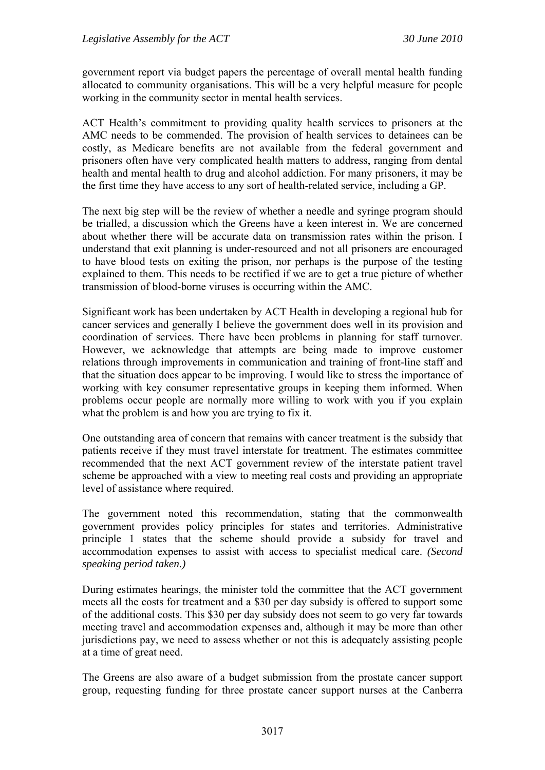government report via budget papers the percentage of overall mental health funding allocated to community organisations. This will be a very helpful measure for people working in the community sector in mental health services.

ACT Health's commitment to providing quality health services to prisoners at the AMC needs to be commended. The provision of health services to detainees can be costly, as Medicare benefits are not available from the federal government and prisoners often have very complicated health matters to address, ranging from dental health and mental health to drug and alcohol addiction. For many prisoners, it may be the first time they have access to any sort of health-related service, including a GP.

The next big step will be the review of whether a needle and syringe program should be trialled, a discussion which the Greens have a keen interest in. We are concerned about whether there will be accurate data on transmission rates within the prison. I understand that exit planning is under-resourced and not all prisoners are encouraged to have blood tests on exiting the prison, nor perhaps is the purpose of the testing explained to them. This needs to be rectified if we are to get a true picture of whether transmission of blood-borne viruses is occurring within the AMC.

Significant work has been undertaken by ACT Health in developing a regional hub for cancer services and generally I believe the government does well in its provision and coordination of services. There have been problems in planning for staff turnover. However, we acknowledge that attempts are being made to improve customer relations through improvements in communication and training of front-line staff and that the situation does appear to be improving. I would like to stress the importance of working with key consumer representative groups in keeping them informed. When problems occur people are normally more willing to work with you if you explain what the problem is and how you are trying to fix it.

One outstanding area of concern that remains with cancer treatment is the subsidy that patients receive if they must travel interstate for treatment. The estimates committee recommended that the next ACT government review of the interstate patient travel scheme be approached with a view to meeting real costs and providing an appropriate level of assistance where required.

The government noted this recommendation, stating that the commonwealth government provides policy principles for states and territories. Administrative principle 1 states that the scheme should provide a subsidy for travel and accommodation expenses to assist with access to specialist medical care. *(Second speaking period taken.)*

During estimates hearings, the minister told the committee that the ACT government meets all the costs for treatment and a \$30 per day subsidy is offered to support some of the additional costs. This \$30 per day subsidy does not seem to go very far towards meeting travel and accommodation expenses and, although it may be more than other jurisdictions pay, we need to assess whether or not this is adequately assisting people at a time of great need.

The Greens are also aware of a budget submission from the prostate cancer support group, requesting funding for three prostate cancer support nurses at the Canberra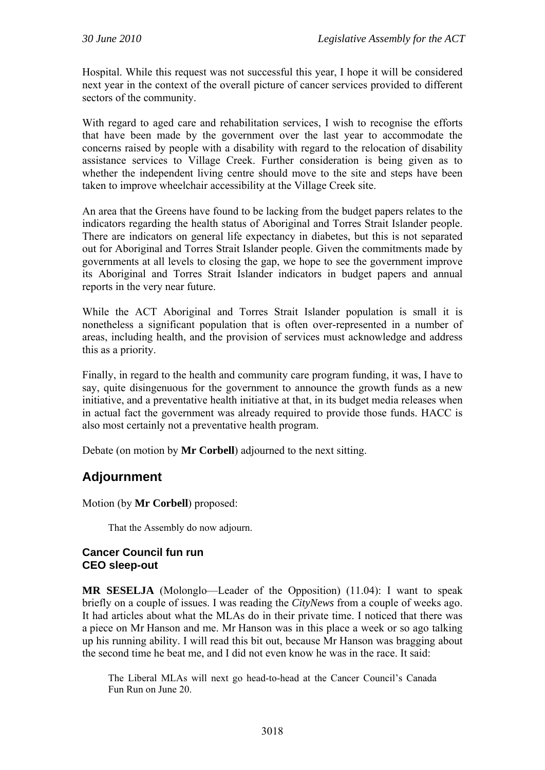Hospital. While this request was not successful this year, I hope it will be considered next year in the context of the overall picture of cancer services provided to different sectors of the community.

With regard to aged care and rehabilitation services, I wish to recognise the efforts that have been made by the government over the last year to accommodate the concerns raised by people with a disability with regard to the relocation of disability assistance services to Village Creek. Further consideration is being given as to whether the independent living centre should move to the site and steps have been taken to improve wheelchair accessibility at the Village Creek site.

An area that the Greens have found to be lacking from the budget papers relates to the indicators regarding the health status of Aboriginal and Torres Strait Islander people. There are indicators on general life expectancy in diabetes, but this is not separated out for Aboriginal and Torres Strait Islander people. Given the commitments made by governments at all levels to closing the gap, we hope to see the government improve its Aboriginal and Torres Strait Islander indicators in budget papers and annual reports in the very near future.

While the ACT Aboriginal and Torres Strait Islander population is small it is nonetheless a significant population that is often over-represented in a number of areas, including health, and the provision of services must acknowledge and address this as a priority.

Finally, in regard to the health and community care program funding, it was, I have to say, quite disingenuous for the government to announce the growth funds as a new initiative, and a preventative health initiative at that, in its budget media releases when in actual fact the government was already required to provide those funds. HACC is also most certainly not a preventative health program.

Debate (on motion by **Mr Corbell**) adjourned to the next sitting.

# **Adjournment**

Motion (by **Mr Corbell**) proposed:

That the Assembly do now adjourn.

## **Cancer Council fun run CEO sleep-out**

**MR SESELJA** (Molonglo—Leader of the Opposition) (11.04): I want to speak briefly on a couple of issues. I was reading the *CityNews* from a couple of weeks ago. It had articles about what the MLAs do in their private time. I noticed that there was a piece on Mr Hanson and me. Mr Hanson was in this place a week or so ago talking up his running ability. I will read this bit out, because Mr Hanson was bragging about the second time he beat me, and I did not even know he was in the race. It said:

The Liberal MLAs will next go head-to-head at the Cancer Council's Canada Fun Run on June 20.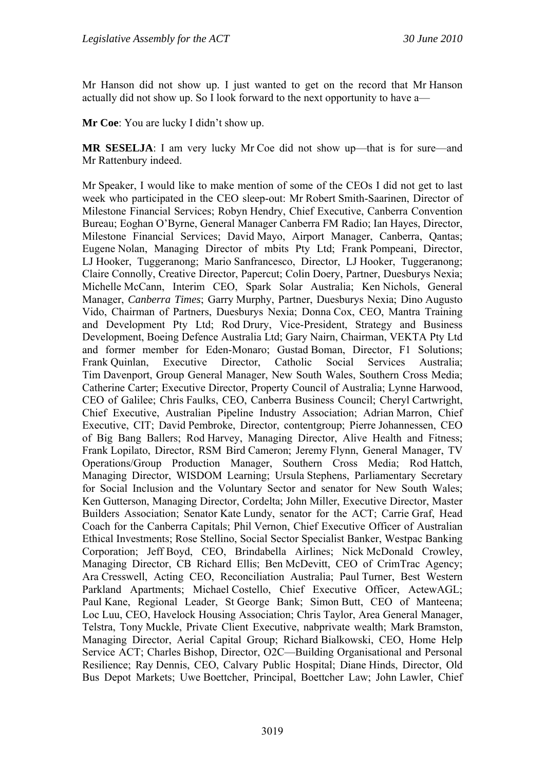Mr Hanson did not show up. I just wanted to get on the record that Mr Hanson actually did not show up. So I look forward to the next opportunity to have a—

**Mr Coe**: You are lucky I didn't show up.

**MR SESELJA:** I am very lucky Mr Coe did not show up—that is for sure—and Mr Rattenbury indeed.

Mr Speaker, I would like to make mention of some of the CEOs I did not get to last week who participated in the CEO sleep-out: Mr Robert Smith-Saarinen, Director of Milestone Financial Services; Robyn Hendry, Chief Executive, Canberra Convention Bureau; Eoghan O'Byrne, General Manager Canberra FM Radio; Ian Hayes, Director, Milestone Financial Services; David Mayo, Airport Manager, Canberra, Qantas; Eugene Nolan, Managing Director of mbits Pty Ltd; Frank Pompeani, Director, LJ Hooker, Tuggeranong; Mario Sanfrancesco, Director, LJ Hooker, Tuggeranong; Claire Connolly, Creative Director, Papercut; Colin Doery, Partner, Duesburys Nexia; Michelle McCann, Interim CEO, Spark Solar Australia; Ken Nichols, General Manager, *Canberra Times*; Garry Murphy, Partner, Duesburys Nexia; Dino Augusto Vido, Chairman of Partners, Duesburys Nexia; Donna Cox, CEO, Mantra Training and Development Pty Ltd; Rod Drury, Vice-President, Strategy and Business Development, Boeing Defence Australia Ltd; Gary Nairn, Chairman, VEKTA Pty Ltd and former member for Eden-Monaro; Gustad Boman, Director, F1 Solutions; Frank Quinlan, Executive Director, Catholic Social Services Australia; Tim Davenport, Group General Manager, New South Wales, Southern Cross Media; Catherine Carter; Executive Director, Property Council of Australia; Lynne Harwood, CEO of Galilee; Chris Faulks, CEO, Canberra Business Council; Cheryl Cartwright, Chief Executive, Australian Pipeline Industry Association; Adrian Marron, Chief Executive, CIT; David Pembroke, Director, contentgroup; Pierre Johannessen, CEO of Big Bang Ballers; Rod Harvey, Managing Director, Alive Health and Fitness; Frank Lopilato, Director, RSM Bird Cameron; Jeremy Flynn, General Manager, TV Operations/Group Production Manager, Southern Cross Media; Rod Hattch, Managing Director, WISDOM Learning; Ursula Stephens, Parliamentary Secretary for Social Inclusion and the Voluntary Sector and senator for New South Wales; Ken Gutterson, Managing Director, Cordelta; John Miller, Executive Director, Master Builders Association; Senator Kate Lundy, senator for the ACT; Carrie Graf, Head Coach for the Canberra Capitals; Phil Vernon, Chief Executive Officer of Australian Ethical Investments; Rose Stellino, Social Sector Specialist Banker, Westpac Banking Corporation; Jeff Boyd, CEO, Brindabella Airlines; Nick McDonald Crowley, Managing Director, CB Richard Ellis; Ben McDevitt, CEO of CrimTrac Agency; Ara Cresswell, Acting CEO, Reconciliation Australia; Paul Turner, Best Western Parkland Apartments; Michael Costello, Chief Executive Officer, ActewAGL; Paul Kane, Regional Leader, St George Bank; Simon Butt, CEO of Manteena; Loc Luu, CEO, Havelock Housing Association; Chris Taylor, Area General Manager, Telstra, Tony Muckle, Private Client Executive, nabprivate wealth; Mark Bramston, Managing Director, Aerial Capital Group; Richard Bialkowski, CEO, Home Help Service ACT; Charles Bishop, Director, O2C—Building Organisational and Personal Resilience; Ray Dennis, CEO, Calvary Public Hospital; Diane Hinds, Director, Old Bus Depot Markets; Uwe Boettcher, Principal, Boettcher Law; John Lawler, Chief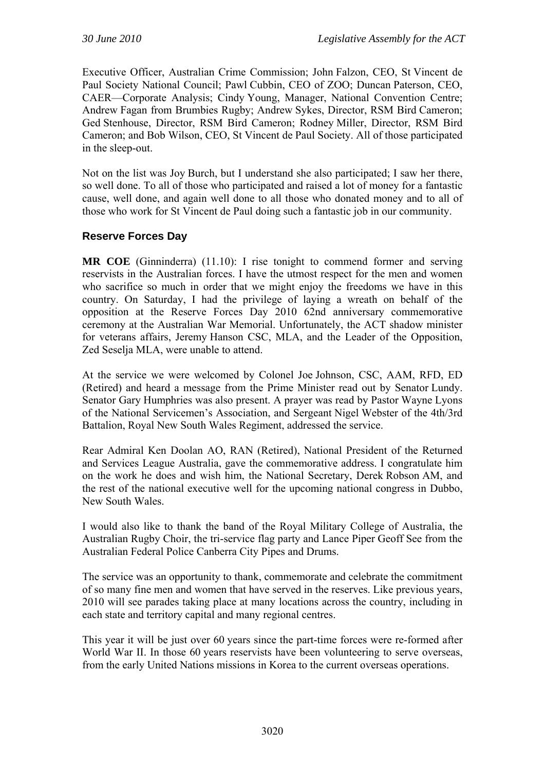Executive Officer, Australian Crime Commission; John Falzon, CEO, St Vincent de Paul Society National Council; Pawl Cubbin, CEO of ZOO; Duncan Paterson, CEO, CAER—Corporate Analysis; Cindy Young, Manager, National Convention Centre; Andrew Fagan from Brumbies Rugby; Andrew Sykes, Director, RSM Bird Cameron; Ged Stenhouse, Director, RSM Bird Cameron; Rodney Miller, Director, RSM Bird Cameron; and Bob Wilson, CEO, St Vincent de Paul Society. All of those participated in the sleep-out.

Not on the list was Joy Burch, but I understand she also participated; I saw her there, so well done. To all of those who participated and raised a lot of money for a fantastic cause, well done, and again well done to all those who donated money and to all of those who work for St Vincent de Paul doing such a fantastic job in our community.

# **Reserve Forces Day**

**MR COE** (Ginninderra) (11.10): I rise tonight to commend former and serving reservists in the Australian forces. I have the utmost respect for the men and women who sacrifice so much in order that we might enjoy the freedoms we have in this country. On Saturday, I had the privilege of laying a wreath on behalf of the opposition at the Reserve Forces Day 2010 62nd anniversary commemorative ceremony at the Australian War Memorial. Unfortunately, the ACT shadow minister for veterans affairs, Jeremy Hanson CSC, MLA, and the Leader of the Opposition, Zed Seselja MLA, were unable to attend.

At the service we were welcomed by Colonel Joe Johnson, CSC, AAM, RFD, ED (Retired) and heard a message from the Prime Minister read out by Senator Lundy. Senator Gary Humphries was also present. A prayer was read by Pastor Wayne Lyons of the National Servicemen's Association, and Sergeant Nigel Webster of the 4th/3rd Battalion, Royal New South Wales Regiment, addressed the service.

Rear Admiral Ken Doolan AO, RAN (Retired), National President of the Returned and Services League Australia, gave the commemorative address. I congratulate him on the work he does and wish him, the National Secretary, Derek Robson AM, and the rest of the national executive well for the upcoming national congress in Dubbo, New South Wales.

I would also like to thank the band of the Royal Military College of Australia, the Australian Rugby Choir, the tri-service flag party and Lance Piper Geoff See from the Australian Federal Police Canberra City Pipes and Drums.

The service was an opportunity to thank, commemorate and celebrate the commitment of so many fine men and women that have served in the reserves. Like previous years, 2010 will see parades taking place at many locations across the country, including in each state and territory capital and many regional centres.

This year it will be just over 60 years since the part-time forces were re-formed after World War II. In those 60 years reservists have been volunteering to serve overseas, from the early United Nations missions in Korea to the current overseas operations.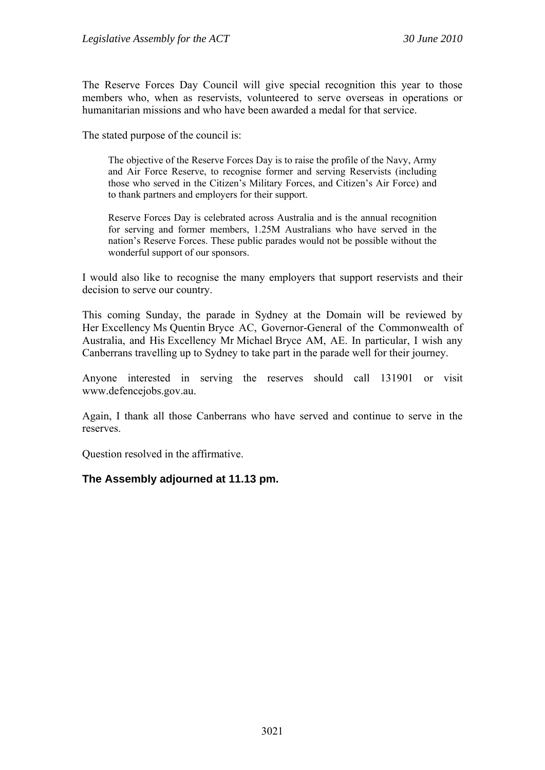The Reserve Forces Day Council will give special recognition this year to those members who, when as reservists, volunteered to serve overseas in operations or humanitarian missions and who have been awarded a medal for that service.

The stated purpose of the council is:

The objective of the Reserve Forces Day is to raise the profile of the Navy, Army and Air Force Reserve, to recognise former and serving Reservists (including those who served in the Citizen's Military Forces, and Citizen's Air Force) and to thank partners and employers for their support.

Reserve Forces Day is celebrated across Australia and is the annual recognition for serving and former members, 1.25M Australians who have served in the nation's Reserve Forces. These public parades would not be possible without the wonderful support of our sponsors.

I would also like to recognise the many employers that support reservists and their decision to serve our country.

This coming Sunday, the parade in Sydney at the Domain will be reviewed by Her Excellency Ms Quentin Bryce AC, Governor-General of the Commonwealth of Australia, and His Excellency Mr Michael Bryce AM, AE. In particular, I wish any Canberrans travelling up to Sydney to take part in the parade well for their journey.

Anyone interested in serving the reserves should call 131901 or visit www.defencejobs.gov.au.

Again, I thank all those Canberrans who have served and continue to serve in the reserves.

Question resolved in the affirmative.

## **The Assembly adjourned at 11.13 pm.**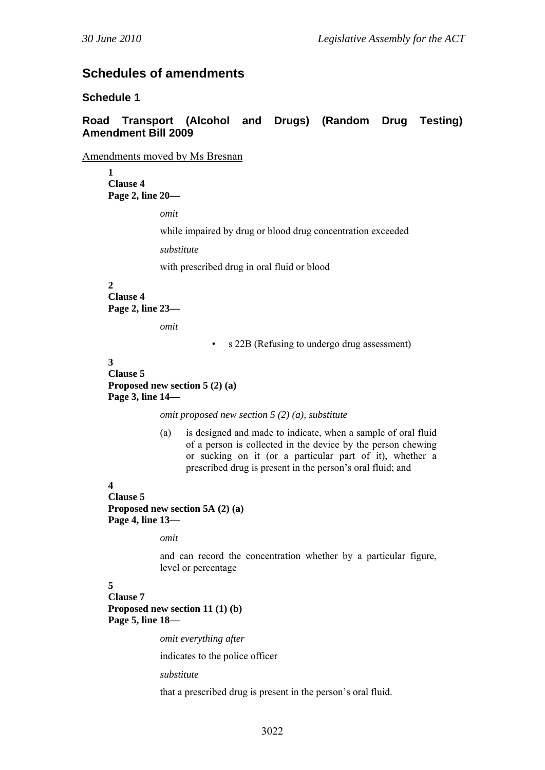# **Schedules of amendments**

#### **Schedule 1**

### **Road Transport (Alcohol and Drugs) (Random Drug Testing) Amendment Bill 2009**

Amendments moved by Ms Bresnan

**1 Clause 4 Page 2, line 20—** 

*omit* 

while impaired by drug or blood drug concentration exceeded

*substitute*

with prescribed drug in oral fluid or blood

#### **2**

**Clause 4 Page 2, line 23—** 

*omit* 

• s 22B (Refusing to undergo drug assessment)

#### **3**

**Clause 5 Proposed new section 5 (2) (a) Page 3, line 14—** 

*omit proposed new section 5 (2) (a), substitute* 

(a) is designed and made to indicate, when a sample of oral fluid of a person is collected in the device by the person chewing or sucking on it (or a particular part of it), whether a prescribed drug is present in the person's oral fluid; and

#### **4**

**Clause 5 Proposed new section 5A (2) (a) Page 4, line 13—** 

*omit* 

and can record the concentration whether by a particular figure, level or percentage

#### **5**

**Clause 7 Proposed new section 11 (1) (b) Page 5, line 18—** 

*omit everything after* 

indicates to the police officer

*substitute* 

that a prescribed drug is present in the person's oral fluid.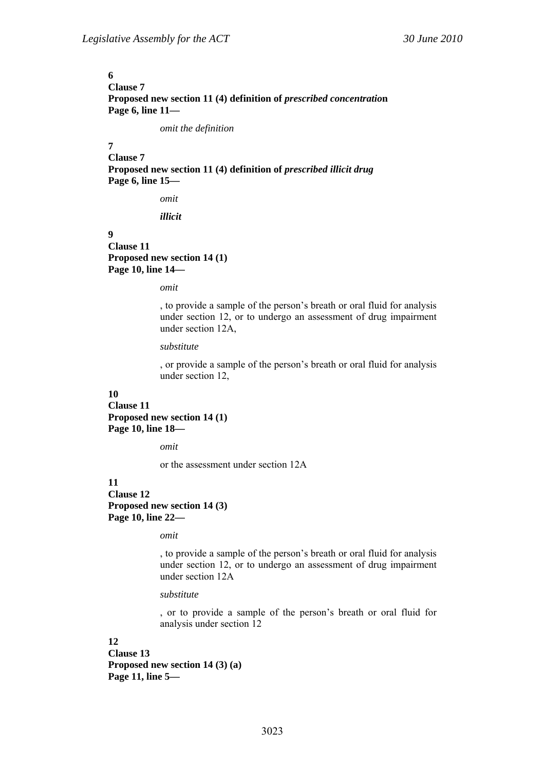# **6 Clause 7**  Proposed new section 11 (4) definition of *prescribed concentration* **Page 6, line 11—**

*omit the definition* 

# **7**

**Clause 7 Proposed new section 11 (4) definition of** *prescribed illicit drug* **Page 6, line 15—** 

*omit* 

*illicit* 

### **9**

**Clause 11 Proposed new section 14 (1) Page 10, line 14—** 

*omit* 

, to provide a sample of the person's breath or oral fluid for analysis under section 12, or to undergo an assessment of drug impairment under section 12A,

### *substitute*

, or provide a sample of the person's breath or oral fluid for analysis under section 12,

# **10**

**Clause 11 Proposed new section 14 (1) Page 10, line 18—** 

*omit* 

or the assessment under section 12A

# **11 Clause 12 Proposed new section 14 (3)**

**Page 10, line 22—** 

*omit* 

, to provide a sample of the person's breath or oral fluid for analysis under section 12, or to undergo an assessment of drug impairment under section 12A

### *substitute*

, or to provide a sample of the person's breath or oral fluid for analysis under section 12

# **12**

**Clause 13 Proposed new section 14 (3) (a) Page 11, line 5—**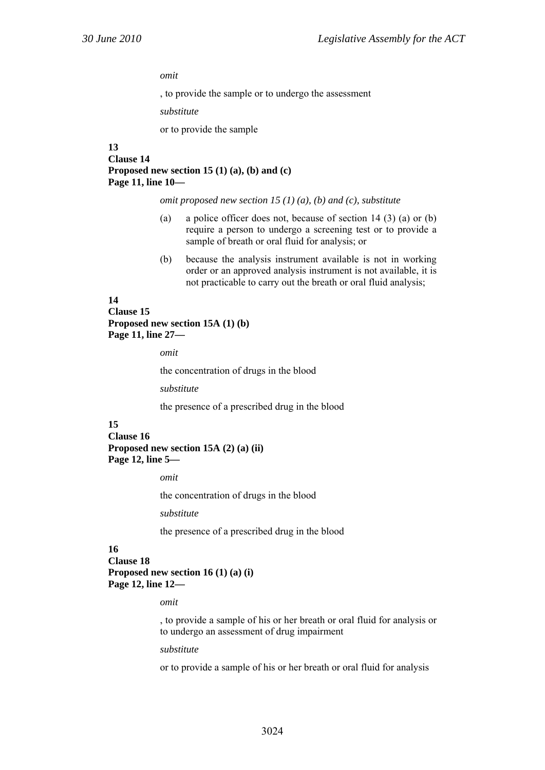*omit* 

, to provide the sample or to undergo the assessment

*substitute* 

or to provide the sample

# **13 Clause 14 Proposed new section 15 (1) (a), (b) and (c) Page 11, line 10—**

*omit proposed new section 15 (1) (a), (b) and (c), substitute* 

- (a) a police officer does not, because of section 14 (3) (a) or (b) require a person to undergo a screening test or to provide a sample of breath or oral fluid for analysis; or
- (b) because the analysis instrument available is not in working order or an approved analysis instrument is not available, it is not practicable to carry out the breath or oral fluid analysis;

### **14**

**Clause 15 Proposed new section 15A (1) (b) Page 11, line 27—** 

*omit* 

the concentration of drugs in the blood

*substitute* 

the presence of a prescribed drug in the blood

# **15**

**Clause 16 Proposed new section 15A (2) (a) (ii) Page 12, line 5—** 

*omit* 

the concentration of drugs in the blood

*substitute* 

the presence of a prescribed drug in the blood

# **16**

**Clause 18** 

**Proposed new section 16 (1) (a) (i) Page 12, line 12—** 

*omit* 

, to provide a sample of his or her breath or oral fluid for analysis or to undergo an assessment of drug impairment

*substitute* 

or to provide a sample of his or her breath or oral fluid for analysis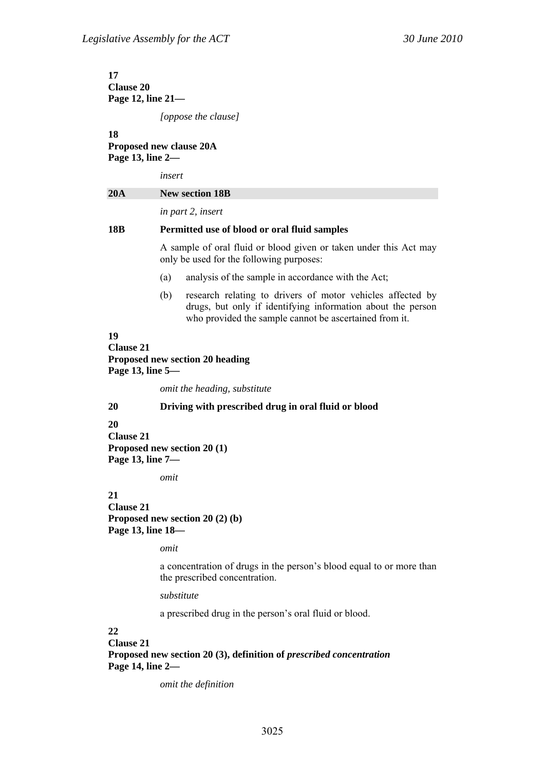**17 Clause 20 Page 12, line 21—** 

*[oppose the clause]* 

**18** 

# **Proposed new clause 20A Page 13, line 2—**

*insert* 

| 20A | <b>New section 18B</b>                                                                                                                                                                     |
|-----|--------------------------------------------------------------------------------------------------------------------------------------------------------------------------------------------|
|     | in part 2, insert                                                                                                                                                                          |
| 18B | Permitted use of blood or oral fluid samples                                                                                                                                               |
|     | A sample of oral fluid or blood given or taken under this Act may<br>only be used for the following purposes:                                                                              |
|     | analysis of the sample in accordance with the Act;<br>(a)                                                                                                                                  |
|     | research relating to drivers of motor vehicles affected by<br>(b)<br>drugs, but only if identifying information about the person<br>who provided the sample cannot be ascertained from it. |

**19 Clause 21 Proposed new section 20 heading Page 13, line 5—** 

*omit the heading, substitute* 

# **20 Driving with prescribed drug in oral fluid or blood**

**20** 

**Clause 21 Proposed new section 20 (1) Page 13, line 7—** 

*omit* 

# **21**

**Clause 21 Proposed new section 20 (2) (b) Page 13, line 18—** 

*omit* 

a concentration of drugs in the person's blood equal to or more than the prescribed concentration.

*substitute* 

a prescribed drug in the person's oral fluid or blood.

# **22**

**Clause 21 Proposed new section 20 (3), definition of** *prescribed concentration* **Page 14, line 2—** 

*omit the definition*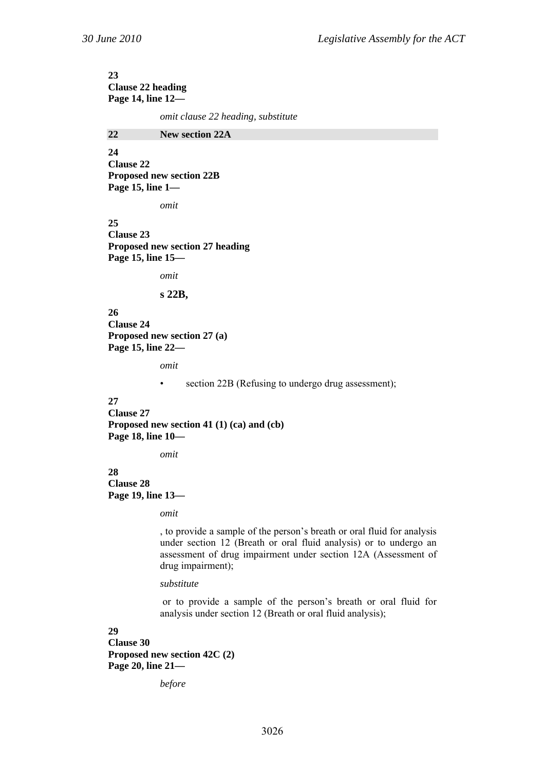# **23 Clause 22 heading Page 14, line 12—**

*omit clause 22 heading, substitute* 

**22 New section 22A** 

**24 Clause 22 Proposed new section 22B Page 15, line 1—** 

*omit* 

**25 Clause 23 Proposed new section 27 heading Page 15, line 15—** 

*omit* 

#### **s 22B,**

**26 Clause 24 Proposed new section 27 (a) Page 15, line 22—** 

*omit* 

• section 22B (Refusing to undergo drug assessment);

# **27**

**Clause 27 Proposed new section 41 (1) (ca) and (cb) Page 18, line 10—** 

*omit* 

**28 Clause 28 Page 19, line 13—** 

*omit* 

, to provide a sample of the person's breath or oral fluid for analysis under section 12 (Breath or oral fluid analysis) or to undergo an assessment of drug impairment under section 12A (Assessment of drug impairment);

*substitute* 

 or to provide a sample of the person's breath or oral fluid for analysis under section 12 (Breath or oral fluid analysis);

**29 Clause 30 Proposed new section 42C (2) Page 20, line 21—** 

*before*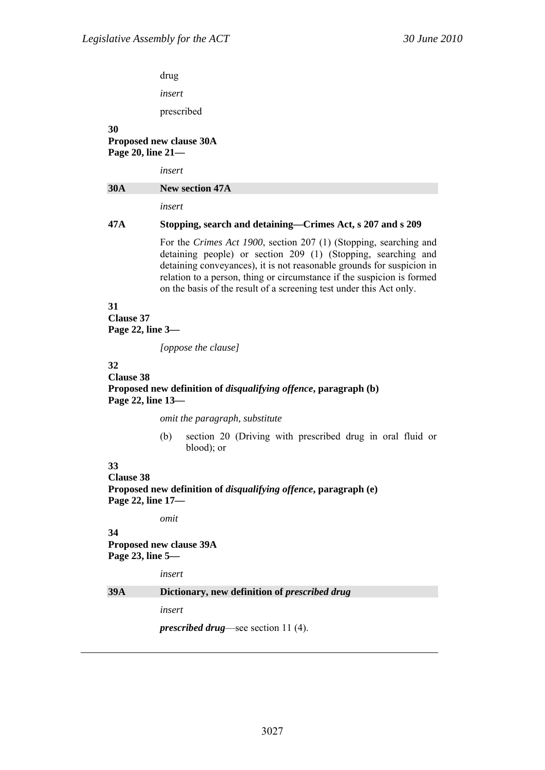drug

*insert* 

prescribed

### **30 Proposed new clause 30A Page 20, line 21—**

*insert* 

| <b>30A</b> | <b>New section 47A</b> |
|------------|------------------------|
|            | insert                 |

# **47A Stopping, search and detaining—Crimes Act, s 207 and s 209**

For the *Crimes Act 1900*, section 207 (1) (Stopping, searching and detaining people) or section 209 (1) (Stopping, searching and detaining conveyances), it is not reasonable grounds for suspicion in relation to a person, thing or circumstance if the suspicion is formed on the basis of the result of a screening test under this Act only.

# **31**

**Clause 37 Page 22, line 3—** 

*[oppose the clause]* 

# **32**

# **Clause 38 Proposed new definition of** *disqualifying offence***, paragraph (b) Page 22, line 13—**

*omit the paragraph, substitute* 

(b) section 20 (Driving with prescribed drug in oral fluid or blood); or

# **33**

**Clause 38 Proposed new definition of** *disqualifying offence***, paragraph (e) Page 22, line 17—** 

*omit* 

**34 Proposed new clause 39A Page 23, line 5—** 

*insert* 

# **39A Dictionary, new definition of** *prescribed drug*

*insert* 

*prescribed drug*—see section 11 (4).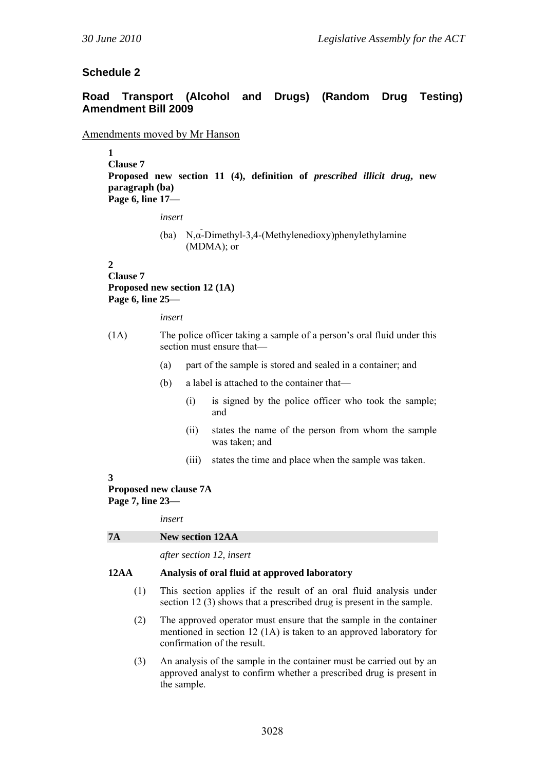# **Schedule 2**

# **Road Transport (Alcohol and Drugs) (Random Drug Testing) Amendment Bill 2009**

# Amendments moved by Mr Hanson

**1** 

**Clause 7 Proposed new section 11 (4), definition of** *prescribed illicit drug***, new paragraph (ba) Page 6, line 17—** 

*insert* 

(ba) N,α-Dimethyl-3,4-(Methylenedioxy)phenylethylamine (MDMA); or

### **2**

**Clause 7 Proposed new section 12 (1A) Page 6, line 25—** 

*insert* 

- (1A) The police officer taking a sample of a person's oral fluid under this section must ensure that—
	- (a) part of the sample is stored and sealed in a container; and
	- (b) a label is attached to the container that—
		- (i) is signed by the police officer who took the sample; and
		- (ii) states the name of the person from whom the sample was taken; and
		- (iii) states the time and place when the sample was taken.

# **3**

**Proposed new clause 7A Page 7, line 23—** 

*insert* 

*after section 12, insert* 

# **12AA Analysis of oral fluid at approved laboratory**

- (1) This section applies if the result of an oral fluid analysis under section 12 (3) shows that a prescribed drug is present in the sample.
- (2) The approved operator must ensure that the sample in the container mentioned in section 12 (1A) is taken to an approved laboratory for confirmation of the result.
- (3) An analysis of the sample in the container must be carried out by an approved analyst to confirm whether a prescribed drug is present in the sample.